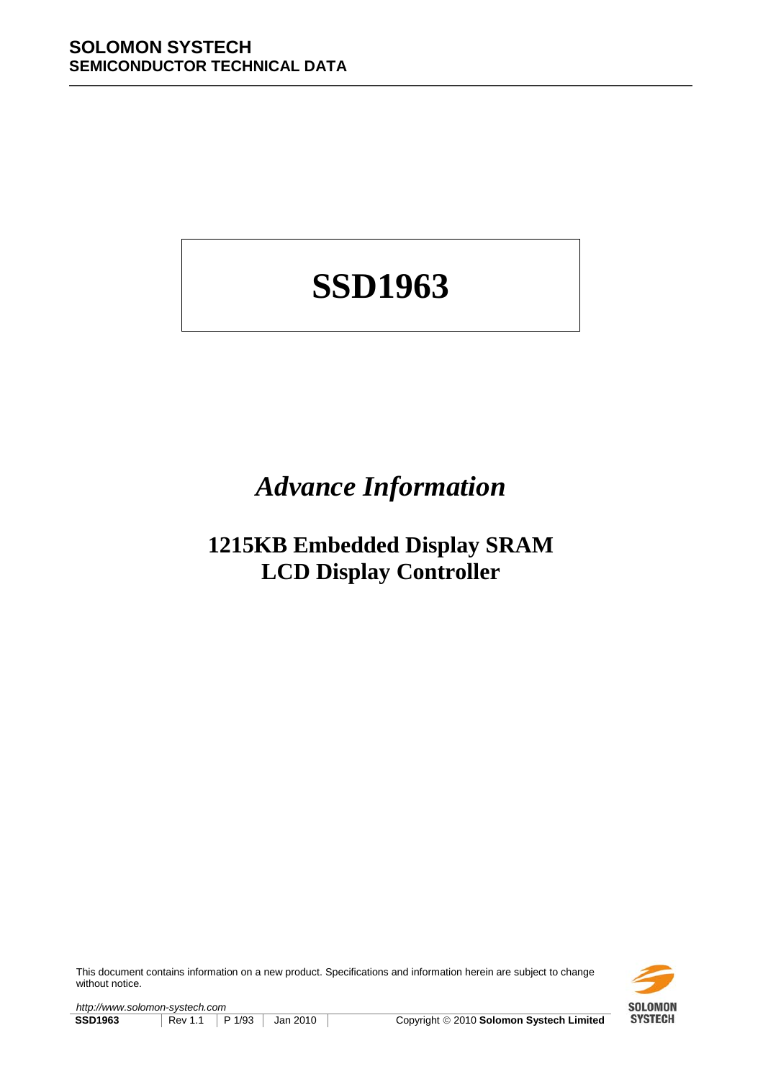# **SSD1963**

## *Advance Information*

## **1215KB Embedded Display SRAM LCD Display Controller**

This document contains information on a new product. Specifications and information herein are subject to change without notice.



*http://www.solomon-systech.com*  **SSD1963** Rev 1.1 | P 1/93 | Jan 2010 | Copyright © 2010 Solomon Systech Limited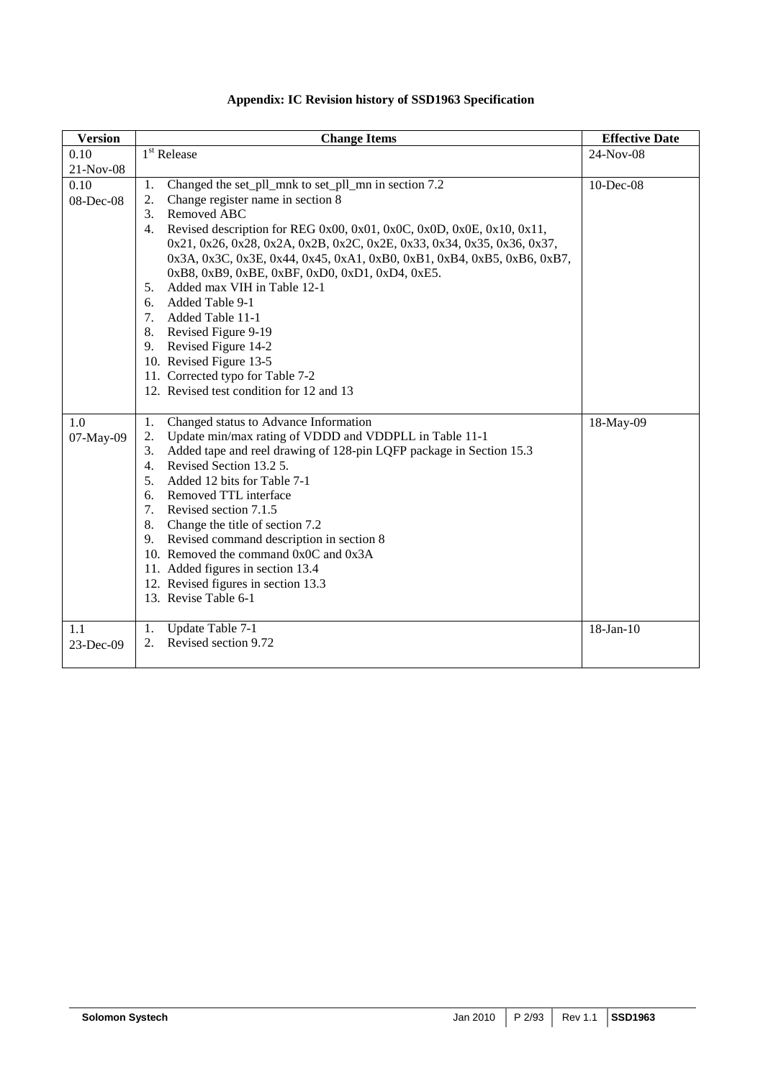| <b>Version</b> | <b>Change Items</b>                                                         | <b>Effective Date</b> |
|----------------|-----------------------------------------------------------------------------|-----------------------|
| 0.10           | $1st$ Release                                                               | 24-Nov-08             |
| 21-Nov-08      |                                                                             |                       |
| 0.10           | Changed the set_pll_mnk to set_pll_mn in section 7.2<br>1.                  | 10-Dec-08             |
| 08-Dec-08      | Change register name in section 8<br>2.                                     |                       |
|                | 3.<br>Removed ABC                                                           |                       |
|                | 4.<br>Revised description for REG 0x00, 0x01, 0x0C, 0x0D, 0x0E, 0x10, 0x11, |                       |
|                | 0x21, 0x26, 0x28, 0x2A, 0x2B, 0x2C, 0x2E, 0x33, 0x34, 0x35, 0x36, 0x37,     |                       |
|                | 0x3A, 0x3C, 0x3E, 0x44, 0x45, 0xA1, 0xB0, 0xB1, 0xB4, 0xB5, 0xB6, 0xB7,     |                       |
|                | 0xB8, 0xB9, 0xBE, 0xBF, 0xD0, 0xD1, 0xD4, 0xE5.                             |                       |
|                | Added max VIH in Table 12-1<br>5.                                           |                       |
|                | 6. Added Table 9-1                                                          |                       |
|                | 7. Added Table 11-1                                                         |                       |
|                | 8. Revised Figure 9-19                                                      |                       |
|                | Revised Figure 14-2<br>9.                                                   |                       |
|                | 10. Revised Figure 13-5                                                     |                       |
|                | 11. Corrected typo for Table 7-2                                            |                       |
|                | 12. Revised test condition for 12 and 13                                    |                       |
| 1.0            | 1.<br>Changed status to Advance Information                                 | 18-May-09             |
| 07-May-09      | Update min/max rating of VDDD and VDDPLL in Table 11-1<br>2.                |                       |
|                | 3.<br>Added tape and reel drawing of 128-pin LQFP package in Section 15.3   |                       |
|                | Revised Section 13.2 5.<br>4.                                               |                       |
|                | Added 12 bits for Table 7-1<br>5.                                           |                       |
|                | Removed TTL interface<br>6.                                                 |                       |
|                | 7. Revised section 7.1.5                                                    |                       |
|                | 8.<br>Change the title of section 7.2                                       |                       |
|                | Revised command description in section 8<br>9.                              |                       |
|                | 10. Removed the command 0x0C and 0x3A                                       |                       |
|                | 11. Added figures in section 13.4                                           |                       |
|                | 12. Revised figures in section 13.3                                         |                       |
|                | 13. Revise Table 6-1                                                        |                       |
| 1.1            | <b>Update Table 7-1</b><br>1.                                               | 18-Jan-10             |
| 23-Dec-09      | Revised section 9.72<br>2.                                                  |                       |
|                |                                                                             |                       |

## **Appendix: IC Revision history of SSD1963 Specification**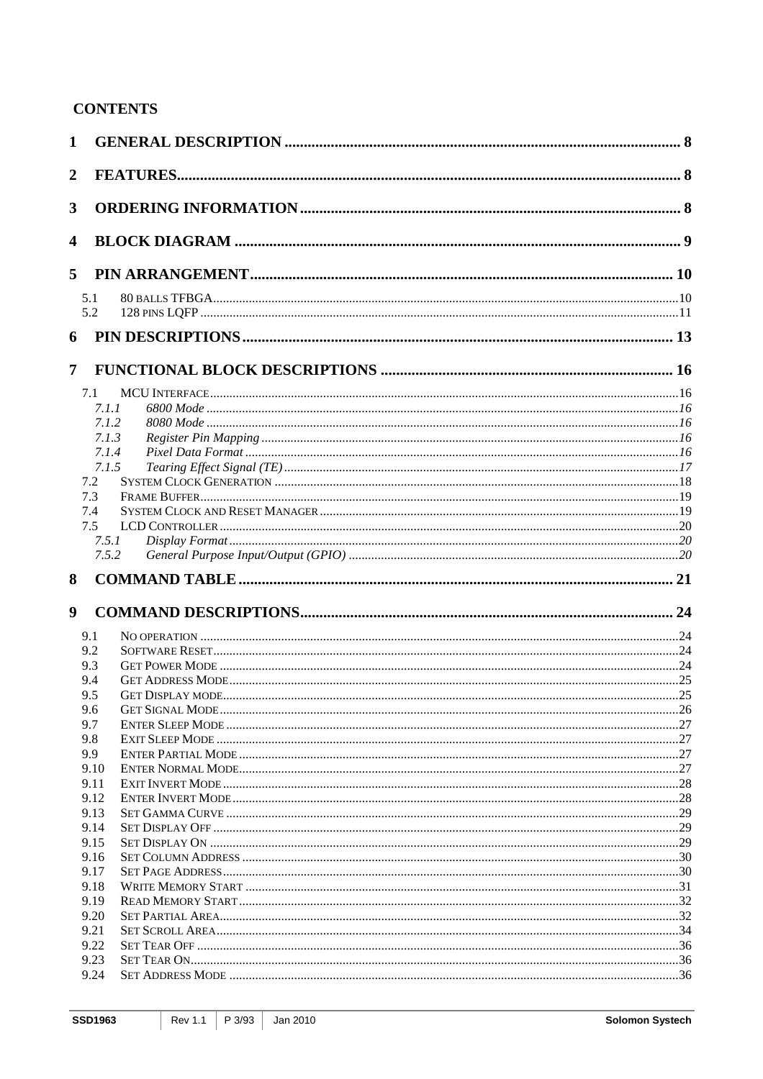## **CONTENTS**

| $\mathbf{1}$   |         |  |
|----------------|---------|--|
| $\overline{2}$ |         |  |
| 3              |         |  |
| 4              |         |  |
| 5              |         |  |
| 5.1<br>5.2     |         |  |
| 6              |         |  |
| 7              |         |  |
| 7.1            |         |  |
|                | 7. L. L |  |
|                | 7.1.2   |  |
|                | 7.1.3   |  |
|                | 7.1.4   |  |
|                | 7.1.5   |  |
| 7.2            |         |  |
| 7.3            |         |  |
| 7.4            |         |  |
| 7.5            |         |  |
|                | 7.5.1   |  |
|                | 7.5.2   |  |
| 8              |         |  |
| 9              |         |  |
| 9.1            |         |  |
| 9.2            |         |  |
| 9.3            |         |  |
| 9.4            |         |  |
| 9.5            |         |  |
| 9.6            |         |  |
| 9.7            |         |  |
| 9.8            |         |  |
| 9.9            |         |  |
| 9.10           |         |  |
| 9.11           |         |  |
| 9.12           |         |  |
| 9.13           |         |  |
| 9.14           |         |  |
| 9.15           |         |  |
| 9.16           |         |  |
| 9.17           |         |  |
| 9.18           |         |  |
| 9.19           |         |  |
| 9.20           |         |  |
| 9.21           |         |  |
| 9.22           |         |  |
| 9.23           |         |  |
| 9.24           |         |  |
|                |         |  |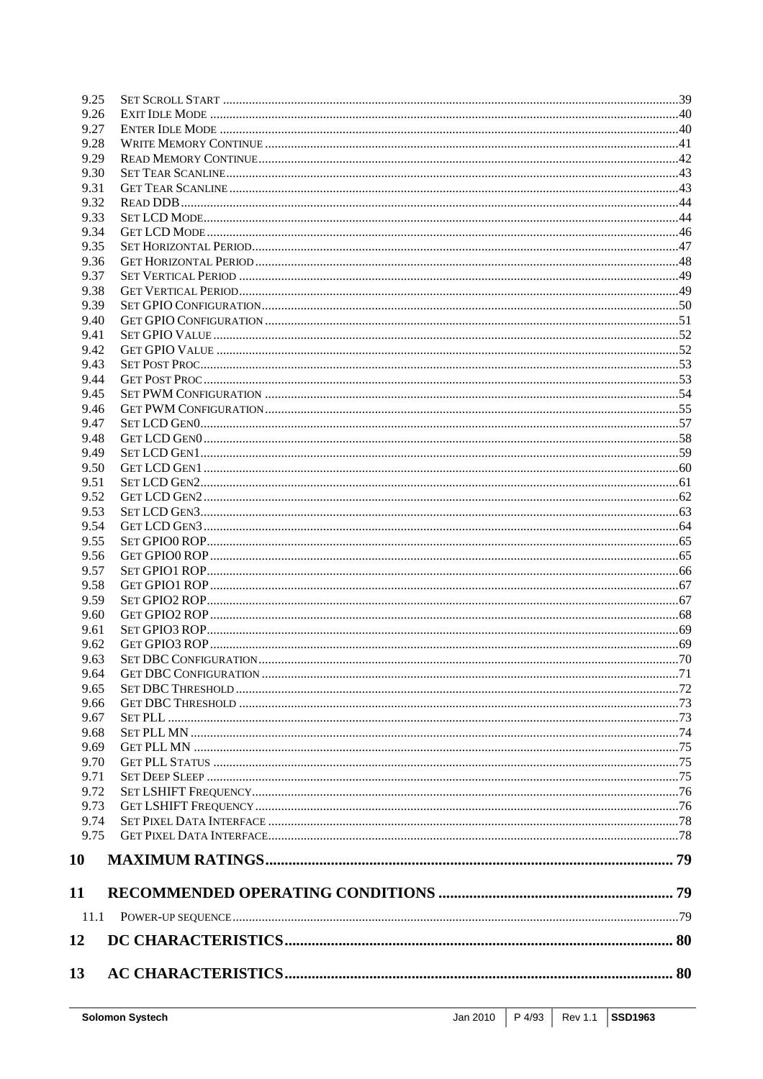| 9.25<br>9.26 |  |
|--------------|--|
| 9.27         |  |
| 9.28         |  |
| 9.29         |  |
| 9.30         |  |
| 9.31         |  |
| 9.32         |  |
| 9.33         |  |
| 9.34         |  |
| 9.35         |  |
| 9.36         |  |
| 9.37         |  |
| 9.38         |  |
| 9.39         |  |
| 9.40         |  |
| 9.41         |  |
| 9.42         |  |
| 9.43         |  |
| 9.44         |  |
| 9.45         |  |
| 9.46         |  |
| 9.47         |  |
| 9.48         |  |
| 9.49         |  |
| 9.50         |  |
| 9.51         |  |
| 9.52         |  |
| 9.53<br>9.54 |  |
| 9.55         |  |
| 9.56         |  |
| 9.57         |  |
| 9.58         |  |
| 9.59         |  |
| 9.60         |  |
| 9.61         |  |
| 9.62         |  |
| 9.63         |  |
| 9.64         |  |
| 9.65         |  |
| 9.66         |  |
| 9.67         |  |
| 9.68         |  |
| 9.69         |  |
| 9.70         |  |
| 9.71         |  |
| 9.72         |  |
| 9.73         |  |
| 9.74         |  |
| 9.75         |  |
| 10           |  |
| 11           |  |
| 11.1         |  |
| 12           |  |
| 13           |  |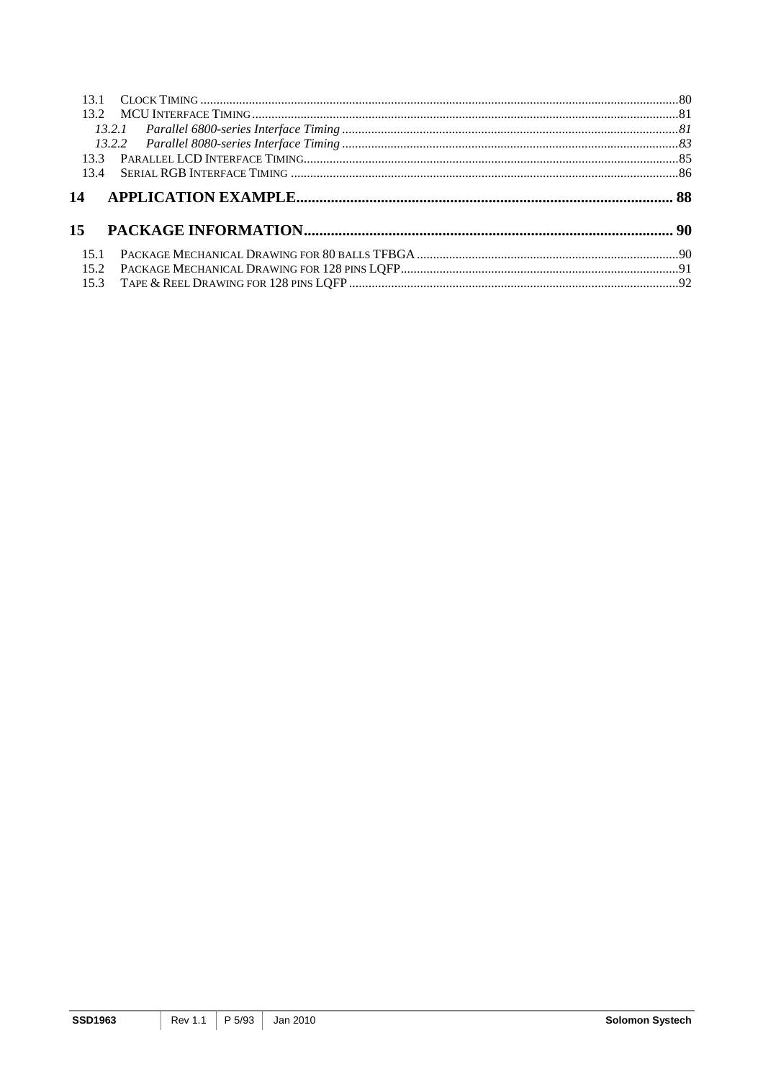| 15.1 |  |
|------|--|
|      |  |
|      |  |
|      |  |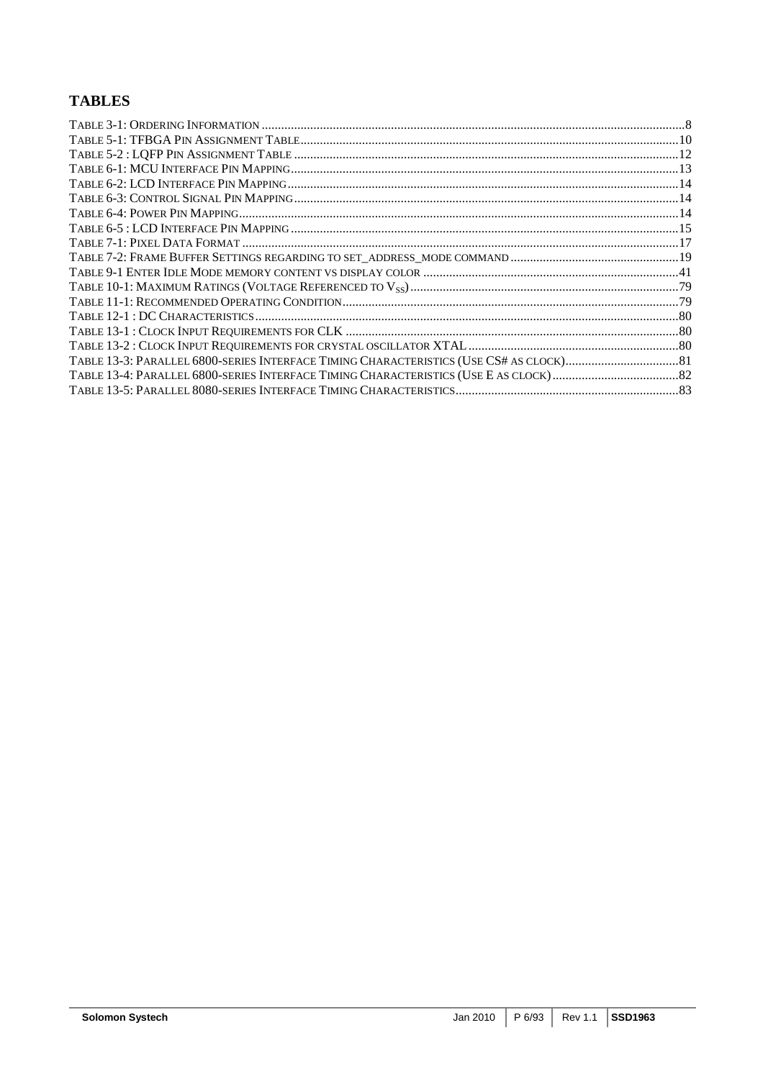## **TABLES**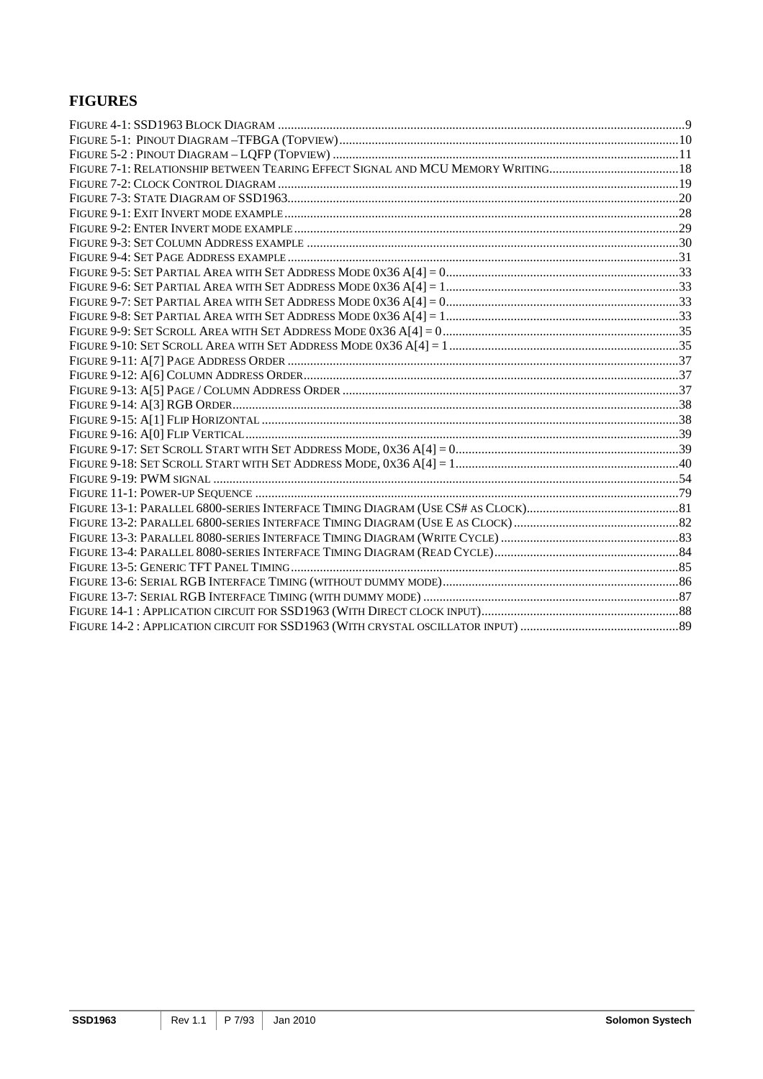## **FIGURES**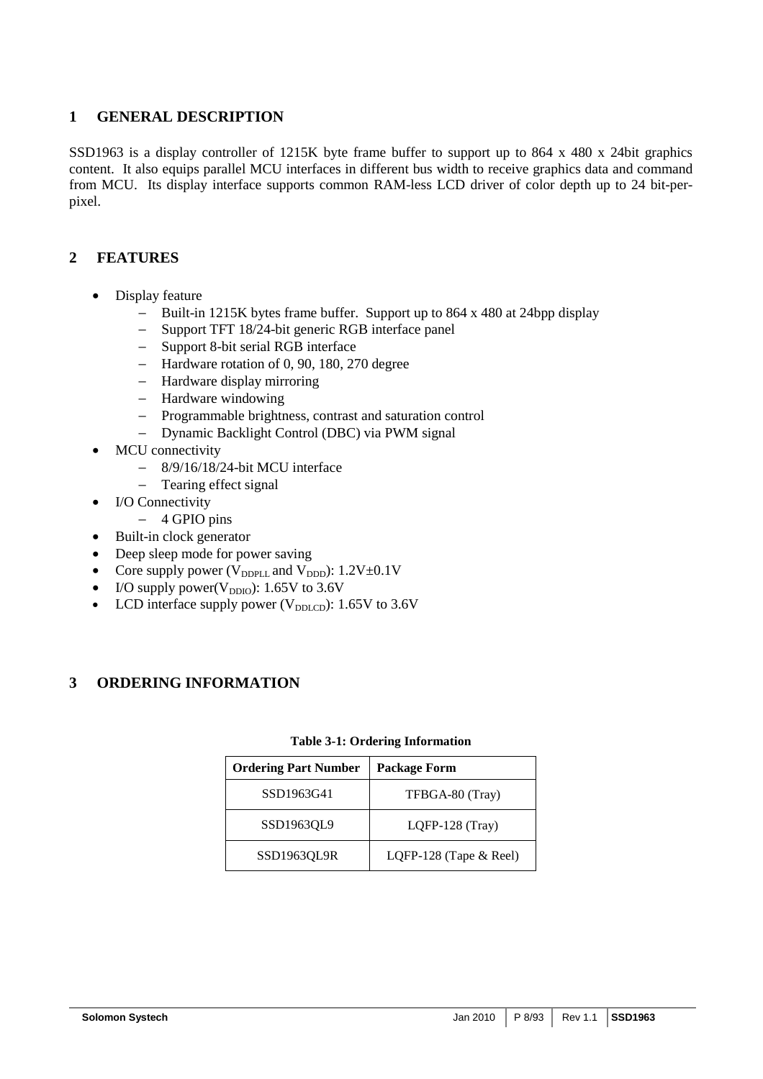## **1 GENERAL DESCRIPTION**

SSD1963 is a display controller of 1215K byte frame buffer to support up to 864 x 480 x 24bit graphics content. It also equips parallel MCU interfaces in different bus width to receive graphics data and command from MCU. Its display interface supports common RAM-less LCD driver of color depth up to 24 bit-perpixel.

## **2 FEATURES**

- Display feature
	- − Built-in 1215K bytes frame buffer. Support up to 864 x 480 at 24bpp display
	- Support TFT 18/24-bit generic RGB interface panel
	- − Support 8-bit serial RGB interface
	- − Hardware rotation of 0, 90, 180, 270 degree
	- − Hardware display mirroring
	- − Hardware windowing
	- − Programmable brightness, contrast and saturation control
	- − Dynamic Backlight Control (DBC) via PWM signal
- MCU connectivity
	- − 8/9/16/18/24-bit MCU interface
	- − Tearing effect signal
- I/O Connectivity
	- − 4 GPIO pins
- Built-in clock generator
- Deep sleep mode for power saving
- Core supply power ( $V_{\text{DDPLL}}$  and  $V_{\text{DDD}}$ ): 1.2V $\pm$ 0.1V
- I/O supply power( $V_{DDIO}$ ): 1.65V to 3.6V
- LCD interface supply power ( $V_{\text{DDLCD}}$ ): 1.65V to 3.6V

## **3 ORDERING INFORMATION**

## **Table 3-1: Ordering Information**

| <b>Ordering Part Number</b> | <b>Package Form</b>       |  |  |  |  |  |  |
|-----------------------------|---------------------------|--|--|--|--|--|--|
| SSD1963G41                  | TFBGA-80 (Tray)           |  |  |  |  |  |  |
| SSD1963OL9                  | $LQFP-128$ (Tray)         |  |  |  |  |  |  |
| SSD1963QL9R                 | LQFP-128 (Tape $\&$ Reel) |  |  |  |  |  |  |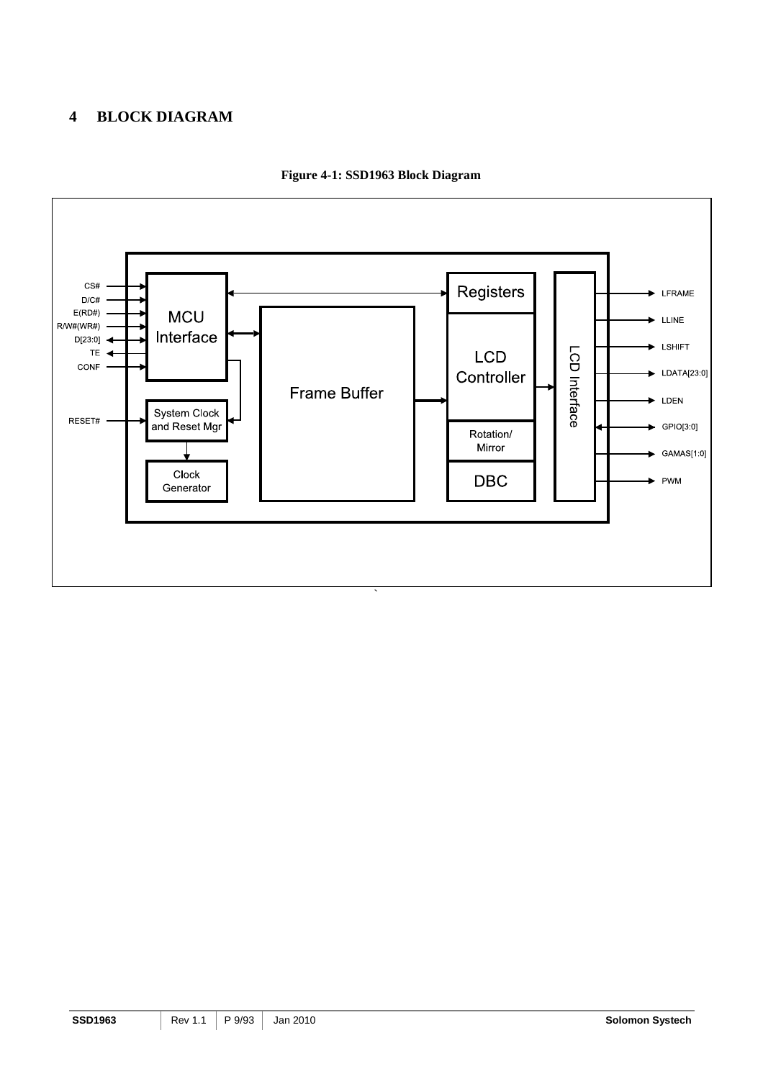## **4 BLOCK DIAGRAM**



**Figure 4-1: SSD1963 Block Diagram**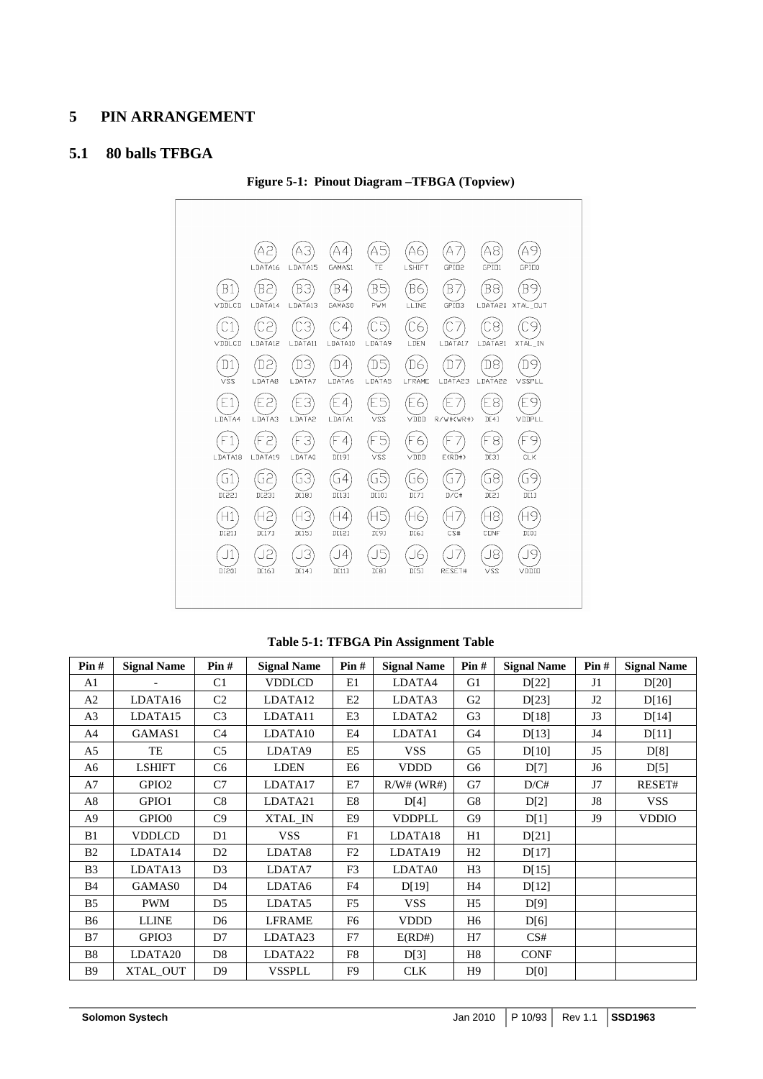## **5 PIN ARRANGEMENT**

## **5.1 80 balls TFBGA**

**Figure 5-1: Pinout Diagram –TFBGA (Topview)** 



#### **Table 5-1: TFBGA Pin Assignment Table**

| Pin#           | <b>Signal Name</b> | Pin#           | <b>Signal Name</b> | Pin#           | <b>Signal Name</b> | Pin#           | <b>Signal Name</b> | Pin#           | <b>Signal Name</b> |
|----------------|--------------------|----------------|--------------------|----------------|--------------------|----------------|--------------------|----------------|--------------------|
| A <sub>1</sub> |                    | C1             | <b>VDDLCD</b>      | E1             | LDATA4             | G1             | D[22]              | J <sub>1</sub> | D[20]              |
| A <sub>2</sub> | LDATA16            | C <sub>2</sub> | LDATA12            | E2             | LDATA3             | G <sub>2</sub> | D[23]              | J2             | D[16]              |
| A <sub>3</sub> | LDATA15            | C <sub>3</sub> | LDATA11            | E <sub>3</sub> | LDATA <sub>2</sub> | G <sub>3</sub> | D[18]              | J3             | D[14]              |
| A4             | GAMAS1             | C <sub>4</sub> | LDATA10            | E <sub>4</sub> | LDATA1             | G <sub>4</sub> | D[13]              | J <sub>4</sub> | D[11]              |
| A <sub>5</sub> | TE                 | C <sub>5</sub> | LDATA9             | E5             | <b>VSS</b>         | G5             | D[10]              | J5             | D[8]               |
| A6             | <b>LSHIFT</b>      | C <sub>6</sub> | <b>LDEN</b>        | E6             | <b>VDDD</b>        | G <sub>6</sub> | D[7]               | J6             | D[5]               |
| A7             | GPIO <sub>2</sub>  | C7             | LDATA17            | E7             | R/W# (WR#)         | G7             | D/C#               | J7             | RESET#             |
| A <sub>8</sub> | GPIO1              | C8             | LDATA21            | E8             | D[4]               | G8             | D[2]               | J8             | <b>VSS</b>         |
| A <sub>9</sub> | GPIO0              | C9             | XTAL_IN            | E <sub>9</sub> | <b>VDDPLL</b>      | G9             | D[1]               | <b>J9</b>      | <b>VDDIO</b>       |
| B1             | <b>VDDLCD</b>      | D1             | <b>VSS</b>         | F1             | LDATA18            | H1             | D[21]              |                |                    |
| B <sub>2</sub> | LDATA14            | D <sub>2</sub> | LDATA8             | F2             | LDATA19            | H2             | D[17]              |                |                    |
| B <sub>3</sub> | LDATA13            | D <sub>3</sub> | LDATA7             | F <sub>3</sub> | LDATA0             | H <sub>3</sub> | D[15]              |                |                    |
| <b>B4</b>      | GAMAS0             | D <sub>4</sub> | LDATA6             | F <sub>4</sub> | D[19]              | H <sub>4</sub> | D[12]              |                |                    |
| B <sub>5</sub> | <b>PWM</b>         | D <sub>5</sub> | LDATA5             | F <sub>5</sub> | <b>VSS</b>         | H <sub>5</sub> | D[9]               |                |                    |
| <b>B6</b>      | <b>LLINE</b>       | D <sub>6</sub> | <b>LFRAME</b>      | F <sub>6</sub> | <b>VDDD</b>        | H <sub>6</sub> | D[6]               |                |                    |
| B7             | GPIO <sub>3</sub>  | D7             | LDATA23            | F7             | E(RD#)             | H7             | CS#                |                |                    |
| B <sub>8</sub> | LDATA20            | D <sub>8</sub> | LDATA22            | F8             | D[3]               | H <sub>8</sub> | <b>CONF</b>        |                |                    |
| <b>B</b> 9     | XTAL OUT           | D <sup>9</sup> | <b>VSSPLL</b>      | F <sub>9</sub> | <b>CLK</b>         | H9             | D[0]               |                |                    |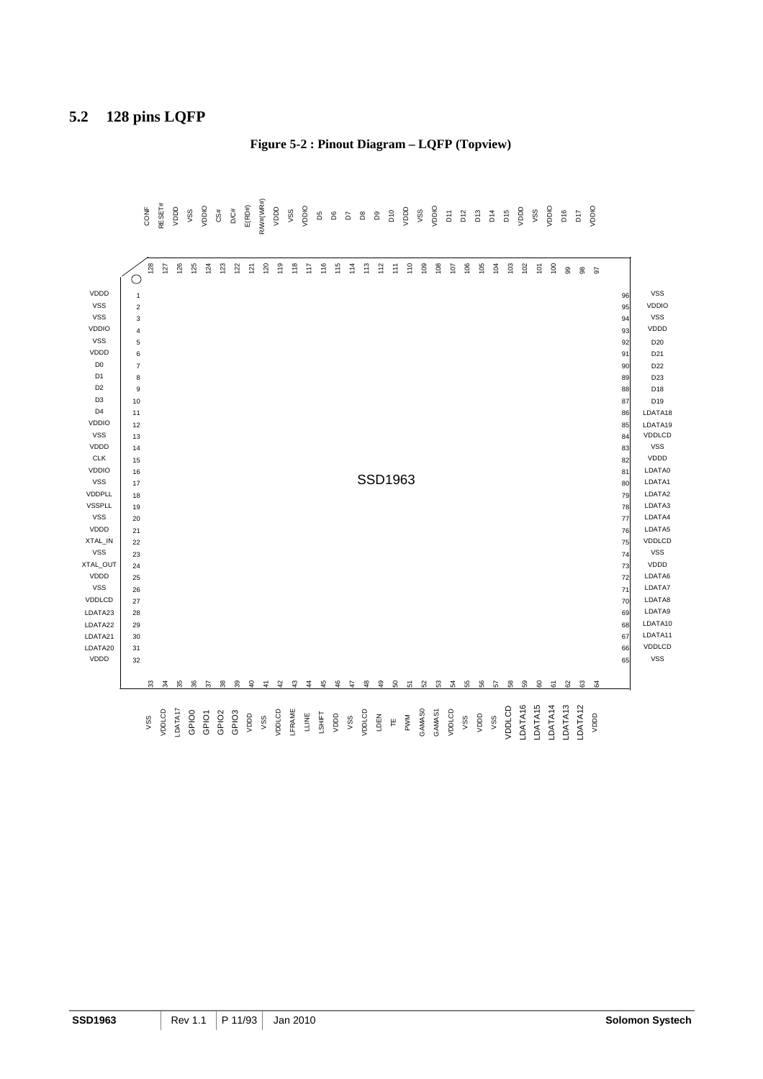## **5.2 128 pins LQFP**

**Figure 5-2 : Pinout Diagram – LQFP (Topview)** 

|                    |                  | CONF | RESET#       | qaav    | vss               | Olday           | CS#               | $D/C\#$           | E(RD#)        | R/W#(WR#)       | aaav           | vss    | Orach        | B5     | $\mathsf{S}$  | b7         | $\mathtt{d}$ | $\mathsf{B}^{\mathsf{S}}$ | D10                      | qao     | vss           | oracy         | $\overleftarrow{\text{D}}$ | D <sub>12</sub> | D <sub>13</sub> | D14             | D <sub>15</sub>         | qao     | vss                  | oad              | D <sub>16</sub> | <b>D17</b> | OIDDIO |          |                  |
|--------------------|------------------|------|--------------|---------|-------------------|-----------------|-------------------|-------------------|---------------|-----------------|----------------|--------|--------------|--------|---------------|------------|--------------|---------------------------|--------------------------|---------|---------------|---------------|----------------------------|-----------------|-----------------|-----------------|-------------------------|---------|----------------------|------------------|-----------------|------------|--------|----------|------------------|
|                    | O                | 128  | 127          | 126     | 125               | 124             | 123               | 122               | $\frac{5}{2}$ | $\overline{20}$ | 119            | $118$  | 117          | 116    | 115           | 14         | 113          | 12                        | $\widetilde{\mathbb{H}}$ | 110     | 109           | $\frac{8}{2}$ | 107                        | $\frac{8}{100}$ | $\frac{8}{3}$   | $\overline{a}$  | $\overline{\mathrm{g}}$ | 102     | $\tilde{\mathrm{e}}$ | $\overline{100}$ | 99              | 98         | 5      |          |                  |
| VDDD               | $\mathbf{1}$     |      |              |         |                   |                 |                   |                   |               |                 |                |        |              |        |               |            |              |                           |                          |         |               |               |                            |                 |                 |                 |                         |         |                      |                  |                 |            |        | 96       | <b>VSS</b>       |
| <b>VSS</b>         | $\boldsymbol{2}$ |      |              |         |                   |                 |                   |                   |               |                 |                |        |              |        |               |            |              |                           |                          |         |               |               |                            |                 |                 |                 |                         |         |                      |                  |                 |            |        | 95       | <b>VDDIO</b>     |
| <b>VSS</b>         | 3                |      |              |         |                   |                 |                   |                   |               |                 |                |        |              |        |               |            |              |                           |                          |         |               |               |                            |                 |                 |                 |                         |         |                      |                  |                 |            |        | 94       | <b>VSS</b>       |
| <b>VDDIO</b>       | 4                |      |              |         |                   |                 |                   |                   |               |                 |                |        |              |        |               |            |              |                           |                          |         |               |               |                            |                 |                 |                 |                         |         |                      |                  |                 |            |        | 93       | VDDD             |
| <b>VSS</b>         | $\mathbf 5$      |      |              |         |                   |                 |                   |                   |               |                 |                |        |              |        |               |            |              |                           |                          |         |               |               |                            |                 |                 |                 |                         |         |                      |                  |                 |            |        | 92       | D <sub>20</sub>  |
| VDDD               | 6                |      |              |         |                   |                 |                   |                   |               |                 |                |        |              |        |               |            |              |                           |                          |         |               |               |                            |                 |                 |                 |                         |         |                      |                  |                 |            |        | 91       | D21              |
| D <sub>0</sub>     | $\overline{7}$   |      |              |         |                   |                 |                   |                   |               |                 |                |        |              |        |               |            |              |                           |                          |         |               |               |                            |                 |                 |                 |                         |         |                      |                  |                 |            |        | 90       | D <sub>22</sub>  |
| D <sub>1</sub>     | 8                |      |              |         |                   |                 |                   |                   |               |                 |                |        |              |        |               |            |              |                           |                          |         |               |               |                            |                 |                 |                 |                         |         |                      |                  |                 |            |        | 89       | D <sub>23</sub>  |
| D <sub>2</sub>     | 9                |      |              |         |                   |                 |                   |                   |               |                 |                |        |              |        |               |            |              |                           |                          |         |               |               |                            |                 |                 |                 |                         |         |                      |                  |                 |            |        | 88       | D18              |
| D <sub>3</sub>     | 10               |      |              |         |                   |                 |                   |                   |               |                 |                |        |              |        |               |            |              |                           |                          |         |               |               |                            |                 |                 |                 |                         |         |                      |                  |                 |            |        | 87       | D19              |
| D <sub>4</sub>     | 11               |      |              |         |                   |                 |                   |                   |               |                 |                |        |              |        |               |            |              |                           |                          |         |               |               |                            |                 |                 |                 |                         |         |                      |                  |                 |            |        | 86       | LDATA18          |
| <b>VDDIO</b>       | 12               |      |              |         |                   |                 |                   |                   |               |                 |                |        |              |        |               |            |              |                           |                          |         |               |               |                            |                 |                 |                 |                         |         |                      |                  |                 |            |        | 85       | LDATA19          |
| <b>VSS</b>         | 13               |      |              |         |                   |                 |                   |                   |               |                 |                |        |              |        |               |            |              |                           |                          |         |               |               |                            |                 |                 |                 |                         |         |                      |                  |                 |            |        | 84       | VDDLCD           |
| VDDD               | 14               |      |              |         |                   |                 |                   |                   |               |                 |                |        |              |        |               |            |              |                           |                          |         |               |               |                            |                 |                 |                 |                         |         |                      |                  |                 |            |        | 83       | <b>VSS</b>       |
| CLK                | 15               |      |              |         |                   |                 |                   |                   |               |                 |                |        |              |        |               |            |              |                           |                          |         |               |               |                            |                 |                 |                 |                         |         |                      |                  |                 |            |        | 82       | VDDD             |
| <b>VDDIO</b>       | 16               |      |              |         |                   |                 |                   |                   |               |                 |                |        |              |        |               |            |              |                           |                          | SSD1963 |               |               |                            |                 |                 |                 |                         |         |                      |                  |                 |            |        | 81       | LDATA0           |
| <b>VSS</b>         | 17               |      |              |         |                   |                 |                   |                   |               |                 |                |        |              |        |               |            |              |                           |                          |         |               |               |                            |                 |                 |                 |                         |         |                      |                  |                 |            |        | 80       | LDATA1           |
| <b>VDDPLL</b>      | 18               |      |              |         |                   |                 |                   |                   |               |                 |                |        |              |        |               |            |              |                           |                          |         |               |               |                            |                 |                 |                 |                         |         |                      |                  |                 |            |        | 79       | LDATA2           |
| <b>VSSPLL</b>      | 19               |      |              |         |                   |                 |                   |                   |               |                 |                |        |              |        |               |            |              |                           |                          |         |               |               |                            |                 |                 |                 |                         |         |                      |                  |                 |            |        | 78       | LDATA3           |
| <b>VSS</b>         | 20               |      |              |         |                   |                 |                   |                   |               |                 |                |        |              |        |               |            |              |                           |                          |         |               |               |                            |                 |                 |                 |                         |         |                      |                  |                 |            |        | 77       | LDATA4           |
| VDDD               | 21               |      |              |         |                   |                 |                   |                   |               |                 |                |        |              |        |               |            |              |                           |                          |         |               |               |                            |                 |                 |                 |                         |         |                      |                  |                 |            |        | 76       | LDATA5           |
| XTAL_IN            | 22               |      |              |         |                   |                 |                   |                   |               |                 |                |        |              |        |               |            |              |                           |                          |         |               |               |                            |                 |                 |                 |                         |         |                      |                  |                 |            |        | 75       | VDDLCD           |
| <b>VSS</b>         | 23               |      |              |         |                   |                 |                   |                   |               |                 |                |        |              |        |               |            |              |                           |                          |         |               |               |                            |                 |                 |                 |                         |         |                      |                  |                 |            |        | 74       | <b>VSS</b>       |
| XTAL_OUT           | 24               |      |              |         |                   |                 |                   |                   |               |                 |                |        |              |        |               |            |              |                           |                          |         |               |               |                            |                 |                 |                 |                         |         |                      |                  |                 |            |        | 73       | VDDD             |
| VDDD<br><b>VSS</b> | 25               |      |              |         |                   |                 |                   |                   |               |                 |                |        |              |        |               |            |              |                           |                          |         |               |               |                            |                 |                 |                 |                         |         |                      |                  |                 |            |        | 72       | LDATA6           |
| VDDLCD             | 26               |      |              |         |                   |                 |                   |                   |               |                 |                |        |              |        |               |            |              |                           |                          |         |               |               |                            |                 |                 |                 |                         |         |                      |                  |                 |            |        | 71       | LDATA7           |
|                    | 27               |      |              |         |                   |                 |                   |                   |               |                 |                |        |              |        |               |            |              |                           |                          |         |               |               |                            |                 |                 |                 |                         |         |                      |                  |                 |            |        | 70       | LDATA8<br>LDATA9 |
| LDATA23            | 28               |      |              |         |                   |                 |                   |                   |               |                 |                |        |              |        |               |            |              |                           |                          |         |               |               |                            |                 |                 |                 |                         |         |                      |                  |                 |            |        | 69       | LDATA10          |
| LDATA22            | 29               |      |              |         |                   |                 |                   |                   |               |                 |                |        |              |        |               |            |              |                           |                          |         |               |               |                            |                 |                 |                 |                         |         |                      |                  |                 |            |        | 68       | LDATA11          |
| LDATA21            | 30               |      |              |         |                   |                 |                   |                   |               |                 |                |        |              |        |               |            |              |                           |                          |         |               |               |                            |                 |                 |                 |                         |         |                      |                  |                 |            |        | 67       | VDDLCD           |
| LDATA20<br>VDDD    | 31               |      |              |         |                   |                 |                   |                   |               |                 |                |        |              |        |               |            |              |                           |                          |         |               |               |                            |                 |                 |                 |                         |         |                      |                  |                 |            |        | 66<br>65 | <b>VSS</b>       |
|                    | 32               |      |              |         |                   |                 |                   |                   |               |                 |                |        |              |        |               |            |              |                           |                          |         |               |               |                            |                 |                 |                 |                         |         |                      |                  |                 |            |        |          |                  |
|                    |                  | 33   | $\mathbf{z}$ | 35      | 36                | $5\overline{6}$ | 38                | 39                | $\theta$      | $\frac{4}{5}$   | $\overline{4}$ | ₽      | $\ddot{a}$   | 45     | $\frac{6}{4}$ | $\ddot{4}$ | ₽            | e,                        | S.                       | 5       | 52            | S3            | 24                         | 55              | 8               | $5\overline{6}$ | 8                       | 59      | SO.                  | 67               | 82              | 83         | 24     |          |                  |
|                    |                  |      |              |         |                   |                 |                   |                   |               |                 |                |        |              |        |               |            |              |                           |                          |         |               |               |                            |                 |                 |                 |                         |         |                      |                  |                 |            |        |          |                  |
|                    |                  | vss  | VDDLCD       | LDATA17 | GPIO <sub>0</sub> | GPIO1           | GPIO <sub>2</sub> | GPIO <sub>3</sub> | qaav          | vss             | VDDLCD         | LFRAME | <b>LLINE</b> | LSHIFT | aaav          | vss        | VDDLCD       | LDEN                      | $\mathop{\uplus}\limits$ | PWM     | <b>GAMAS0</b> | GAMAS1        | VDDLCD                     | vss             | qaav            | vss             | VDDLCD                  | LDATA16 | LDATA15              | LDATA14          | LDATA13         | LDATA12    | voop   |          |                  |
|                    |                  |      |              |         |                   |                 |                   |                   |               |                 |                |        |              |        |               |            |              |                           |                          |         |               |               |                            |                 |                 |                 |                         |         |                      |                  |                 |            |        |          |                  |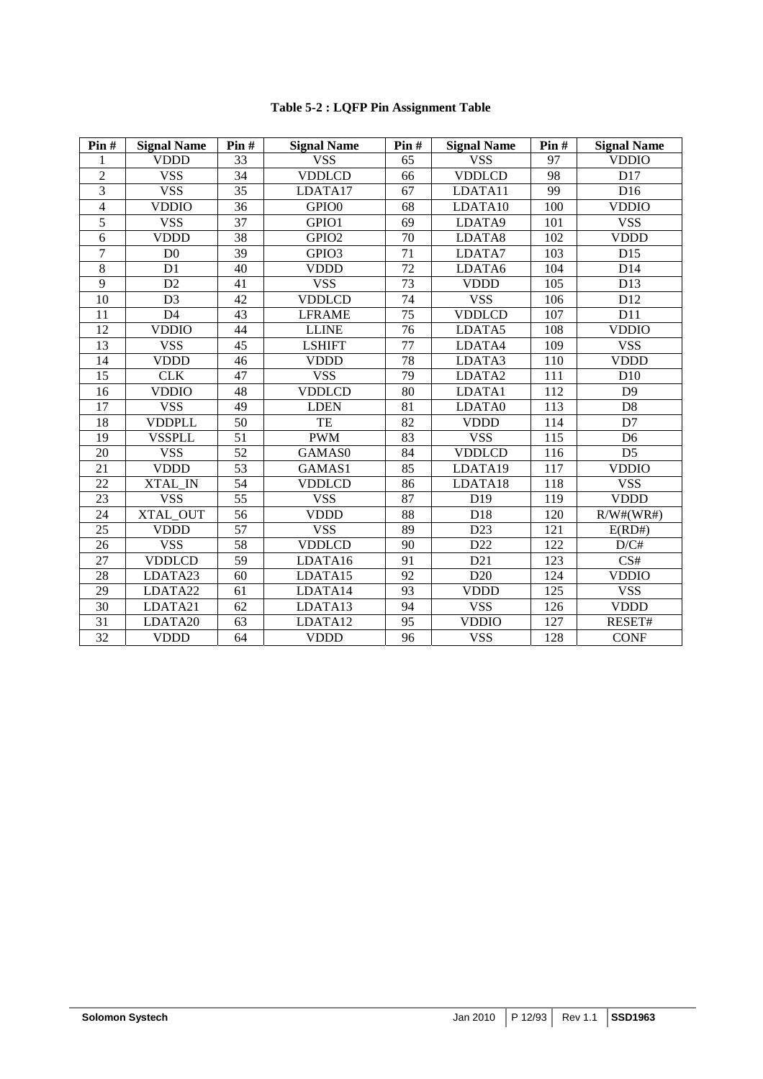| Pin#            | <b>Signal Name</b>      | Pin#            | <b>Signal Name</b> | Pin#            | <b>Signal Name</b> | Pin# | <b>Signal Name</b> |
|-----------------|-------------------------|-----------------|--------------------|-----------------|--------------------|------|--------------------|
| 1               | <b>VDDD</b>             | 33              | <b>VSS</b>         | 65              | <b>VSS</b>         | 97   | <b>VDDIO</b>       |
| $\overline{2}$  | <b>VSS</b>              | 34              | <b>VDDLCD</b>      | 66              | <b>VDDLCD</b>      | 98   | D17                |
| $\overline{3}$  | <b>VSS</b>              | 35              | LDATA17            | 67              | LDATA11            | 99   | D <sub>16</sub>    |
| $\overline{4}$  | <b>VDDIO</b>            | 36              | GPIO <sub>0</sub>  | 68              | LDATA10            | 100  | <b>VDDIO</b>       |
| $\overline{5}$  | <b>VSS</b>              | 37              | GPIO1              | 69              | LDATA9             | 101  | <b>VSS</b>         |
| $\overline{6}$  | <b>VDDD</b>             | 38              | GPIO <sub>2</sub>  | 70              | LDATA8             | 102  | <b>VDDD</b>        |
| $\overline{7}$  | D <sub>0</sub>          | 39              | GPIO3              | 71              | LDATA7             | 103  | D <sub>15</sub>    |
| $\overline{8}$  | D1                      | 40              | <b>VDDD</b>        | $\overline{72}$ | LDATA6             | 104  | D14                |
| $\overline{9}$  | D <sub>2</sub>          | 41              | $\overline{VSS}$   | $\overline{73}$ | <b>VDDD</b>        | 105  | D13                |
| 10              | D <sub>3</sub>          | 42              | <b>VDDLCD</b>      | 74              | <b>VSS</b>         | 106  | D12                |
| 11              | D <sub>4</sub>          | 43              | <b>LFRAME</b>      | 75              | <b>VDDLCD</b>      | 107  | D11                |
| $\overline{12}$ | <b>VDDIO</b>            | 44              | <b>LLINE</b>       | $\overline{76}$ | LDATA5             | 108  | <b>VDDIO</b>       |
| $\overline{13}$ | $\overline{\text{VSS}}$ | 45              | <b>LSHIFT</b>      | $\overline{77}$ | LDATA4             | 109  | <b>VSS</b>         |
| 14              | <b>VDDD</b>             | 46              | <b>VDDD</b>        | 78              | LDATA3             | 110  | <b>VDDD</b>        |
| 15              | <b>CLK</b>              | 47              | <b>VSS</b>         | 79              | LDATA2             | 111  | D10                |
| 16              | <b>VDDIO</b>            | 48              | <b>VDDLCD</b>      | 80              | LDATA1             | 112  | D <sub>9</sub>     |
| 17              | <b>VSS</b>              | 49              | <b>LDEN</b>        | 81              | LDATA0             | 113  | D <sub>8</sub>     |
| 18              | <b>VDDPLL</b>           | $\overline{50}$ | TE                 | 82              | <b>VDDD</b>        | 114  | D7                 |
| 19              | <b>VSSPLL</b>           | 51              | <b>PWM</b>         | 83              | <b>VSS</b>         | 115  | D <sub>6</sub>     |
| 20              | <b>VSS</b>              | 52              | GAMAS0             | 84              | <b>VDDLCD</b>      | 116  | D <sub>5</sub>     |
| 21              | <b>VDDD</b>             | $\overline{53}$ | GAMAS1             | 85              | LDATA19            | 117  | <b>VDDIO</b>       |
| 22              | XTAL IN                 | 54              | <b>VDDLCD</b>      | 86              | LDATA18            | 118  | <b>VSS</b>         |
| 23              | <b>VSS</b>              | 55              | <b>VSS</b>         | 87              | D19                | 119  | <b>VDDD</b>        |
| 24              | XTAL_OUT                | 56              | <b>VDDD</b>        | 88              | D18                | 120  | R/W#(WR#)          |
| 25              | <b>VDDD</b>             | 57              | <b>VSS</b>         | 89              | D23                | 121  | E(RD#)             |
| 26              | <b>VSS</b>              | 58              | <b>VDDLCD</b>      | 90              | D22                | 122  | D/C#               |
| 27              | <b>VDDLCD</b>           | 59              | LDATA16            | 91              | D21                | 123  | CS#                |
| 28              | LDATA23                 | 60              | LDATA15            | 92              | D <sub>20</sub>    | 124  | <b>VDDIO</b>       |
| 29              | LDATA22                 | 61              | LDATA14            | 93              | <b>VDDD</b>        | 125  | <b>VSS</b>         |
| 30              | LDATA21                 | 62              | LDATA13            | 94              | <b>VSS</b>         | 126  | <b>VDDD</b>        |
| 31              | LDATA20                 | 63              | LDATA12            | 95              | <b>VDDIO</b>       | 127  | RESET#             |
| 32              | <b>VDDD</b>             | 64              | <b>VDDD</b>        | 96              | <b>VSS</b>         | 128  | <b>CONF</b>        |

## **Table 5-2 : LQFP Pin Assignment Table**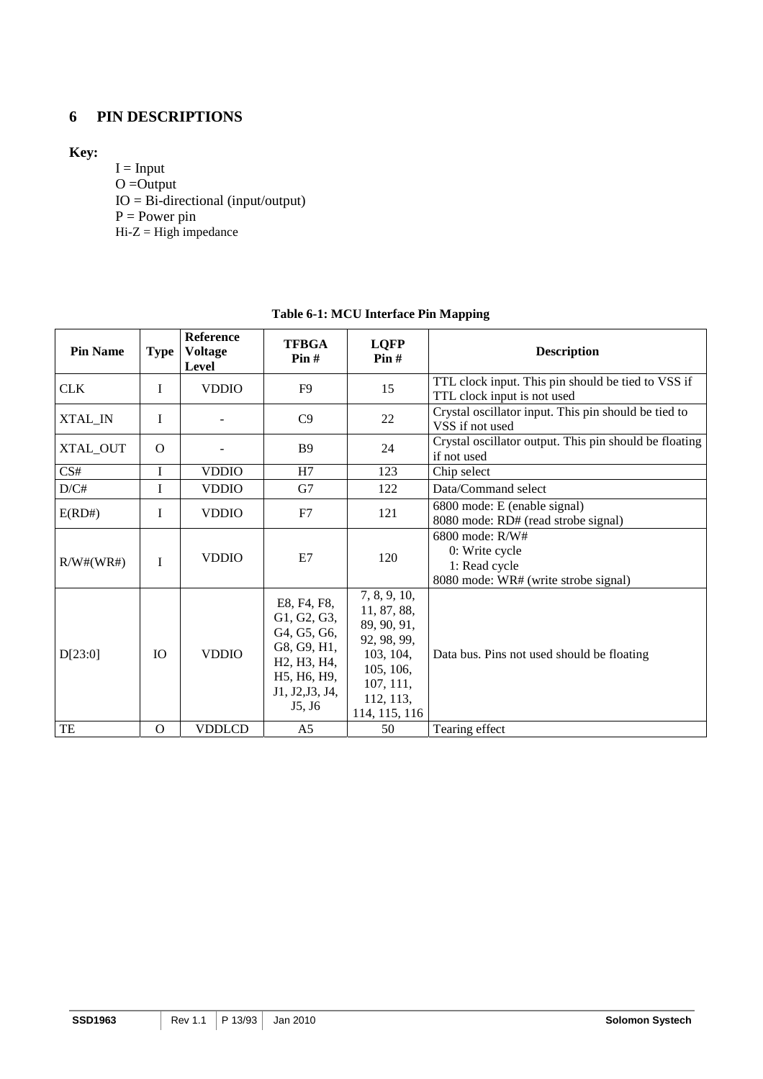## **6 PIN DESCRIPTIONS**

## **Key:**

 $I = Input$  $O = \dot{Output}$ IO = Bi-directional (input/output)  $P = Power$  pin  $Hi-Z = High impedance$ 

| <b>Pin Name</b> | <b>Type</b> | <b>Reference</b><br><b>Voltage</b><br>Level | <b>TFBGA</b><br>Pin#                                                                                                                                                                              | <b>LQFP</b><br>Pin#                                                                                                            | <b>Description</b>                                                                             |
|-----------------|-------------|---------------------------------------------|---------------------------------------------------------------------------------------------------------------------------------------------------------------------------------------------------|--------------------------------------------------------------------------------------------------------------------------------|------------------------------------------------------------------------------------------------|
| <b>CLK</b>      | $\bf{I}$    | <b>VDDIO</b>                                | F <sub>9</sub>                                                                                                                                                                                    | 15                                                                                                                             | TTL clock input. This pin should be tied to VSS if<br>TTL clock input is not used              |
| XTAL_IN         | I           |                                             | C9                                                                                                                                                                                                | 22                                                                                                                             | Crystal oscillator input. This pin should be tied to<br>VSS if not used                        |
| XTAL_OUT        | $\Omega$    |                                             | <b>B</b> 9                                                                                                                                                                                        | 24                                                                                                                             | Crystal oscillator output. This pin should be floating<br>if not used                          |
| CS#             | I           | <b>VDDIO</b>                                | H7                                                                                                                                                                                                | 123                                                                                                                            | Chip select                                                                                    |
| D/C#            | I           | <b>VDDIO</b>                                | G7                                                                                                                                                                                                | 122                                                                                                                            | Data/Command select                                                                            |
| E(RD#)          | I           | <b>VDDIO</b>                                | F7                                                                                                                                                                                                | 121                                                                                                                            | 6800 mode: E (enable signal)<br>8080 mode: RD# (read strobe signal)                            |
| R/W#(WR#)       | I           | <b>VDDIO</b>                                | E7                                                                                                                                                                                                | 120                                                                                                                            | $6800$ mode: $R/W#$<br>0: Write cycle<br>1: Read cycle<br>8080 mode: WR# (write strobe signal) |
| D[23:0]         | IO          | <b>VDDIO</b>                                | E8, F4, F8,<br>G1, G2, G3,<br>G4, G5, G6,<br>G8, G9, H1,<br>H <sub>2</sub> , H <sub>3</sub> , H <sub>4</sub> ,<br>H <sub>5</sub> , H <sub>6</sub> , H <sub>9</sub> ,<br>J1, J2, J3, J4,<br>J5, J6 | 7, 8, 9, 10,<br>11, 87, 88,<br>89, 90, 91,<br>92, 98, 99,<br>103, 104,<br>105, 106,<br>107, 111,<br>112, 113,<br>114, 115, 116 | Data bus. Pins not used should be floating                                                     |
| TE              | $\Omega$    | <b>VDDLCD</b>                               | A <sub>5</sub>                                                                                                                                                                                    | 50                                                                                                                             | Tearing effect                                                                                 |

**Table 6-1: MCU Interface Pin Mapping**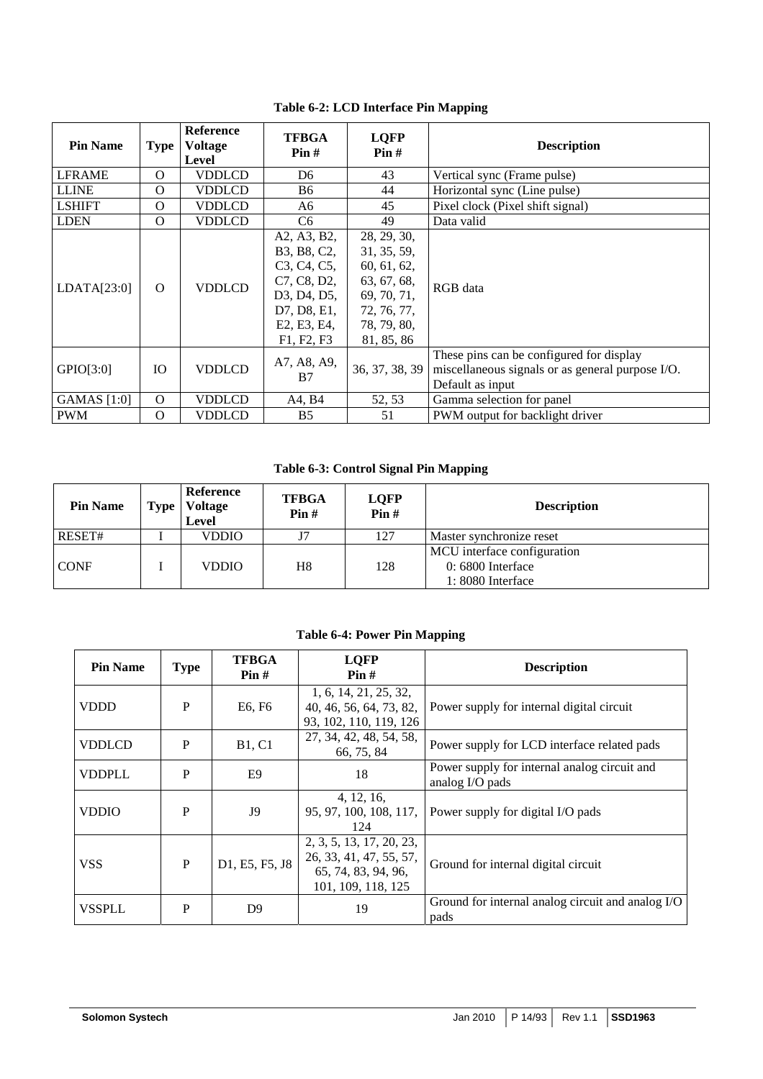| <b>Pin Name</b>    | <b>Type</b> | <b>Reference</b><br><b>Voltage</b><br><b>Level</b> | <b>TFBGA</b><br>$\textbf{Pin} \#$                                                                                                                                                                 | <b>LQFP</b><br>Pin#                                                                                                 | <b>Description</b>                                                                                               |  |  |  |  |
|--------------------|-------------|----------------------------------------------------|---------------------------------------------------------------------------------------------------------------------------------------------------------------------------------------------------|---------------------------------------------------------------------------------------------------------------------|------------------------------------------------------------------------------------------------------------------|--|--|--|--|
| <b>LFRAME</b>      | $\Omega$    | <b>VDDLCD</b>                                      | D6                                                                                                                                                                                                | 43                                                                                                                  | Vertical sync (Frame pulse)                                                                                      |  |  |  |  |
| <b>LLINE</b>       | $\Omega$    | <b>VDDLCD</b>                                      | <b>B6</b>                                                                                                                                                                                         | 44                                                                                                                  | Horizontal sync (Line pulse)                                                                                     |  |  |  |  |
| <b>LSHIFT</b>      | $\Omega$    | VDDLCD                                             | A6                                                                                                                                                                                                | 45                                                                                                                  | Pixel clock (Pixel shift signal)                                                                                 |  |  |  |  |
| <b>LDEN</b>        | $\Omega$    | <b>VDDLCD</b>                                      | C <sub>6</sub>                                                                                                                                                                                    | 49                                                                                                                  | Data valid                                                                                                       |  |  |  |  |
| LDATA[23:0]        | $\Omega$    | <b>VDDLCD</b>                                      | A2, A3, B2,<br>B3, B8, C2,<br>C <sub>3</sub> , C <sub>4</sub> , C <sub>5</sub> ,<br>C7, C8, D2,<br>D <sub>3</sub> , D <sub>4</sub> , D <sub>5</sub> ,<br>D7, D8, E1,<br>E2, E3, E4,<br>F1, F2, F3 | 28, 29, 30,<br>31, 35, 59,<br>60, 61, 62,<br>63, 67, 68,<br>69, 70, 71,<br>72, 76, 77,<br>78, 79, 80,<br>81, 85, 86 | RGB data                                                                                                         |  |  |  |  |
| GPIO[3:0]          | <b>IO</b>   | <b>VDDLCD</b>                                      | A7, A8, A9,<br>B7                                                                                                                                                                                 | 36, 37, 38, 39                                                                                                      | These pins can be configured for display<br>miscellaneous signals or as general purpose I/O.<br>Default as input |  |  |  |  |
| <b>GAMAS</b> [1:0] | $\Omega$    | <b>VDDLCD</b>                                      | A4, B4                                                                                                                                                                                            | 52, 53                                                                                                              | Gamma selection for panel                                                                                        |  |  |  |  |
| <b>PWM</b>         | $\Omega$    | VDDLCD                                             | <b>B5</b>                                                                                                                                                                                         | 51                                                                                                                  | PWM output for backlight driver                                                                                  |  |  |  |  |

## **Table 6-2: LCD Interface Pin Mapping**

## **Table 6-3: Control Signal Pin Mapping**

| <b>Pin Name</b> | <b>Type</b> | Reference<br><b>Voltage</b><br><b>Level</b> | <b>TFBGA</b><br>Pin# | <b>LQFP</b><br>Pin# | <b>Description</b>                                                    |
|-----------------|-------------|---------------------------------------------|----------------------|---------------------|-----------------------------------------------------------------------|
| RESET#          |             | VDDIO                                       | J7                   | 127                 | Master synchronize reset                                              |
| <b>CONF</b>     |             | VDDIO                                       | H <sub>8</sub>       | 128                 | MCU interface configuration<br>$0:6800$ Interface<br>1:8080 Interface |

## **Table 6-4: Power Pin Mapping**

| <b>Pin Name</b> | <b>Type</b> | <b>TFBGA</b><br>Pin# | <b>LQFP</b><br>Pin#                                                                              | <b>Description</b>                                              |  |  |
|-----------------|-------------|----------------------|--------------------------------------------------------------------------------------------------|-----------------------------------------------------------------|--|--|
| VDDD            | P           | E6, F6               | 1, 6, 14, 21, 25, 32,<br>40, 46, 56, 64, 73, 82,<br>93, 102, 110, 119, 126                       | Power supply for internal digital circuit                       |  |  |
| <b>VDDLCD</b>   | P           | <b>B1, C1</b>        | 27, 34, 42, 48, 54, 58,<br>66, 75, 84                                                            | Power supply for LCD interface related pads                     |  |  |
| <b>VDDPLL</b>   | P           | E <sub>9</sub>       | 18                                                                                               | Power supply for internal analog circuit and<br>analog I/O pads |  |  |
| <b>VDDIO</b>    | P           | J9                   | 4, 12, 16,<br>95, 97, 100, 108, 117,<br>124                                                      | Power supply for digital I/O pads                               |  |  |
| <b>VSS</b>      | P           | D1, E5, F5, J8       | 2, 3, 5, 13, 17, 20, 23,<br>26, 33, 41, 47, 55, 57,<br>65, 74, 83, 94, 96,<br>101, 109, 118, 125 | Ground for internal digital circuit                             |  |  |
| <b>VSSPLL</b>   | P           | D <sup>9</sup>       | 19                                                                                               | Ground for internal analog circuit and analog I/O<br>pads       |  |  |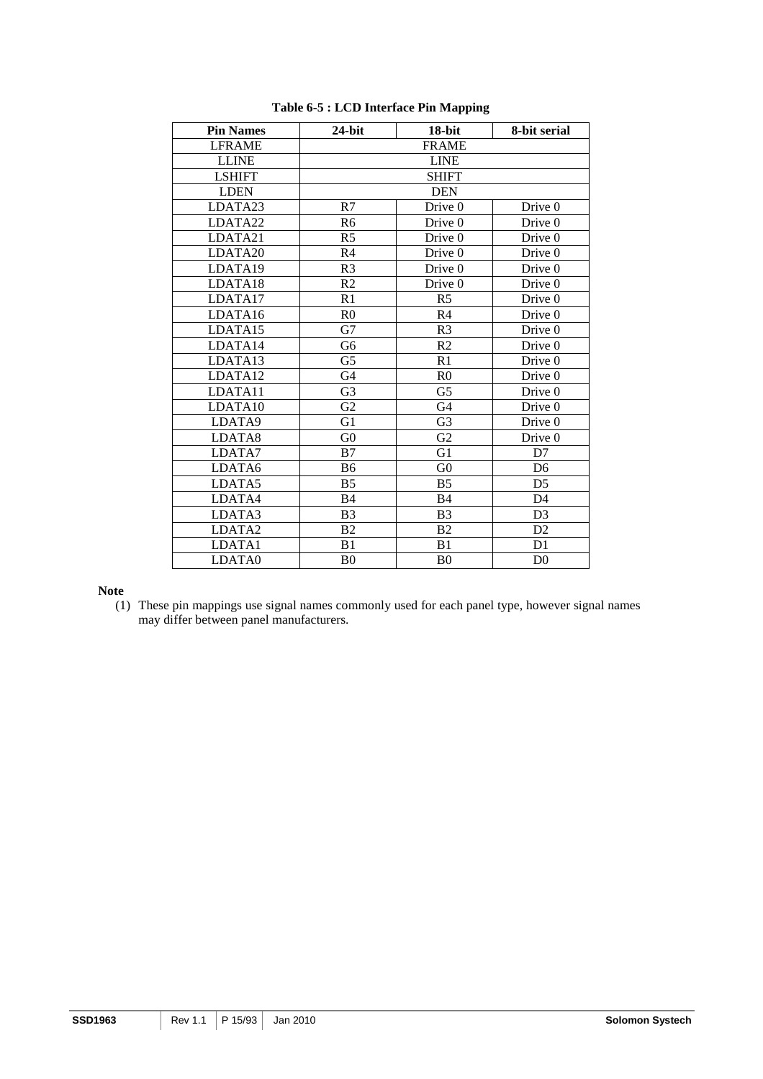| <b>Pin Names</b>   | $24$ -bit      | 18-bit         | 8-bit serial   |  |  |  |  |
|--------------------|----------------|----------------|----------------|--|--|--|--|
| <b>LFRAME</b>      | <b>FRAME</b>   |                |                |  |  |  |  |
| <b>LLINE</b>       | <b>LINE</b>    |                |                |  |  |  |  |
| <b>LSHIFT</b>      |                | <b>SHIFT</b>   |                |  |  |  |  |
| <b>LDEN</b>        |                | <b>DEN</b>     |                |  |  |  |  |
| LDATA23            | R7             | Drive 0        | Drive 0        |  |  |  |  |
| LDATA22            | R <sub>6</sub> | Drive 0        | Drive 0        |  |  |  |  |
| LDATA21            | R <sub>5</sub> | Drive 0        | Drive 0        |  |  |  |  |
| LDATA20            | R <sub>4</sub> | Drive 0        | Drive 0        |  |  |  |  |
| LDATA19            | R <sub>3</sub> | Drive 0        | Drive 0        |  |  |  |  |
| LDATA18            | R <sub>2</sub> | Drive 0        | Drive 0        |  |  |  |  |
| LDATA17            | R1             | R <sub>5</sub> | Drive 0        |  |  |  |  |
| LDATA16            | R <sub>0</sub> | R <sub>4</sub> | Drive 0        |  |  |  |  |
| LDATA15            | G7             | R <sub>3</sub> | Drive 0        |  |  |  |  |
| LDATA14            | G <sub>6</sub> | R <sub>2</sub> | Drive 0        |  |  |  |  |
| LDATA13            | G <sub>5</sub> | R1             | Drive 0        |  |  |  |  |
| LDATA12            | G4             | R <sub>0</sub> | Drive 0        |  |  |  |  |
| LDATA11            | G <sub>3</sub> | G5             | Drive 0        |  |  |  |  |
| LDATA10            | G2             | G4             | Drive 0        |  |  |  |  |
| LDATA9             | G1             | G3             | Drive 0        |  |  |  |  |
| LDATA8             | G <sub>0</sub> | G2             | Drive 0        |  |  |  |  |
| LDATA7             | B7             | G1             | D7             |  |  |  |  |
| LDATA6             | B6             | G <sub>0</sub> | D <sub>6</sub> |  |  |  |  |
| LDATA5             | B <sub>5</sub> | <b>B5</b>      | D <sub>5</sub> |  |  |  |  |
| LDATA4             | B <sub>4</sub> | B <sub>4</sub> | D <sub>4</sub> |  |  |  |  |
| LDATA3             | B <sub>3</sub> | B <sub>3</sub> | D <sub>3</sub> |  |  |  |  |
| LDATA <sub>2</sub> | B <sub>2</sub> | B <sub>2</sub> | D2             |  |  |  |  |
| LDATA1             | B1             | B1             | D <sub>1</sub> |  |  |  |  |
| LDATA0             | B <sub>0</sub> | B <sub>0</sub> | D <sub>0</sub> |  |  |  |  |

## **Table 6-5 : LCD Interface Pin Mapping**

### **Note**

(1) These pin mappings use signal names commonly used for each panel type, however signal names may differ between panel manufacturers.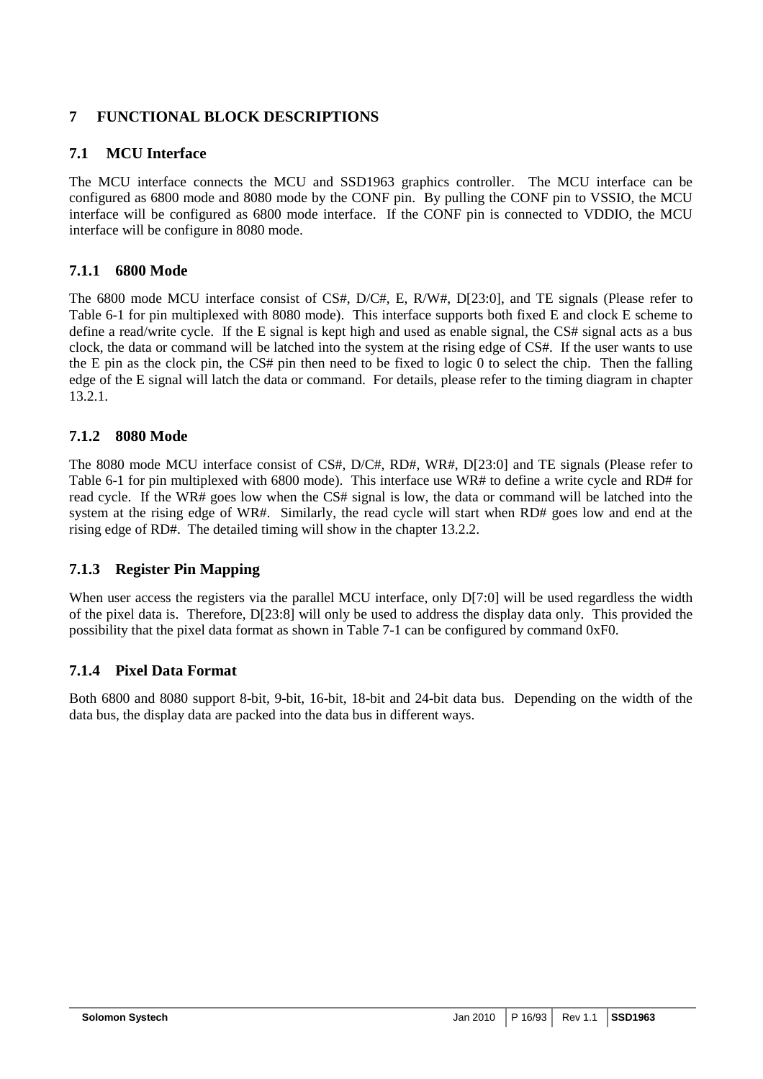## **7 FUNCTIONAL BLOCK DESCRIPTIONS**

## **7.1 MCU Interface**

The MCU interface connects the MCU and SSD1963 graphics controller. The MCU interface can be configured as 6800 mode and 8080 mode by the CONF pin. By pulling the CONF pin to VSSIO, the MCU interface will be configured as 6800 mode interface. If the CONF pin is connected to VDDIO, the MCU interface will be configure in 8080 mode.

## **7.1.1 6800 Mode**

The 6800 mode MCU interface consist of CS#, D/C#, E, R/W#, D[23:0], and TE signals (Please refer to Table 6-1 for pin multiplexed with 8080 mode). This interface supports both fixed E and clock E scheme to define a read/write cycle. If the E signal is kept high and used as enable signal, the CS# signal acts as a bus clock, the data or command will be latched into the system at the rising edge of CS#. If the user wants to use the E pin as the clock pin, the CS# pin then need to be fixed to logic 0 to select the chip. Then the falling edge of the E signal will latch the data or command. For details, please refer to the timing diagram in chapter 13.2.1.

## **7.1.2 8080 Mode**

The 8080 mode MCU interface consist of CS#, D/C#, RD#, WR#, D[23:0] and TE signals (Please refer to Table 6-1 for pin multiplexed with 6800 mode). This interface use WR# to define a write cycle and RD# for read cycle. If the WR# goes low when the CS# signal is low, the data or command will be latched into the system at the rising edge of WR#. Similarly, the read cycle will start when RD# goes low and end at the rising edge of RD#. The detailed timing will show in the chapter 13.2.2.

## **7.1.3 Register Pin Mapping**

When user access the registers via the parallel MCU interface, only D[7:0] will be used regardless the width of the pixel data is. Therefore, D[23:8] will only be used to address the display data only. This provided the possibility that the pixel data format as shown in Table 7-1 can be configured by command 0xF0.

## **7.1.4 Pixel Data Format**

Both 6800 and 8080 support 8-bit, 9-bit, 16-bit, 18-bit and 24-bit data bus. Depending on the width of the data bus, the display data are packed into the data bus in different ways.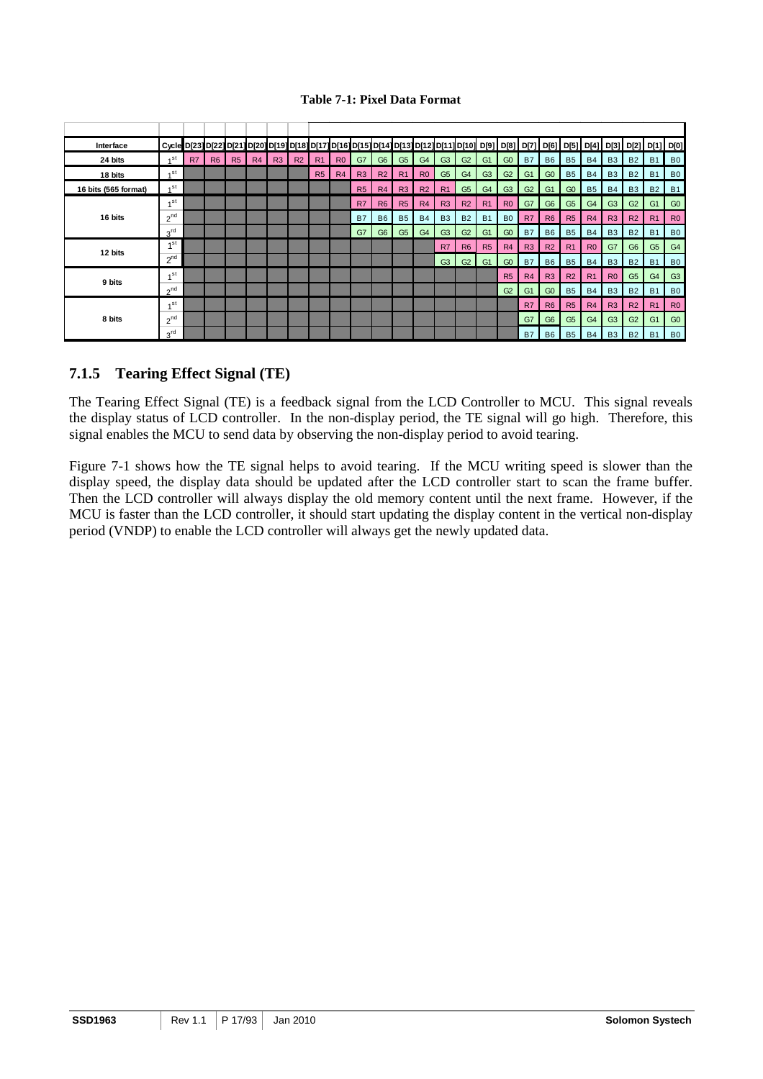#### **Table 7-1: Pixel Data Format**

| Interface            | Cycle D[23] D[22] D[21] D[20] D[19] D[18] D[17] D[16] D[15] D[14] D[13] D[12] D[11] D[10] D[9] D[8]   D[7]   D[6]   D[5]   D[4]   D[3]   D[2]   D[1]   D[0] |                |           |    |                |                |                |                |                |                |                |                |                |                |                |                |                |                |                |                |                |                |                |                |                |
|----------------------|-------------------------------------------------------------------------------------------------------------------------------------------------------------|----------------|-----------|----|----------------|----------------|----------------|----------------|----------------|----------------|----------------|----------------|----------------|----------------|----------------|----------------|----------------|----------------|----------------|----------------|----------------|----------------|----------------|----------------|----------------|
| 24 bits              | $\lambda$ st                                                                                                                                                | R <sub>7</sub> | <b>R6</b> | R5 | R <sub>4</sub> | R <sub>3</sub> | R <sub>2</sub> | R <sub>1</sub> | R <sub>0</sub> | G7             | G <sub>6</sub> | G <sub>5</sub> | G <sub>4</sub> | G <sub>3</sub> | G2             | G <sub>1</sub> | G <sub>0</sub> | <b>B7</b>      | <b>B6</b>      | <b>B5</b>      | <b>B4</b>      | B <sub>3</sub> | <b>B2</b>      | B <sub>1</sub> | B <sub>0</sub> |
| 18 bits              | $\lambda$ st                                                                                                                                                |                |           |    |                |                |                | R5             | R4             | R <sub>3</sub> | R <sub>2</sub> | R <sub>1</sub> | R <sub>0</sub> | G <sub>5</sub> | G <sub>4</sub> | G <sub>3</sub> | G2             | G <sub>1</sub> | G <sub>0</sub> | <b>B5</b>      | <b>B4</b>      | B <sub>3</sub> | <b>B2</b>      | B <sub>1</sub> | B <sub>0</sub> |
| 16 bits (565 format) | $\lambda$ st                                                                                                                                                |                |           |    |                |                |                |                |                | R <sub>5</sub> | R <sub>4</sub> | R <sub>3</sub> | R <sub>2</sub> | R <sub>1</sub> | G <sub>5</sub> | G <sub>4</sub> | G <sub>3</sub> | G <sub>2</sub> | G <sub>1</sub> | G <sub>0</sub> | <b>B5</b>      | <b>B4</b>      | B <sub>3</sub> | <b>B2</b>      | B <sub>1</sub> |
|                      | $\lambda$ st                                                                                                                                                |                |           |    |                |                |                |                |                | R <sub>7</sub> | <b>R6</b>      | <b>R5</b>      | R4             | R <sub>3</sub> | R <sub>2</sub> | R <sub>1</sub> | R <sub>0</sub> | G7             | G <sub>6</sub> | G <sub>5</sub> | G <sub>4</sub> | G <sub>3</sub> | G2             | G <sub>1</sub> | G <sub>0</sub> |
| 16 bits              | 2 <sup>nd</sup>                                                                                                                                             |                |           |    |                |                |                |                |                | <b>B7</b>      | <b>B6</b>      | <b>B5</b>      | <b>B4</b>      | B <sub>3</sub> | <b>B2</b>      | <b>B1</b>      | B <sub>0</sub> | R <sub>7</sub> | <b>R6</b>      | <b>R5</b>      | R4             | R <sub>3</sub> | R <sub>2</sub> | R <sub>1</sub> | R <sub>0</sub> |
|                      | 3 <sup>rd</sup>                                                                                                                                             |                |           |    |                |                |                |                |                | G7             | G <sub>6</sub> | G <sub>5</sub> | G <sub>4</sub> | G <sub>3</sub> | G2             | G <sub>1</sub> | G <sub>0</sub> | <b>B7</b>      | <b>B6</b>      | <b>B5</b>      | <b>B4</b>      | <b>B3</b>      | <b>B2</b>      | B <sub>1</sub> | B <sub>0</sub> |
| 12 bits              | 4 S t                                                                                                                                                       |                |           |    |                |                |                |                |                |                |                |                |                | R <sub>7</sub> | <b>R6</b>      | <b>R5</b>      | R4             | R <sub>3</sub> | R <sub>2</sub> | R <sub>1</sub> | R <sub>0</sub> | G7             | G <sub>6</sub> | G <sub>5</sub> | G <sub>4</sub> |
|                      | 2 <sup>nd</sup>                                                                                                                                             |                |           |    |                |                |                |                |                |                |                |                |                | G <sub>3</sub> | G2             | G <sub>1</sub> | G <sub>0</sub> | <b>B7</b>      | <b>B6</b>      | <b>B5</b>      | <b>B4</b>      | <b>B3</b>      | <b>B2</b>      | B <sub>1</sub> | B <sub>0</sub> |
| 9 bits               | $\lambda$ st                                                                                                                                                |                |           |    |                |                |                |                |                |                |                |                |                |                |                |                | R5             | R4             | R3             | R <sub>2</sub> | R <sub>1</sub> | R <sub>0</sub> | G <sub>5</sub> | G <sub>4</sub> | G <sub>3</sub> |
|                      | 2 <sub>n</sub>                                                                                                                                              |                |           |    |                |                |                |                |                |                |                |                |                |                |                |                | G2             | G <sub>1</sub> | G <sub>0</sub> | <b>B5</b>      | <b>B4</b>      | <b>B3</b>      | <b>B2</b>      | B <sub>1</sub> | B <sub>0</sub> |
|                      | $A$ st                                                                                                                                                      |                |           |    |                |                |                |                |                |                |                |                |                |                |                |                |                | R <sub>7</sub> | <b>R6</b>      | <b>R5</b>      | R4             | R3             | R <sub>2</sub> | R <sub>1</sub> | R <sub>0</sub> |
| 8 bits               | 2 <sup>nd</sup>                                                                                                                                             |                |           |    |                |                |                |                |                |                |                |                |                |                |                |                |                | G7             | G <sub>6</sub> | G <sub>5</sub> | G <sub>4</sub> | G <sub>3</sub> | G2             | G <sub>1</sub> | G <sub>0</sub> |
|                      | 3 <sup>rd</sup>                                                                                                                                             |                |           |    |                |                |                |                |                |                |                |                |                |                |                |                |                | <b>B7</b>      | <b>B6</b>      | <b>B5</b>      | <b>B4</b>      | B <sub>3</sub> | <b>B2</b>      | B <sub>1</sub> | B <sub>0</sub> |

## **7.1.5 Tearing Effect Signal (TE)**

The Tearing Effect Signal (TE) is a feedback signal from the LCD Controller to MCU. This signal reveals the display status of LCD controller. In the non-display period, the TE signal will go high. Therefore, this signal enables the MCU to send data by observing the non-display period to avoid tearing.

Figure 7-1 shows how the TE signal helps to avoid tearing. If the MCU writing speed is slower than the display speed, the display data should be updated after the LCD controller start to scan the frame buffer. Then the LCD controller will always display the old memory content until the next frame. However, if the MCU is faster than the LCD controller, it should start updating the display content in the vertical non-display period (VNDP) to enable the LCD controller will always get the newly updated data.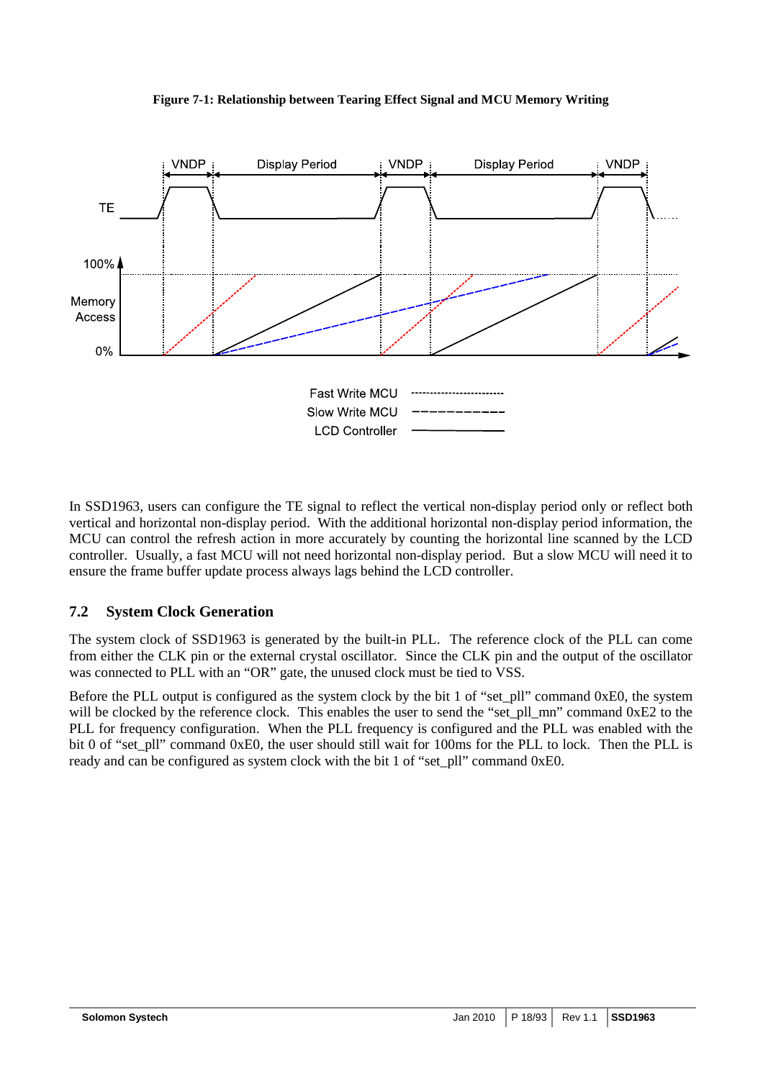



In SSD1963, users can configure the TE signal to reflect the vertical non-display period only or reflect both vertical and horizontal non-display period. With the additional horizontal non-display period information, the MCU can control the refresh action in more accurately by counting the horizontal line scanned by the LCD controller. Usually, a fast MCU will not need horizontal non-display period. But a slow MCU will need it to ensure the frame buffer update process always lags behind the LCD controller.

## **7.2 System Clock Generation**

The system clock of SSD1963 is generated by the built-in PLL. The reference clock of the PLL can come from either the CLK pin or the external crystal oscillator. Since the CLK pin and the output of the oscillator was connected to PLL with an "OR" gate, the unused clock must be tied to VSS.

Before the PLL output is configured as the system clock by the bit 1 of "set\_pll" command 0xE0, the system will be clocked by the reference clock. This enables the user to send the "set\_pll\_mn" command 0xE2 to the PLL for frequency configuration. When the PLL frequency is configured and the PLL was enabled with the bit 0 of "set\_pll" command 0xE0, the user should still wait for 100ms for the PLL to lock. Then the PLL is ready and can be configured as system clock with the bit 1 of "set\_pll" command 0xE0.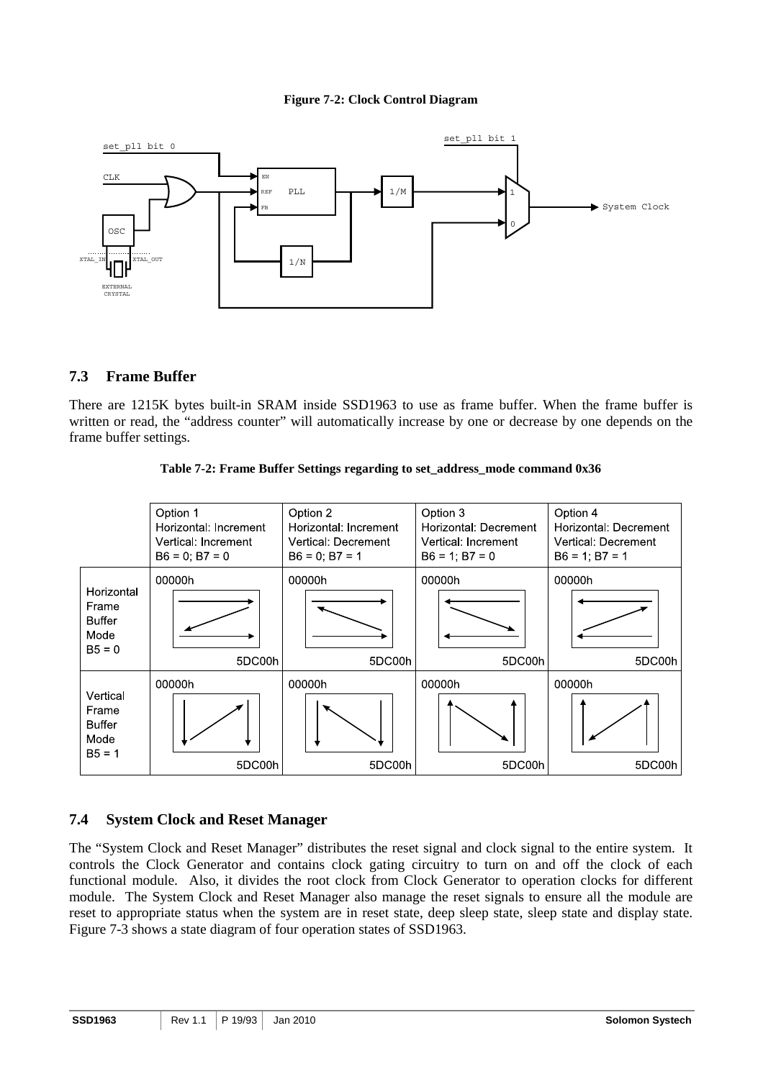#### **Figure 7-2: Clock Control Diagram**



## **7.3 Frame Buffer**

There are 1215K bytes built-in SRAM inside SSD1963 to use as frame buffer. When the frame buffer is written or read, the "address counter" will automatically increase by one or decrease by one depends on the frame buffer settings.



**Table 7-2: Frame Buffer Settings regarding to set\_address\_mode command 0x36** 

## **7.4 System Clock and Reset Manager**

The "System Clock and Reset Manager" distributes the reset signal and clock signal to the entire system. It controls the Clock Generator and contains clock gating circuitry to turn on and off the clock of each functional module. Also, it divides the root clock from Clock Generator to operation clocks for different module. The System Clock and Reset Manager also manage the reset signals to ensure all the module are reset to appropriate status when the system are in reset state, deep sleep state, sleep state and display state. Figure 7-3 shows a state diagram of four operation states of SSD1963.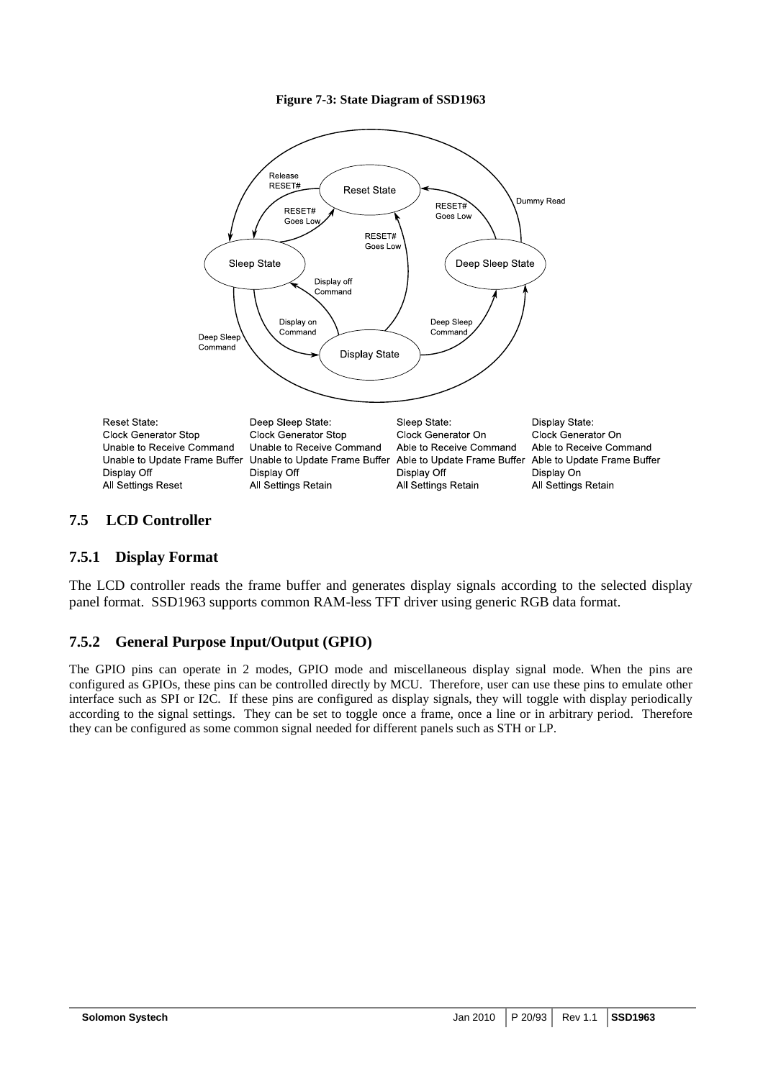



## **7.5 LCD Controller**

## **7.5.1 Display Format**

The LCD controller reads the frame buffer and generates display signals according to the selected display panel format. SSD1963 supports common RAM-less TFT driver using generic RGB data format.

## **7.5.2 General Purpose Input/Output (GPIO)**

The GPIO pins can operate in 2 modes, GPIO mode and miscellaneous display signal mode. When the pins are configured as GPIOs, these pins can be controlled directly by MCU. Therefore, user can use these pins to emulate other interface such as SPI or I2C. If these pins are configured as display signals, they will toggle with display periodically according to the signal settings. They can be set to toggle once a frame, once a line or in arbitrary period. Therefore they can be configured as some common signal needed for different panels such as STH or LP.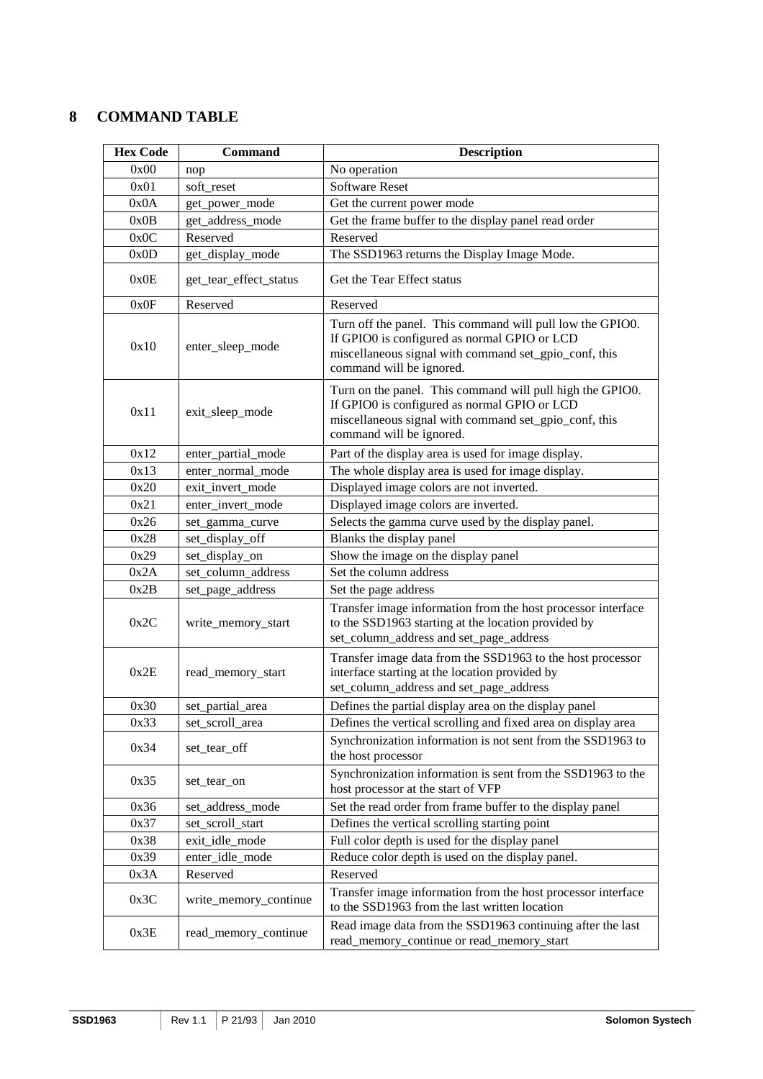## **8 COMMAND TABLE**

| <b>Hex Code</b> | Command                | <b>Description</b>                                                                                                                                                                             |
|-----------------|------------------------|------------------------------------------------------------------------------------------------------------------------------------------------------------------------------------------------|
| 0x00            | nop                    | No operation                                                                                                                                                                                   |
| 0x01            | soft_reset             | <b>Software Reset</b>                                                                                                                                                                          |
| 0x0A            | get_power_mode         | Get the current power mode                                                                                                                                                                     |
| 0x0B            | get_address_mode       | Get the frame buffer to the display panel read order                                                                                                                                           |
| 0x0C            | Reserved               | Reserved                                                                                                                                                                                       |
| 0x0D            | get_display_mode       | The SSD1963 returns the Display Image Mode.                                                                                                                                                    |
| 0x0E            | get_tear_effect_status | Get the Tear Effect status                                                                                                                                                                     |
| 0x0F            | Reserved               | Reserved                                                                                                                                                                                       |
| 0x10            | enter_sleep_mode       | Turn off the panel. This command will pull low the GPIO0.<br>If GPIO0 is configured as normal GPIO or LCD<br>miscellaneous signal with command set_gpio_conf, this<br>command will be ignored. |
| 0x11            | exit_sleep_mode        | Turn on the panel. This command will pull high the GPIO0.<br>If GPIO0 is configured as normal GPIO or LCD<br>miscellaneous signal with command set_gpio_conf, this<br>command will be ignored. |
| 0x12            | enter_partial_mode     | Part of the display area is used for image display.                                                                                                                                            |
| 0x13            | enter_normal_mode      | The whole display area is used for image display.                                                                                                                                              |
| 0x20            | exit_invert_mode       | Displayed image colors are not inverted.                                                                                                                                                       |
| 0x21            | enter_invert_mode      | Displayed image colors are inverted.                                                                                                                                                           |
| 0x26            | set_gamma_curve        | Selects the gamma curve used by the display panel.                                                                                                                                             |
| 0x28            | set_display_off        | Blanks the display panel                                                                                                                                                                       |
| 0x29            | set_display_on         | Show the image on the display panel                                                                                                                                                            |
| 0x2A            | set column address     | Set the column address                                                                                                                                                                         |
| 0x2B            | set_page_address       | Set the page address                                                                                                                                                                           |
| 0x2C            | write_memory_start     | Transfer image information from the host processor interface<br>to the SSD1963 starting at the location provided by<br>set_column_address and set_page_address                                 |
| 0x2E            | read_memory_start      | Transfer image data from the SSD1963 to the host processor<br>interface starting at the location provided by<br>set_column_address and set_page_address                                        |
| 0x30            | set_partial_area       | Defines the partial display area on the display panel                                                                                                                                          |
| 0x33            | set_scroll_area        | Defines the vertical scrolling and fixed area on display area                                                                                                                                  |
| 0x34            | set_tear_off           | Synchronization information is not sent from the SSD1963 to<br>the host processor                                                                                                              |
| 0x35            | set_tear_on            | Synchronization information is sent from the SSD1963 to the<br>host processor at the start of VFP                                                                                              |
| 0x36            | set_address_mode       | Set the read order from frame buffer to the display panel                                                                                                                                      |
| 0x37            | set_scroll_start       | Defines the vertical scrolling starting point                                                                                                                                                  |
| 0x38            | exit_idle_mode         | Full color depth is used for the display panel                                                                                                                                                 |
| 0x39            | enter_idle_mode        | Reduce color depth is used on the display panel.                                                                                                                                               |
| 0x3A            | Reserved               | Reserved                                                                                                                                                                                       |
| 0x3C            | write_memory_continue  | Transfer image information from the host processor interface<br>to the SSD1963 from the last written location                                                                                  |
| 0x3E            | read_memory_continue   | Read image data from the SSD1963 continuing after the last<br>read_memory_continue or read_memory_start                                                                                        |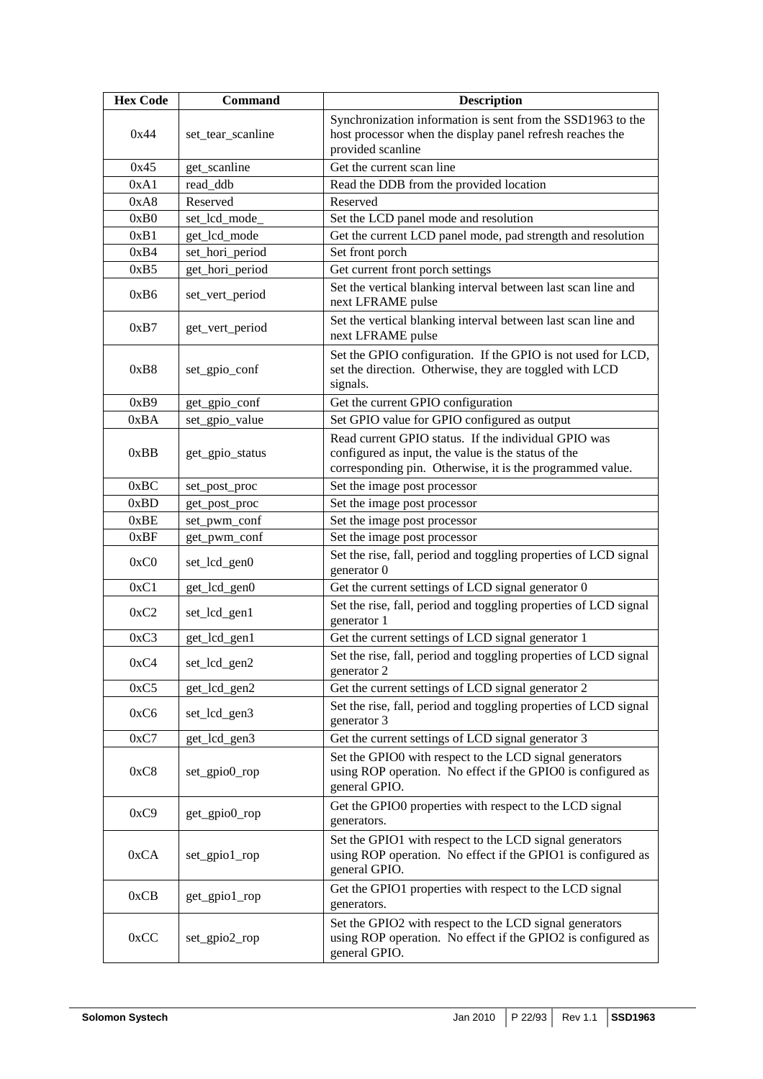| <b>Hex Code</b> | <b>Command</b>    | <b>Description</b>                                                                                                                                                       |
|-----------------|-------------------|--------------------------------------------------------------------------------------------------------------------------------------------------------------------------|
| 0x44            | set_tear_scanline | Synchronization information is sent from the SSD1963 to the<br>host processor when the display panel refresh reaches the<br>provided scanline                            |
| 0x45            | get_scanline      | Get the current scan line                                                                                                                                                |
| 0xA1            | read_ddb          | Read the DDB from the provided location                                                                                                                                  |
| 0xA8            | Reserved          | Reserved                                                                                                                                                                 |
| 0xB0            | set_lcd_mode_     | Set the LCD panel mode and resolution                                                                                                                                    |
| 0xB1            | get_lcd_mode      | Get the current LCD panel mode, pad strength and resolution                                                                                                              |
| 0xB4            | set_hori_period   | Set front porch                                                                                                                                                          |
| 0xB5            | get_hori_period   | Get current front porch settings                                                                                                                                         |
| 0xB6            | set_vert_period   | Set the vertical blanking interval between last scan line and<br>next LFRAME pulse                                                                                       |
| 0xB7            | get_vert_period   | Set the vertical blanking interval between last scan line and<br>next LFRAME pulse                                                                                       |
| 0xB8            | set_gpio_conf     | Set the GPIO configuration. If the GPIO is not used for LCD,<br>set the direction. Otherwise, they are toggled with LCD<br>signals.                                      |
| 0xB9            | get_gpio_conf     | Get the current GPIO configuration                                                                                                                                       |
| 0xBA            | set_gpio_value    | Set GPIO value for GPIO configured as output                                                                                                                             |
| 0xBB            | get_gpio_status   | Read current GPIO status. If the individual GPIO was<br>configured as input, the value is the status of the<br>corresponding pin. Otherwise, it is the programmed value. |
| 0xBC            | set_post_proc     | Set the image post processor                                                                                                                                             |
| 0xBD            | get_post_proc     | Set the image post processor                                                                                                                                             |
| 0xBE            | set_pwm_conf      | Set the image post processor                                                                                                                                             |
| 0xBF            | get_pwm_conf      | Set the image post processor                                                                                                                                             |
| 0xC0            | set_lcd_gen0      | Set the rise, fall, period and toggling properties of LCD signal<br>generator 0                                                                                          |
| 0xC1            | get_lcd_gen0      | Get the current settings of LCD signal generator 0                                                                                                                       |
| 0xC2            | set_lcd_gen1      | Set the rise, fall, period and toggling properties of LCD signal<br>generator 1                                                                                          |
| 0xC3            | get_lcd_gen1      | Get the current settings of LCD signal generator 1                                                                                                                       |
| 0xC4            | set_lcd_gen2      | Set the rise, fall, period and toggling properties of LCD signal<br>generator 2                                                                                          |
| 0xC5            | get_lcd_gen2      | Get the current settings of LCD signal generator 2                                                                                                                       |
| 0xC6            | set_lcd_gen3      | Set the rise, fall, period and toggling properties of LCD signal<br>generator 3                                                                                          |
| 0xC7            | get_lcd_gen3      | Get the current settings of LCD signal generator 3                                                                                                                       |
| 0xC8            | set_gpio0_rop     | Set the GPIO0 with respect to the LCD signal generators<br>using ROP operation. No effect if the GPIO0 is configured as<br>general GPIO.                                 |
| 0xC9            | get_gpio0_rop     | Get the GPIO0 properties with respect to the LCD signal<br>generators.                                                                                                   |
| 0xCA            | set_gpio1_rop     | Set the GPIO1 with respect to the LCD signal generators<br>using ROP operation. No effect if the GPIO1 is configured as<br>general GPIO.                                 |
| 0xCB            | get_gpio1_rop     | Get the GPIO1 properties with respect to the LCD signal<br>generators.                                                                                                   |
| 0xCC            | set_gpio2_rop     | Set the GPIO2 with respect to the LCD signal generators<br>using ROP operation. No effect if the GPIO2 is configured as<br>general GPIO.                                 |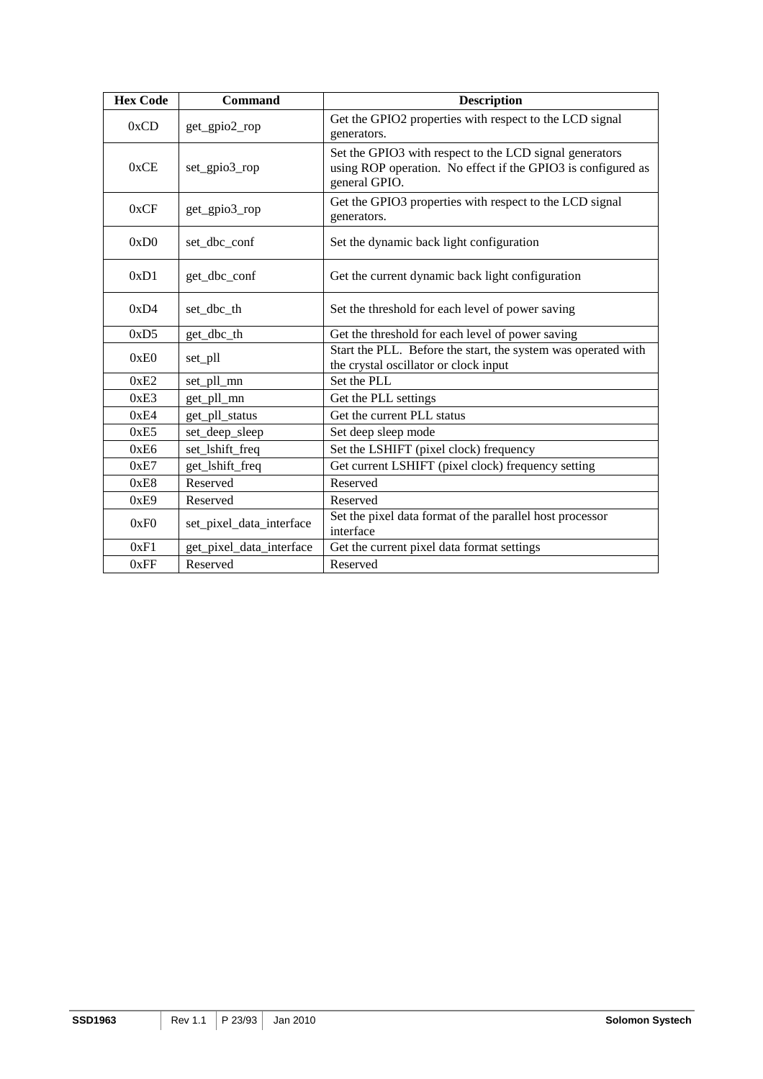| <b>Hex Code</b> | <b>Command</b>           | <b>Description</b>                                                                                                                       |
|-----------------|--------------------------|------------------------------------------------------------------------------------------------------------------------------------------|
| 0xCD            | get_gpio2_rop            | Get the GPIO2 properties with respect to the LCD signal<br>generators.                                                                   |
| 0xCE            | set_gpio3_rop            | Set the GPIO3 with respect to the LCD signal generators<br>using ROP operation. No effect if the GPIO3 is configured as<br>general GPIO. |
| 0xCF            | get_gpio3_rop            | Get the GPIO3 properties with respect to the LCD signal<br>generators.                                                                   |
| 0xD0            | set_dbc_conf             | Set the dynamic back light configuration                                                                                                 |
| 0xD1            | get_dbc_conf             | Get the current dynamic back light configuration                                                                                         |
| 0xD4            | set dbc th               | Set the threshold for each level of power saving                                                                                         |
| 0xD5            | get_dbc_th               | Get the threshold for each level of power saving                                                                                         |
| 0xE0            | set_pll                  | Start the PLL. Before the start, the system was operated with<br>the crystal oscillator or clock input                                   |
| 0xE2            | set_pll_mn               | Set the PLL                                                                                                                              |
| 0xE3            | get_pll_mn               | Get the PLL settings                                                                                                                     |
| 0xE4            | get_pll_status           | Get the current PLL status                                                                                                               |
| 0xE5            | set_deep_sleep           | Set deep sleep mode                                                                                                                      |
| 0xE6            | set_lshift_freq          | Set the LSHIFT (pixel clock) frequency                                                                                                   |
| 0xE7            | get_lshift_freq          | Get current LSHIFT (pixel clock) frequency setting                                                                                       |
| 0xE8            | Reserved                 | Reserved                                                                                                                                 |
| 0xE9            | Reserved                 | Reserved                                                                                                                                 |
| 0xF0            | set_pixel_data_interface | Set the pixel data format of the parallel host processor<br>interface                                                                    |
| 0xF1            | get_pixel_data_interface | Get the current pixel data format settings                                                                                               |
| 0xFF            | Reserved                 | Reserved                                                                                                                                 |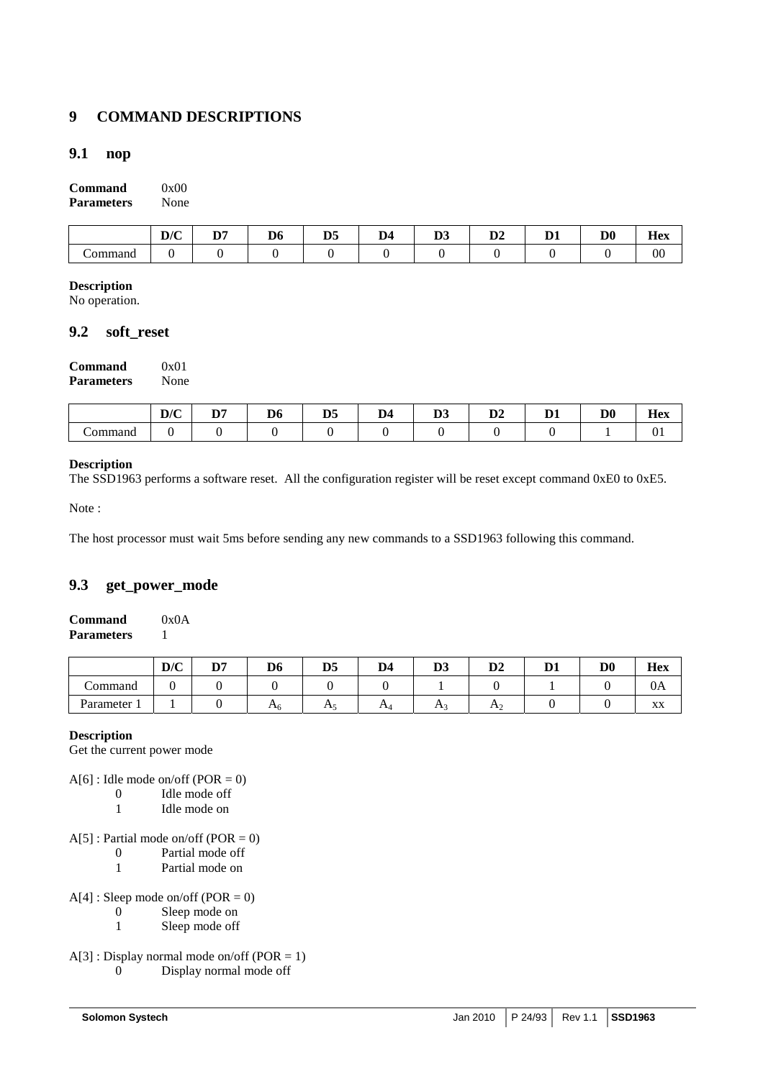## **9 COMMAND DESCRIPTIONS**

## **9.1 nop**

| Command           | 0x00 |
|-------------------|------|
| <b>Parameters</b> | None |

|        | D/C | D.<br>~<br>$ -$ | m.<br>D <sub>0</sub> | DE. | $\blacksquare$ | $\mathbf{v}_2$<br>-יע<br>$\sim$ | D <sub>2</sub> | $\mathbf{r}$ | D <sub>0</sub> | $\mathbf{r}$<br>Hex |
|--------|-----|-----------------|----------------------|-----|----------------|---------------------------------|----------------|--------------|----------------|---------------------|
| ommano |     |                 |                      |     |                |                                 |                |              |                | $\sim$<br>vv        |

#### **Description**

No operation.

## **9.2 soft\_reset**

| Command           | 0x01 |
|-------------------|------|
| <b>Parameters</b> | None |

|                                     | D/C | <b>DE</b> | D6 | DE.<br>IJJ | D4 | $\mathbf{A}$<br>υ.<br>$\sim$ | $\mathbf{a}$<br>IJΖ | $\sim$ | D <sub>0</sub><br>__ | $-$<br>Hex |
|-------------------------------------|-----|-----------|----|------------|----|------------------------------|---------------------|--------|----------------------|------------|
| $\overline{\phantom{a}}$<br>`ommand |     |           |    |            |    |                              |                     |        |                      | vι         |

#### **Description**

The SSD1963 performs a software reset. All the configuration register will be reset except command 0xE0 to 0xE5.

Note :

The host processor must wait 5ms before sending any new commands to a SSD1963 following this command.

## **9.3 get\_power\_mode**

| Command           | 0x0A |
|-------------------|------|
| <b>Parameters</b> |      |

|           | D/C | פת<br>, , | D <sub>6</sub> | D <sub>5</sub> | D <sub>4</sub> | D3<br>__       | D٥<br>IJΖ      | D. | D <sub>0</sub> | <b>Hex</b>         |
|-----------|-----|-----------|----------------|----------------|----------------|----------------|----------------|----|----------------|--------------------|
| ommand    |     |           |                |                |                |                |                |    |                | 0A                 |
| Parameter |     |           | $n_6$          | л.             | 1 M            | $\mathbf{L}^2$ | H <sub>2</sub> |    |                | $\mathbf{v}$<br>AΛ |

#### **Description**

Get the current power mode

 $A[6]$ : Idle mode on/off (POR = 0)

- 0 Idle mode off<br>1 Idle mode on
- Idle mode on

 $A[5]$ : Partial mode on/off (POR = 0)

- 0 Partial mode off
- 1 Partial mode on

 $A[4]$ : Sleep mode on/off (POR = 0)

- 0 Sleep mode on
- 1 Sleep mode off

 $A[3]$ : Display normal mode on/off (POR = 1)

0 Display normal mode off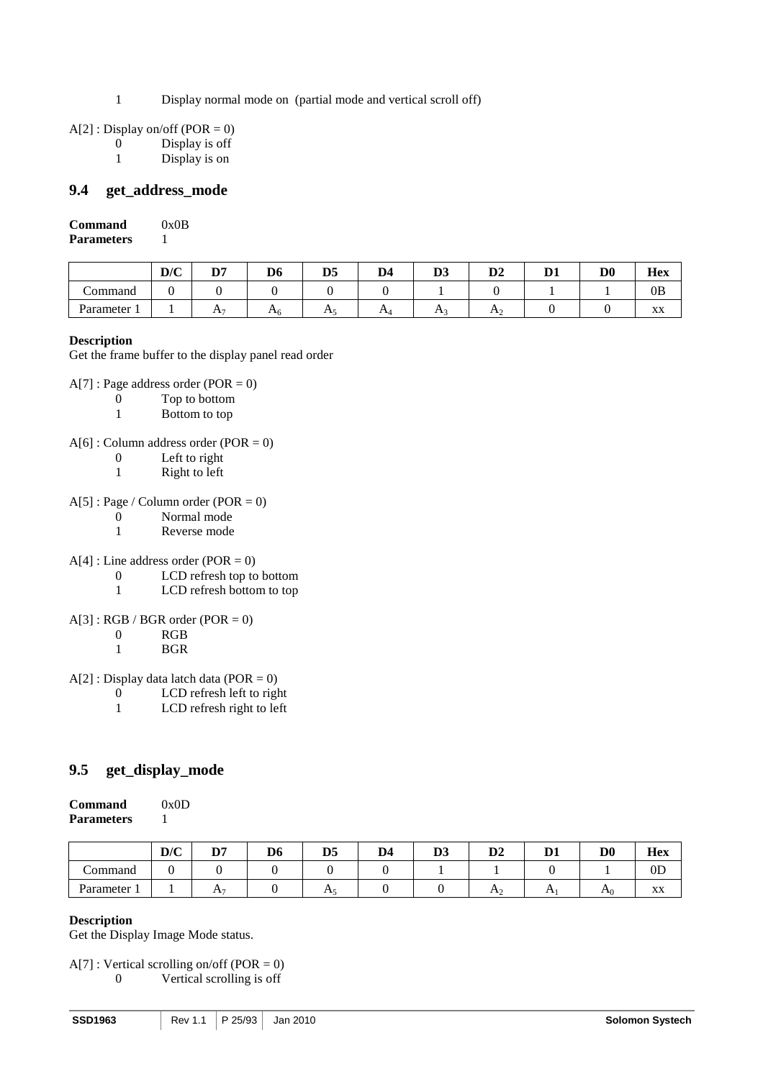1 Display normal mode on (partial mode and vertical scroll off)

|  |  |  | $A[2]$ : Display on/off (POR = 0) |
|--|--|--|-----------------------------------|
|--|--|--|-----------------------------------|

- 0 Display is off
- 1 Display is on

## **9.4 get\_address\_mode**

| Command           | 0x0B |
|-------------------|------|
| <b>Parameters</b> |      |

|              | D/C | D7 | D6             | D <sub>5</sub> | D <sub>4</sub>     | n1<br>IJJ | D <sub>2</sub> | D. | $\mathbf{D}\mathbf{0}$ | Hex                          |
|--------------|-----|----|----------------|----------------|--------------------|-----------|----------------|----|------------------------|------------------------------|
| ∼<br>Command |     |    |                |                |                    |           |                |    |                        | 0Β                           |
| Parameter    |     | Л. | $\mathbf{A}_6$ | TΥ             | $\Gamma$ $\Lambda$ | Л.        | $\mathbf{r}_2$ |    |                        | $\mathbf{v}\mathbf{v}$<br>AΛ |

#### **Description**

Get the frame buffer to the display panel read order

 $A[7]$ : Page address order (POR = 0)

- 0 Top to bottom
- 1 Bottom to top
- $A[6]$ : Column address order (POR = 0)
	- 0 Left to right<br>1 Right to left
	- Right to left
- $A[5]$ : Page / Column order (POR = 0)
	- 0 Normal mode
	- 1 Reverse mode
- $A[4]$ : Line address order (POR = 0)
	- 0 LCD refresh top to bottom
	- 1 LCD refresh bottom to top
- $A[3]$ : RGB / BGR order (POR = 0)
	- 0 RGB<br>1 BGR
	- 1 BGR
- $A[2]$ : Display data latch data (POR = 0)
	- 0 LCD refresh left to right
	- 1 LCD refresh right to left

## **9.5 get\_display\_mode**

| Command           | 0x0D |
|-------------------|------|
| <b>Parameters</b> |      |

|              | D/C | פת<br>D. | D6 | D <sub>5</sub> | D <sub>4</sub> | D3 | D <sub>2</sub> | D.       | $\mathbf{D}\mathbf{0}$ | <b>Hex</b>    |
|--------------|-----|----------|----|----------------|----------------|----|----------------|----------|------------------------|---------------|
| ∼<br>Command | ◡   |          |    |                |                |    |                |          |                        | $0\mathrm{D}$ |
| Parameter    |     | H.       |    | H.             |                |    | H <sub>2</sub> | $\Gamma$ | H <sub>0</sub>         | XX            |

#### **Description**

Get the Display Image Mode status.

A[7] : Vertical scrolling on/off (POR  $= 0$ ) 0 Vertical scrolling is off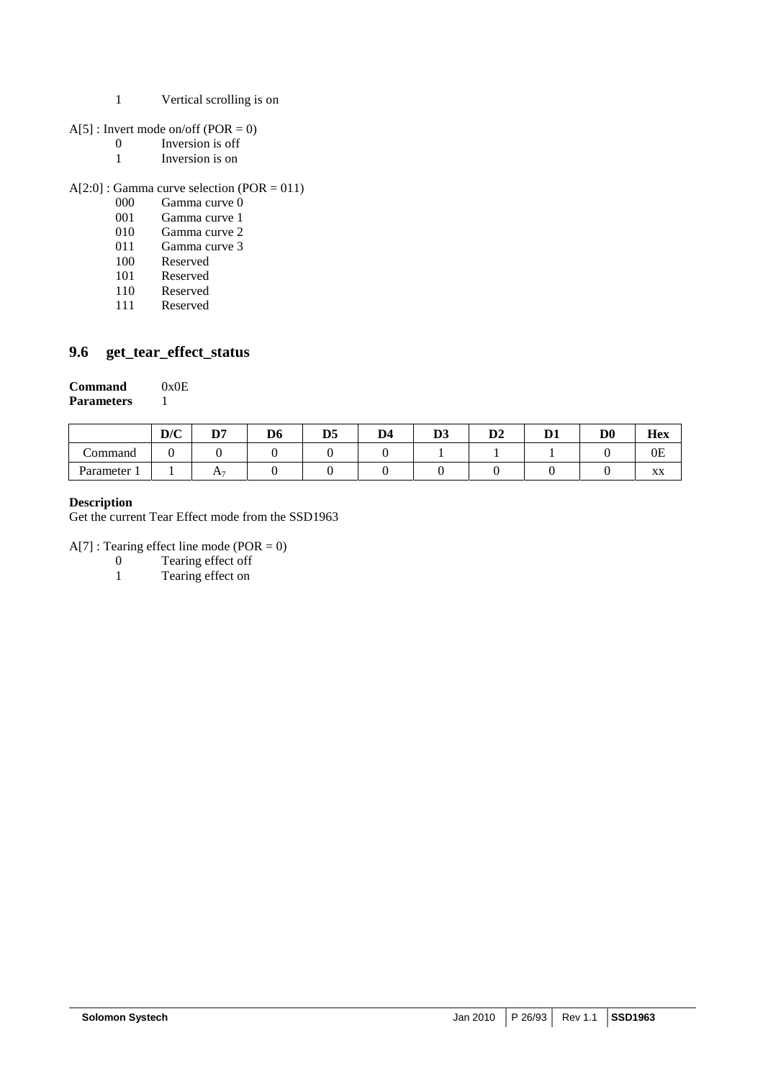- 1 Vertical scrolling is on
- $A[5]$ : Invert mode on/off (POR = 0)
	- 0 Inversion is off
	- 1 Inversion is on

A[2:0] : Gamma curve selection (POR = 011)

- 000 Gamma curve 0<br>001 Gamma curve 1
- 001 Gamma curve 1<br>010 Gamma curve 2
- 010 Gamma curve 2<br>011 Gamma curve 3
- Gamma curve 3
- 100 Reserved
- 101 Reserved
- 110 Reserved
- 111 Reserved

## **9.6 get\_tear\_effect\_status**

| Command           | 0x0E |
|-------------------|------|
| <b>Parameters</b> |      |

|                  | D/C | n,<br>י ע | D6 | D <sub>5</sub> | D <sub>4</sub> | D <sub>3</sub> | $\mathbf{D}2$ | $\mathbf{r}$ | $\mathbf{D}\mathbf{0}$ | <b>Hex</b> |
|------------------|-----|-----------|----|----------------|----------------|----------------|---------------|--------------|------------------------|------------|
| command          |     |           |    |                |                |                |               |              |                        | 0E         |
| Parameter<br>. . |     | $A^{\pi}$ |    |                |                |                |               |              |                        | XX         |

#### **Description**

Get the current Tear Effect mode from the SSD1963

A[7] : Tearing effect line mode (POR = 0)

- 0 Tearing effect off
- 1 Tearing effect on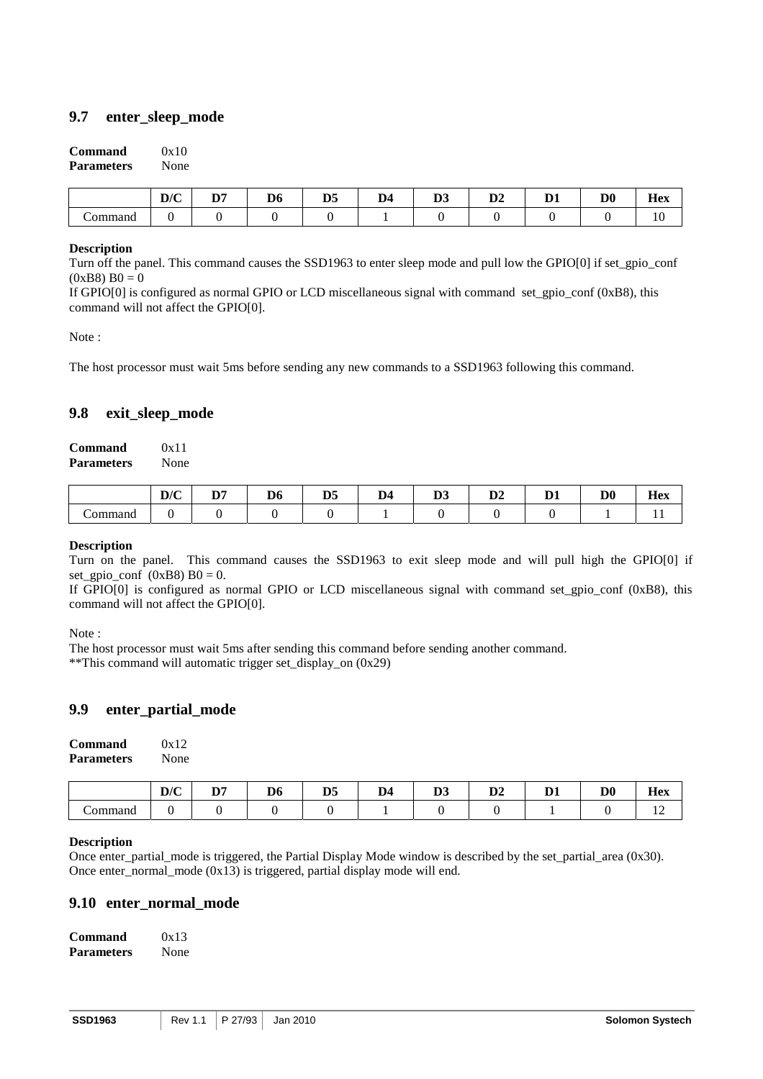## **9.7 enter\_sleep\_mode**

| Command           | 0x10 |
|-------------------|------|
| <b>Parameters</b> | None |

|              | D/C | <b>DD</b> | D <sub>6</sub><br>$\sim$ $\sim$ | D.<br>υJ<br>____ | $\mathbf{r}$<br>້ | $\sim$ | $\mathbf{A}$ | $\sim$ | D <sub>0</sub><br>$-$ | $-$<br><b>Hev</b><br>**∿∆ |
|--------------|-----|-----------|---------------------------------|------------------|-------------------|--------|--------------|--------|-----------------------|---------------------------|
| <b>omman</b> |     |           |                                 |                  |                   |        |              |        |                       | $\sim$<br>1 V             |

#### **Description**

Turn off the panel. This command causes the SSD1963 to enter sleep mode and pull low the GPIO[0] if set\_gpio\_conf  $(0xB8)$  B $0 = 0$ 

If GPIO[0] is configured as normal GPIO or LCD miscellaneous signal with command set\_gpio\_conf (0xB8), this command will not affect the GPIO[0].

Note :

The host processor must wait 5ms before sending any new commands to a SSD1963 following this command.

## **9.8 exit\_sleep\_mode**

| Command           | 0x11 |
|-------------------|------|
| <b>Parameters</b> | None |

|         | D/C | D. | D <sub>6</sub><br>$\sim$ | D <sub>5</sub> | D <sub>4</sub><br>יע | D <sub>1</sub><br><b>J.</b><br>$\sim$ | D.A<br>IJΖ | $\mathbf{r}$ | D <sub>0</sub> | $-$<br>Hov.<br>пex |
|---------|-----|----|--------------------------|----------------|----------------------|---------------------------------------|------------|--------------|----------------|--------------------|
| `ommand |     |    |                          |                |                      |                                       |            |              |                |                    |

#### **Description**

Turn on the panel. This command causes the SSD1963 to exit sleep mode and will pull high the GPIO[0] if set gpio conf  $(0xB8)$  B0 = 0.

If GPIO[0] is configured as normal GPIO or LCD miscellaneous signal with command set\_gpio\_conf (0xB8), this command will not affect the GPIO[0].

Note :

The host processor must wait 5ms after sending this command before sending another command. \*\*This command will automatic trigger set\_display\_on (0x29)

### **9.9 enter\_partial\_mode**

| Command           | 0x12 |
|-------------------|------|
| <b>Parameters</b> | None |

|        | $\mathbf{D}/\mathbf{C}$<br>$\bm{\nu}$ / | D.<br>~ | $\sim$ $\sim$<br>D0 | $\blacksquare$<br>້ື້ | $\sim$<br>∼ | D <sub>1</sub><br>" | D.A<br>94 | D.<br>,,, | D <sub>0</sub> | $-$<br>Hex |
|--------|-----------------------------------------|---------|---------------------|-----------------------|-------------|---------------------|-----------|-----------|----------------|------------|
| ommand |                                         |         |                     |                       |             |                     |           |           |                |            |

#### **Description**

Once enter\_partial\_mode is triggered, the Partial Display Mode window is described by the set\_partial\_area (0x30). Once enter\_normal\_mode (0x13) is triggered, partial display mode will end.

#### **9.10 enter\_normal\_mode**

| Command    | 0x13 |
|------------|------|
| Parameters | None |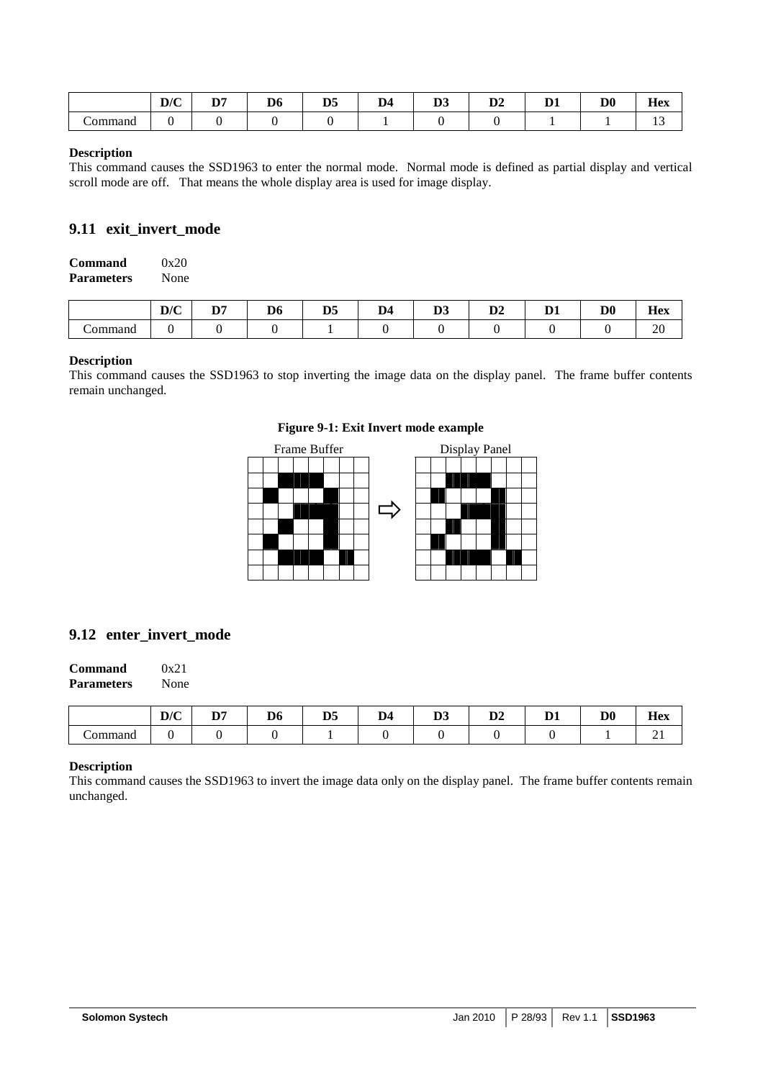|                    | $\mathbf{v}$<br>$\boldsymbol{\nu}$ / | n,<br>. . | D <sub>6</sub> | $\mathbf{r}$<br>ມພ | $\mathbf{r}$<br>- D4 | υ. | D.A<br>ע. | D. | D <sub>0</sub> | $-$<br>Hex     |
|--------------------|--------------------------------------|-----------|----------------|--------------------|----------------------|----|-----------|----|----------------|----------------|
| ommand<br>$\cdots$ |                                      |           |                |                    |                      |    |           |    |                | . . <i>. .</i> |

#### **Description**

This command causes the SSD1963 to enter the normal mode. Normal mode is defined as partial display and vertical scroll mode are off. That means the whole display area is used for image display.

## **9.11 exit\_invert\_mode**

| Command           | 0x20 |
|-------------------|------|
| <b>Parameters</b> | None |

|        | $\mathbf{D}$<br><b>D</b> | <b>DE</b> | D <sub>6</sub><br>__ | DE.<br>JJ. | D4 | $\sim$ $\sim$<br>ມມ<br>$\sim$ | D <sub>2</sub> | D.<br>"' | D <sub>0</sub> | $-$<br>Hex<br>______ |
|--------|--------------------------|-----------|----------------------|------------|----|-------------------------------|----------------|----------|----------------|----------------------|
| ommand |                          |           |                      |            |    |                               |                |          |                | ⌒⌒<br>ZU             |

#### **Description**

This command causes the SSD1963 to stop inverting the image data on the display panel. The frame buffer contents remain unchanged.

#### **Figure 9-1: Exit Invert mode example**



## **9.12 enter\_invert\_mode**

| Command           | 0x21 |
|-------------------|------|
| <b>Parameters</b> | None |

|         | $\mathbf{D}/\mathbf{C}$<br>$\boldsymbol{\nu}$ | D. | D <sub>6</sub><br>___ | DE<br>" | D.A<br>້ | $\mathbf{r}$<br>v.<br>$\sim$ | $\mathbf{R}$<br>JJ 4 | D. | D <sub>0</sub><br>__ | Hex<br>_____ |
|---------|-----------------------------------------------|----|-----------------------|---------|----------|------------------------------|----------------------|----|----------------------|--------------|
| `ommand |                                               |    |                       |         |          |                              |                      |    |                      | --           |

#### **Description**

This command causes the SSD1963 to invert the image data only on the display panel. The frame buffer contents remain unchanged.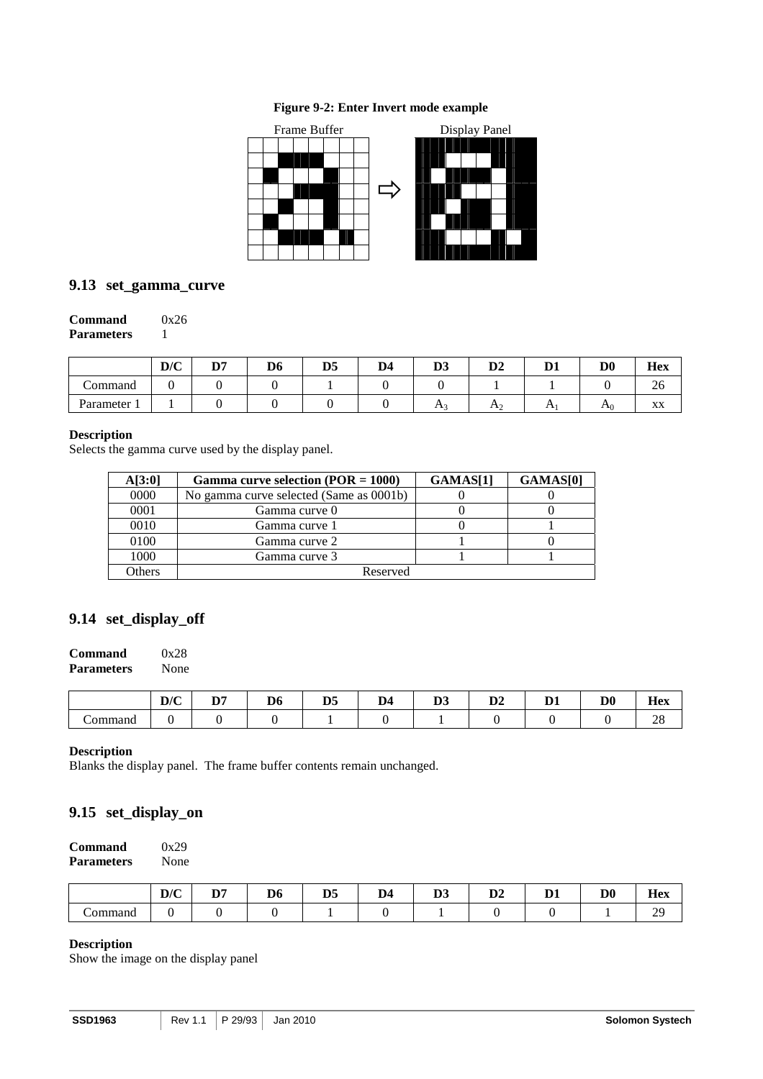#### **Figure 9-2: Enter Invert mode example**



## **9.13 set\_gamma\_curve**

| Command           | 0x26 |
|-------------------|------|
| <b>Parameters</b> |      |

|           | D/C | פת<br><u>ו ע</u> | D6 | D5 | D <sub>4</sub> | D.A<br>IJJ | D2    | D.<br>. .    | D0    | Hex                |
|-----------|-----|------------------|----|----|----------------|------------|-------|--------------|-------|--------------------|
| Command   |     |                  |    |    |                |            |       |              |       | $\sim$<br>ΖO       |
| Parameter |     |                  |    |    |                | TX 2       | $n_2$ | $\mathbf{L}$ | $A_0$ | $\mathbf{v}$<br>AΛ |

#### **Description**

Selects the gamma curve used by the display panel.

| A[3:0] | Gamma curve selection $(POR = 1000)$    | GAMAS[1] | GAMAS[0] |
|--------|-----------------------------------------|----------|----------|
| 0000   | No gamma curve selected (Same as 0001b) |          |          |
| 0001   | Gamma curve 0                           |          |          |
| 0010   | Gamma curve 1                           |          |          |
| 0100   | Gamma curve 2                           |          |          |
| 1000   | Gamma curve 3                           |          |          |
| Others | Reserved                                |          |          |

## **9.14 set\_display\_off**

| Command           | 0x28 |
|-------------------|------|
| <b>Parameters</b> | None |

|        | D/C | $\mathbf{r}$ | DC.<br>$\sim$ | D.<br>vJ | D <sub>4</sub> | $\mathbf{A}$<br>υ.<br>$\sim$ | <b>DA</b><br>IJΖ<br><u>—</u> | $\sim$ | D <sub>0</sub><br>— <b>—</b> | $-$<br>Hex          |
|--------|-----|--------------|---------------|----------|----------------|------------------------------|------------------------------|--------|------------------------------|---------------------|
| ommand |     |              |               |          |                |                              |                              |        |                              | $\sim$ $\sim$<br>∠∪ |

## **Description**

Blanks the display panel. The frame buffer contents remain unchanged.

## **9.15 set\_display\_on**

| Command           | 0x29 |
|-------------------|------|
| <b>Parameters</b> | None |

|         | D/C | $\mathbf{P}$ | $\mathbf{R}$<br>$\sim$ | $\mathbf{L}$<br>v. | $\blacksquare$ | $\sim$ $\sim$ | D <sub>1</sub><br>IJZ<br>-- | D. | D <sub>0</sub> | $-$<br>Hex   |
|---------|-----|--------------|------------------------|--------------------|----------------|---------------|-----------------------------|----|----------------|--------------|
| `ommano |     |              |                        |                    |                |               |                             |    |                | $\sim$<br>-- |

#### **Description**

Show the image on the display panel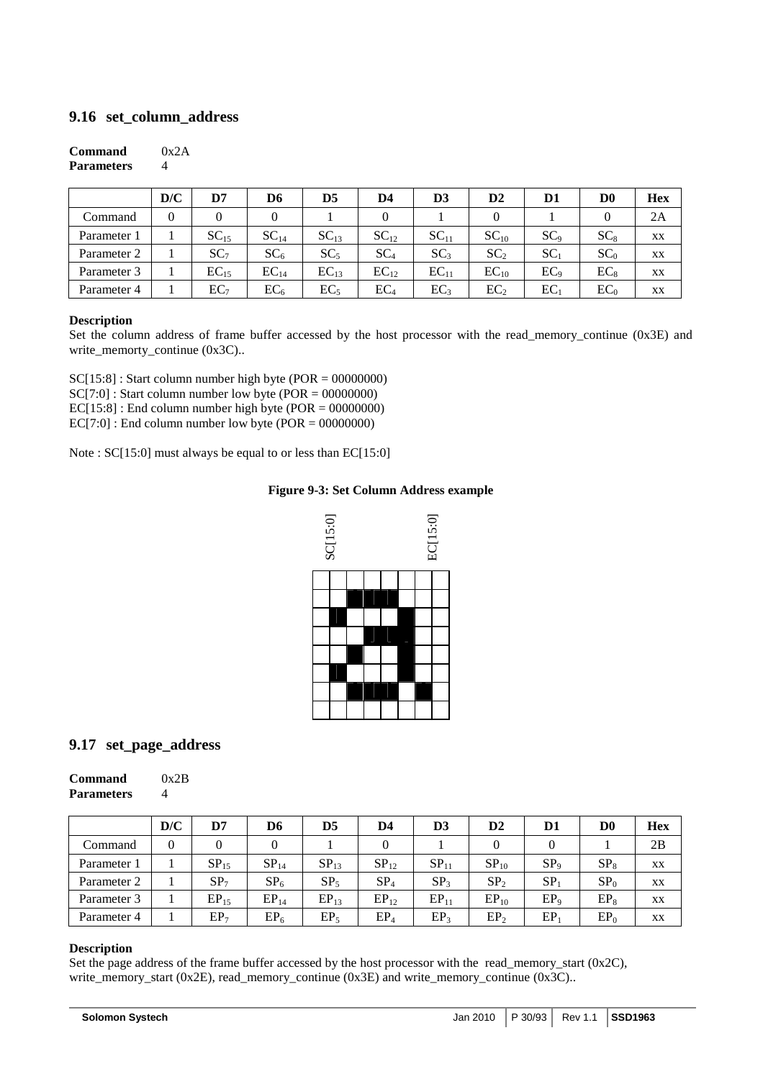## **9.16 set\_column\_address**

#### **Command** 0x2A **Parameters** 4

|             | D/C            | D7               | D6               | D5               | D4              | D3              | $\mathbf{D}2$   | D1              | $\mathbf{D} \mathbf{0}$ | <b>Hex</b> |
|-------------|----------------|------------------|------------------|------------------|-----------------|-----------------|-----------------|-----------------|-------------------------|------------|
| Command     | $\overline{0}$ |                  |                  |                  |                 |                 |                 |                 |                         | 2A         |
| Parameter 1 |                | SC <sub>15</sub> | SC <sub>14</sub> | SC <sub>13</sub> | $SC_{12}$       | $SC_{11}$       | $SC_{10}$       | SC <sub>9</sub> | $SC_8$                  | XX         |
| Parameter 2 |                | SC <sub>7</sub>  | SC <sub>6</sub>  | SC <sub>5</sub>  | $SC_4$          | SC <sub>3</sub> | SC <sub>2</sub> | SC <sub>1</sub> | SC <sub>0</sub>         | XX         |
| Parameter 3 |                | $EC_{15}$        | $EC_{14}$        | $EC_{13}$        | $EC_{12}$       | $EC_{11}$       | $EC_{10}$       | EC <sub>9</sub> | $EC_8$                  | XX         |
| Parameter 4 |                | EC <sub>7</sub>  | EC <sub>6</sub>  | EC <sub>5</sub>  | EC <sub>4</sub> | EC <sub>3</sub> | EC <sub>2</sub> | $EC_1$          | EC <sub>0</sub>         | XX         |

#### **Description**

Set the column address of frame buffer accessed by the host processor with the read\_memory\_continue (0x3E) and write memorty continue  $(0x3C)$ ...

SC[15:8] : Start column number high byte (POR = 00000000) SC[7:0] : Start column number low byte (POR = 00000000)  $EC[15:8]$ : End column number high byte (POR = 00000000)  $EC[7:0]$ : End column number low byte (POR = 00000000)

Note : SC[15:0] must always be equal to or less than EC[15:0]

## **Figure 9-3: Set Column Address example**



## **9.17 set\_page\_address**

| Command           | 0x2B |
|-------------------|------|
| <b>Parameters</b> | 4    |

|             | D/C | D7               | D6               | D <sub>5</sub>   | D4               | D3               | $\mathbf{D}2$   | D1              | D0              | <b>Hex</b> |
|-------------|-----|------------------|------------------|------------------|------------------|------------------|-----------------|-----------------|-----------------|------------|
| Command     | 0   |                  |                  |                  | 0                |                  |                 |                 |                 | 2B         |
| Parameter 1 |     | SP <sub>15</sub> | SP <sub>14</sub> | SP <sub>13</sub> | SP <sub>12</sub> | SP <sub>11</sub> | $SP_{10}$       | SP <sub>9</sub> | SP <sub>8</sub> | XX         |
| Parameter 2 |     | SP <sub>7</sub>  | SP <sub>6</sub>  | SP <sub>5</sub>  | SP <sub>4</sub>  | SP <sub>3</sub>  | SP <sub>2</sub> | SP              | SP <sub>0</sub> | XX         |
| Parameter 3 |     | $EP_{15}$        | $EP_{14}$        | $EP_{13}$        | $EP_{12}$        | $EP_{11}$        | $EP_{10}$       | EP <sub>0</sub> | $EP_8$          | XX         |
| Parameter 4 |     | EP <sub>7</sub>  | EP <sub>6</sub>  | EP <sub>5</sub>  | $EP_4$           | EP،              | EP <sub>2</sub> | EP.             | $EP_0$          | XX         |

#### **Description**

Set the page address of the frame buffer accessed by the host processor with the read\_memory\_start ( $0x2C$ ), write\_memory\_start (0x2E), read\_memory\_continue (0x3E) and write\_memory\_continue (0x3C)..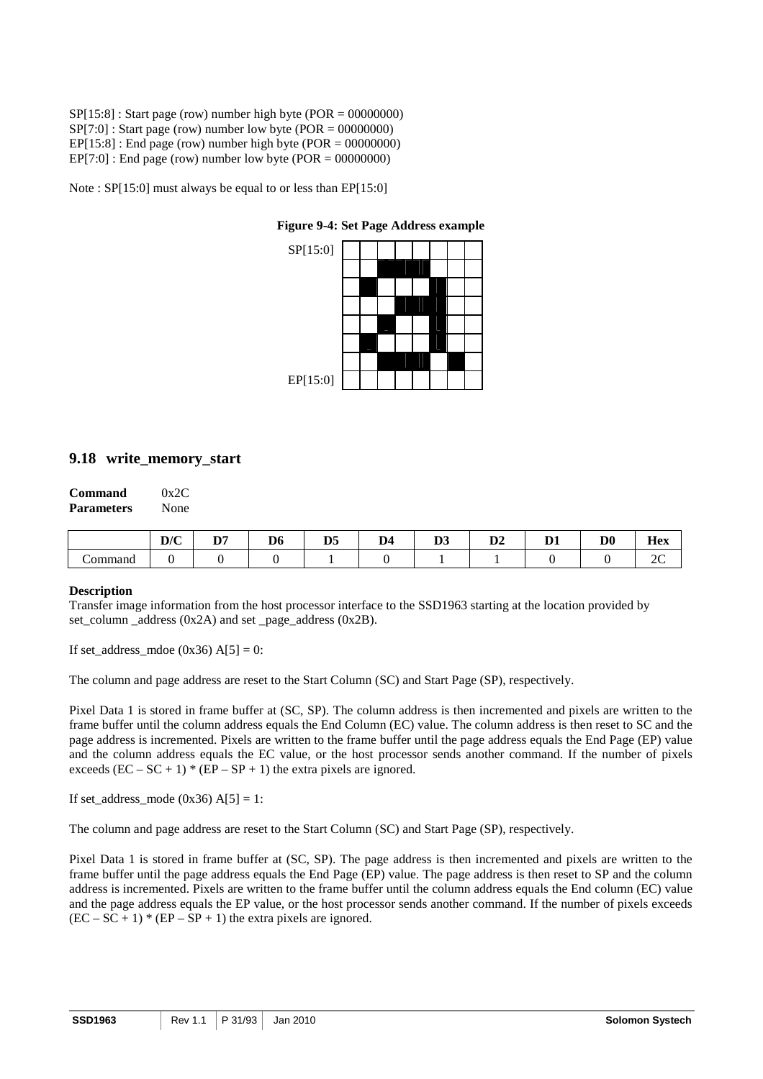$SP[15:8]$ : Start page (row) number high byte (POR = 00000000)  $SP[7:0]$ : Start page (row) number low byte (POR = 00000000)  $EP[15:8]$ : End page (row) number high byte (POR = 00000000)  $EP[7:0]$ : End page (row) number low byte (POR = 00000000)

Note : SP[15:0] must always be equal to or less than EP[15:0]



**Figure 9-4: Set Page Address example**

#### **9.18 write\_memory\_start**

| <b>Command</b><br><b>Parameters</b> | 0x2C<br>None |  |  |  |
|-------------------------------------|--------------|--|--|--|
|                                     |              |  |  |  |

|         | $\bf{D}$<br>וע<br>ີ | D.S<br>-- | D <sub>6</sub><br>__ | DE.<br>v.<br>$\sim$ | $\sim$ | $\mathcal{L}$<br>$\sim$ | $\mathbf{a}$<br>10 L | $\sim$ | D <sub>0</sub> | <b>Hex</b>  |
|---------|---------------------|-----------|----------------------|---------------------|--------|-------------------------|----------------------|--------|----------------|-------------|
| `ommand |                     |           |                      |                     |        |                         |                      |        |                | $\sim$<br>∼ |

#### **Description**

Transfer image information from the host processor interface to the SSD1963 starting at the location provided by set\_column \_address (0x2A) and set \_page\_address (0x2B).

If set\_address\_mdoe (0x36)  $A[5] = 0$ :

The column and page address are reset to the Start Column (SC) and Start Page (SP), respectively.

Pixel Data 1 is stored in frame buffer at (SC, SP). The column address is then incremented and pixels are written to the frame buffer until the column address equals the End Column (EC) value. The column address is then reset to SC and the page address is incremented. Pixels are written to the frame buffer until the page address equals the End Page (EP) value and the column address equals the EC value, or the host processor sends another command. If the number of pixels exceeds  $(EC - SC + 1) * (EP - SP + 1)$  the extra pixels are ignored.

If set\_address\_mode  $(0x36)$  A[5] = 1:

The column and page address are reset to the Start Column (SC) and Start Page (SP), respectively.

Pixel Data 1 is stored in frame buffer at (SC, SP). The page address is then incremented and pixels are written to the frame buffer until the page address equals the End Page (EP) value. The page address is then reset to SP and the column address is incremented. Pixels are written to the frame buffer until the column address equals the End column (EC) value and the page address equals the EP value, or the host processor sends another command. If the number of pixels exceeds  $(EC - SC + 1) * (EP - SP + 1)$  the extra pixels are ignored.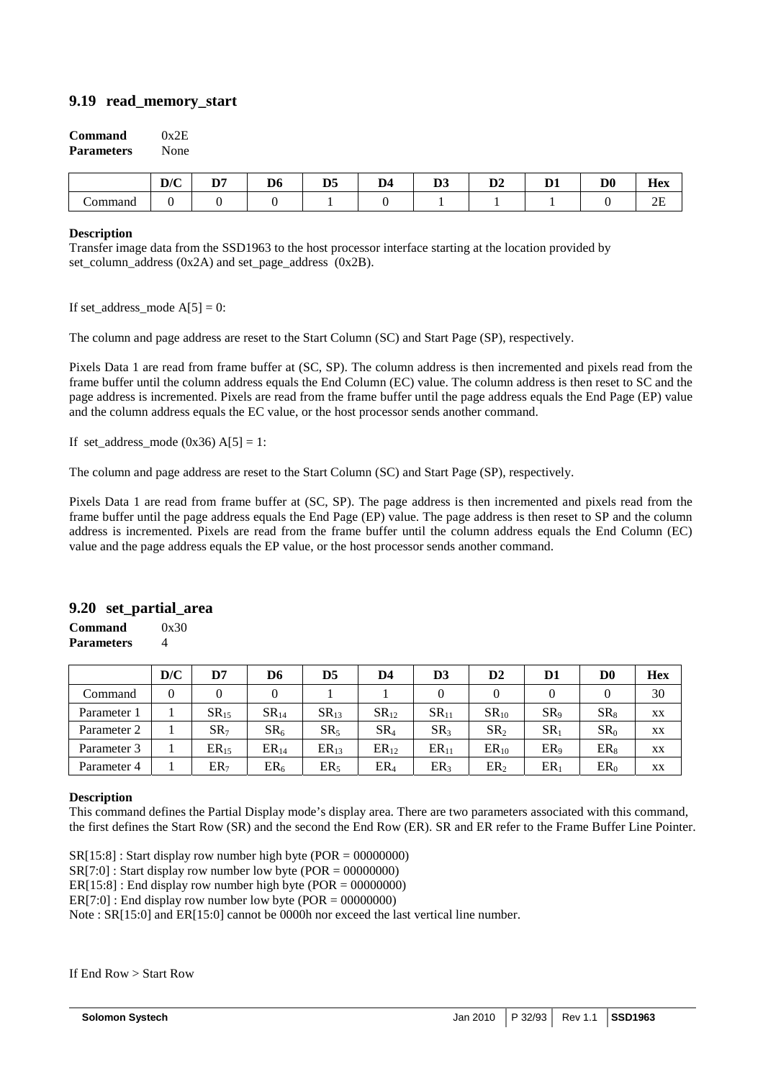## **9.19 read\_memory\_start**

| Command           | 0x2E |
|-------------------|------|
| <b>Parameters</b> | None |

|              | $\mathbf{D}/\mathbf{C}$<br>$\bm{\nu}$ | D. | D <sub>6</sub><br>__ | D.<br>υ. | $\mathbf{r}$ | $\mathbf{A}$<br>,,<br>$\sim$ | D2 | ∍. | D <sub>0</sub> | $\mathbf{H}_{\mathbf{A}\mathbf{v}}$<br>TTCV |
|--------------|---------------------------------------|----|----------------------|----------|--------------|------------------------------|----|----|----------------|---------------------------------------------|
| -<br>`ommand |                                       |    |                      |          |              |                              |    |    |                | $\sim$ $\sim$<br>--                         |

#### **Description**

Transfer image data from the SSD1963 to the host processor interface starting at the location provided by set column address (0x2A) and set page address (0x2B).

If set address mode  $A[5] = 0$ :

The column and page address are reset to the Start Column (SC) and Start Page (SP), respectively.

Pixels Data 1 are read from frame buffer at (SC, SP). The column address is then incremented and pixels read from the frame buffer until the column address equals the End Column (EC) value. The column address is then reset to SC and the page address is incremented. Pixels are read from the frame buffer until the page address equals the End Page (EP) value and the column address equals the EC value, or the host processor sends another command.

If set address mode (0x36)  $A[5] = 1$ :

The column and page address are reset to the Start Column (SC) and Start Page (SP), respectively.

Pixels Data 1 are read from frame buffer at (SC, SP). The page address is then incremented and pixels read from the frame buffer until the page address equals the End Page (EP) value. The page address is then reset to SP and the column address is incremented. Pixels are read from the frame buffer until the column address equals the End Column (EC) value and the page address equals the EP value, or the host processor sends another command.

#### **9.20 set\_partial\_area**

**Command** 0x30 **Parameters** 4

|             | D/C            | D7              | D6              | D <sub>5</sub>   | D4              | D3               | D <sub>2</sub>  | D <sub>1</sub>  | $\mathbf{D} \mathbf{0}$ | <b>Hex</b> |
|-------------|----------------|-----------------|-----------------|------------------|-----------------|------------------|-----------------|-----------------|-------------------------|------------|
| Command     | $\overline{0}$ | 0               |                 |                  |                 |                  |                 |                 | 0                       | 30         |
| Parameter 1 |                | $SR_{15}$       | $SR_{14}$       | SR <sub>13</sub> | $SR_{12}$       | SR <sub>11</sub> | $SR_{10}$       | SR <sub>9</sub> | $SR_8$                  | XX         |
| Parameter 2 |                | SR <sub>7</sub> | SR <sub>6</sub> | SR <sub>5</sub>  | SR <sub>4</sub> | SR <sub>3</sub>  | SR <sub>2</sub> | SR <sub>1</sub> | SR <sub>0</sub>         | XX         |
| Parameter 3 |                | $ER_{15}$       | $ER_{14}$       | $ER_{13}$        | $ER_{12}$       | $ER_{11}$        | $ER_{10}$       | ER <sub>9</sub> | $ER_8$                  | XX         |
| Parameter 4 |                | ER <sub>7</sub> | $ER_6$          | ER <sub>5</sub>  | $ER_4$          | ER <sub>3</sub>  | ER <sub>2</sub> | ER,             | ER <sub>0</sub>         | XX         |

#### **Description**

This command defines the Partial Display mode's display area. There are two parameters associated with this command, the first defines the Start Row (SR) and the second the End Row (ER). SR and ER refer to the Frame Buffer Line Pointer.

 $SR[15:8]$ : Start display row number high byte (POR = 00000000)  $SR[7:0]$ : Start display row number low byte (POR = 00000000)  $ER[15:8]$ : End display row number high byte (POR = 00000000) ER[7:0] : End display row number low byte (POR = 00000000) Note : SR[15:0] and ER[15:0] cannot be 0000h nor exceed the last vertical line number.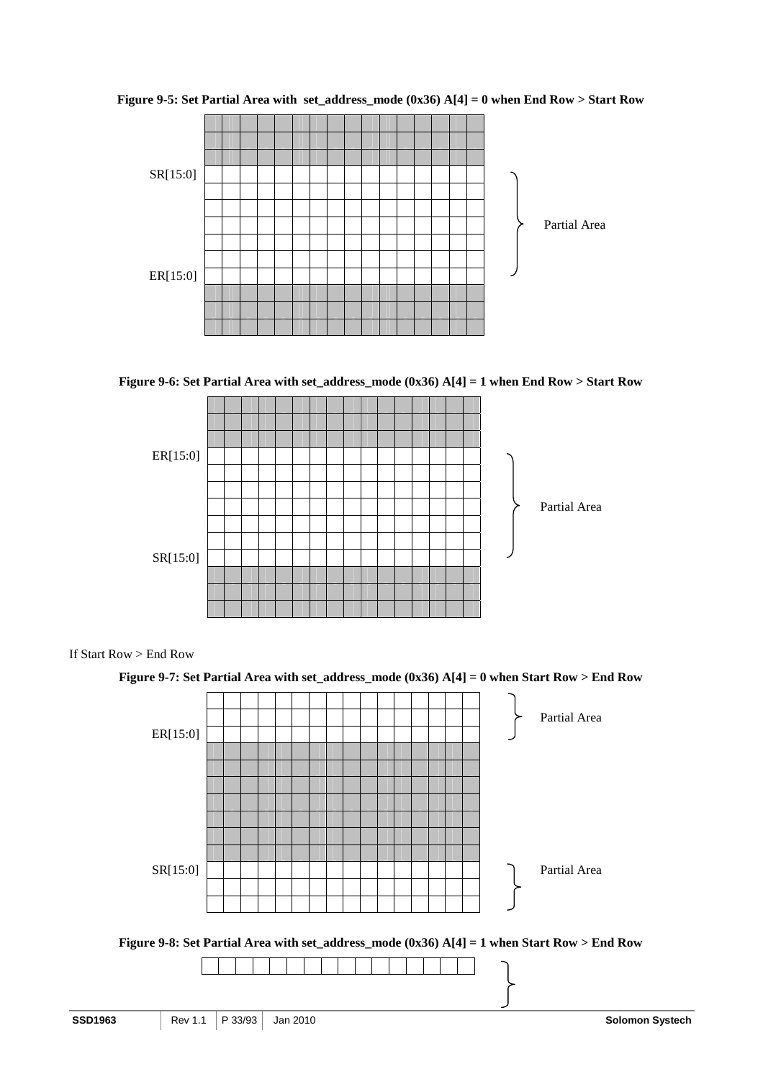

**Figure 9-5: Set Partial Area with set\_address\_mode (0x36) A[4] = 0 when End Row > Start Row**





If Start Row > End Row



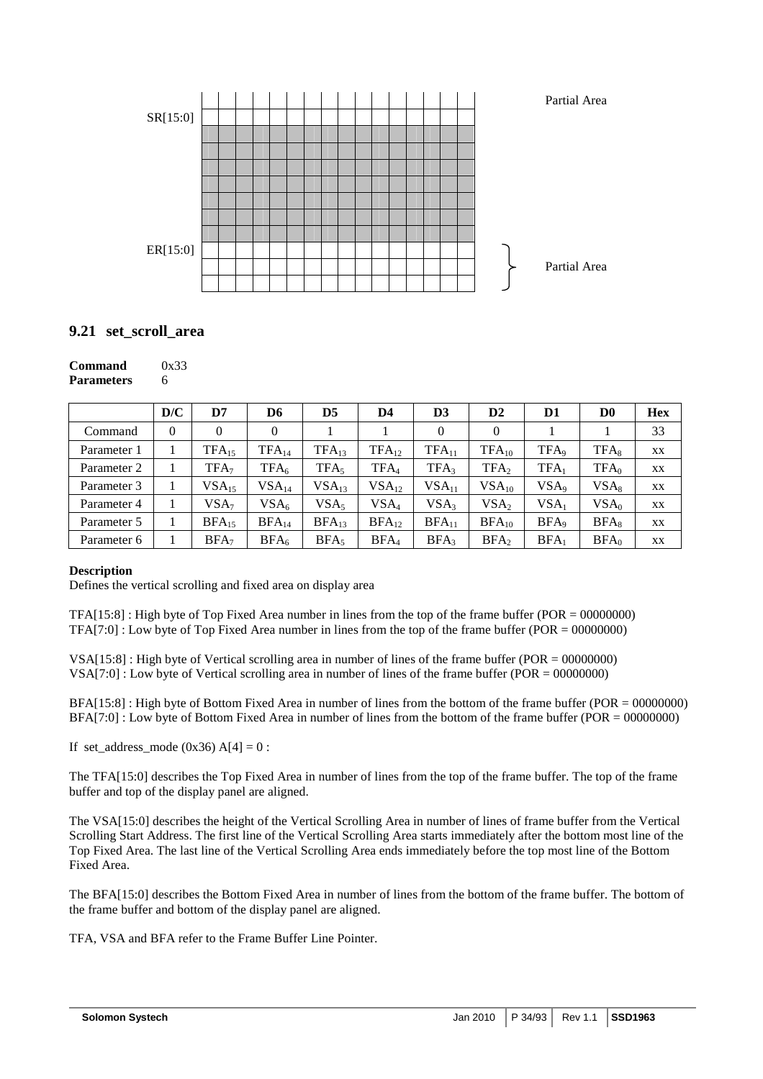

## **9.21 set\_scroll\_area**

| Command           | 0x33 |
|-------------------|------|
| <b>Parameters</b> | 6    |

|             | D/C      | D7                        | D6               | D <sub>5</sub>     | D4                | D <sub>3</sub>   | D <sub>2</sub>   | D1               | D <sub>0</sub>   | <b>Hex</b> |
|-------------|----------|---------------------------|------------------|--------------------|-------------------|------------------|------------------|------------------|------------------|------------|
| Command     | $\Omega$ | $\overline{0}$            | 0                |                    |                   | $\Omega$         | $\theta$         |                  |                  | 33         |
| Parameter 1 |          | $TFA_{15}$                | $TFA_{14}$       | $TFA_{13}$         | $TFA_{12}$        | $TFA_{11}$       | $TFA_{10}$       | TFA <sub>9</sub> | $TFA_8$          | XX         |
| Parameter 2 |          | TFA <sub>7</sub>          | TFA <sub>6</sub> | TFA5               | TFA <sub>4</sub>  | TFA3             | TFA <sub>2</sub> | TFA <sub>1</sub> | $TFA_0$          | XX         |
| Parameter 3 |          | $\nabla$ SA <sub>15</sub> | $VSA_{14}$       | $\nabla SA_{13}\n$ | VSA <sub>12</sub> | $VSA_{11}$       | $VSA_{10}$       | VSA <sub>9</sub> | $VSA_8$          | XX         |
| Parameter 4 |          | VSA <sub>7</sub>          | VSA <sub>6</sub> | VSA <sub>5</sub>   | VSA <sub>4</sub>  | VSA <sub>3</sub> | VSA <sub>2</sub> | VSA <sub>1</sub> | VSA <sub>0</sub> | XX         |
| Parameter 5 |          | $BFA_{15}$                | $BFA_{14}$       | $BFA_{13}$         | $BFA_{12}$        | $BFA_{11}$       | $BFA_{10}$       | BFA <sub>9</sub> | $BFA_8$          | XX         |
| Parameter 6 |          | BFA <sub>7</sub>          | BFA <sub>6</sub> | BFA <sub>5</sub>   | BFA <sub>4</sub>  | BFA <sub>3</sub> | BFA <sub>2</sub> | $BFA_1$          | BFA <sub>0</sub> | XX         |

#### **Description**

Defines the vertical scrolling and fixed area on display area

TFA $[15:8]$ : High byte of Top Fixed Area number in lines from the top of the frame buffer (POR = 00000000) TFA[7:0] : Low byte of Top Fixed Area number in lines from the top of the frame buffer (POR = 00000000)

VSA[15:8] : High byte of Vertical scrolling area in number of lines of the frame buffer (POR = 00000000) VSA[7:0] : Low byte of Vertical scrolling area in number of lines of the frame buffer (POR = 00000000)

BFA[15:8] : High byte of Bottom Fixed Area in number of lines from the bottom of the frame buffer (POR = 00000000) BFA[7:0] : Low byte of Bottom Fixed Area in number of lines from the bottom of the frame buffer (POR = 00000000)

If set\_address\_mode  $(0x36)$  A[4] = 0 :

The TFA[15:0] describes the Top Fixed Area in number of lines from the top of the frame buffer. The top of the frame buffer and top of the display panel are aligned.

The VSA[15:0] describes the height of the Vertical Scrolling Area in number of lines of frame buffer from the Vertical Scrolling Start Address. The first line of the Vertical Scrolling Area starts immediately after the bottom most line of the Top Fixed Area. The last line of the Vertical Scrolling Area ends immediately before the top most line of the Bottom Fixed Area.

The BFA[15:0] describes the Bottom Fixed Area in number of lines from the bottom of the frame buffer. The bottom of the frame buffer and bottom of the display panel are aligned.

TFA, VSA and BFA refer to the Frame Buffer Line Pointer.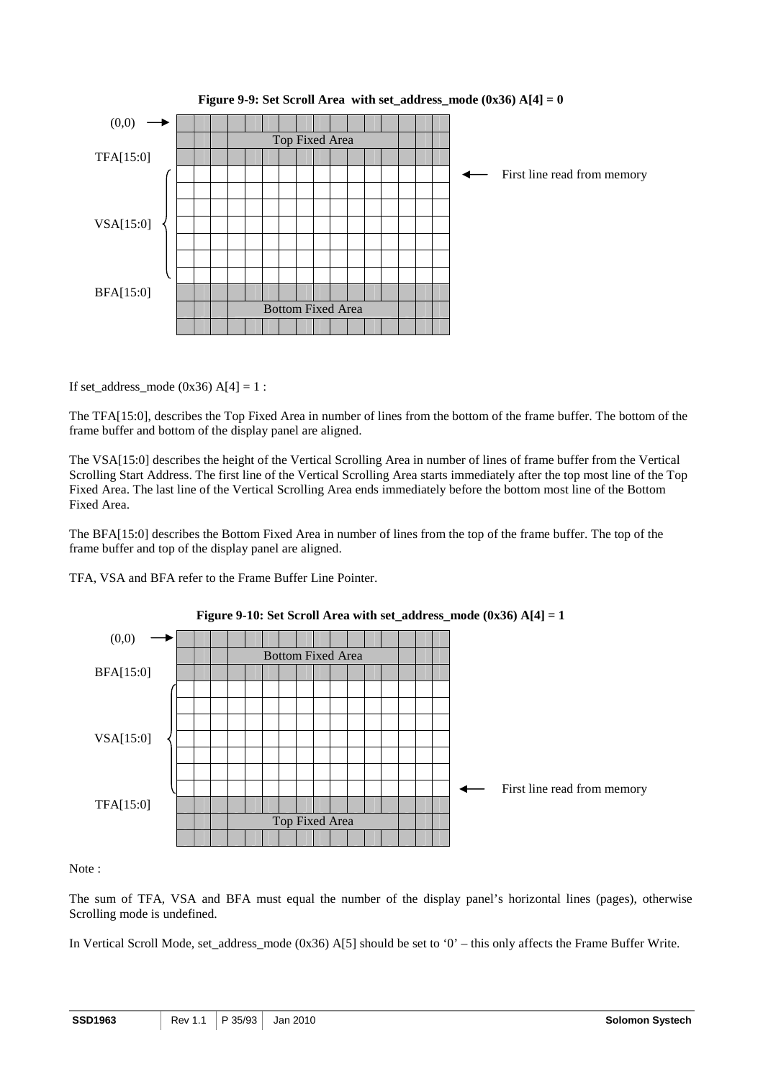

**Figure 9-9: Set Scroll Area with set\_address\_mode**  $(0x36)$  **A[4] = 0** 

If set\_address\_mode  $(0x36)$  A[4] = 1 :

The TFA[15:0], describes the Top Fixed Area in number of lines from the bottom of the frame buffer. The bottom of the frame buffer and bottom of the display panel are aligned.

The VSA[15:0] describes the height of the Vertical Scrolling Area in number of lines of frame buffer from the Vertical Scrolling Start Address. The first line of the Vertical Scrolling Area starts immediately after the top most line of the Top Fixed Area. The last line of the Vertical Scrolling Area ends immediately before the bottom most line of the Bottom Fixed Area.

The BFA[15:0] describes the Bottom Fixed Area in number of lines from the top of the frame buffer. The top of the frame buffer and top of the display panel are aligned.

TFA, VSA and BFA refer to the Frame Buffer Line Pointer.





Note :

The sum of TFA, VSA and BFA must equal the number of the display panel's horizontal lines (pages), otherwise Scrolling mode is undefined.

In Vertical Scroll Mode, set\_address\_mode (0x36) A[5] should be set to '0' – this only affects the Frame Buffer Write.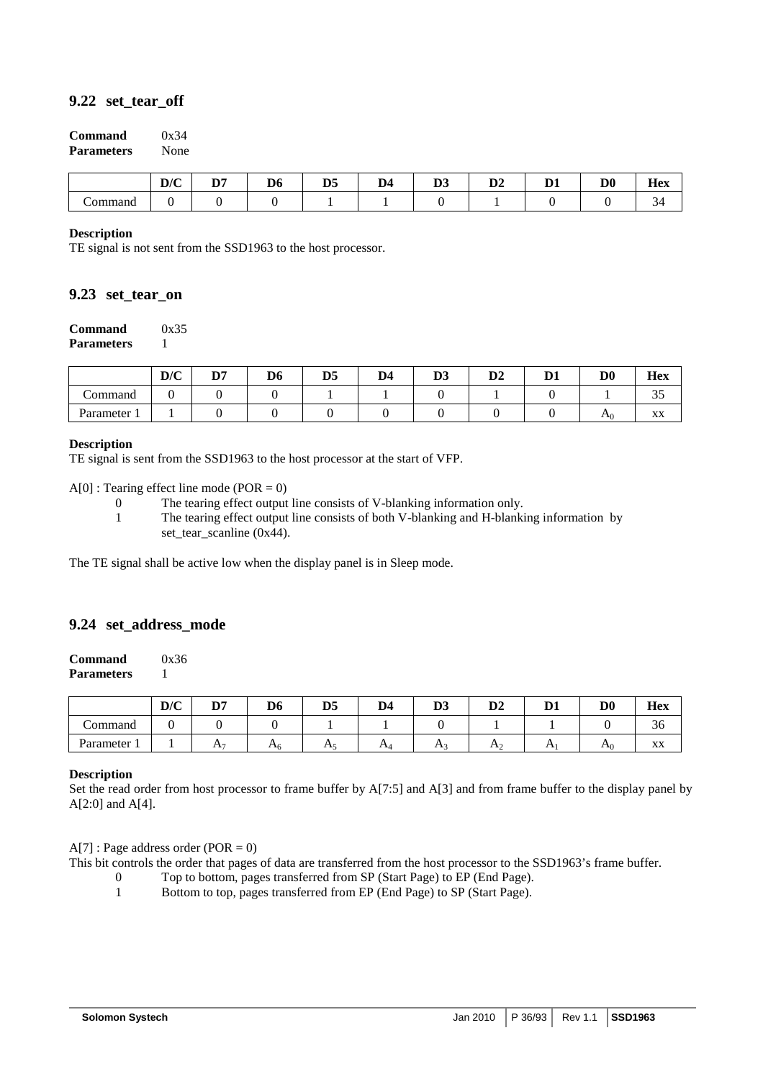## **9.22 set\_tear\_off**

| Command           | 0x34 |
|-------------------|------|
| <b>Parameters</b> | None |

|                     | $\mathbf{D}$<br>$\boldsymbol{\nu}$ / | $\mathbf{D}^{\mu}$ | D <sub>6</sub><br>$\sim$ | <b>DE</b><br>vJ | D4 | D. 1<br>$\sim$ | D.A<br>ij ∠ | D. | D <sub>0</sub> | $\mathbf{r}$<br>Hex |
|---------------------|--------------------------------------|--------------------|--------------------------|-----------------|----|----------------|-------------|----|----------------|---------------------|
| `ommand<br>$\cdots$ |                                      |                    |                          |                 |    |                |             |    |                | ັ                   |

#### **Description**

TE signal is not sent from the SSD1963 to the host processor.

#### **9.23 set\_tear\_on**

## **Command** 0x35

**Parameters** 1

|              | D/C | לת<br>יש | D <sub>6</sub> | D <sub>5</sub> | D4 | D.A<br>IJJ | $\mathbf{D}2$ | D. | D <sub>0</sub> | <b>Hex</b>   |
|--------------|-----|----------|----------------|----------------|----|------------|---------------|----|----------------|--------------|
| ∼<br>Command |     |          |                |                |    |            |               |    |                | $\sim$<br>ັບ |
| Parameter    |     |          |                |                |    |            |               |    | A <sub>0</sub> | XX           |

#### **Description**

TE signal is sent from the SSD1963 to the host processor at the start of VFP.

 $A[0]$ : Tearing effect line mode (POR = 0)

- 0 The tearing effect output line consists of V-blanking information only.
- 1 The tearing effect output line consists of both V-blanking and H-blanking information by set\_tear\_scanline (0x44).

The TE signal shall be active low when the display panel is in Sleep mode.

## **9.24 set\_address\_mode**

| Command           | 0x36 |
|-------------------|------|
| <b>Parameters</b> |      |

|                       | D/C | פת<br><u>ш</u> . | D6    | D <sub>5</sub>        | D4 | m.<br>IJJ | D <sub>2</sub> | n.<br>,, | D <sub>0</sub> | <b>Hex</b>   |
|-----------------------|-----|------------------|-------|-----------------------|----|-----------|----------------|----------|----------------|--------------|
| ~<br><b>Command</b>   |     |                  |       |                       |    |           |                |          |                | $\sim$<br>36 |
| $P$ arameter $\lceil$ |     | TY.              | $n_6$ | $\mathbf{L}^{\prime}$ | TМ | TX 3      | ĦΩ<br>-        | $\Gamma$ | $\mathbf{u}$   | XX           |

#### **Description**

Set the read order from host processor to frame buffer by A[7:5] and A[3] and from frame buffer to the display panel by A[2:0] and A[4].

 $A[7]$ : Page address order (POR = 0)

This bit controls the order that pages of data are transferred from the host processor to the SSD1963's frame buffer.

- 0 Top to bottom, pages transferred from SP (Start Page) to EP (End Page).
- 1 Bottom to top, pages transferred from EP (End Page) to SP (Start Page).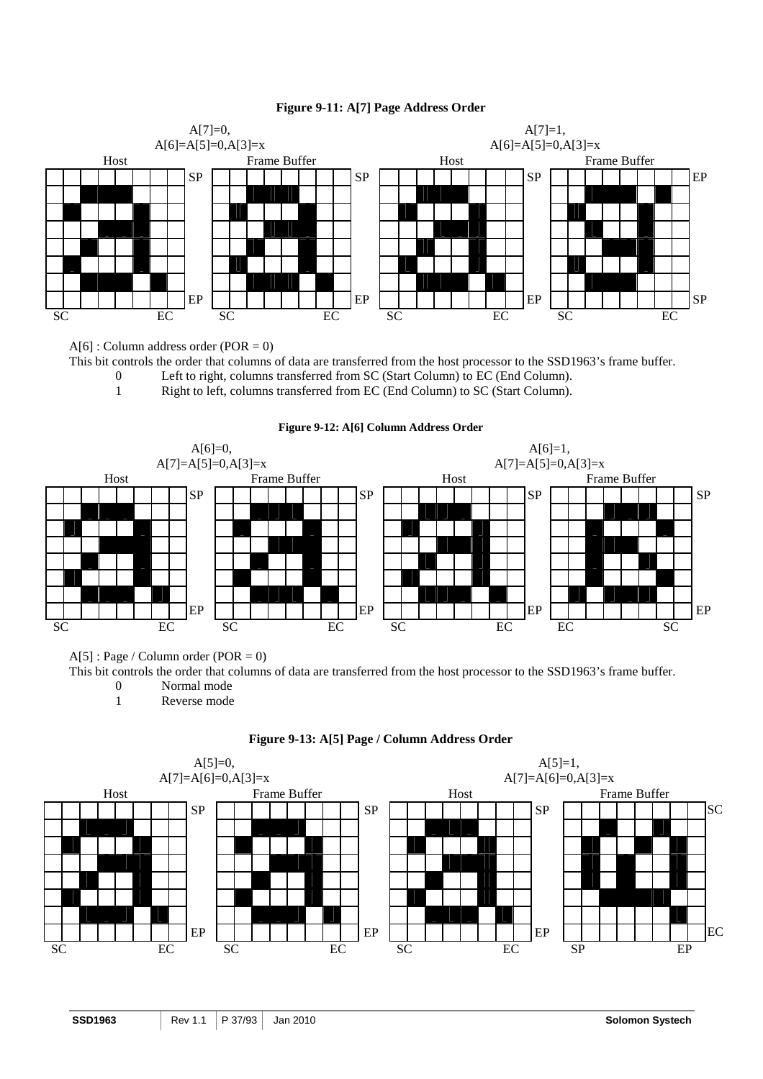### **Figure 9-11: A[7] Page Address Order**



 $A[6]$ : Column address order (POR = 0)

This bit controls the order that columns of data are transferred from the host processor to the SSD1963's frame buffer.

0 Left to right, columns transferred from SC (Start Column) to EC (End Column).<br>1 Right to left. columns transferred from EC (End Column) to SC (Start Column).

Right to left, columns transferred from EC (End Column) to SC (Start Column).





 $A[5]$ : Page / Column order (POR = 0)

This bit controls the order that columns of data are transferred from the host processor to the SSD1963's frame buffer.

0 Normal mode

1 Reverse mode



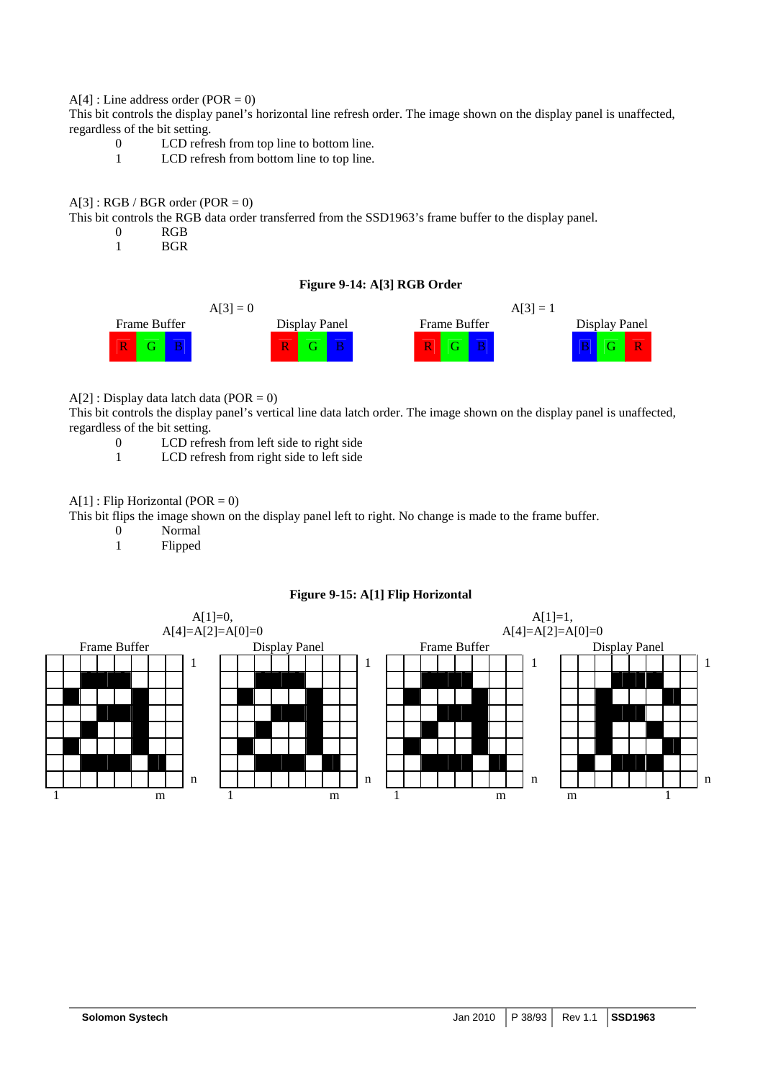#### $A[4]$ : Line address order (POR = 0)

This bit controls the display panel's horizontal line refresh order. The image shown on the display panel is unaffected, regardless of the bit setting.

- 0 LCD refresh from top line to bottom line.
- 1 LCD refresh from bottom line to top line.

### $A[3]$ : RGB / BGR order (POR = 0)

This bit controls the RGB data order transferred from the SSD1963's frame buffer to the display panel.

- $\begin{array}{ccc} 0 & & \text{RGB} \\ 1 & & \text{BGR} \end{array}$
- 1 BGR

#### **Figure 9-14: A[3] RGB Order**



 $A[2]$ : Display data latch data (POR = 0)

This bit controls the display panel's vertical line data latch order. The image shown on the display panel is unaffected, regardless of the bit setting.

- 0 LCD refresh from left side to right side
- 1 LCD refresh from right side to left side

# $A[1]$ : Flip Horizontal (POR = 0)

This bit flips the image shown on the display panel left to right. No change is made to the frame buffer.

- 0 Normal<br>1 Flipped
	- **Flipped**



#### **Figure 9-15: A[1] Flip Horizontal**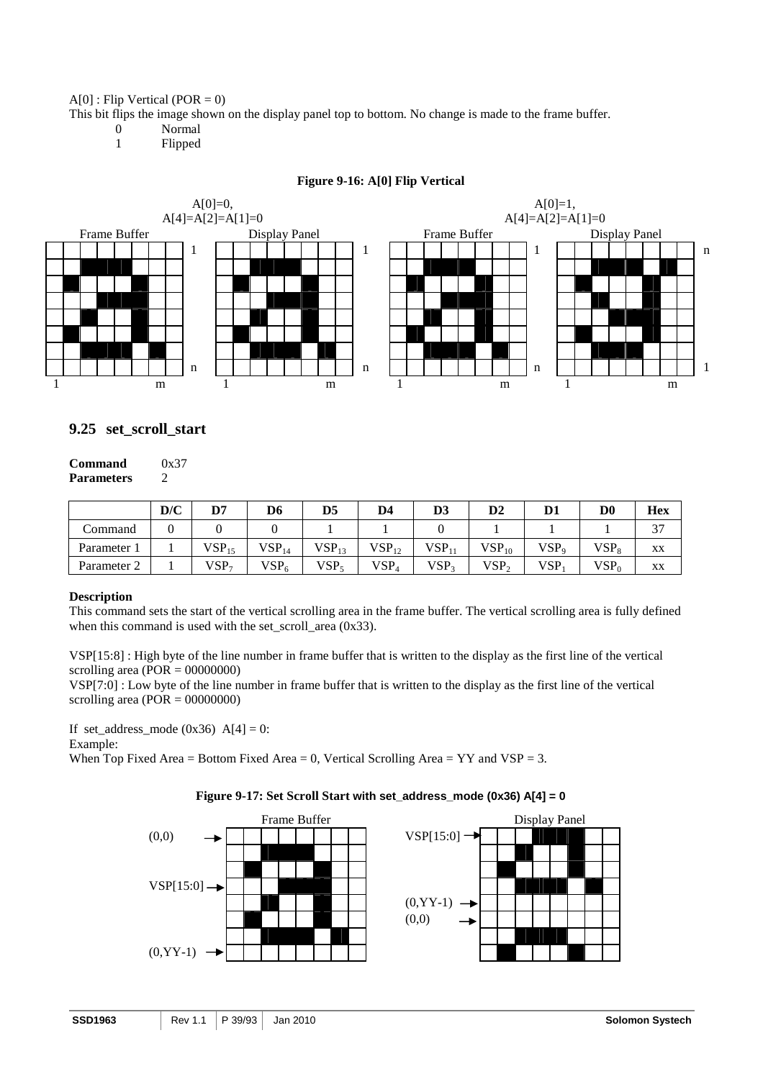#### $A[0]$ : Flip Vertical (POR = 0)

This bit flips the image shown on the display panel top to bottom. No change is made to the frame buffer.

0 Normal

1 Flipped



### **Figure 9-16: A[0] Flip Vertical**

# **9.25 set\_scroll\_start**

| Command           | 0x37 |
|-------------------|------|
| <b>Parameters</b> |      |

|             | D/C | D7               | D6         | D <sub>5</sub>   | D4                | D3                | $\mathbf{D2}$       | D1               | D0               | <b>Hex</b>   |
|-------------|-----|------------------|------------|------------------|-------------------|-------------------|---------------------|------------------|------------------|--------------|
| Command     |     |                  |            |                  |                   |                   |                     |                  |                  | $\sim$<br>J. |
| Parameter 1 |     | $VSP_{15}$       | $VSP_{14}$ | $VSP_{13}$       | VSP <sub>12</sub> | VSP <sub>11</sub> | $\mathsf{VSP}_{10}$ | VSP <sub>9</sub> | $VSP_8$          | XX           |
| Parameter 2 |     | VSP <sub>7</sub> | $VSP_6$    | VSP <sub>5</sub> | VSP <sub>4</sub>  | VSP <sub>3</sub>  | VSP <sub>2</sub>    | VSP              | VSP <sub>0</sub> | XX           |

#### **Description**

This command sets the start of the vertical scrolling area in the frame buffer. The vertical scrolling area is fully defined when this command is used with the set scroll area  $(0x33)$ .

VSP[15:8] : High byte of the line number in frame buffer that is written to the display as the first line of the vertical scrolling area  $(POR = 00000000)$ 

VSP[7:0] : Low byte of the line number in frame buffer that is written to the display as the first line of the vertical scrolling area  $(POR = 00000000)$ 

If set address mode (0x36) A[4] = 0: Example:

When Top Fixed Area = Bottom Fixed Area = 0, Vertical Scrolling Area =  $YY$  and  $VSP = 3$ .



# **Figure 9-17: Set Scroll Start with set\_address\_mode (0x36) A[4] = 0**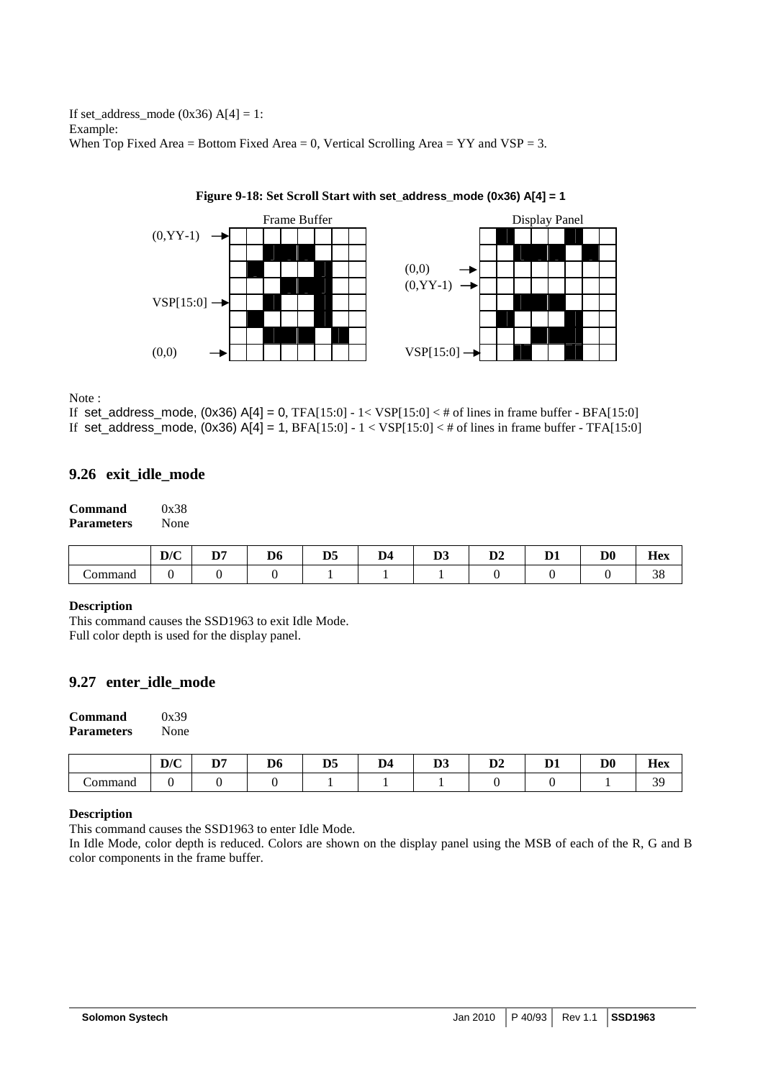If set address mode (0x36) A[4] = 1: Example: When Top Fixed Area = Bottom Fixed Area = 0, Vertical Scrolling Area =  $YY$  and  $VSP = 3$ .



**Figure 9-18: Set Scroll Start with set\_address\_mode (0x36) A[4] = 1**

Note :

If set\_address\_mode,  $(0x36)$  A[4] = 0, TFA[15:0] - 1< VSP[15:0] < # of lines in frame buffer - BFA[15:0] If set\_address\_mode,  $(0x36)$  A[4] = 1, BFA[15:0] - 1 < VSP[15:0] < # of lines in frame buffer - TFA[15:0]

# **9.26 exit\_idle\_mode**

| Command           | 0x38 |
|-------------------|------|
| <b>Parameters</b> | None |

|        | $\mathbf{D}$<br>ע<br>· ⊾ | DE.<br>∼ | D <sub>6</sub> | D£<br>בע | D <sub>4</sub> | $\sim$ $\sim$<br>" | D <sub>1</sub><br><i>טנ</i> | m. | D <sub>0</sub> | $-$<br>Hex    |
|--------|--------------------------|----------|----------------|----------|----------------|--------------------|-----------------------------|----|----------------|---------------|
| ommanc |                          |          |                |          |                |                    |                             |    |                | $\sim$<br>IJΟ |

#### **Description**

This command causes the SSD1963 to exit Idle Mode. Full color depth is used for the display panel.

### **9.27 enter\_idle\_mode**

| Command           | 0x39 |
|-------------------|------|
| <b>Parameters</b> | None |

|         | D/C | D.S | DC. | $\mathbf{r}$<br>v. | $\blacksquare$ | $\sim$ $\sim$<br>້<br>$\sim$ | D.3<br>IJΖ<br>-- | m. | D <sub>0</sub><br>__ | $-$<br>Hex<br>---- |
|---------|-----|-----|-----|--------------------|----------------|------------------------------|------------------|----|----------------------|--------------------|
| `ommano |     |     |     |                    |                |                              |                  |    |                      | $\sim$             |

#### **Description**

This command causes the SSD1963 to enter Idle Mode.

In Idle Mode, color depth is reduced. Colors are shown on the display panel using the MSB of each of the R, G and B color components in the frame buffer.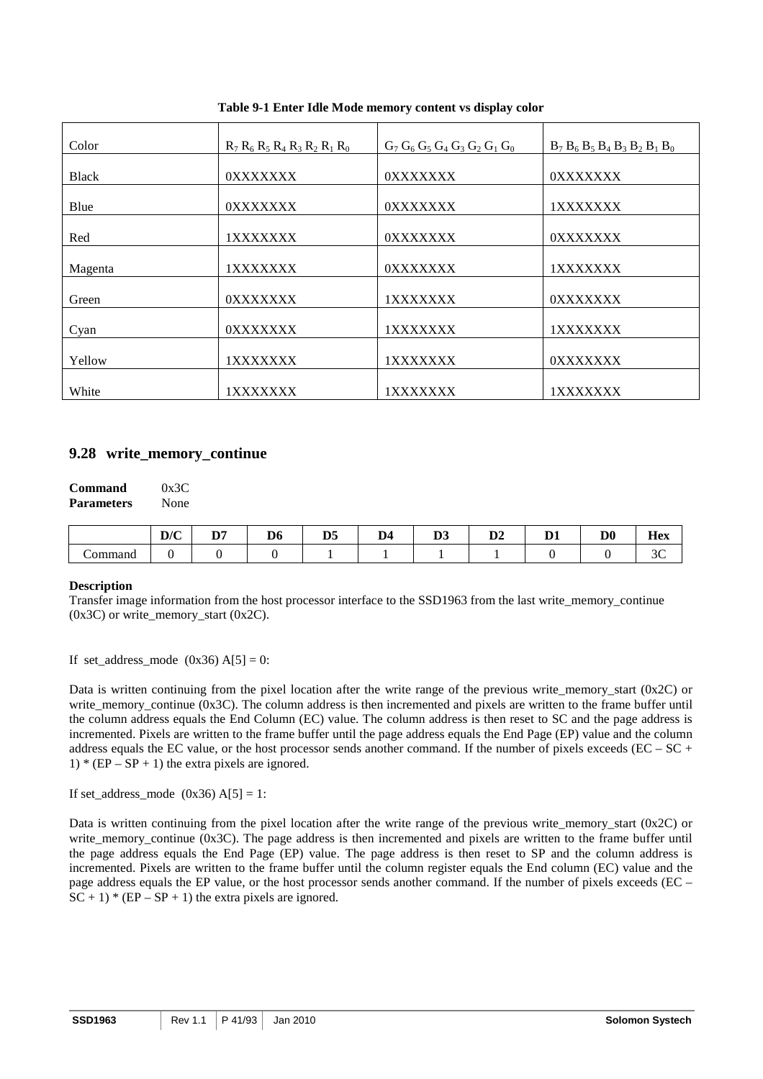| Color        | $R_7 R_6 R_5 R_4 R_3 R_2 R_1 R_0$ | $G_7 G_6 G_5 G_4 G_3 G_2 G_1 G_0$ | $B_7 B_6 B_5 B_4 B_3 B_2 B_1 B_0$ |
|--------------|-----------------------------------|-----------------------------------|-----------------------------------|
|              |                                   |                                   |                                   |
| <b>Black</b> | <b>OXXXXXXX</b>                   | <b>OXXXXXXX</b>                   | <b>OXXXXXXX</b>                   |
| Blue         | <b>OXXXXXXX</b>                   | <b>OXXXXXXX</b>                   | 1XXXXXXX                          |
| Red          | 1XXXXXXX                          | <b>OXXXXXXX</b>                   | <b>OXXXXXXX</b>                   |
| Magenta      | 1XXXXXXX                          | <b>OXXXXXXX</b>                   | 1XXXXXXX                          |
| Green        | <b>OXXXXXXX</b>                   | 1XXXXXXX                          | <b>OXXXXXXX</b>                   |
| Cyan         | <b>OXXXXXXX</b>                   | 1XXXXXXX                          | 1XXXXXXX                          |
| Yellow       | 1XXXXXXX                          | 1XXXXXXX                          | <b>OXXXXXXX</b>                   |
| White        | 1XXXXXXX                          | 1XXXXXXX                          | 1XXXXXXX                          |

**Table 9-1 Enter Idle Mode memory content vs display color** 

### **9.28 write\_memory\_continue**

| Command           | 0x3C |
|-------------------|------|
| <b>Parameters</b> | None |

|         | $\mathbf{D}/\mathbf{C}$<br>$\mathbf{D}/\mathbf{C}$ | <b>DE</b> | $\mathbf{R}$<br>$\sim$ | $\mathbf{r}$ | $\mathbf{r}$ | $\sim$ $\sim$<br>"<br>$\sim$ | D.3<br>IJΖ | m. | D <sub>0</sub><br>$\sim$ | $-$<br>Hex    |
|---------|----------------------------------------------------|-----------|------------------------|--------------|--------------|------------------------------|------------|----|--------------------------|---------------|
| `ommand |                                                    |           |                        |              |              |                              |            |    |                          | $\sim$<br>J V |

#### **Description**

Transfer image information from the host processor interface to the SSD1963 from the last write memory continue  $(0x3C)$  or write memory start  $(0x2C)$ .

If set\_address\_mode  $(0x36)$  A[5] = 0:

Data is written continuing from the pixel location after the write range of the previous write memory start  $(0x2C)$  or write memory continue ( $0x3C$ ). The column address is then incremented and pixels are written to the frame buffer until the column address equals the End Column (EC) value. The column address is then reset to SC and the page address is incremented. Pixels are written to the frame buffer until the page address equals the End Page (EP) value and the column address equals the EC value, or the host processor sends another command. If the number of pixels exceeds (EC –  $SC +$ 1) \*  $(EP - SP + 1)$  the extra pixels are ignored.

If set address mode  $(0x36)$  A[5] = 1:

Data is written continuing from the pixel location after the write range of the previous write memory start  $(0x2C)$  or write memory continue ( $0x3C$ ). The page address is then incremented and pixels are written to the frame buffer until the page address equals the End Page (EP) value. The page address is then reset to SP and the column address is incremented. Pixels are written to the frame buffer until the column register equals the End column (EC) value and the page address equals the EP value, or the host processor sends another command. If the number of pixels exceeds (EC –  $SC + 1$ <sup>\*</sup> ( $EP - SP + 1$ ) the extra pixels are ignored.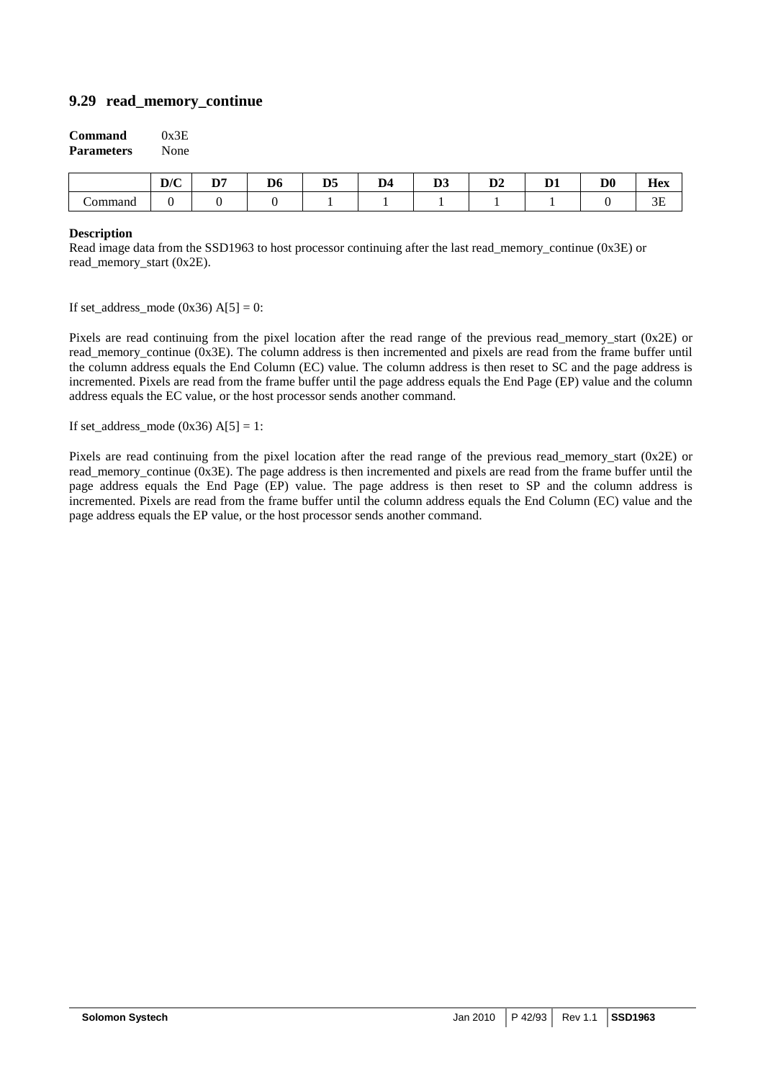# **9.29 read\_memory\_continue**

| <b>Command</b>    | 0x3E |
|-------------------|------|
| <b>Parameters</b> | None |

|        | D/C | D.S | D <sub>6</sub> | $\blacksquare$<br>ມພ | $\mathbf{r}$ | $\mathbf{r}$<br>້<br>$\sim$ | $\mathbf{m}$<br>υ4 | D.<br>. . | $\mathbf{r}$<br>DU.<br>__ | $\mathbf{r}$<br>Hov<br>LLCA |
|--------|-----|-----|----------------|----------------------|--------------|-----------------------------|--------------------|-----------|---------------------------|-----------------------------|
| ommano |     |     |                |                      |              |                             |                    |           |                           | $-$                         |

#### **Description**

Read image data from the SSD1963 to host processor continuing after the last read memory continue (0x3E) or read\_memory\_start (0x2E).

If set address mode (0x36) A[5] = 0:

Pixels are read continuing from the pixel location after the read range of the previous read\_memory\_start (0x2E) or read\_memory\_continue (0x3E). The column address is then incremented and pixels are read from the frame buffer until the column address equals the End Column (EC) value. The column address is then reset to SC and the page address is incremented. Pixels are read from the frame buffer until the page address equals the End Page (EP) value and the column address equals the EC value, or the host processor sends another command.

If set address\_mode (0x36)  $A[5] = 1$ :

Pixels are read continuing from the pixel location after the read range of the previous read memory start (0x2E) or read memory continue (0x3E). The page address is then incremented and pixels are read from the frame buffer until the page address equals the End Page (EP) value. The page address is then reset to SP and the column address is incremented. Pixels are read from the frame buffer until the column address equals the End Column (EC) value and the page address equals the EP value, or the host processor sends another command.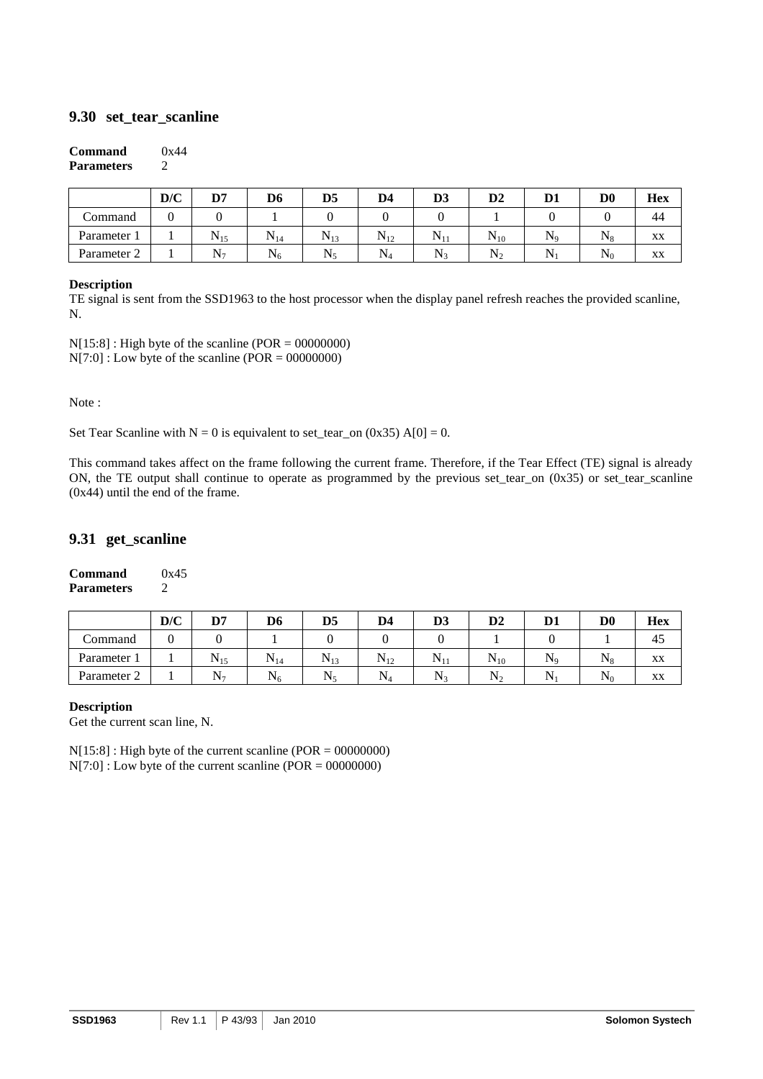### **9.30 set\_tear\_scanline**

#### **Command** 0x44 **Parameters** 2

|             | D/C | D7      | D6       | D <sub>5</sub> | D <sub>4</sub> | D <sub>3</sub> | D <sub>2</sub>           | D1   | $\mathbf{D} \mathbf{0}$ | <b>Hex</b> |
|-------------|-----|---------|----------|----------------|----------------|----------------|--------------------------|------|-------------------------|------------|
| Command     |     |         |          |                |                |                |                          |      |                         | 44         |
| Parameter   |     | 1915    | $N_{14}$ | $N_{13}$       | $N_{12}$       | $N_{1}$        | $\mathbf{v}$<br>$N_{10}$ | 1N c | $N_8$                   | XX         |
| Parameter 2 |     | $N_{7}$ | 196      | $N_{s}$        | $N_{4}$        | $N_{\hat{z}}$  | $\mathbf{v}$<br>$N_{2}$  | `N.  | $N_0$                   | XX         |

#### **Description**

TE signal is sent from the SSD1963 to the host processor when the display panel refresh reaches the provided scanline, N.

 $N[15:8]$ : High byte of the scanline (POR = 00000000)  $N[7:0]$ : Low byte of the scanline (POR = 00000000)

Note :

Set Tear Scanline with  $N = 0$  is equivalent to set\_tear\_on (0x35) A[0] = 0.

This command takes affect on the frame following the current frame. Therefore, if the Tear Effect (TE) signal is already ON, the TE output shall continue to operate as programmed by the previous set\_tear\_on  $(0x35)$  or set\_tear\_scanline (0x44) until the end of the frame.

# **9.31 get\_scanline**

**Command** 0x45 **Parameters** 2

|             | D/C | D7    | D6       | D <sub>5</sub> | D4       | D <sub>3</sub> | $\mathbf{D2}$                     | $\mathbf{D}$ | $\mathbf{D} \mathbf{0}$ | Hex |
|-------------|-----|-------|----------|----------------|----------|----------------|-----------------------------------|--------------|-------------------------|-----|
| Command     |     |       |          |                |          |                |                                   |              |                         | -45 |
| Parameter 1 |     | 1915  | $N_{14}$ | $N_{13}$       | $N_{12}$ | $N_1$<br>. .   | $\mathbf{v}$<br>$\mathsf{N}_{10}$ | 1Ne          | $1\sqrt{8}$             | XX  |
| Parameter 2 |     | $N_7$ | 136      | N,             |          | N <sub>2</sub> | $\mathbf{v}$<br>$N_{2}$           | ΔN           | ⊥N∩                     | XX  |

#### **Description**

Get the current scan line, N.

 $N[15:8]$ : High byte of the current scanline (POR = 00000000)  $N[7:0]$ : Low byte of the current scanline (POR = 00000000)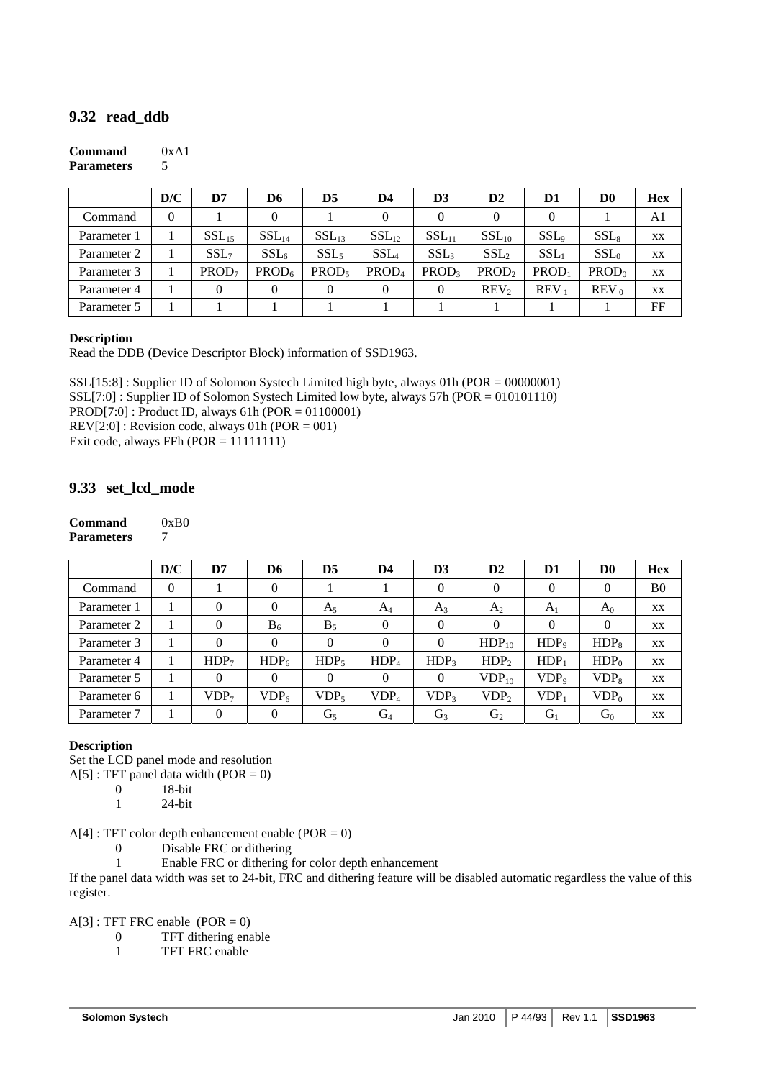# **9.32 read\_ddb**

#### **Command** 0xA1 **Parameters** 5

|             | D/C      | D7                | D6                | D5                | D4                | D3                | D <sub>2</sub>    | D1                | D <sub>0</sub>    | <b>Hex</b> |
|-------------|----------|-------------------|-------------------|-------------------|-------------------|-------------------|-------------------|-------------------|-------------------|------------|
| Command     | $\theta$ |                   |                   |                   |                   |                   | 0                 |                   |                   | A1         |
| Parameter 1 |          | SSL <sub>15</sub> | SSL <sub>14</sub> | SSL <sub>13</sub> | SSL <sub>12</sub> | SSL <sub>11</sub> | SSL <sub>10</sub> | SSL <sub>9</sub>  | SSL <sub>8</sub>  | XX         |
| Parameter 2 |          | SSL <sub>7</sub>  | SSL <sub>6</sub>  | SSL <sub>5</sub>  | SSL <sub>4</sub>  | SSL <sub>3</sub>  | SSL <sub>2</sub>  | $SSL_1$           | SSL <sub>0</sub>  | XX         |
| Parameter 3 |          | PROD <sub>7</sub> | PROD <sub>6</sub> | PROD <sub>5</sub> | PROD <sub>4</sub> | PROD <sub>3</sub> | PROD <sub>2</sub> | PROD <sub>1</sub> | PROD <sub>0</sub> | XX         |
| Parameter 4 |          | 0                 | 0                 |                   |                   |                   | REV <sub>2</sub>  | REV <sub>1</sub>  | $REV_0$           | XX         |
| Parameter 5 |          |                   |                   |                   |                   |                   |                   |                   |                   | FF         |

#### **Description**

Read the DDB (Device Descriptor Block) information of SSD1963.

SSL[15:8] : Supplier ID of Solomon Systech Limited high byte, always 01h (POR = 00000001) SSL[7:0] : Supplier ID of Solomon Systech Limited low byte, always 57h (POR = 010101110) PROD[7:0] : Product ID, always 61h (POR = 01100001) REV[2:0] : Revision code, always 01h (POR = 001) Exit code, always FFh  $(POR = 11111111)$ 

# **9.33 set\_lcd\_mode**

| Command           | 0xB0 |
|-------------------|------|
| <b>Parameters</b> | 7    |

|             | D/C      | D7               | D6               | D <sub>5</sub>   | D4               | D <sub>3</sub>   | $\mathbf{D2}$    | D1               | D <sub>0</sub> | <b>Hex</b>     |
|-------------|----------|------------------|------------------|------------------|------------------|------------------|------------------|------------------|----------------|----------------|
| Command     | $\Omega$ |                  | 0                |                  |                  | $\Omega$         | $\mathbf{0}$     | $\Omega$         | $\overline{0}$ | B <sub>0</sub> |
| Parameter 1 |          | $\Omega$         | 0                | $A_5$            | $A_4$            | $A_3$            | $A_2$            | $A_1$            | $A_0$          | XX             |
| Parameter 2 |          | $\theta$         | $B_6$            | $B_5$            | $\theta$         | $\Omega$         | $\Omega$         | $\Omega$         | $\Omega$       | XX             |
| Parameter 3 |          | $\Omega$         | 0                | $\Omega$         | 0                | $\theta$         | $HDP_{10}$       | HDP <sub>9</sub> | $HDP_8$        | XX             |
| Parameter 4 |          | HDP <sub>7</sub> | HDP <sub>6</sub> | HDP <sub>5</sub> | HDP <sub>4</sub> | HDP <sub>3</sub> | HDP <sub>2</sub> | HDP <sub>1</sub> | $HDP_0$        | XX             |
| Parameter 5 |          | $\Omega$         | 0                | $\Omega$         | $\theta$         | $\theta$         | $VDP_{10}$       | VDP <sub>9</sub> | $VDP_8$        | XX             |
| Parameter 6 |          | VDP <sub>7</sub> | VDP <sub>6</sub> | VDP <sub>5</sub> | VDP <sub>4</sub> | VDP <sub>3</sub> | VDP <sub>2</sub> | $VDP_1$          | $VDP_0$        | XX             |
| Parameter 7 |          | $\Omega$         | 0                | $G_5$            | $G_4$            | $G_3$            | G <sub>2</sub>   | $G_1$            | $G_0$          | XX             |

#### **Description**

Set the LCD panel mode and resolution

 $A[5]$ : TFT panel data width (POR = 0)

0 18-bit

1 24-bit

A[4] : TFT color depth enhancement enable (POR = 0)

- 0 Disable FRC or dithering
- 1 Enable FRC or dithering for color depth enhancement

If the panel data width was set to 24-bit, FRC and dithering feature will be disabled automatic regardless the value of this register.

 $A[3]$ : TFT FRC enable (POR = 0)

- 0 TFT dithering enable
	- 1 TFT FRC enable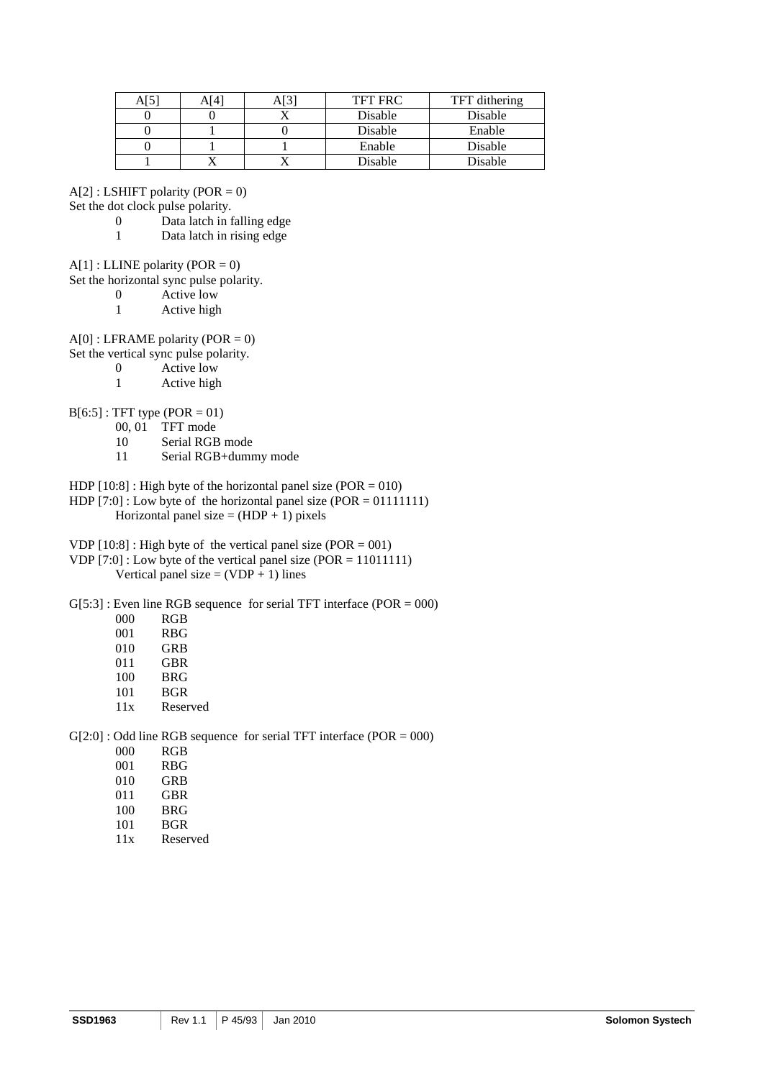| A[5] | A[4 | <b>TFT FRC</b> | TFT dithering |
|------|-----|----------------|---------------|
|      |     | Disable        | Disable       |
|      |     | Disable        | Enable        |
|      |     | Enable         | Disable       |
|      |     | Disable        | Disable       |

 $A[2]$ : LSHIFT polarity (POR = 0)

Set the dot clock pulse polarity.

- 0 Data latch in falling edge<br>1 Data latch in rising edge
- Data latch in rising edge
- $A[1]$ : LLINE polarity (POR = 0)
- Set the horizontal sync pulse polarity.
	- 0 Active low
	- 1 Active high

 $A[0]$ : LFRAME polarity (POR = 0)

- Set the vertical sync pulse polarity.
	- 0 Active low
	- 1 Active high

 $B[6:5]$ : TFT type (POR = 01)

- 00, 01 TFT mode
- 10 Serial RGB mode
- 11 Serial RGB+dummy mode

HDP  $[10:8]$ : High byte of the horizontal panel size (POR = 010)

- HDP  $[7:0]$ : Low byte of the horizontal panel size (POR = 01111111) Horizontal panel size =  $(HDP + 1)$  pixels
- VDP  $[10:8]$ : High byte of the vertical panel size  $(POR = 001)$
- VDP  $[7:0]$ : Low byte of the vertical panel size (POR = 11011111) Vertical panel size  $=$  (VDP + 1) lines

#### $G[5:3]$ : Even line RGB sequence for serial TFT interface (POR = 000)

- 000 RGB
- 001 RBG
- 010 GRB
- 011 GBR
- 100 BRG
- 101 BGR
- 11x Reserved

 $G[2:0]$ : Odd line RGB sequence for serial TFT interface (POR = 000)

- 000 RGB
- 001 RBG
- 010 GRB
- 011 GBR
- 100 BRG<br>101 BGR
- $RGR$
- 11x Reserved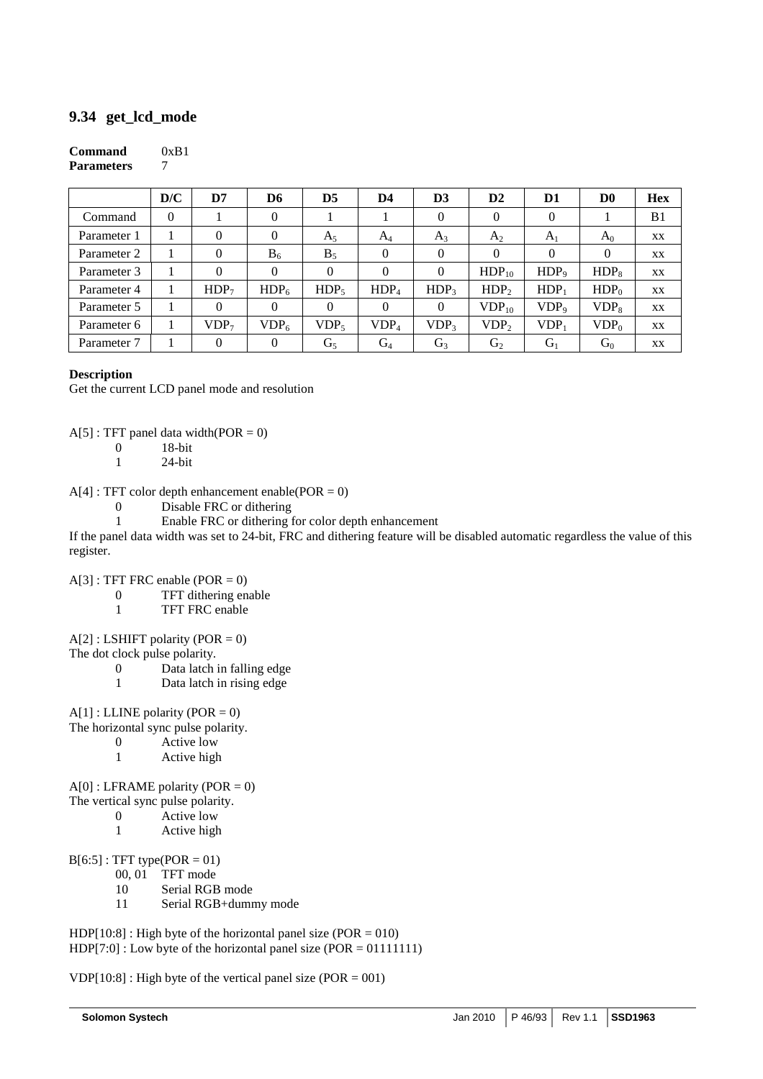# **9.34 get\_lcd\_mode**

#### **Command** 0xB1 **Parameters** 7

|             | D/C          | D7               | D6               | D <sub>5</sub>   | D <sub>4</sub>   | D <sub>3</sub>   | $\mathbf{D2}$    | D1               | D <sub>0</sub> | <b>Hex</b>     |
|-------------|--------------|------------------|------------------|------------------|------------------|------------------|------------------|------------------|----------------|----------------|
| Command     | $\mathbf{0}$ |                  | 0                |                  |                  | $\theta$         | $\theta$         | $\theta$         |                | B <sub>1</sub> |
| Parameter 1 |              | 0                | $\overline{0}$   | $A_5$            | $A_4$            | $A_3$            | A <sub>2</sub>   | A <sub>1</sub>   | $A_0$          | XX             |
| Parameter 2 |              | $\theta$         | $B_6$            | $B_5$            | 0                | $\Omega$         | $\theta$         | $\theta$         | $\theta$       | XX             |
| Parameter 3 |              | 0                | $\Omega$         | $\Omega$         | 0                | $\Omega$         | $HDP_{10}$       | HDP <sub>9</sub> | $HDP_8$        | XX             |
| Parameter 4 |              | HDP <sub>7</sub> | HDP <sub>6</sub> | HDP <sub>5</sub> | HDP <sub>4</sub> | HDP <sub>3</sub> | HDP <sub>2</sub> | HDP <sub>1</sub> | $HDP_0$        | XX             |
| Parameter 5 |              | $\Omega$         | $\Omega$         | $\Omega$         | $\theta$         | $\Omega$         | $VDP_{10}$       | VDP <sub>9</sub> | $VDP_8$        | XX             |
| Parameter 6 |              | VDP <sub>7</sub> | VDP <sub>6</sub> | VDP <sub>5</sub> | VDP <sub>4</sub> | VDP <sub>3</sub> | VDP <sub>2</sub> | $VDP_1$          | $VDP_0$        | XX             |
| Parameter 7 |              | 0                | $\theta$         | G <sub>5</sub>   | $G_4$            | $G_3$            | G <sub>2</sub>   | $G_1$            | $G_0$          | XX             |

#### **Description**

Get the current LCD panel mode and resolution

 $A[5]$ : TFT panel data width(POR = 0)

0 18-bit

1 24-bit

 $A[4]$ : TFT color depth enhancement enable(POR = 0)

- 0 Disable FRC or dithering
- 1 Enable FRC or dithering for color depth enhancement

If the panel data width was set to 24-bit, FRC and dithering feature will be disabled automatic regardless the value of this register.

 $A[3]$ : TFT FRC enable (POR = 0)

- 0 TFT dithering enable<br>1 TFT FRC enable
- TFT FRC enable

A[2] : LSHIFT polarity (POR = 0)

The dot clock pulse polarity.

- 0 Data latch in falling edge
- 1 Data latch in rising edge

 $A[1]$ : LLINE polarity (POR = 0)

The horizontal sync pulse polarity.

- 0 Active low<br>1 Active high
	- Active high

 $A[0]$ : LFRAME polarity (POR = 0)

- The vertical sync pulse polarity.
	- 0 Active low
	- 1 Active high

 $B[6:5]$ : TFT type(POR = 01)

- 00, 01 TFT mode<br>10 Serial RGE
	- Serial RGB mode
	- 11 Serial RGB+dummy mode

 $HDP[10:8]$ : High byte of the horizontal panel size (POR = 010) HDP[7:0] : Low byte of the horizontal panel size (POR = 01111111)

 $VDP[10:8]$ : High byte of the vertical panel size (POR = 001)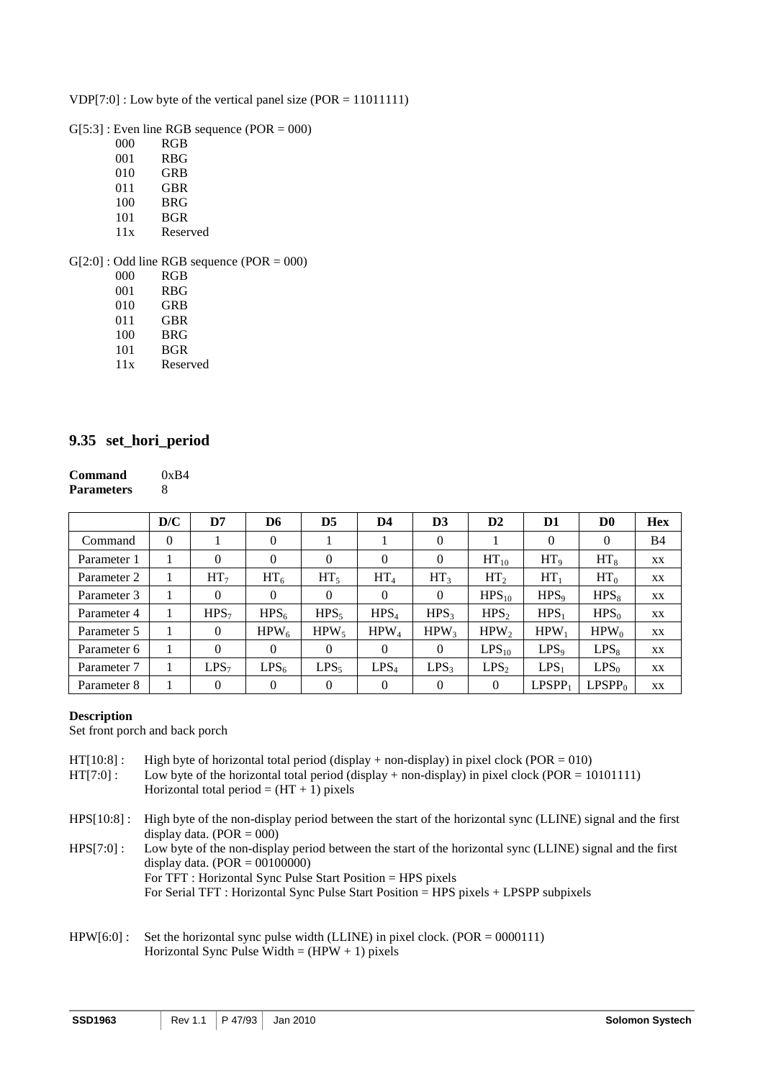VDP[7:0] : Low byte of the vertical panel size (POR = 11011111)

 $G[5:3]$ : Even line RGB sequence (POR = 000)

- 000 RGB 001 RBG 010 GRB 011 GBR
- 100 BRG
- 
- 101 BGR
- 11x Reserved

 $G[2:0]$ : Odd line RGB sequence (POR = 000)

- 000 RGB
- 001 RBG
- 010 GRB
- 011 GBR
- 100 BRG
- 101 BGR
- 11x Reserved

### **9.35 set\_hori\_period**

| Command           | 0xB4 |
|-------------------|------|
| <b>Parameters</b> | 8    |

|             | D/C      | D7               | D6               | D <sub>5</sub>   | D4               | D <sub>3</sub>   | D2               | D <sub>1</sub>   | D0        | <b>Hex</b> |
|-------------|----------|------------------|------------------|------------------|------------------|------------------|------------------|------------------|-----------|------------|
| Command     | $\Omega$ |                  | 0                |                  |                  | $\mathbf{0}$     |                  | $\mathbf{0}$     | $\Omega$  | <b>B4</b>  |
| Parameter 1 |          | 0                | 0                | $\Omega$         | $\theta$         | $\mathbf{0}$     | $HT_{10}$        | $HT_{9}$         | $HT_8$    | XX         |
| Parameter 2 |          | HT <sub>7</sub>  | $HT_6$           | HT <sub>5</sub>  | HT <sub>4</sub>  | HT <sub>3</sub>  | HT <sub>2</sub>  | $HT_1$           | $HT_0$    | XX.        |
| Parameter 3 |          | $\mathbf{0}$     | 0                | $\Omega$         | $\theta$         | $\Omega$         | $HPS_{10}$       | HPS <sub>9</sub> | $HPS_8$   | XX         |
| Parameter 4 |          | HPS <sub>7</sub> | HPS <sub>6</sub> | HPS <sub>5</sub> | HPS <sub>4</sub> | HPS <sub>3</sub> | HPS <sub>2</sub> | $HPS_1$          | $HPS_0$   | XX         |
| Parameter 5 |          | $\theta$         | $HPW_6$          | $HPW_5$          | $HPW_4$          | $HPW_3$          | HPW <sub>2</sub> | $HPW_1$          | $HPW_0$   | XX.        |
| Parameter 6 |          | $\mathbf{0}$     | 0                | $\Omega$         | $\theta$         | $\Omega$         | $LPS_{10}$       | $LPS_9$          | $LPS_8$   | XX         |
| Parameter 7 |          | LPS <sub>7</sub> | $LPS_6$          | LPS <sub>5</sub> | LPS <sub>4</sub> | LPS <sub>3</sub> | LPS <sub>2</sub> | $LPS_1$          | $LPS_0$   | XX         |
| Parameter 8 |          | $\theta$         | 0                | $\Omega$         | 0                | $\Omega$         | $\Omega$         | $LPSPP_1$        | $LPSPP_0$ | XX         |

#### **Description**

Set front porch and back porch

 $HT[10:8]$ : High byte of horizontal total period (display + non-display) in pixel clock (POR = 010)  $HT[7:0]$ : Low byte of the horizontal total period (display + non-display) in pixel clock (POR = 10101111) Horizontal total period =  $(HT + 1)$  pixels

- HPS[10:8]: High byte of the non-display period between the start of the horizontal sync (LLINE) signal and the first display data.  $(POR = 000)$
- HPS[7:0] : Low byte of the non-display period between the start of the horizontal sync (LLINE) signal and the first display data. (POR  $= 00100000$ ) For TFT : Horizontal Sync Pulse Start Position = HPS pixels For Serial TFT : Horizontal Sync Pulse Start Position = HPS pixels + LPSPP subpixels
- $HPW[6:0]$ : Set the horizontal sync pulse width (LLINE) in pixel clock. (POR = 0000111) Horizontal Sync Pulse Width =  $(HPW + 1)$  pixels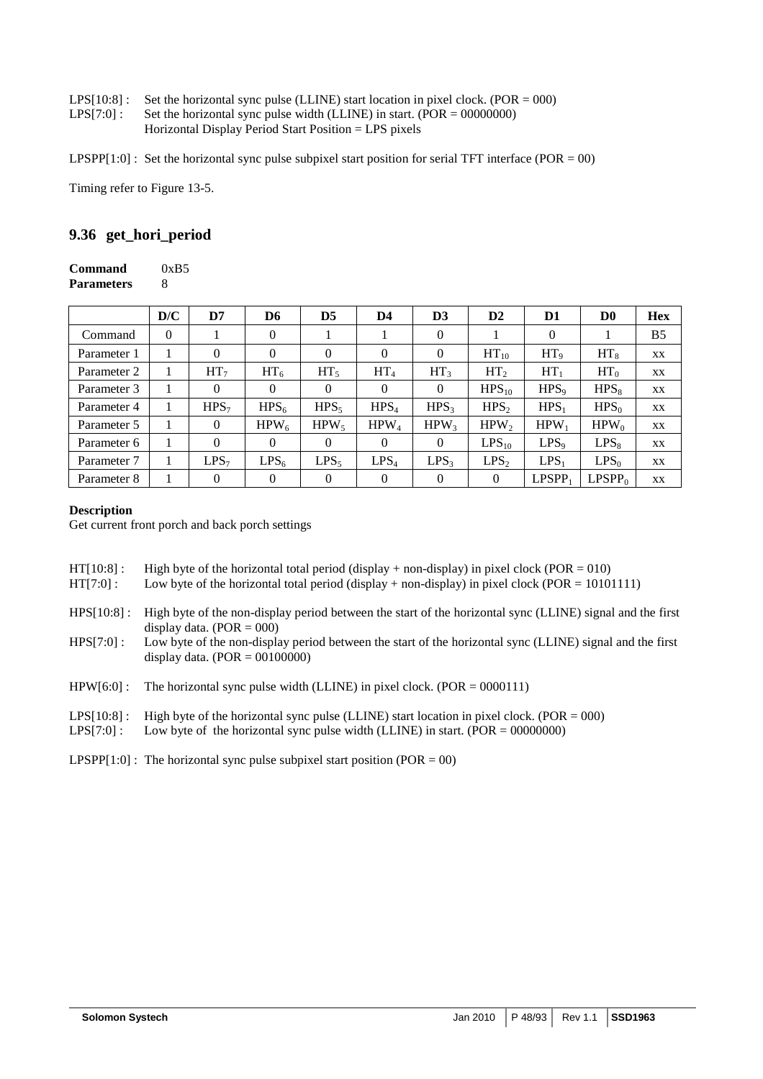LPS $[10:8]$ : Set the horizontal sync pulse (LLINE) start location in pixel clock. (POR = 000)

LPS $[7:0]$ : Set the horizontal sync pulse width (LLINE) in start. (POR = 00000000)

Horizontal Display Period Start Position = LPS pixels

LPSPP[1:0] : Set the horizontal sync pulse subpixel start position for serial TFT interface (POR =  $00$ )

Timing refer to Figure 13-5.

# **9.36 get\_hori\_period**

| Command           | 0xB5 |
|-------------------|------|
| <b>Parameters</b> | 8    |

|             | D/C      | D7               | D6       | D <sub>5</sub>   | D4               | D <sub>3</sub>   | $\mathbf{D2}$    | D1               | D <sub>0</sub>     | <b>Hex</b>     |
|-------------|----------|------------------|----------|------------------|------------------|------------------|------------------|------------------|--------------------|----------------|
| Command     | $\Omega$ |                  | $\Omega$ |                  |                  | $\theta$         |                  | $\Omega$         |                    | B <sub>5</sub> |
| Parameter 1 |          | 0                | $\Omega$ | $\theta$         | $\theta$         | $\theta$         | $HT_{10}$        | $HT_{9}$         | $HT_8$             | XX             |
| Parameter 2 | 1        | HT <sub>7</sub>  | $HT_{6}$ | HT <sub>5</sub>  | HT <sub>4</sub>  | HT <sub>3</sub>  | HT <sub>2</sub>  | $HT_1$           | $HT_0$             | XX             |
| Parameter 3 |          | 0                | $\Omega$ | $\overline{0}$   | $\theta$         | $\theta$         | $HPS_{10}$       | HPS <sub>9</sub> | $HPS_8$            | XX             |
| Parameter 4 | 1        | HPS <sub>7</sub> | $HPS_6$  | HPS <sub>5</sub> | HPS <sub>4</sub> | HPS <sub>3</sub> | HPS <sub>2</sub> | $HPS_1$          | $HPS_0$            | XX             |
| Parameter 5 | 1        | $\theta$         | $HPW_6$  | $HPW_5$          | $HPW_4$          | $HPW_3$          | HPW <sub>2</sub> | $HPW_1$          | $HPW_0$            | <b>XX</b>      |
| Parameter 6 |          | $\theta$         | $\Omega$ | $\overline{0}$   | $\theta$         | $\theta$         | $LPS_{10}$       | $LPS_9$          | $LPS_8$            | XX             |
| Parameter 7 | 1        | LPS <sub>7</sub> | $LPS_6$  | $LPS_5$          | LPS <sub>4</sub> | LPS <sub>3</sub> | LPS <sub>2</sub> | $LPS_1$          | $LPS_0$            | XX             |
| Parameter 8 | 1        | 0                | $\Omega$ | $\Omega$         | $\theta$         | $\theta$         | $\mathbf{0}$     | $LPSPP_1$        | LPSPP <sub>0</sub> | XX             |

### **Description**

Get current front porch and back porch settings

- HT[10:8] : High byte of the horizontal total period (display + non-display) in pixel clock (POR = 010)
- $HT[7:0]$ : Low byte of the horizontal total period (display + non-display) in pixel clock (POR = 10101111)
- HPS[10:8] : High byte of the non-display period between the start of the horizontal sync (LLINE) signal and the first display data. (POR  $= 000$ )
- HPS[7:0] : Low byte of the non-display period between the start of the horizontal sync (LLINE) signal and the first display data. (POR  $= 00100000$ )
- $HPW[6:0]$ : The horizontal sync pulse width (LLINE) in pixel clock. (POR = 0000111)
- LPS $[10:8]$ : High byte of the horizontal sync pulse (LLINE) start location in pixel clock. (POR = 000)
- LPS[7:0] : Low byte of the horizontal sync pulse width (LLINE) in start.  $(POR = 00000000)$

LPSPP $[1:0]$ : The horizontal sync pulse subpixel start position (POR = 00)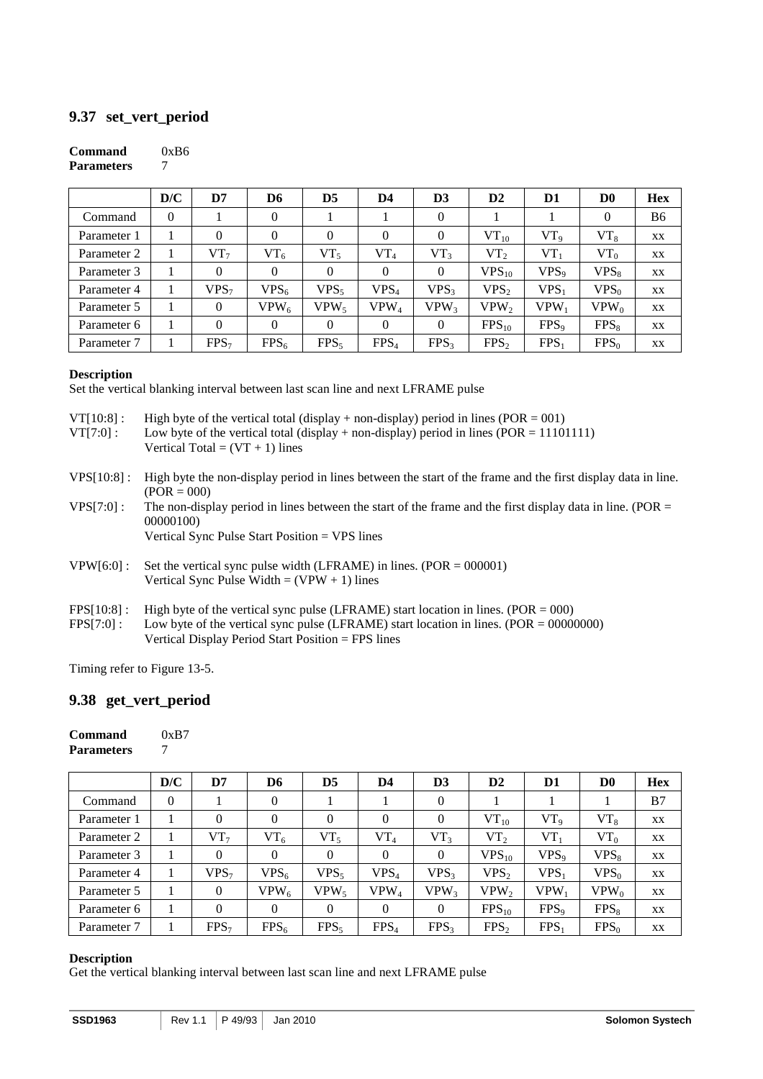# **9.37 set\_vert\_period**

#### **Command** 0xB6 **Parameters** 7

|             | D/C      | D7               | D6      | D <sub>5</sub>   | D4               | D3               | $\mathbf{D}2$    | D1               | D <sub>0</sub> | <b>Hex</b> |
|-------------|----------|------------------|---------|------------------|------------------|------------------|------------------|------------------|----------------|------------|
| Command     | $\theta$ |                  | 0       |                  |                  | $\theta$         |                  |                  | $\Omega$       | <b>B6</b>  |
| Parameter 1 |          | $\theta$         | 0       | $\Omega$         | $\theta$         | $\theta$         | $VT_{10}$        | $VT_9$           | $VT_8$         | XX         |
| Parameter 2 |          | VT <sub>7</sub>  | $VT_6$  | $VT_5$           | $\rm{VT}_4$      | $VT_3$           | $VT_2$           | $VT_1$           | $VT_0$         | XX         |
| Parameter 3 |          | 0                | 0       | $\Omega$         | $\theta$         | $\Omega$         | $VPS_{10}$       | $VPS_9$          | $VPS_8$        | XX         |
| Parameter 4 |          | VPS <sub>7</sub> | $VPS_6$ | $VPS_5$          | VPS <sub>4</sub> | VPS <sub>3</sub> | VPS <sub>2</sub> | $VPS_1$          | $VPS_0$        | XX         |
| Parameter 5 |          | $\theta$         | $VPW_6$ | $VPW_5$          | $\mathrm{VPW}_4$ | $VPW_3$          | VPW <sub>2</sub> | $VPW_1$          | $VPW_0$        | XX         |
| Parameter 6 |          | 0                | 0       | $\Omega$         | $\theta$         | $\Omega$         | $FPS_{10}$       | FPS <sub>9</sub> | $FPS_8$        | XX         |
| Parameter 7 |          | FPS <sub>7</sub> | $FPS_6$ | FPS <sub>5</sub> | FPS <sub>4</sub> | FPS <sub>3</sub> | FPS <sub>2</sub> | $FPS_1$          | $FPS_0$        | XX         |

### **Description**

Set the vertical blanking interval between last scan line and next LFRAME pulse

| $VT[10:8]$ :<br>$VT[7:0]$ :   | High byte of the vertical total (display + non-display) period in lines ( $POR = 001$ )<br>Low byte of the vertical total (display + non-display) period in lines (POR = $11101111$ )<br>Vertical Total = $(VT + 1)$ lines               |
|-------------------------------|------------------------------------------------------------------------------------------------------------------------------------------------------------------------------------------------------------------------------------------|
| $VPS[10:8]$ :                 | High byte the non-display period in lines between the start of the frame and the first display data in line.<br>$(POR = 000)$                                                                                                            |
| VPS[7:0]:                     | The non-display period in lines between the start of the frame and the first display data in line. (POR $=$<br>00000100)<br>Vertical Sync Pulse Start Position = VPS lines                                                               |
| $VPW[6:0]$ :                  | Set the vertical sync pulse width (LFRAME) in lines. $(POR = 000001)$<br>Vertical Sync Pulse Width = $(VPW + 1)$ lines                                                                                                                   |
| $FPS[10:8]$ :<br>$FPS[7:0]$ : | High byte of the vertical sync pulse (LFRAME) start location in lines. (POR $= 000$ )<br>Low byte of the vertical sync pulse (LFRAME) start location in lines. (POR = $00000000$ )<br>Vertical Display Period Start Position = FPS lines |

Timing refer to Figure 13-5.

# **9.38 get\_vert\_period**

| Command           | 0xB7 |
|-------------------|------|
| <b>Parameters</b> | 7    |

|             | D/C      | D7               | D6      | D <sub>5</sub>   | D <sub>4</sub>   | D3               | D <sub>2</sub>   | D <sub>1</sub>   | D <sub>0</sub> | <b>Hex</b> |
|-------------|----------|------------------|---------|------------------|------------------|------------------|------------------|------------------|----------------|------------|
| Command     | $\theta$ |                  | 0       |                  |                  | $\theta$         |                  |                  |                | B7         |
| Parameter 1 |          | 0                | 0       | 0                | $\theta$         | $\theta$         | $VT_{10}$        | $VT_9$           | $VT_8$         | XX         |
| Parameter 2 |          | $VT_7$           | $VT_6$  | $VT_5$           | $\rm{VT}_4$      | $VT_3$           | $VT_2$           | $VT_1$           | $VT_0$         | XX         |
| Parameter 3 |          | 0                | 0       | 0                | $\theta$         | $\Omega$         | $VPS_{10}$       | $VPS_9$          | $VPS_8$        | XX.        |
| Parameter 4 |          | VPS <sub>7</sub> | $VPS_6$ | $VPS_5$          | VPS <sub>4</sub> | VPS <sub>3</sub> | VPS <sub>2</sub> | $VPS_1$          | $VPS_0$        | XX         |
| Parameter 5 |          | 0                | $VPW_6$ | $VPW_5$          | $\mathrm{VPW}_4$ | $VPW_3$          | $VPW_2$          | $VPW_1$          | $VPW_0$        | XX         |
| Parameter 6 |          | 0                | 0       | $\Omega$         | $\Omega$         | $\Omega$         | $FPS_{10}$       | FPS <sub>9</sub> | $FPS_8$        | XX         |
| Parameter 7 |          | FPS <sub>7</sub> | $FPS_6$ | FPS <sub>5</sub> | FPS <sub>4</sub> | FPS <sub>3</sub> | FPS <sub>2</sub> | $FPS_1$          | $FPS_0$        | XX         |

#### **Description**

Get the vertical blanking interval between last scan line and next LFRAME pulse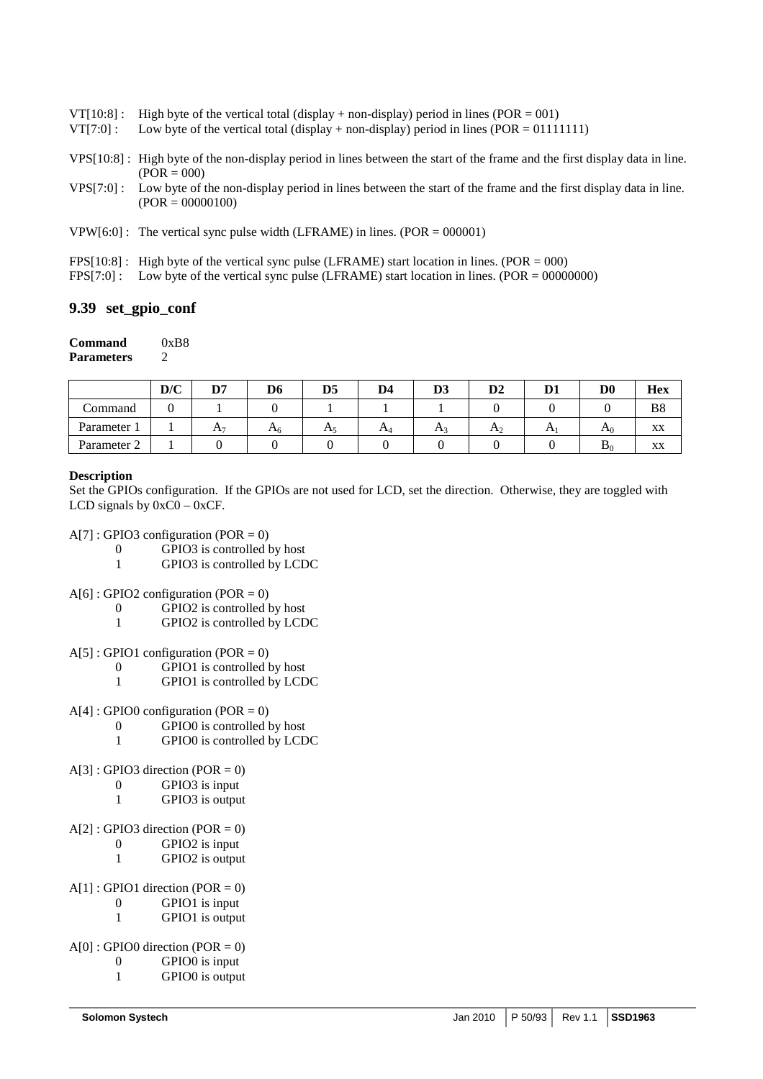- VT[10:8] : High byte of the vertical total (display + non-display) period in lines (POR = 001)
- $VT[7:0]$ : Low byte of the vertical total (display + non-display) period in lines (POR = 01111111)
- VPS[10:8] : High byte of the non-display period in lines between the start of the frame and the first display data in line.  $(POR = 000)$
- VPS[7:0] : Low byte of the non-display period in lines between the start of the frame and the first display data in line.  $(POR = 00000100)$
- $VPW[6:0]$ : The vertical sync pulse width (LFRAME) in lines. (POR = 000001)
- $FPS[10:8]$ : High byte of the vertical sync pulse (LFRAME) start location in lines. (POR = 000)
- FPS[7:0] : Low byte of the vertical sync pulse (LFRAME) start location in lines. (POR = 00000000)

### **9.39 set\_gpio\_conf**

| Command           | 0xB8 |
|-------------------|------|
| <b>Parameters</b> |      |

|             | D/C | D7 | D6             | D <sub>5</sub> | D4       | D <sub>3</sub> | $\mathbf{D2}$  | D <sub>1</sub> | $\mathbf{D} \mathbf{0}$ | <b>Hex</b>     |
|-------------|-----|----|----------------|----------------|----------|----------------|----------------|----------------|-------------------------|----------------|
| Command     | U   |    |                |                |          |                |                |                |                         | B <sub>8</sub> |
| Parameter   |     | n. | $\mathbf{A}_6$ | Л5             | $\Gamma$ | $\mathbf{A}$   | H <sub>2</sub> | $\mathbf{L}$   | $A_0$                   | XX             |
| Parameter 2 |     |    |                |                |          |                |                |                | $\mathbf{D}_0$          | XX             |

#### **Description**

Set the GPIOs configuration. If the GPIOs are not used for LCD, set the direction. Otherwise, they are toggled with LCD signals by  $0xC0 - 0xCF$ .

 $A[7]$ : GPIO3 configuration (POR = 0)

- 0 GPIO3 is controlled by host
- 1 GPIO3 is controlled by LCDC
- $A[6]$ : GPIO2 configuration (POR = 0)
	- 0 GPIO2 is controlled by host
	- 1 GPIO2 is controlled by LCDC
- $A[5]$ : GPIO1 configuration (POR = 0)
	- 0 GPIO1 is controlled by host
		- 1 GPIO1 is controlled by LCDC
- $A[4]$ : GPIO0 configuration (POR = 0)
	- 0 GPIO0 is controlled by host
	- 1 GPIO0 is controlled by LCDC
- $A[3]$ : GPIO3 direction (POR = 0)
	- 0 GPIO3 is input
	- 1 GPIO3 is output
- $A[2]$ : GPIO3 direction (POR = 0)
	- 0 GPIO2 is input
		- 1 GPIO2 is output
- $A[1]$ : GPIO1 direction (POR = 0)
	- 0 GPIO1 is input 1 GPIO1 is output
- $A[0]$ : GPIO0 direction (POR = 0)
	- 0 GPIO0 is input
		- 1 GPIO0 is output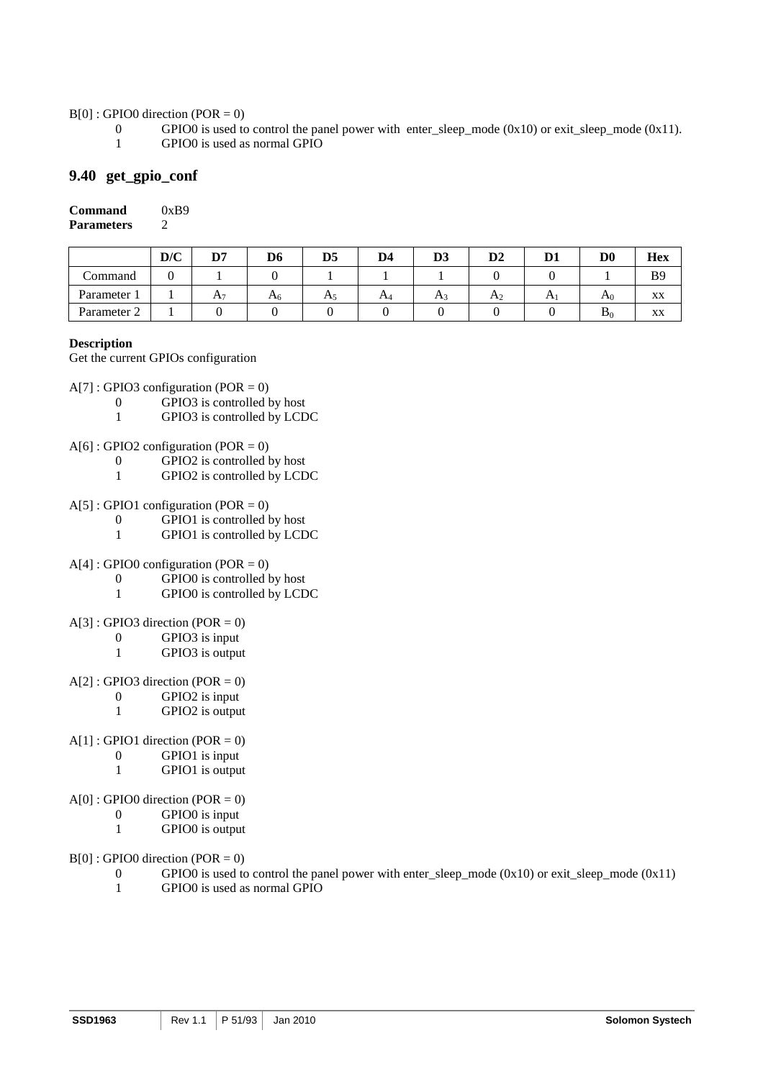#### $B[0]$ : GPIO0 direction (POR = 0)

- 0 GPIO0 is used to control the panel power with enter\_sleep\_mode  $(0x10)$  or exit\_sleep\_mode  $(0x11)$ .
	- 1 GPIO0 is used as normal GPIO

# **9.40 get\_gpio\_conf**

| <b>Command</b>    | 0xB9           |
|-------------------|----------------|
| <b>Parameters</b> | $\mathfrak{D}$ |

|             | D/C | D7        | D6             | D5 | D4    | D3    | $\mathbf{D}2$  |    | $\mathbf{D} \mathbf{0}$   | <b>Hex</b> |
|-------------|-----|-----------|----------------|----|-------|-------|----------------|----|---------------------------|------------|
| Command     | υ   |           |                |    |       |       |                |    |                           | <b>B</b> 9 |
| Parameter 1 |     | $A^{\pi}$ | A <sub>6</sub> | A5 | $A_4$ | $A_3$ | A <sub>2</sub> | H. | $\mathbf{A}$ <sup>0</sup> | XX         |
| Parameter 2 |     |           |                |    |       |       |                |    | $\mathbf{D}_0$            | XХ         |

#### **Description**

Get the current GPIOs configuration

- $A[7]$ : GPIO3 configuration (POR = 0)
	- 0 GPIO3 is controlled by host
	- 1 GPIO3 is controlled by LCDC
- $A[6]$ : GPIO2 configuration (POR = 0)
	- 0 GPIO2 is controlled by host
	- 1 GPIO2 is controlled by LCDC
- $A[5]$ : GPIO1 configuration (POR = 0)
	- 0 GPIO1 is controlled by host
	- 1 GPIO1 is controlled by LCDC
- $A[4]$ : GPIO0 configuration (POR = 0)
	- 0 GPIO0 is controlled by host
	- 1 GPIO0 is controlled by LCDC
- $A[3]$ : GPIO3 direction (POR = 0)
	- 0 GPIO3 is input
		- 1 GPIO3 is output
- $A[2]$ : GPIO3 direction (POR = 0)
	- 0 GPIO2 is input
	- 1 GPIO2 is output
- $A[1]$ : GPIO1 direction (POR = 0)
	- 0 GPIO1 is input
		- 1 GPIO1 is output
- $A[0]$ : GPIO0 direction (POR = 0)
	- 0 GPIO0 is input
	- 1 GPIO0 is output
- $B[0]$ : GPIO0 direction (POR = 0)
	- 0 GPIO0 is used to control the panel power with enter sleep mode  $(0x10)$  or exit sleep mode  $(0x11)$
	- 1 GPIO0 is used as normal GPIO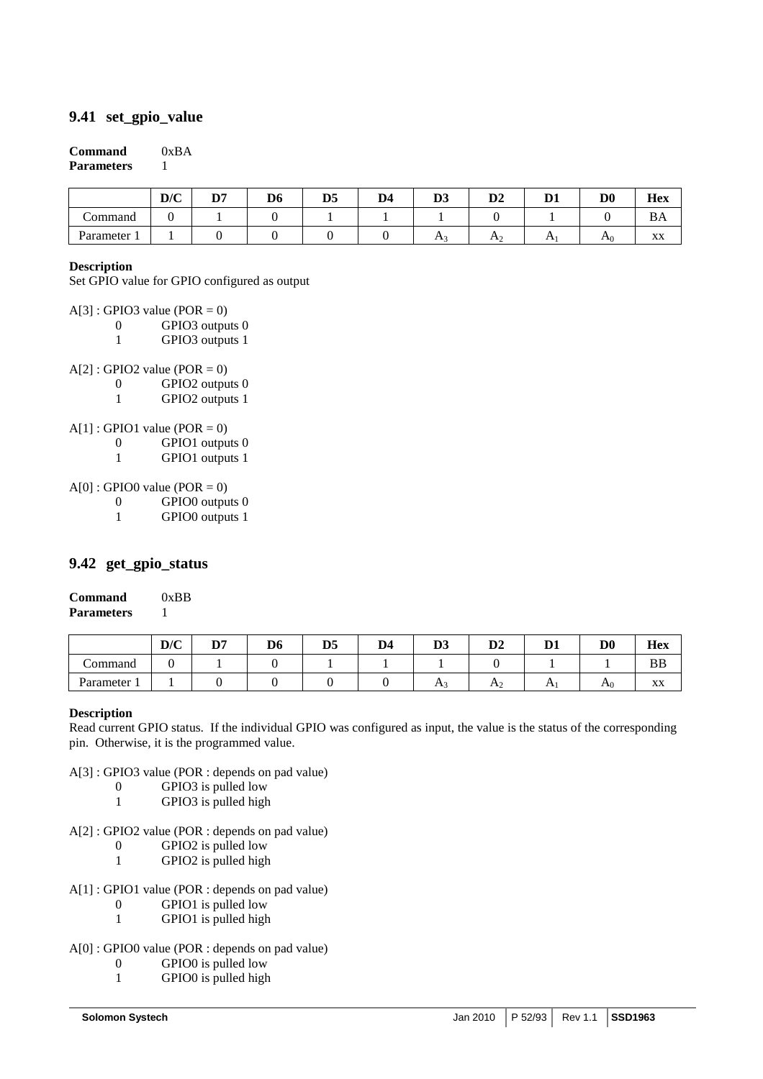# **9.41 set\_gpio\_value**

#### **Command** 0xBA **Parameters** 1

|              | D/C | D7 | D <sub>6</sub> | D5 | D4 | D.A<br>IJJ | D <sub>2</sub> | D.       | D <sub>0</sub> | <b>Hex</b> |
|--------------|-----|----|----------------|----|----|------------|----------------|----------|----------------|------------|
| ∼<br>Command |     |    |                |    |    |            |                |          |                | ΒA         |
| Parameter    |     |    |                |    |    | <b>A</b>   | H              | $\Gamma$ | A <sub>0</sub> | XX         |

#### **Description**

Set GPIO value for GPIO configured as output

 $A[3]$ : GPIO3 value (POR = 0)

- 0 GPIO3 outputs 0
- 1 GPIO3 outputs 1
- $A[2]$ : GPIO2 value (POR = 0)
	- 0 GPIO2 outputs 0
	- 1 GPIO2 outputs 1
- $A[1]$ : GPIO1 value (POR = 0)
	- 0 GPIO1 outputs 0
		- 1 GPIO1 outputs 1
- $A[0]$ : GPIO0 value (POR = 0)
	- 0 GPIO0 outputs 0
	- 1 GPIO0 outputs 1

### **9.42 get\_gpio\_status**

| Command           | 0xBB |
|-------------------|------|
| <b>Parameters</b> |      |

|           | D/C | פת<br>υ, | D6 | D <sub>5</sub> | D <sub>4</sub> | D.<br>D3       | n.<br>IJΔ | D.         | $\mathbf{D} \mathbf{0}$ | Hex                |
|-----------|-----|----------|----|----------------|----------------|----------------|-----------|------------|-------------------------|--------------------|
| Command   | ъ.  |          |    |                |                |                |           |            |                         | BB                 |
| Parameter |     |          |    |                |                | $\mathbf{L}^2$ | A.        | $\sqrt{ }$ | H <sub>0</sub>          | $\mathbf{v}$<br>AΛ |

#### **Description**

Read current GPIO status. If the individual GPIO was configured as input, the value is the status of the corresponding pin. Otherwise, it is the programmed value.

- A[3] : GPIO3 value (POR : depends on pad value)
	- 0 GPIO3 is pulled low
	- 1 GPIO3 is pulled high
- A[2] : GPIO2 value (POR : depends on pad value)
	- 0 GPIO2 is pulled low
	- 1 GPIO2 is pulled high
- A[1] : GPIO1 value (POR : depends on pad value)
	- 0 GPIO1 is pulled low
	- 1 GPIO1 is pulled high
- A[0] : GPIO0 value (POR : depends on pad value)
	- 0 GPIO0 is pulled low
	- 1 GPIO0 is pulled high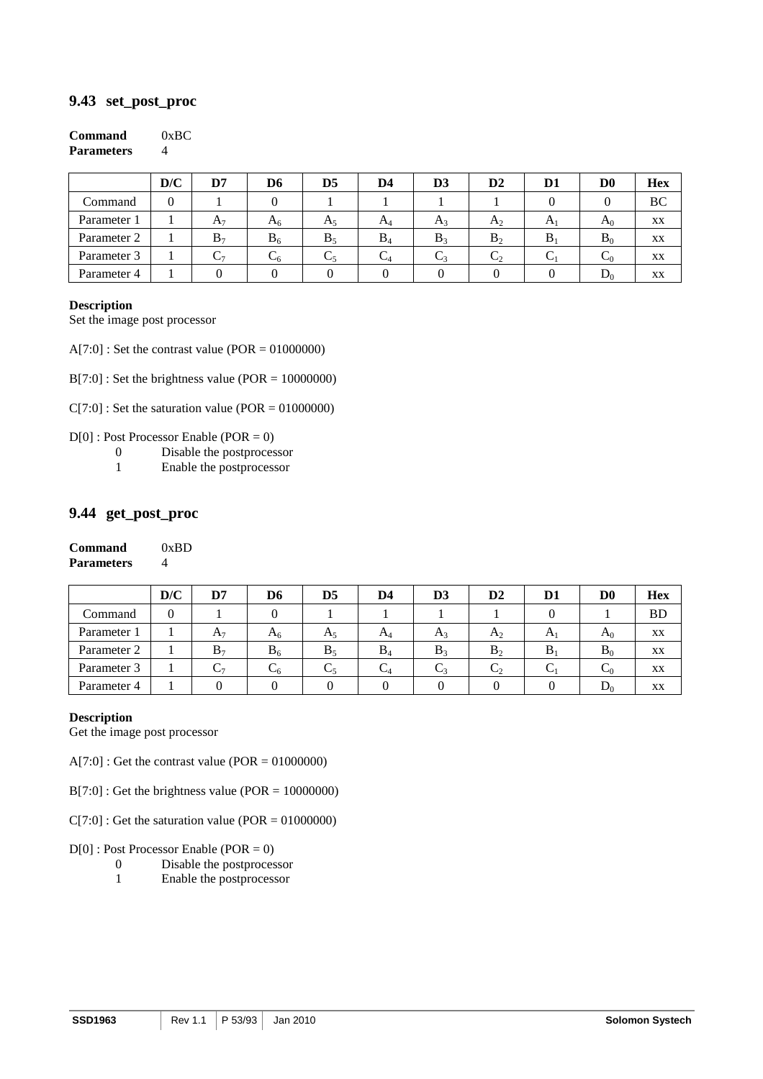### **9.43 set\_post\_proc**

| Command           | 0xBC           |
|-------------------|----------------|
| <b>Parameters</b> | $\overline{4}$ |

|             | D/C | D7             | D6    | D5    | D4    | D3    | $\mathbf{D}2$  | D1             | $\mathbf{D} \mathbf{0}$ | <b>Hex</b> |
|-------------|-----|----------------|-------|-------|-------|-------|----------------|----------------|-------------------------|------------|
| Command     | 0   |                |       |       |       |       |                |                |                         | ВC         |
| Parameter 1 |     | A <sub>7</sub> | $A_6$ | $A_5$ | $A_4$ | $A_3$ | A <sub>2</sub> | A <sub>1</sub> | $A_0$                   | XX         |
| Parameter 2 |     | $B_7$          | $B_6$ | $B_5$ | $B_4$ | $B_3$ | B <sub>2</sub> | B              | $B_0$                   | XX         |
| Parameter 3 |     | C7             | ╰ん    | ⊵5    | C4    | しっ    | $\mathsf{C}_2$ |                | ◡օ                      | XX         |
| Parameter 4 |     |                |       |       |       |       |                |                | $D_0$                   | XX         |

#### **Description**

Set the image post processor

 $A[7:0]$ : Set the contrast value (POR = 01000000)

B[7:0] : Set the brightness value (POR = 10000000)

 $C[7:0]$ : Set the saturation value (POR = 01000000)

D[0] : Post Processor Enable (POR = 0)

- 0 Disable the postprocessor<br>1 Enable the postprocessor
- Enable the postprocessor

# **9.44 get\_post\_proc**

| Command           | 0xBD |
|-------------------|------|
| <b>Parameters</b> | 4    |

|             | D/C | D7             | D6    | D5    | D4    | D3             | D <sub>2</sub> | D1 | $\mathbf{D} \mathbf{0}$ | <b>Hex</b> |
|-------------|-----|----------------|-------|-------|-------|----------------|----------------|----|-------------------------|------------|
| Command     | 0   |                |       |       |       |                |                |    |                         | BD         |
| Parameter 1 |     | A <sub>7</sub> | $A_6$ | $A_5$ | $A_4$ | A <sub>3</sub> | A <sub>2</sub> | A  | $A_0$                   | XX         |
| Parameter 2 |     | $B_7$          | $B_6$ | $B_5$ | $B_4$ | $B_3$          | B <sub>2</sub> | B  | $B_0$                   | XX         |
| Parameter 3 |     | رب             |       |       |       |                | $\sim$         |    | $\mathsf{C}^0$          | XX         |
| Parameter 4 |     |                |       |       |       |                |                |    | $D_0$                   | XX         |

### **Description**

Get the image post processor

 $A[7:0]$ : Get the contrast value (POR = 01000000)

B[7:0] : Get the brightness value (POR = 10000000)

 $C[7:0]$ : Get the saturation value (POR = 01000000)

D[0] : Post Processor Enable (POR = 0)

- 0 Disable the postprocessor<br>1 Enable the postprocessor
- Enable the postprocessor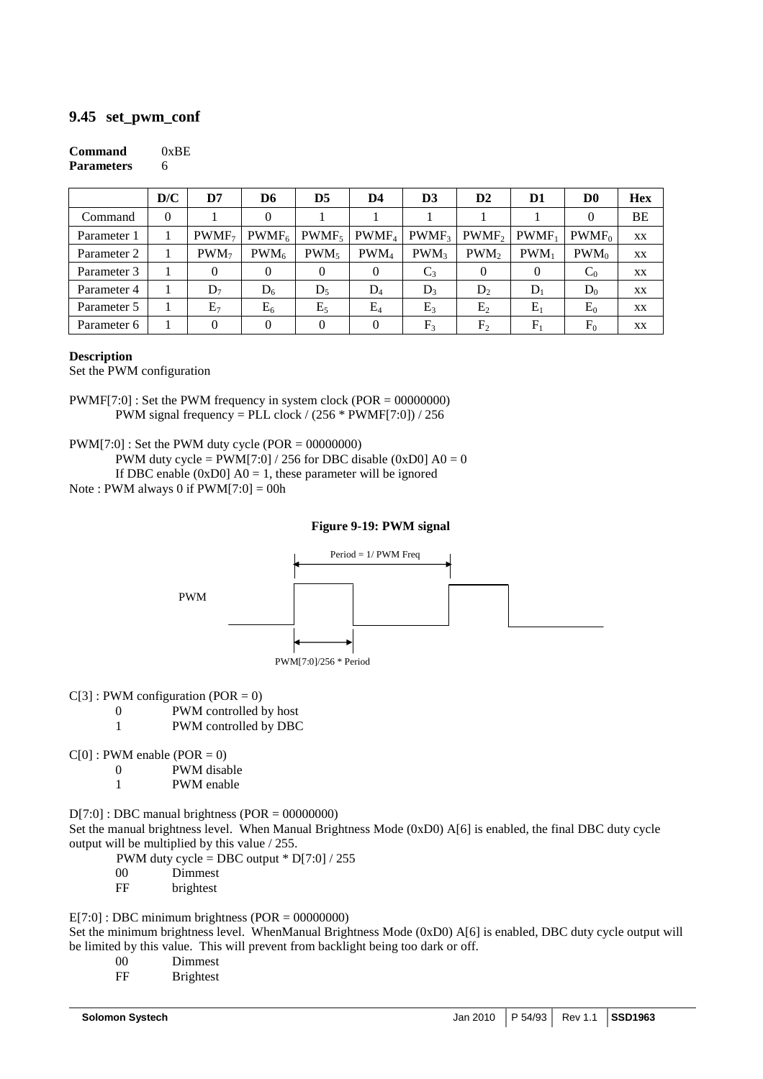# **9.45 set\_pwm\_conf**

#### **Command** 0xBE Parameters 6

|             | D/C | D7                | D <sub>6</sub>    | D5                | D4               | D <sub>3</sub>    | $\mathbf{D}2$     | D1       | D0             | <b>Hex</b> |
|-------------|-----|-------------------|-------------------|-------------------|------------------|-------------------|-------------------|----------|----------------|------------|
| Command     | 0   |                   | 0                 |                   |                  |                   |                   |          | 0              | BE         |
| Parameter 1 |     | PWMF <sub>7</sub> | PWMF <sub>6</sub> | PWMF <sub>5</sub> | $PWMF_4$         | PWMF <sub>3</sub> | PWMF <sub>2</sub> | $PWMF_1$ | $PWMF_0$       | XX         |
| Parameter 2 |     | PWM <sub>7</sub>  | $PWM_{6}$         | $PWM_5$           | PWM <sub>4</sub> | PWM <sub>3</sub>  | PWM <sub>2</sub>  | $PWM_1$  | $PWM_0$        | XX         |
| Parameter 3 |     | 0                 | 0                 | $\theta$          | $\Omega$         | $C_3$             | 0                 | 0        | $C_0$          | XX         |
| Parameter 4 |     | $D_7$             | $D_6$             | $D_5$             | $D_4$            | $D_3$             | $D_2$             | $D_1$    | $D_0$          | XX         |
| Parameter 5 |     | E7                | $E_6$             | $E_5$             | $E_4$            | $E_3$             | E <sub>2</sub>    | $E_1$    | $E_0$          | XX         |
| Parameter 6 |     | 0                 | 0                 | $\Omega$          | $\Omega$         | $F_3$             | F <sub>2</sub>    | $F_1$    | F <sub>0</sub> | XX         |

#### **Description**

Set the PWM configuration

PWMF[7:0] : Set the PWM frequency in system clock (POR = 00000000) PWM signal frequency = PLL clock /  $(256 * PWHF[7:0]) / 256$ 

 $PWM[7:0]$ : Set the PWM duty cycle (POR = 00000000)

PWM duty cycle =  $\text{PWM}[7:0] / 256$  for DBC disable (0xD0] A0 = 0 If DBC enable  $(0xD0)$  A0 = 1, these parameter will be ignored Note : PWM always 0 if  $PWM[7:0] = 00h$ 

#### **Figure 9-19: PWM signal**



 $C[3]$ : PWM configuration (POR = 0)

0 PWM controlled by host

1 PWM controlled by DBC

#### $C[0]$ : PWM enable (POR = 0)

- 0 PWM disable
- 1 PWM enable

 $D[7:0]$ : DBC manual brightness (POR = 00000000)

Set the manual brightness level. When Manual Brightness Mode (0xD0) A[6] is enabled, the final DBC duty cycle output will be multiplied by this value / 255.

- PWM duty cycle = DBC output  $*$  D[7:0] / 255
- 00 Dimmest
- FF brightest

 $E[7:0]$ : DBC minimum brightness (POR = 00000000)

Set the minimum brightness level. WhenManual Brightness Mode (0xD0) A[6] is enabled, DBC duty cycle output will be limited by this value. This will prevent from backlight being too dark or off.

- 00 Dimmest<br>FF Brightest
- **Brightest**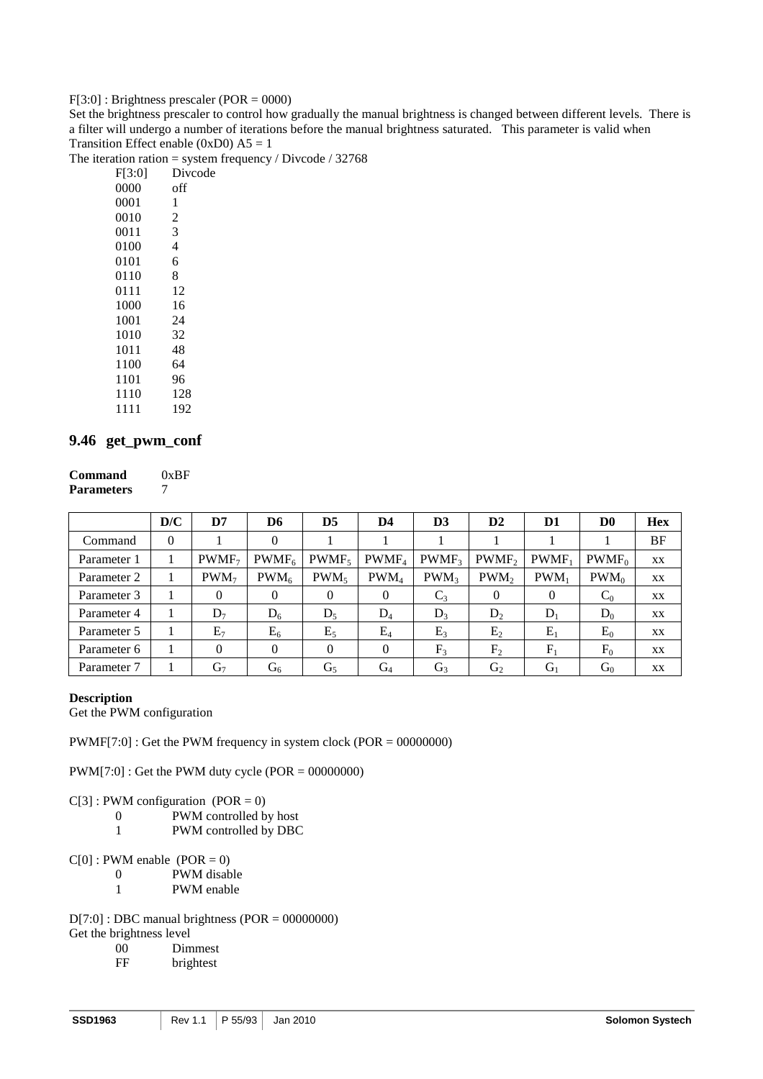F[3:0] : Brightness prescaler (POR = 0000)

Set the brightness prescaler to control how gradually the manual brightness is changed between different levels. There is a filter will undergo a number of iterations before the manual brightness saturated. This parameter is valid when Transition Effect enable (0xD0)  $A5 = 1$ 

The iteration ration = system frequency / Divcode /  $32768$ 

|        | 5,000   |
|--------|---------|
| F[3:0] | Divcode |
| 0000   | off     |
| 0001   | 1       |
| 0010   | 2       |
| 0011   | 3       |
| 0100   | 4       |
| 0101   | 6       |
| 0110   | 8       |
| 0111   | 12      |
| 1000   | 16      |
| 1001   | 24      |
| 1010   | 32      |
| 1011   | 48      |
| 1100   | 64      |
| 1101   | 96      |
| 1110   | 128     |
| 1111   | 192     |

### **9.46 get\_pwm\_conf**

| Command           | 0xBF |
|-------------------|------|
| <b>Parameters</b> | 7    |

|             | D/C      | D7                | D6                | D <sub>5</sub>    | D <sub>4</sub>   | D <sub>3</sub>    | $\mathbf{D2}$     | D1       | D0             | <b>Hex</b> |
|-------------|----------|-------------------|-------------------|-------------------|------------------|-------------------|-------------------|----------|----------------|------------|
| Command     | $\Omega$ |                   | 0                 |                   |                  |                   |                   |          |                | <b>BF</b>  |
| Parameter 1 |          | PWMF <sub>7</sub> | PWMF <sub>6</sub> | PWMF <sub>5</sub> | $PWMF_4$         | PWMF <sub>3</sub> | PWMF <sub>2</sub> | $PWMF_1$ | $PWMF_0$       | XX.        |
| Parameter 2 |          | $PWM_7$           | $PWM_{6}$         | $PWM_5$           | PWM <sub>4</sub> | PWM <sub>3</sub>  | PWM <sub>2</sub>  | $PWM_1$  | $PWM_0$        | XX         |
| Parameter 3 |          | $\theta$          | 0                 | $\Omega$          | $\theta$         | $C_3$             | $\theta$          | 0        | $C_0$          | XX         |
| Parameter 4 |          | $D_7$             | $D_6$             | $D_5$             | $D_4$            | $D_3$             | $D_2$             | $D_1$    | $D_0$          | XX         |
| Parameter 5 |          | $E_7$             | $E_6$             | $E_5$             | $E_4$            | $E_3$             | E <sub>2</sub>    | $E_1$    | $E_0$          | XX         |
| Parameter 6 |          | $\Omega$          | 0                 | $\Omega$          | $\theta$         | $F_3$             | F <sub>2</sub>    | $F_1$    | F <sub>0</sub> | XX         |
| Parameter 7 |          | $G_7$             | $G_6$             | G <sub>5</sub>    | $G_4$            | $G_3$             | G <sub>2</sub>    | $G_1$    | $G_0$          | XX         |

### **Description**

Get the PWM configuration

PWMF[7:0] : Get the PWM frequency in system clock (POR = 00000000)

PWM[7:0] : Get the PWM duty cycle (POR = 00000000)

 $C[3]$ : PWM configuration (POR = 0)

- 0 PWM controlled by host
- 1 PWM controlled by DBC

 $C[0]$ : PWM enable (POR = 0)

- 0 PWM disable<br>1 PWM enable
- PWM enable

 $D[7:0]$ : DBC manual brightness (POR = 00000000)

Get the brightness level<br> $\begin{array}{cc} 00 & \text{Dim} \end{array}$ 

- 00 Dimmest<br>FF brightest
- brightest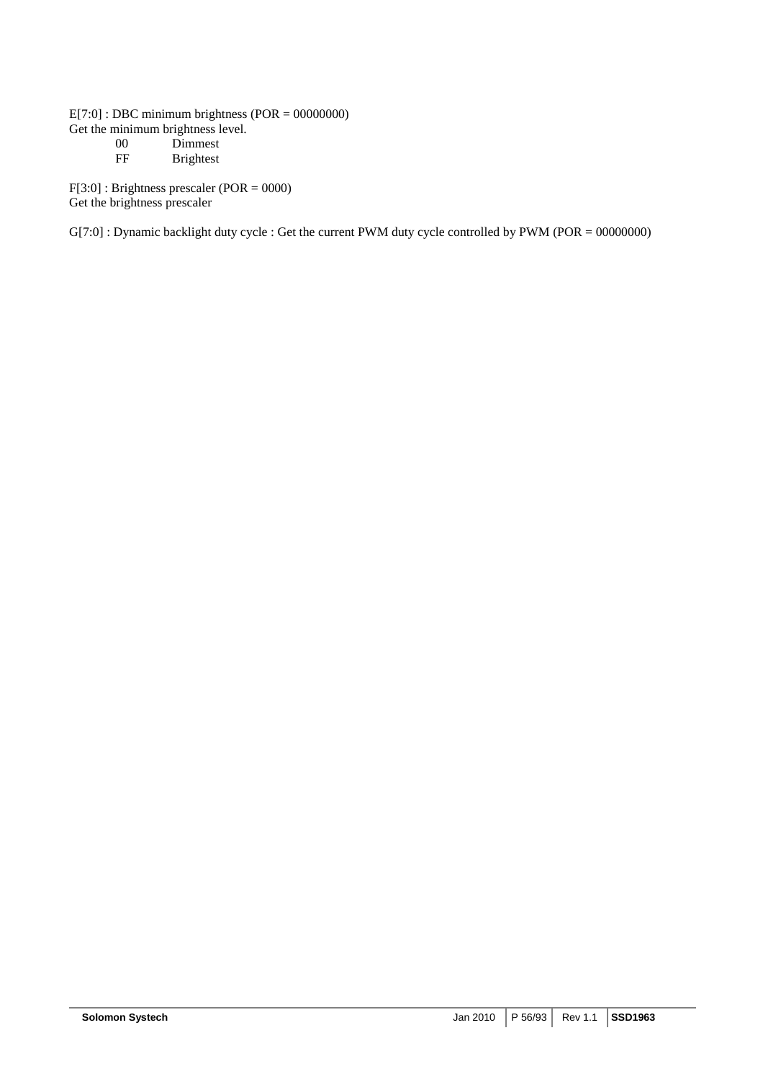$E[7:0]$ : DBC minimum brightness (POR = 00000000) Get the minimum brightness level. 00 Dimmest<br>FF Brightest **Brightest** 

F[3:0] : Brightness prescaler (POR = 0000) Get the brightness prescaler

G[7:0] : Dynamic backlight duty cycle : Get the current PWM duty cycle controlled by PWM (POR = 00000000)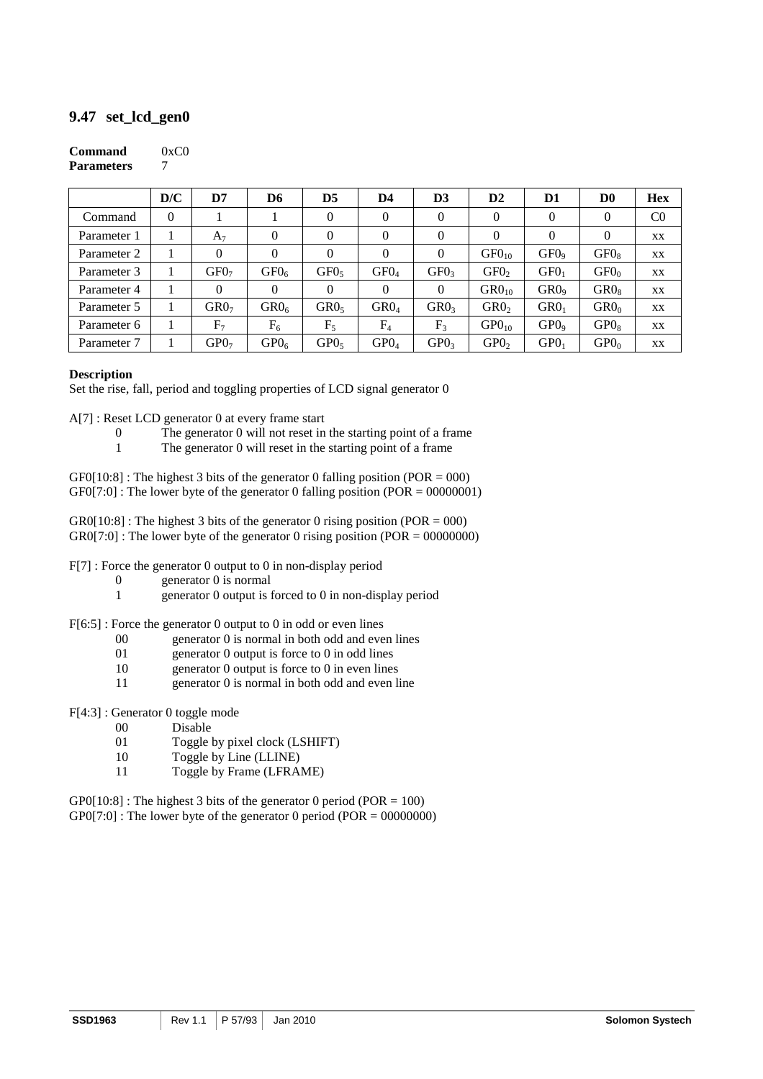# **9.47 set\_lcd\_gen0**

#### **Command** 0xC0 **Parameters** 7

|             | D/C      | D7               | D6               | D <sub>5</sub>   | D4               | D <sub>3</sub>   | D2                | D1               | D0               | <b>Hex</b>     |
|-------------|----------|------------------|------------------|------------------|------------------|------------------|-------------------|------------------|------------------|----------------|
| Command     | $\theta$ |                  |                  | $\Omega$         | $\overline{0}$   | $\Omega$         | $\theta$          | $\Omega$         | $\Omega$         | C <sub>0</sub> |
| Parameter 1 |          | A <sub>7</sub>   | 0                | $\Omega$         | $\overline{0}$   | $\Omega$         | $\Omega$          | $\theta$         | $\Omega$         | XX             |
| Parameter 2 |          | 0                | $\Omega$         | $\Omega$         | $\overline{0}$   | $\Omega$         | $GF0_{10}$        | GF0 <sub>9</sub> | GF0 <sub>8</sub> | XX             |
| Parameter 3 |          | GF0 <sub>7</sub> | GF0 <sub>6</sub> | GF0 <sub>5</sub> | GF0 <sub>4</sub> | GF0 <sub>3</sub> | GF0 <sub>2</sub>  | GF0 <sub>1</sub> | GFO <sub>0</sub> | XX             |
| Parameter 4 |          | $\theta$         | $\Omega$         | $\Omega$         | $\theta$         | $\Omega$         | GRO <sub>10</sub> | GRO <sub>9</sub> | GR0 <sub>8</sub> | XX             |
| Parameter 5 |          | GR0 <sub>7</sub> | GR0 <sub>6</sub> | GR0 <sub>5</sub> | GR0 <sub>4</sub> | GRO <sub>3</sub> | GR0 <sub>2</sub>  | GR0 <sub>1</sub> | GRO <sub>0</sub> | XX             |
| Parameter 6 |          | F <sub>7</sub>   | $F_6$            | $F_5$            | $F_4$            | $F_{3}$          | GPO <sub>10</sub> | GPO <sub>9</sub> | $GPO_8$          | XX             |
| Parameter 7 |          | GPO <sub>7</sub> | GPO <sub>6</sub> | GPO <sub>5</sub> | GPO <sub>4</sub> | GPO <sub>3</sub> | GPO <sub>2</sub>  | GPO <sub>1</sub> | GPO <sub>0</sub> | XX             |

#### **Description**

Set the rise, fall, period and toggling properties of LCD signal generator 0

A[7] : Reset LCD generator 0 at every frame start

- 0 The generator 0 will not reset in the starting point of a frame<br>  $\frac{1}{1}$  The generator 0 will reset in the starting point of a frame
- The generator  $0$  will reset in the starting point of a frame

 $GF0[10:8]$ : The highest 3 bits of the generator 0 falling position (POR = 000)  $GF0[7:0]$ : The lower byte of the generator 0 falling position (POR = 00000001)

 $GR0[10:8]$ : The highest 3 bits of the generator 0 rising position (POR = 000)  $GR0[7:0]$ : The lower byte of the generator 0 rising position (POR = 00000000)

- F[7] : Force the generator 0 output to 0 in non-display period
	- 0 generator 0 is normal
	- 1 generator 0 output is forced to 0 in non-display period
- F[6:5] : Force the generator 0 output to 0 in odd or even lines
	- 00 generator 0 is normal in both odd and even lines
		- 01 generator 0 output is force to 0 in odd lines
		- 10 generator 0 output is force to 0 in even lines
		- 11 generator 0 is normal in both odd and even line

#### F[4:3] : Generator 0 toggle mode

- 00 Disable
- 01 Toggle by pixel clock (LSHIFT)
- 10 Toggle by Line (LLINE)
- 11 Toggle by Frame (LFRAME)

 $GP0[10:8]$ : The highest 3 bits of the generator 0 period (POR = 100)  $GPO[7:0]$ : The lower byte of the generator 0 period (POR = 00000000)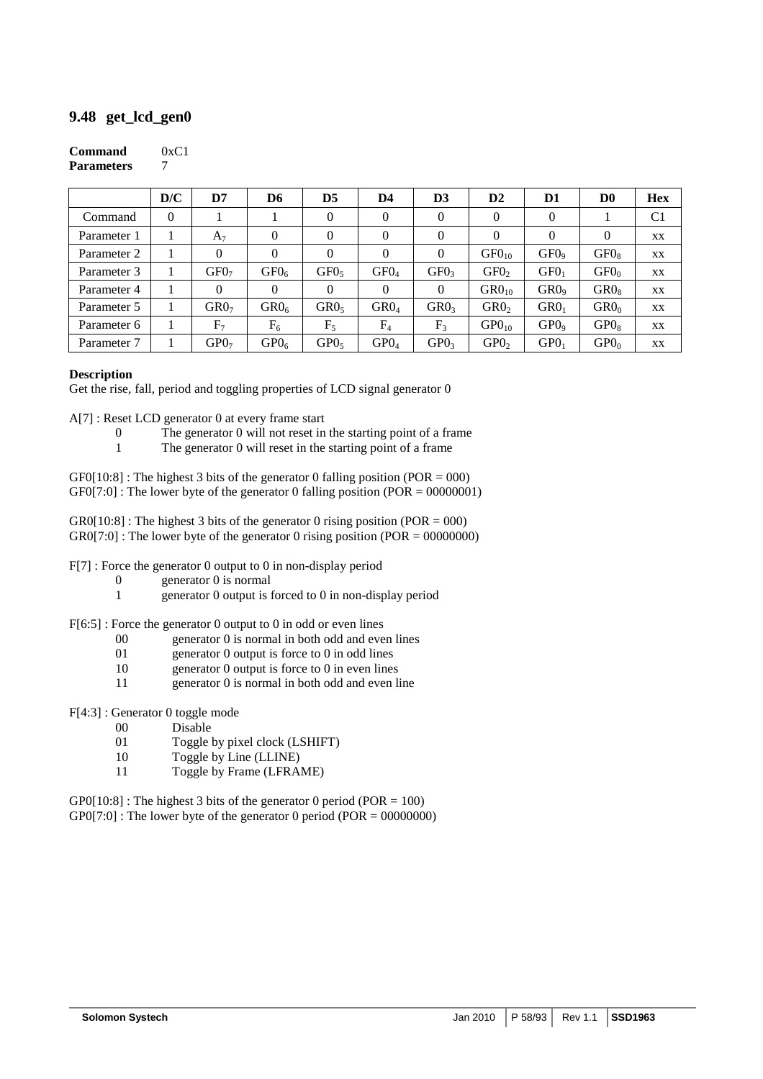# **9.48 get\_lcd\_gen0**

#### **Command** 0xC1 **Parameters** 7

|             | D/C | D7               | D6               | D <sub>5</sub>   | D4               | D <sub>3</sub>   | D <sub>2</sub>    | D1               | D0               | <b>Hex</b>     |
|-------------|-----|------------------|------------------|------------------|------------------|------------------|-------------------|------------------|------------------|----------------|
| Command     | 0   |                  |                  | $\Omega$         | 0                | $\Omega$         | $\theta$          | $\theta$         |                  | C <sub>1</sub> |
| Parameter 1 |     | $A_7$            | 0                | $\Omega$         | $\theta$         | $\theta$         | $\mathbf{0}$      | $\theta$         | $\theta$         | XX             |
| Parameter 2 |     | $\theta$         | $\Omega$         | $\Omega$         | $\theta$         | $\theta$         | $GF0_{10}$        | GF0 <sub>9</sub> | GF0 <sub>8</sub> | XX             |
| Parameter 3 |     | GF0 <sub>7</sub> | GF0 <sub>6</sub> | GF0 <sub>5</sub> | GF0 <sub>4</sub> | GF0 <sub>3</sub> | GF0 <sub>2</sub>  | GF0 <sub>1</sub> | GFO <sub>0</sub> | XX             |
| Parameter 4 |     | 0                | $\Omega$         | $\Omega$         | $\overline{0}$   | $\theta$         | GR0 <sub>10</sub> | GRO <sub>9</sub> | GR0 <sub>8</sub> | XX             |
| Parameter 5 |     | GR0 <sub>7</sub> | GR0 <sub>6</sub> | GR0 <sub>5</sub> | GR0 <sub>4</sub> | GRO <sub>3</sub> | GR0 <sub>2</sub>  | GR0 <sub>1</sub> | GRO <sub>0</sub> | XX             |
| Parameter 6 |     | F <sub>7</sub>   | $F_6$            | $F_5$            | $F_4$            | F <sub>3</sub>   | GPO <sub>10</sub> | GPO <sub>9</sub> | $GPO_8$          | XX             |
| Parameter 7 |     | GPO <sub>7</sub> | GPO <sub>6</sub> | GPO <sub>5</sub> | GPO <sub>4</sub> | GPO <sub>3</sub> | GPO <sub>2</sub>  | GPO <sub>1</sub> | GPO <sub>0</sub> | XX             |

#### **Description**

Get the rise, fall, period and toggling properties of LCD signal generator 0

A[7] : Reset LCD generator 0 at every frame start

- 0 The generator 0 will not reset in the starting point of a frame<br>  $\frac{1}{1}$  The generator 0 will reset in the starting point of a frame
- The generator  $0$  will reset in the starting point of a frame

 $GF0[10:8]$ : The highest 3 bits of the generator 0 falling position (POR = 000)  $GF0[7:0]$ : The lower byte of the generator 0 falling position (POR = 00000001)

 $GR0[10:8]$ : The highest 3 bits of the generator 0 rising position (POR = 000)  $GR0[7:0]$ : The lower byte of the generator 0 rising position (POR = 00000000)

- F[7] : Force the generator 0 output to 0 in non-display period
	- 0 generator 0 is normal
	- 1 generator 0 output is forced to 0 in non-display period
- F[6:5] : Force the generator 0 output to 0 in odd or even lines
	- 00 generator 0 is normal in both odd and even lines
		- 01 generator 0 output is force to 0 in odd lines
		- 10 generator 0 output is force to 0 in even lines
		- 11 generator 0 is normal in both odd and even line
- F[4:3] : Generator 0 toggle mode
	- 00 Disable
	- 01 Toggle by pixel clock (LSHIFT)
	- 10 Toggle by Line (LLINE)
	- 11 Toggle by Frame (LFRAME)

 $GPO[10:8]$ : The highest 3 bits of the generator 0 period (POR = 100)  $GPO[7:0]$ : The lower byte of the generator 0 period (POR = 00000000)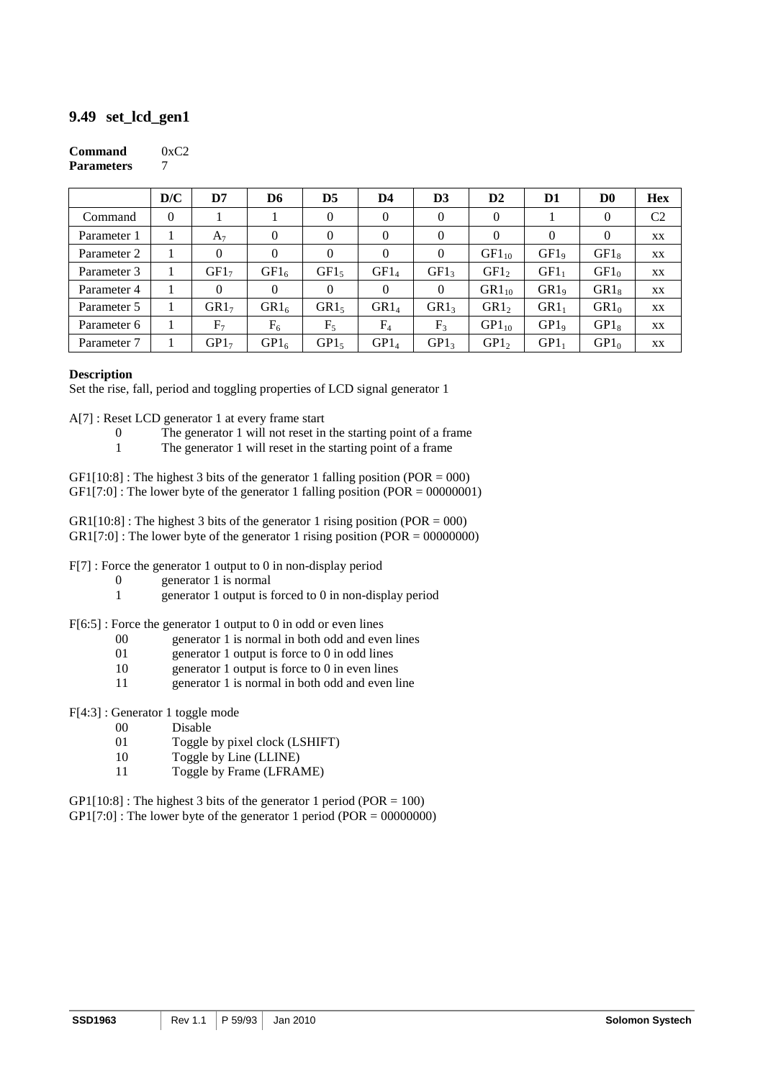# **9.49 set\_lcd\_gen1**

#### **Command** 0xC2 **Parameters** 7

|             | D/C      | D7               | D6               | D <sub>5</sub>   | D4               | D <sub>3</sub>   | D2               | D1               | D0               | <b>Hex</b>     |
|-------------|----------|------------------|------------------|------------------|------------------|------------------|------------------|------------------|------------------|----------------|
| Command     | $\theta$ |                  |                  | $\Omega$         | $\theta$         | $\Omega$         | $\theta$         |                  | $\theta$         | C <sub>2</sub> |
| Parameter 1 |          | A <sub>7</sub>   | 0                | $\Omega$         | $\Omega$         | $\Omega$         | $\Omega$         | $\Omega$         | $\Omega$         | XX.            |
| Parameter 2 |          | $\theta$         | $\Omega$         | $\Omega$         | $\theta$         | $\Omega$         | $GF1_{10}$       | GF1 <sub>9</sub> | GF1 <sub>8</sub> | XX             |
| Parameter 3 |          | GF1 <sub>7</sub> | GF1 <sub>6</sub> | GF1 <sub>5</sub> | GF1 <sub>4</sub> | GF1 <sub>3</sub> | GF1 <sub>2</sub> | GF1 <sub>1</sub> | $GF1_0$          | XX             |
| Parameter 4 |          | $\mathbf{0}$     | $\Omega$         | $\Omega$         | $\theta$         | $\Omega$         | $GR1_{10}$       | GR1 <sub>9</sub> | GR1 <sub>8</sub> | XX             |
| Parameter 5 |          | GR1 <sub>7</sub> | GR1 <sub>6</sub> | GR1 <sub>5</sub> | GR1 <sub>4</sub> | GR1 <sub>3</sub> | GR1 <sub>2</sub> | $GR1_1$          | $GR1_0$          | XX             |
| Parameter 6 |          | F <sub>7</sub>   | $F_6$            | $F_5$            | $F_4$            | $F_{3}$          | $GP1_{10}$       | GP1 <sub>9</sub> | $GP1_8$          | XX             |
| Parameter 7 |          | GP1 <sub>7</sub> | GPI <sub>6</sub> | GP1 <sub>5</sub> | GPI <sub>4</sub> | GP1 <sub>3</sub> | GPI <sub>2</sub> | GPI <sub>1</sub> | $GP1_0$          | XX             |

#### **Description**

Set the rise, fall, period and toggling properties of LCD signal generator 1

A[7] : Reset LCD generator 1 at every frame start

- 0 The generator 1 will not reset in the starting point of a frame<br>  $\frac{1}{1}$  The generator 1 will reset in the starting point of a frame
- The generator 1 will reset in the starting point of a frame

 $GF1[10:8]$ : The highest 3 bits of the generator 1 falling position (POR = 000)  $GF1[7:0]$ : The lower byte of the generator 1 falling position (POR = 00000001)

 $GR1[10:8]$ : The highest 3 bits of the generator 1 rising position (POR = 000)  $GR1[7:0]$ : The lower byte of the generator 1 rising position (POR = 00000000)

- F[7] : Force the generator 1 output to 0 in non-display period
	- 0 generator 1 is normal
	- 1 generator 1 output is forced to 0 in non-display period
- F[6:5] : Force the generator 1 output to 0 in odd or even lines
	- 00 generator 1 is normal in both odd and even lines
		- 01 generator 1 output is force to 0 in odd lines
		- 10 generator 1 output is force to 0 in even lines
		- 11 generator 1 is normal in both odd and even line
- F[4:3] : Generator 1 toggle mode
	- 00 Disable
	- 01 Toggle by pixel clock (LSHIFT)
	- 10 Toggle by Line (LLINE)
	- 11 Toggle by Frame (LFRAME)

 $GP1[10:8]$ : The highest 3 bits of the generator 1 period (POR = 100)  $GP1[7:0]$ : The lower byte of the generator 1 period (POR = 00000000)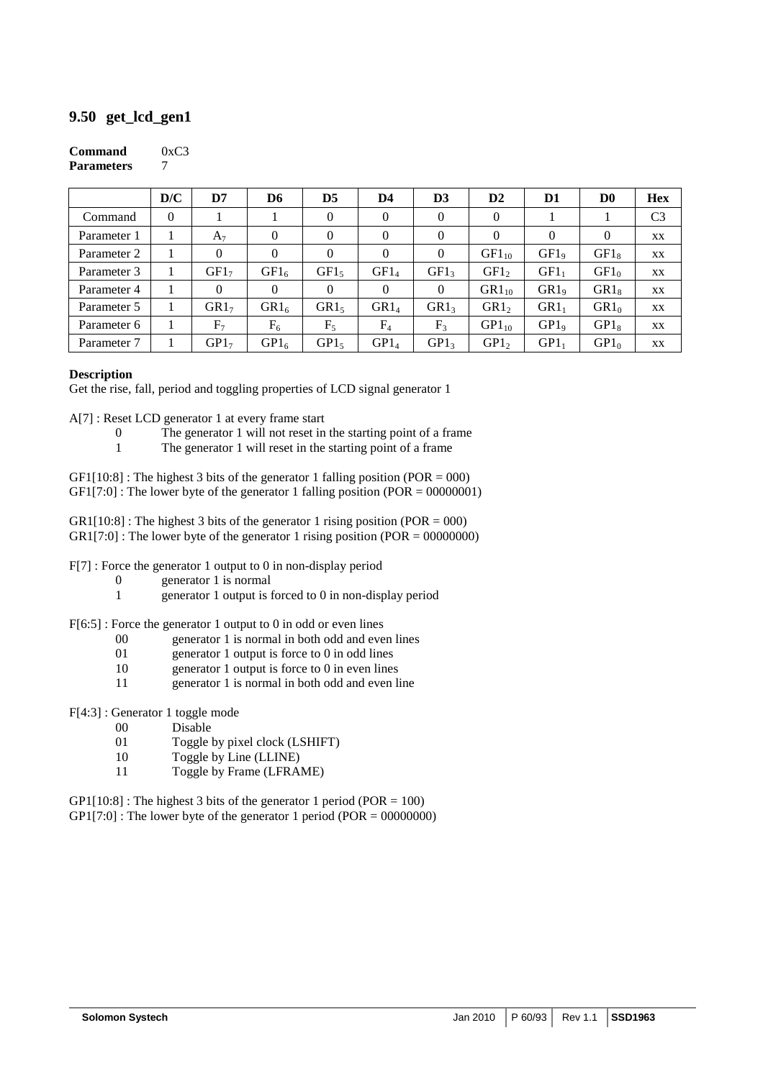# **9.50 get\_lcd\_gen1**

#### **Command** 0xC3 **Parameters** 7

|             | D/C      | D7               | D6               | D <sub>5</sub>   | D4               | D <sub>3</sub>   | D2               | D1               | D0               | <b>Hex</b>     |
|-------------|----------|------------------|------------------|------------------|------------------|------------------|------------------|------------------|------------------|----------------|
| Command     | $\theta$ |                  |                  | $\Omega$         | $\theta$         | $\Omega$         | $\theta$         |                  |                  | C <sub>3</sub> |
| Parameter 1 |          | A <sub>7</sub>   | 0                | $\Omega$         | $\Omega$         | $\Omega$         | $\Omega$         | $\Omega$         | $\Omega$         | XX.            |
| Parameter 2 |          | $\theta$         | $\Omega$         | $\Omega$         | $\theta$         | $\Omega$         | $GF1_{10}$       | GF1 <sub>9</sub> | GF1 <sub>8</sub> | XX             |
| Parameter 3 |          | GF1 <sub>7</sub> | GF1 <sub>6</sub> | GF1 <sub>5</sub> | GF1 <sub>4</sub> | GF1 <sub>3</sub> | GF1 <sub>2</sub> | GF1 <sub>1</sub> | $GF1_0$          | XX             |
| Parameter 4 |          | $\mathbf{0}$     | $\Omega$         | $\Omega$         | $\theta$         | $\Omega$         | $GR1_{10}$       | GR1 <sub>9</sub> | GR1 <sub>8</sub> | XX             |
| Parameter 5 |          | GR1 <sub>7</sub> | GR1 <sub>6</sub> | GR1 <sub>5</sub> | GR1 <sub>4</sub> | GR1 <sub>3</sub> | GR1 <sub>2</sub> | $GR1_1$          | $GR1_0$          | XX             |
| Parameter 6 |          | F <sub>7</sub>   | $F_6$            | $F_5$            | $F_4$            | $F_{3}$          | $GP1_{10}$       | GP1 <sub>9</sub> | $GP1_8$          | XX             |
| Parameter 7 |          | GP1 <sub>7</sub> | GPI <sub>6</sub> | GP1 <sub>5</sub> | GPI <sub>4</sub> | GP1 <sub>3</sub> | GPI <sub>2</sub> | GPI <sub>1</sub> | $GP1_0$          | XX             |

#### **Description**

Get the rise, fall, period and toggling properties of LCD signal generator 1

A[7] : Reset LCD generator 1 at every frame start

- 0 The generator 1 will not reset in the starting point of a frame<br>  $\frac{1}{1}$  The generator 1 will reset in the starting point of a frame
- The generator 1 will reset in the starting point of a frame

 $GF1[10:8]$ : The highest 3 bits of the generator 1 falling position (POR = 000)  $GF1[7:0]$ : The lower byte of the generator 1 falling position (POR = 00000001)

 $GR1[10:8]$ : The highest 3 bits of the generator 1 rising position (POR = 000)  $GR1[7:0]$ : The lower byte of the generator 1 rising position (POR = 00000000)

- F[7] : Force the generator 1 output to 0 in non-display period
	- 0 generator 1 is normal
	- 1 generator 1 output is forced to 0 in non-display period
- F[6:5] : Force the generator 1 output to 0 in odd or even lines
	- 00 generator 1 is normal in both odd and even lines
		- 01 generator 1 output is force to 0 in odd lines
		- 10 generator 1 output is force to 0 in even lines
		- 11 generator 1 is normal in both odd and even line
- F[4:3] : Generator 1 toggle mode
	- 00 Disable
	- 01 Toggle by pixel clock (LSHIFT)
	- 10 Toggle by Line (LLINE)
	- 11 Toggle by Frame (LFRAME)

 $GP1[10:8]$ : The highest 3 bits of the generator 1 period (POR = 100)  $GP1[7:0]$ : The lower byte of the generator 1 period (POR = 00000000)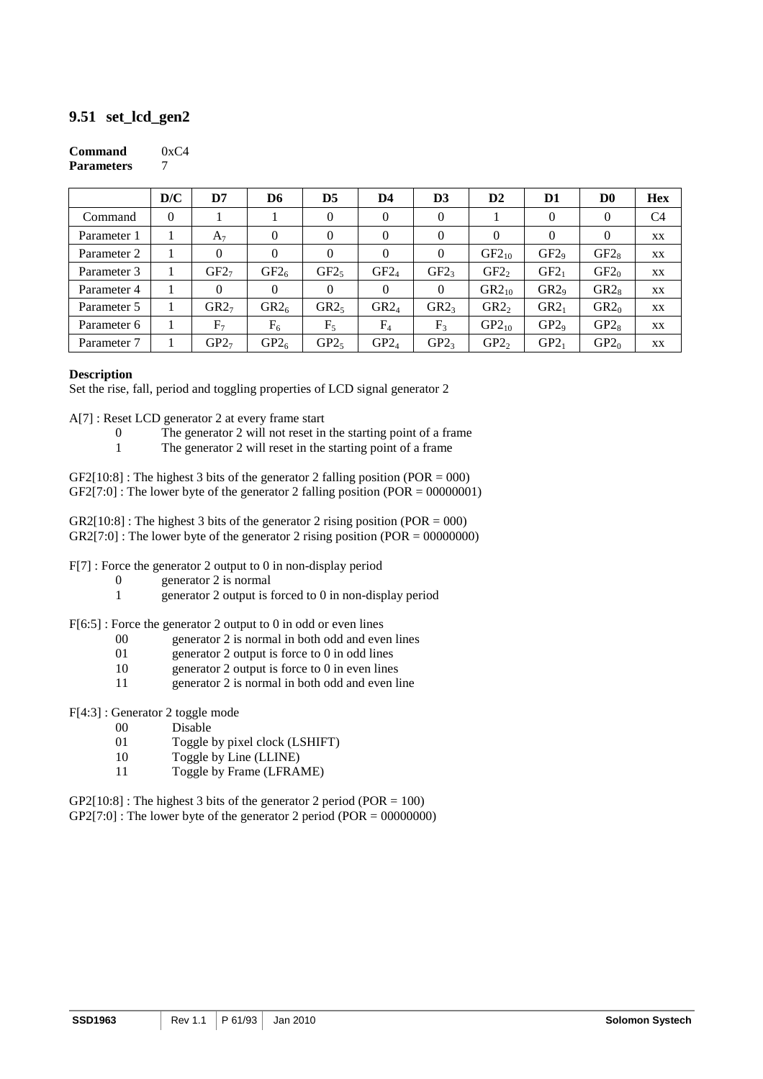# **9.51 set\_lcd\_gen2**

#### **Command** 0xC4 **Parameters** 7

|             | D/C      | D7               | D6               | D <sub>5</sub>   | D4               | D <sub>3</sub>   | D <sub>2</sub>   | D1               | D <sub>0</sub>   | <b>Hex</b>     |
|-------------|----------|------------------|------------------|------------------|------------------|------------------|------------------|------------------|------------------|----------------|
| Command     | $\theta$ |                  |                  | $\Omega$         | $\overline{0}$   | $\overline{0}$   |                  | $\theta$         | 0                | C <sub>4</sub> |
| Parameter 1 |          | $A_7$            | $\Omega$         | $\Omega$         | $\theta$         | $\theta$         | $\mathbf{0}$     | $\theta$         | $\Omega$         | XX             |
| Parameter 2 |          | $\theta$         | $\Omega$         | $\Omega$         | $\overline{0}$   | $\Omega$         | $GF2_{10}$       | GF2 <sub>9</sub> | GF2 <sub>8</sub> | XX             |
| Parameter 3 |          | GF2 <sub>7</sub> | GF2 <sub>6</sub> | GF2 <sub>5</sub> | GF2 <sub>4</sub> | GF2 <sub>3</sub> | GF2 <sub>2</sub> | GF2 <sub>1</sub> | GF2 <sub>0</sub> | XX             |
| Parameter 4 |          | 0                | $\Omega$         | $\Omega$         | $\theta$         | $\theta$         | $GR2_{10}$       | GR2 <sub>9</sub> | GR2 <sub>8</sub> | XX             |
| Parameter 5 |          | GR2 <sub>7</sub> | GR2 <sub>6</sub> | GR2 <sub>5</sub> | GR2 <sub>4</sub> | GR2 <sub>3</sub> | GR2 <sub>2</sub> | GR2 <sub>1</sub> | GR2 <sub>0</sub> | XX             |
| Parameter 6 |          | F <sub>7</sub>   | $F_6$            | $F_5$            | $F_4$            | F <sub>3</sub>   | $GP2_{10}$       | GP2 <sub>9</sub> | $GP2_8$          | XX             |
| Parameter 7 |          | GP2 <sub>7</sub> | GP2 <sub>6</sub> | GP2 <sub>5</sub> | GP2 <sub>4</sub> | GP2 <sub>3</sub> | GP2 <sub>2</sub> | GP2 <sub>1</sub> | GP2 <sub>0</sub> | XX             |

#### **Description**

Set the rise, fall, period and toggling properties of LCD signal generator 2

A[7] : Reset LCD generator 2 at every frame start

- 0 The generator 2 will not reset in the starting point of a frame<br>  $\frac{1}{1}$  The generator 2 will reset in the starting point of a frame
- The generator 2 will reset in the starting point of a frame

 $GF2[10:8]$ : The highest 3 bits of the generator 2 falling position (POR = 000)  $GF2[7:0]$ : The lower byte of the generator 2 falling position (POR = 00000001)

 $GR2[10:8]$ : The highest 3 bits of the generator 2 rising position (POR = 000)  $GR2[7:0]$ : The lower byte of the generator 2 rising position (POR = 00000000)

- F[7] : Force the generator 2 output to 0 in non-display period
	- 0 generator 2 is normal
	- 1 generator 2 output is forced to 0 in non-display period
- F[6:5] : Force the generator 2 output to 0 in odd or even lines
	- 00 generator 2 is normal in both odd and even lines
		- 01 generator 2 output is force to 0 in odd lines
		- 10 generator 2 output is force to 0 in even lines
		- 11 generator 2 is normal in both odd and even line
- F[4:3] : Generator 2 toggle mode
	- 00 Disable
	- 01 Toggle by pixel clock (LSHIFT)
	- 10 Toggle by Line (LLINE)
	- 11 Toggle by Frame (LFRAME)

 $GP2[10:8]$ : The highest 3 bits of the generator 2 period (POR = 100) GP2[7:0] : The lower byte of the generator 2 period (POR = 00000000)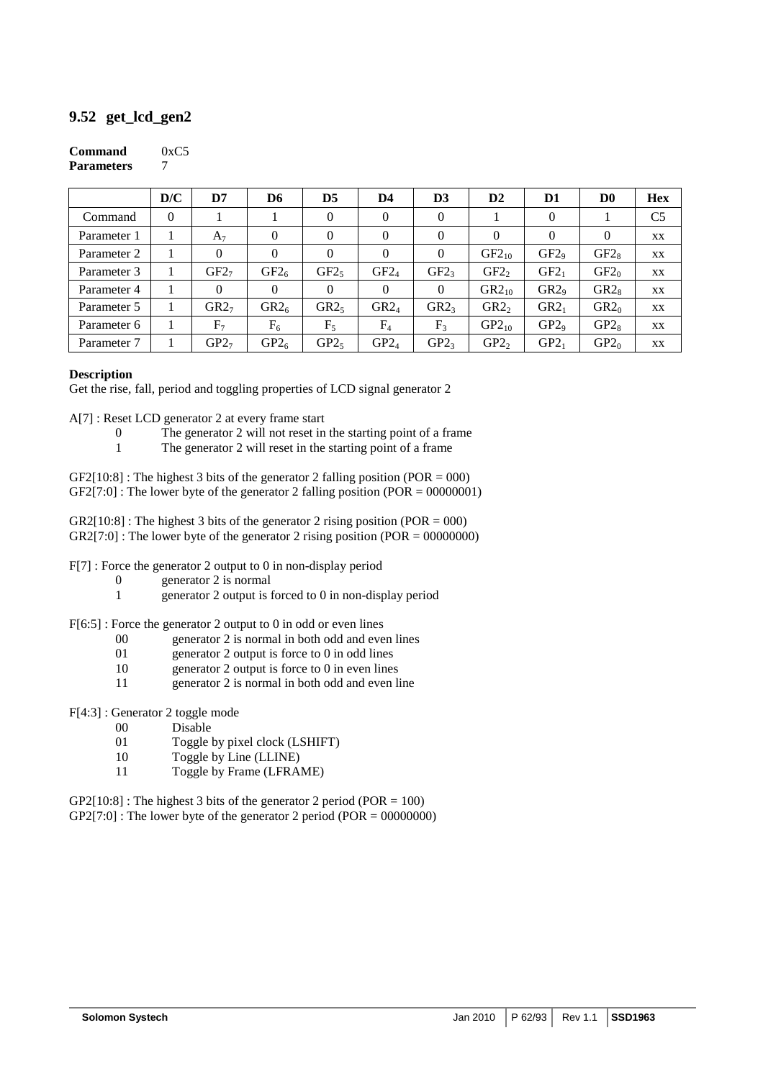# **9.52 get\_lcd\_gen2**

#### **Command** 0xC5 **Parameters** 7

|             | D/C      | D7               | D6               | D <sub>5</sub>   | D4               | D <sub>3</sub>   | D <sub>2</sub>   | D1               | D <sub>0</sub>   | <b>Hex</b>     |
|-------------|----------|------------------|------------------|------------------|------------------|------------------|------------------|------------------|------------------|----------------|
| Command     | $\theta$ |                  |                  | $\Omega$         | $\overline{0}$   | $\overline{0}$   |                  | $\theta$         |                  | C <sub>5</sub> |
| Parameter 1 |          | $A_7$            | $\Omega$         | $\Omega$         | $\theta$         | $\Omega$         | $\mathbf{0}$     | $\theta$         | $\Omega$         | XX             |
| Parameter 2 |          | $\theta$         | $\Omega$         | $\Omega$         | $\overline{0}$   | $\Omega$         | $GF2_{10}$       | GF2 <sub>9</sub> | GF2 <sub>8</sub> | XX             |
| Parameter 3 |          | GF2 <sub>7</sub> | GF2 <sub>6</sub> | GF2 <sub>5</sub> | GF2 <sub>4</sub> | GF2 <sub>3</sub> | GF2 <sub>2</sub> | GF2 <sub>1</sub> | GF2 <sub>0</sub> | XX             |
| Parameter 4 |          | 0                | $\Omega$         | $\Omega$         | $\theta$         | $\theta$         | $GR2_{10}$       | GR2 <sub>9</sub> | GR2 <sub>8</sub> | XX             |
| Parameter 5 |          | GR2 <sub>7</sub> | GR2 <sub>6</sub> | GR2 <sub>5</sub> | GR2 <sub>4</sub> | GR2 <sub>3</sub> | GR2 <sub>2</sub> | GR2 <sub>1</sub> | GR2 <sub>0</sub> | XX             |
| Parameter 6 |          | F <sub>7</sub>   | $F_6$            | $F_5$            | $F_4$            | F <sub>3</sub>   | $GP2_{10}$       | GP2 <sub>9</sub> | $GP2_8$          | XX             |
| Parameter 7 |          | GP2 <sub>7</sub> | GP2 <sub>6</sub> | GP2 <sub>5</sub> | GP2 <sub>4</sub> | GP2 <sub>3</sub> | GP2 <sub>2</sub> | GP2 <sub>1</sub> | GP2 <sub>0</sub> | XX             |

#### **Description**

Get the rise, fall, period and toggling properties of LCD signal generator 2

A[7] : Reset LCD generator 2 at every frame start

- 0 The generator 2 will not reset in the starting point of a frame<br>  $\frac{1}{1}$  The generator 2 will reset in the starting point of a frame
- The generator 2 will reset in the starting point of a frame

 $GF2[10:8]$ : The highest 3 bits of the generator 2 falling position (POR = 000)  $GF2[7:0]$ : The lower byte of the generator 2 falling position (POR = 00000001)

 $GR2[10:8]$ : The highest 3 bits of the generator 2 rising position (POR = 000)  $GR2[7:0]$ : The lower byte of the generator 2 rising position (POR = 00000000)

- F[7] : Force the generator 2 output to 0 in non-display period
	- 0 generator 2 is normal
	- 1 generator 2 output is forced to 0 in non-display period
- F[6:5] : Force the generator 2 output to 0 in odd or even lines
	- 00 generator 2 is normal in both odd and even lines
		- 01 generator 2 output is force to 0 in odd lines
		- 10 generator 2 output is force to 0 in even lines
		- 11 generator 2 is normal in both odd and even line
- F[4:3] : Generator 2 toggle mode
	- 00 Disable
	- 01 Toggle by pixel clock (LSHIFT)
	- 10 Toggle by Line (LLINE)
	- 11 Toggle by Frame (LFRAME)

 $GP2[10:8]$ : The highest 3 bits of the generator 2 period (POR = 100) GP2[7:0] : The lower byte of the generator 2 period (POR = 00000000)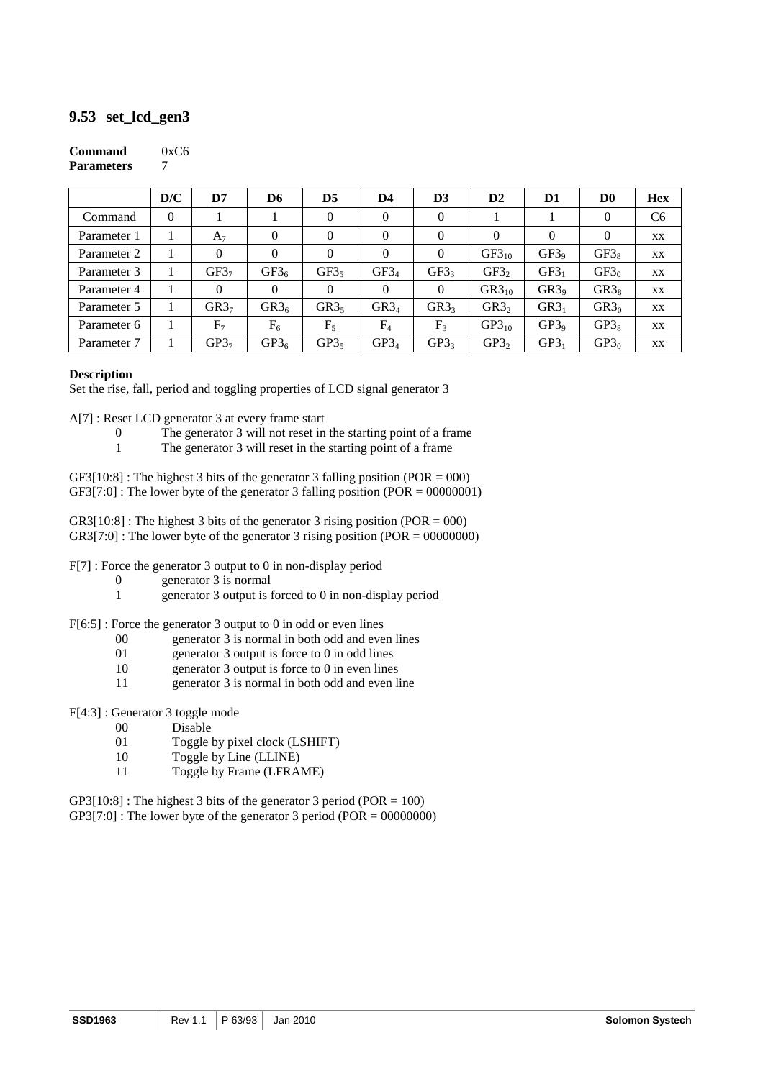# **9.53 set\_lcd\_gen3**

#### **Command** 0xC6 **Parameters** 7

|             | D/C      | D7               | D6               | D <sub>5</sub>   | D4               | D <sub>3</sub>   | D <sub>2</sub>   | D1               | D <sub>0</sub>   | <b>Hex</b>     |
|-------------|----------|------------------|------------------|------------------|------------------|------------------|------------------|------------------|------------------|----------------|
| Command     | $\theta$ |                  |                  | $\Omega$         | 0                | $\theta$         |                  |                  | 0                | C <sub>6</sub> |
| Parameter 1 |          | $A_7$            | $\Omega$         | $\Omega$         | $\theta$         | $\Omega$         | $\Omega$         | $\theta$         | $\Omega$         | XX             |
| Parameter 2 |          | $\theta$         | $\Omega$         | $\Omega$         | $\theta$         | $\Omega$         | $GF3_{10}$       | GF3 <sub>9</sub> | $GF3_8$          | XX             |
| Parameter 3 |          | GF3 <sub>7</sub> | GF3 <sub>6</sub> | GF3 <sub>5</sub> | GF3 <sub>4</sub> | GF3 <sub>3</sub> | GF3 <sub>2</sub> | GF3 <sub>1</sub> | GF3 <sub>0</sub> | XX             |
| Parameter 4 |          | 0                | $\Omega$         | $\Omega$         | $\theta$         | $\theta$         | $GR3_{10}$       | GR3 <sub>9</sub> | GR3 <sub>8</sub> | XX             |
| Parameter 5 |          | GR3 <sub>7</sub> | GR3 <sub>6</sub> | GR3 <sub>5</sub> | GR3 <sub>4</sub> | GR3 <sub>3</sub> | GR3 <sub>2</sub> | GR3 <sub>1</sub> | GR3 <sub>0</sub> | XX             |
| Parameter 6 |          | F <sub>7</sub>   | $F_6$            | $F_5$            | $F_4$            | F <sub>3</sub>   | $GP3_{10}$       | GP3 <sub>9</sub> | $GP3_8$          | XX             |
| Parameter 7 |          | GP3 <sub>7</sub> | GP3 <sub>6</sub> | GP3 <sub>5</sub> | GP3 <sub>4</sub> | GP3 <sub>3</sub> | GP3 <sub>2</sub> | GP3 <sub>1</sub> | $GP3_0$          | XX             |

#### **Description**

Set the rise, fall, period and toggling properties of LCD signal generator 3

A[7] : Reset LCD generator 3 at every frame start

- 0 The generator 3 will not reset in the starting point of a frame<br>
The generator 3 will reset in the starting point of a frame
- The generator 3 will reset in the starting point of a frame

 $GF3[10:8]$ : The highest 3 bits of the generator 3 falling position (POR = 000)  $GF3[7:0]$ : The lower byte of the generator 3 falling position (POR = 00000001)

GR3[10:8] : The highest 3 bits of the generator 3 rising position (POR =  $000$ )  $GR3[7:0]$ : The lower byte of the generator 3 rising position (POR = 00000000)

- F[7] : Force the generator 3 output to 0 in non-display period
	- 0 generator 3 is normal
	- 1 generator 3 output is forced to 0 in non-display period
- F[6:5] : Force the generator 3 output to 0 in odd or even lines
	- 00 generator 3 is normal in both odd and even lines
		- 01 generator 3 output is force to 0 in odd lines
		- 10 generator 3 output is force to 0 in even lines
		- 11 generator 3 is normal in both odd and even line
- F[4:3] : Generator 3 toggle mode
	- 00 Disable
	- 01 Toggle by pixel clock (LSHIFT)
	- 10 Toggle by Line (LLINE)
	- 11 Toggle by Frame (LFRAME)

 $GP3[10:8]$ : The highest 3 bits of the generator 3 period (POR = 100) GP3[7:0] : The lower byte of the generator 3 period (POR = 00000000)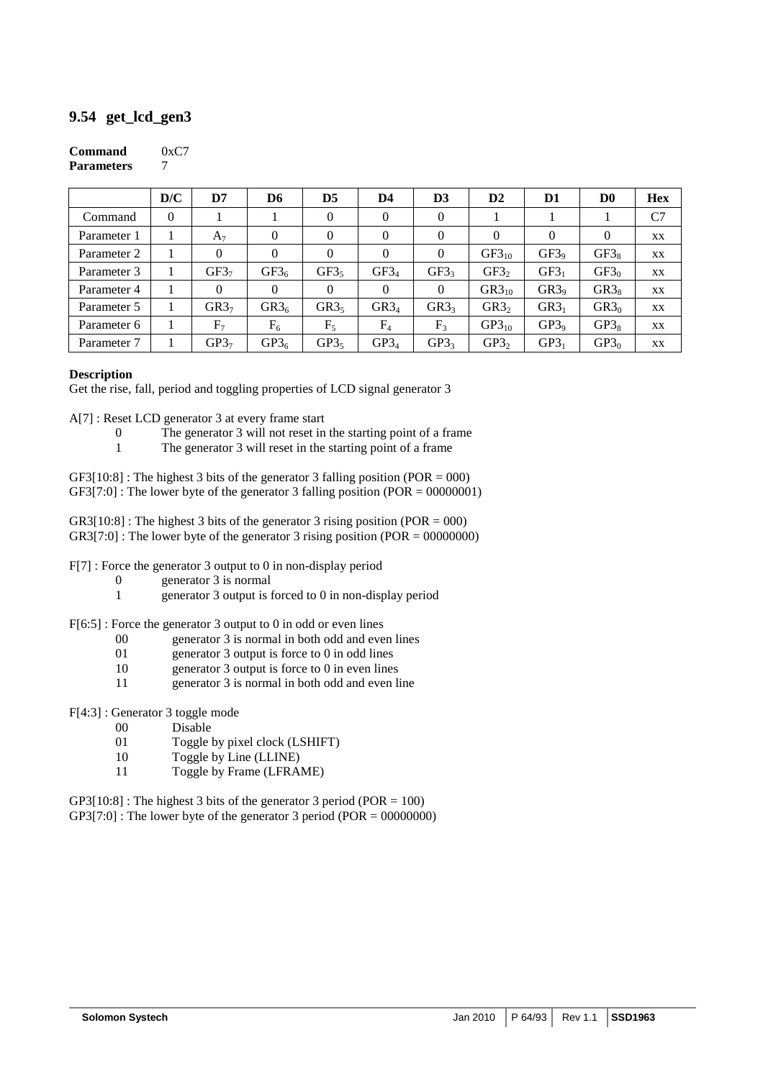# **9.54 get\_lcd\_gen3**

#### **Command** 0xC7 **Parameters** 7

|             | D/C          | D7               | D6               | D <sub>5</sub>   | D4               | D <sub>3</sub>   | D2               | D1               | D0               | <b>Hex</b> |
|-------------|--------------|------------------|------------------|------------------|------------------|------------------|------------------|------------------|------------------|------------|
| Command     | $\mathbf{0}$ |                  |                  | $\Omega$         | $\theta$         | $\Omega$         |                  |                  |                  | C7         |
| Parameter 1 |              | A <sub>7</sub>   | 0                | $\Omega$         | $\theta$         | $\theta$         | $\theta$         | $\Omega$         | $\Omega$         | XX         |
| Parameter 2 |              | $\theta$         | $\Omega$         | $\Omega$         | $\theta$         | $\Omega$         | $GF3_{10}$       | GF3 <sub>9</sub> | $GF3_8$          | XX         |
| Parameter 3 |              | GF3 <sub>7</sub> | GF3 <sub>6</sub> | GF3 <sub>5</sub> | GF3 <sub>4</sub> | GF3 <sub>3</sub> | GF3 <sub>2</sub> | GF3 <sub>1</sub> | GF3 <sub>0</sub> | XX         |
| Parameter 4 |              | $\theta$         | $\Omega$         | $\Omega$         | $\theta$         | $\theta$         | $GR3_{10}$       | GR3 <sub>9</sub> | GR3 <sub>8</sub> | XX         |
| Parameter 5 |              | GR3 <sub>7</sub> | GR3 <sub>6</sub> | GR3 <sub>5</sub> | GR3 <sub>4</sub> | GR3 <sub>3</sub> | GR3 <sub>2</sub> | GR3 <sub>1</sub> | GR3 <sub>0</sub> | XX         |
| Parameter 6 |              | F <sub>7</sub>   | $F_6$            | $F_5$            | $F_4$            | F <sub>3</sub>   | $GP3_{10}$       | GP3 <sub>9</sub> | $GP3_8$          | XX         |
| Parameter 7 |              | GP3 <sub>7</sub> | GP3 <sub>6</sub> | GP3 <sub>5</sub> | GP3 <sub>4</sub> | GP3 <sub>3</sub> | GP3 <sub>2</sub> | GP3 <sub>1</sub> | $GP3_0$          | XX         |

#### **Description**

Get the rise, fall, period and toggling properties of LCD signal generator 3

A[7] : Reset LCD generator 3 at every frame start

- 0 The generator 3 will not reset in the starting point of a frame<br>
The generator 3 will reset in the starting point of a frame
- The generator 3 will reset in the starting point of a frame

 $GF3[10:8]$ : The highest 3 bits of the generator 3 falling position (POR = 000)  $GF3[7:0]$ : The lower byte of the generator 3 falling position (POR = 00000001)

 $GR3[10:8]$ : The highest 3 bits of the generator 3 rising position (POR = 000)  $GR3[7:0]$ : The lower byte of the generator 3 rising position (POR = 00000000)

- F[7] : Force the generator 3 output to 0 in non-display period
	- 0 generator 3 is normal
	- 1 generator 3 output is forced to 0 in non-display period
- F[6:5] : Force the generator 3 output to 0 in odd or even lines
	- 00 generator 3 is normal in both odd and even lines
		- 01 generator 3 output is force to 0 in odd lines
		- 10 generator 3 output is force to 0 in even lines
		- 11 generator 3 is normal in both odd and even line
- F[4:3] : Generator 3 toggle mode
	- 00 Disable
	- 01 Toggle by pixel clock (LSHIFT)
	- 10 Toggle by Line (LLINE)
	- 11 Toggle by Frame (LFRAME)

 $GP3[10:8]$ : The highest 3 bits of the generator 3 period (POR = 100) GP3[7:0] : The lower byte of the generator 3 period (POR = 00000000)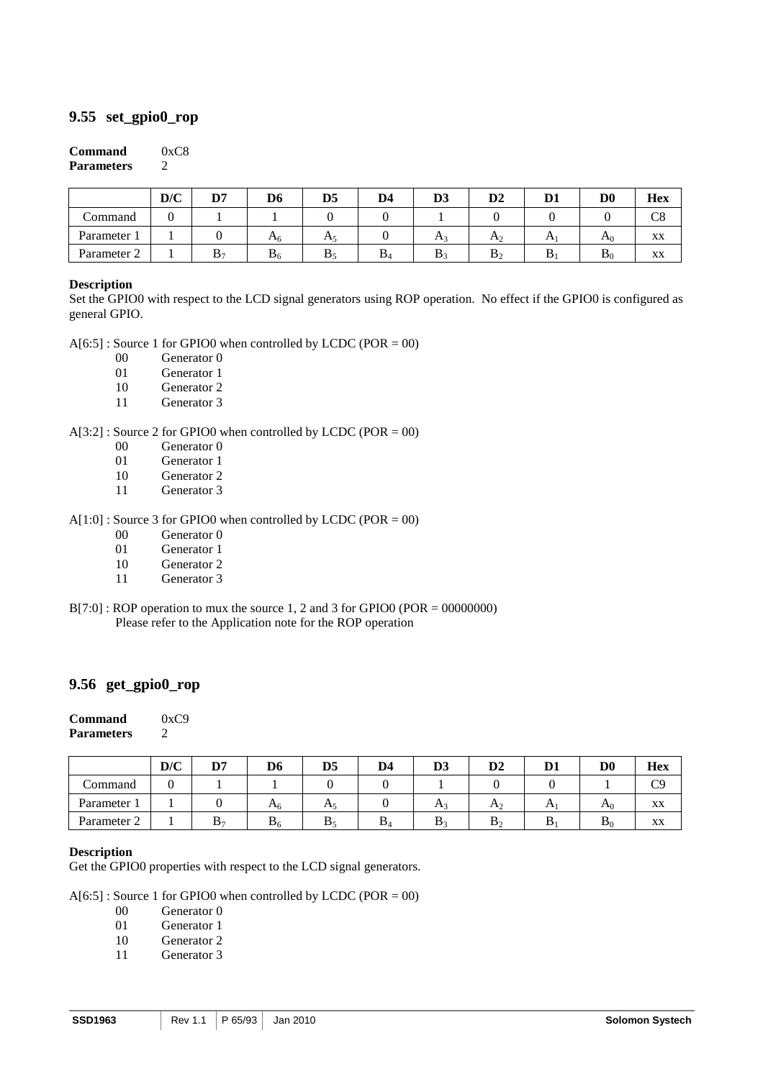# **9.55 set\_gpio0\_rop**

#### **Command** 0xC8 **Parameters** 2

|             | D/C | D7 | D6             | D <sub>5</sub> | D4             | D.<br>D3 | D2             | D1 | $\mathbf{D} \mathbf{0}$ | <b>Hex</b> |
|-------------|-----|----|----------------|----------------|----------------|----------|----------------|----|-------------------------|------------|
| Command     |     |    |                |                |                |          |                |    |                         | C8         |
| Parameter   |     |    | A <sub>6</sub> | A5             |                | $A_3$    | $A_2$          | A  | $A\rho$                 | XX         |
| Parameter 2 |     | ാ- | Dσ             | D٠             | $\mathbf{D}_4$ | υ        | Dγ<br><b>L</b> | D  | $\mathbf{D}_0$          | XX         |

#### **Description**

Set the GPIO0 with respect to the LCD signal generators using ROP operation. No effect if the GPIO0 is configured as general GPIO.

A[6:5] : Source 1 for GPIO0 when controlled by LCDC (POR = 00)

- 00 Generator 0<br>01 Generator 1
- Generator 1
- 10 Generator 2
- 11 Generator 3

#### A[3:2] : Source 2 for GPIO0 when controlled by LCDC (POR = 00)

- 00 Generator 0
- 01 Generator 1
- 10 Generator 2
- 11 Generator 3

#### A[1:0] : Source 3 for GPIO0 when controlled by LCDC (POR = 00)

- 00 Generator 0
- 01 Generator 1
- 10 Generator 2
- 11 Generator 3
- B[7:0] : ROP operation to mux the source 1, 2 and 3 for GPIO0 (POR = 00000000) Please refer to the Application note for the ROP operation

# **9.56 get\_gpio0\_rop**

| Command           | 0xC9 |
|-------------------|------|
| <b>Parameters</b> | 2    |

|             | D/C | פת             | D6             | D <sub>5</sub> | D4 | D3           | D2             | D1 | $\mathbf{D} \mathbf{0}$ | <b>Hex</b> |
|-------------|-----|----------------|----------------|----------------|----|--------------|----------------|----|-------------------------|------------|
| Command     |     |                |                |                |    |              |                |    |                         | C9         |
| Parameter   |     |                | $\mathbf{A}_6$ | $\pi$          |    | $\mathbf{A}$ | $\mathbf{r}_2$ | A  | $\mathbf{A}_0$          | XX         |
| Parameter 2 |     | B <sub>7</sub> | $\mathbf{D}_6$ | D-             | ь, | D.           | D.             | ⊥  | Dr                      | XX         |

#### **Description**

Get the GPIO0 properties with respect to the LCD signal generators.

 $A[6:5]$ : Source 1 for GPIO0 when controlled by LCDC (POR = 00)

- 00 Generator 0<br>01 Generator 1
- Generator 1
- 10 Generator 2
- 11 Generator 3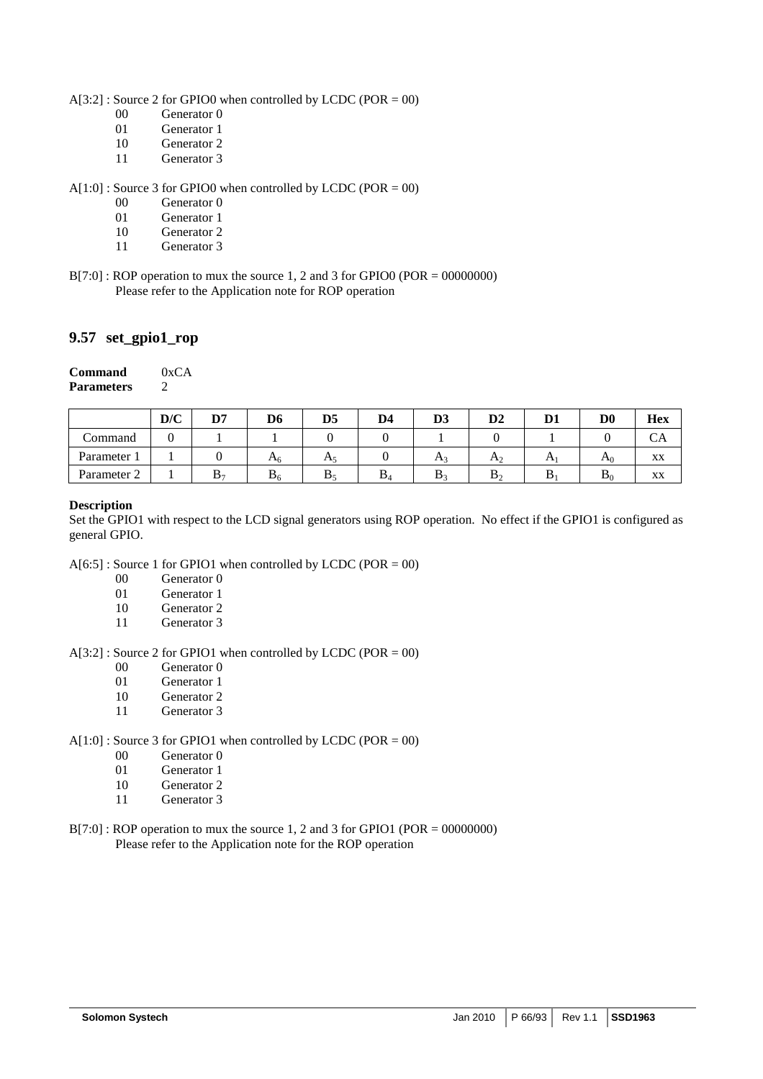A[3:2] : Source 2 for GPIO0 when controlled by LCDC (POR = 00)

- 00 Generator 0
- 01 Generator 1
- 10 Generator 2
- 11 Generator 3

A[1:0] : Source 3 for GPIO0 when controlled by LCDC (POR = 00)

- 00 Generator 0
- 01 Generator 1<br>10 Generator 2
- Generator 2
- 11 Generator 3

 $B[7:0]$ : ROP operation to mux the source 1, 2 and 3 for GPIO0 (POR = 00000000) Please refer to the Application note for ROP operation

# **9.57 set\_gpio1\_rop**

| Command           | 0xCA                        |
|-------------------|-----------------------------|
| <b>Parameters</b> | $\mathcal{D}_{\mathcal{L}}$ |

|             | D/C | D7 | D6             | D5             | D4 | D <sub>3</sub> | $\mathbf{D2}$     | D <sub>1</sub> | D0             | <b>Hex</b> |
|-------------|-----|----|----------------|----------------|----|----------------|-------------------|----------------|----------------|------------|
| Command     |     |    |                |                |    |                |                   |                |                | UΑ         |
| Parameter   |     |    | A <sub>6</sub> | A <sub>5</sub> |    | $A_3$          | A <sub>2</sub>    | $\mathbf{A}$   | A <sub>0</sub> | XX         |
| Parameter 2 |     | D7 | D6             | $\mathbf{p}_5$ | ⊿ט | ∂ (∟           | $\mathbf{D} \tau$ | D.             | $\mathbf{D}_0$ | XX         |

#### **Description**

Set the GPIO1 with respect to the LCD signal generators using ROP operation. No effect if the GPIO1 is configured as general GPIO.

- A[6:5] : Source 1 for GPIO1 when controlled by LCDC (POR = 00)
	- 00 Generator 0
	- 01 Generator 1
	- 10 Generator 2
	- 11 Generator 3

### A[3:2] : Source 2 for GPIO1 when controlled by LCDC (POR = 00)

- 00 Generator 0<br>01 Generator 1
- 01 Generator 1<br>10 Generator 2
- Generator 2
- 11 Generator 3

#### $A[1:0]$ : Source 3 for GPIO1 when controlled by LCDC (POR = 00)

- 00 Generator 0
- 01 Generator 1
- 10 Generator 2
- 11 Generator 3
- $B[7:0]$ : ROP operation to mux the source 1, 2 and 3 for GPIO1 (POR = 00000000) Please refer to the Application note for the ROP operation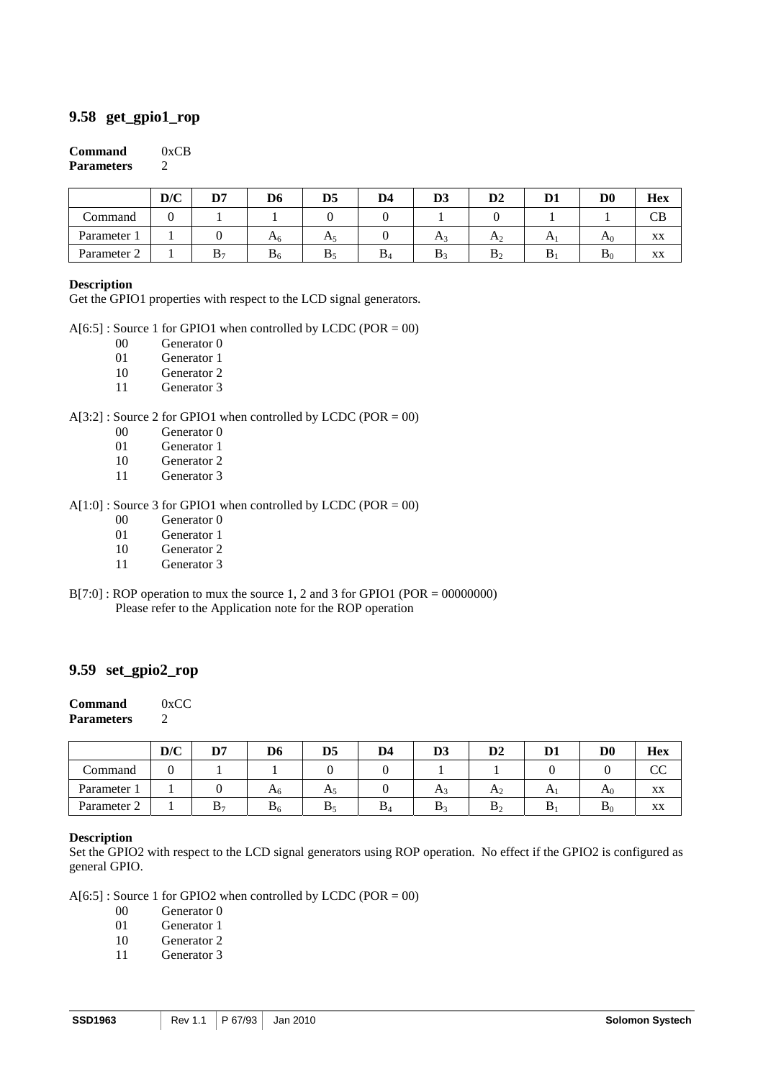# **9.58 get\_gpio1\_rop**

#### **Command** 0xCB **Parameters** 2

|             | D/C | D7             | D6             | D <sub>5</sub> | D4             | D3             | D2             | D. | $\mathbf{D} \mathbf{0}$ | <b>Hex</b> |
|-------------|-----|----------------|----------------|----------------|----------------|----------------|----------------|----|-------------------------|------------|
| Command     | υ   |                |                |                |                |                |                |    |                         | CВ         |
| Parameter   |     |                | $\mathbf{A}$ 6 | A <sub>5</sub> |                | $\mathbf{A}^2$ | A <sub>2</sub> | n' | A <sub>0</sub>          | XX         |
| Parameter 2 |     | $\mathbf{D}_7$ | $\mathbf{D}_6$ | D.             | D <sub>4</sub> | D.             | D              | υ  | Dr                      | XX         |

#### **Description**

Get the GPIO1 properties with respect to the LCD signal generators.

- A[6:5] : Source 1 for GPIO1 when controlled by LCDC (POR = 00)
	- 00 Generator 0<br>01 Generator 1
	- 01 Generator 1<br>10 Generator 2
	- Generator 2
	- 11 Generator 3

 $A[3:2]$ : Source 2 for GPIO1 when controlled by LCDC (POR = 00)

- 00 Generator 0
- 01 Generator 1
- 10 Generator 2
- 11 Generator 3

### $A[1:0]$ : Source 3 for GPIO1 when controlled by LCDC (POR = 00)

- 00 Generator 0
- 01 Generator 1
- 10 Generator 2
- 11 Generator 3
- $B[7:0]$ : ROP operation to mux the source 1, 2 and 3 for GPIO1 (POR = 00000000) Please refer to the Application note for the ROP operation

### **9.59 set\_gpio2\_rop**

| Command           | 0xCC |
|-------------------|------|
| <b>Parameters</b> | 2    |

|             | D/C | D7 | D6             | D5             | D4            | D <sub>3</sub> | D2             | D1           | $\mathbf{D} \mathbf{0}$ | <b>Hex</b> |
|-------------|-----|----|----------------|----------------|---------------|----------------|----------------|--------------|-------------------------|------------|
| Command     |     |    |                |                |               |                |                |              |                         | w          |
| Parameter 1 |     |    | $\mathbf{A}_6$ | A <sub>5</sub> |               | ΓY.            | A <sub>2</sub> | $\mathbf{L}$ | H <sub>0</sub>          | XX         |
| Parameter 2 |     | D- | $\mathbf{D}_6$ | D.             | $\mathbf{D}/$ | D.             | D-             | υ            | Dc                      | XX         |

#### **Description**

Set the GPIO2 with respect to the LCD signal generators using ROP operation. No effect if the GPIO2 is configured as general GPIO.

 $A[6:5]$ : Source 1 for GPIO2 when controlled by LCDC (POR = 00)

- 00 Generator 0<br>01 Generator 1
- Generator 1
- 10 Generator 2
- 11 Generator 3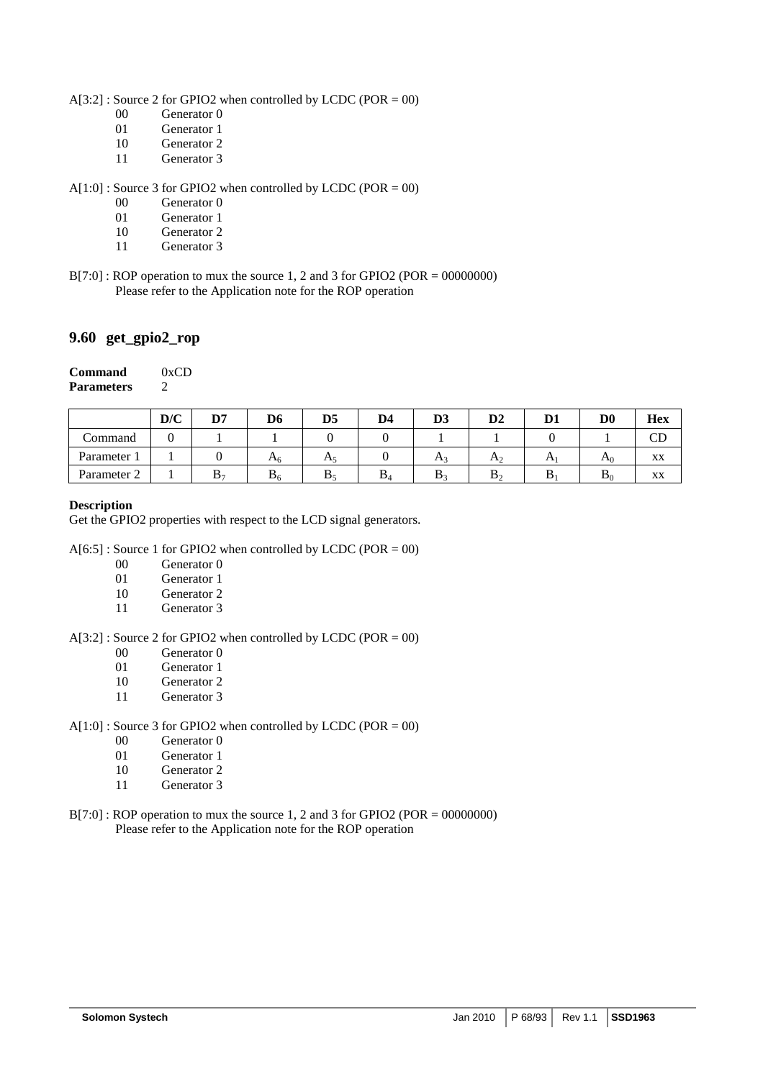A[3:2] : Source 2 for GPIO2 when controlled by LCDC (POR = 00)

- 00 Generator 0
- 01 Generator 1
- 10 Generator 2
- 11 Generator 3

A[1:0] : Source 3 for GPIO2 when controlled by LCDC (POR = 00)

- 00 Generator 0
- 01 Generator 1<br>10 Generator 2
- 10 Generator 2<br>11 Generator 3
- Generator 3

 $B[7:0]$ : ROP operation to mux the source 1, 2 and 3 for GPIO2 (POR = 00000000) Please refer to the Application note for the ROP operation

### **9.60 get\_gpio2\_rop**

| Command           | 0xCD                        |
|-------------------|-----------------------------|
| <b>Parameters</b> | $\mathcal{D}_{\mathcal{L}}$ |

|             | D/C | D7    | D6             | D5             | D4 | D3             | D <sub>2</sub> | D.           | D0             | Hex |
|-------------|-----|-------|----------------|----------------|----|----------------|----------------|--------------|----------------|-----|
| Command     | υ   |       |                |                |    |                |                |              |                | CD  |
| Parameter   |     |       | $\mathbf{A}$ 6 | A <sub>5</sub> |    | $\mathbf{A}^2$ | A <sub>2</sub> | $\mathbf{r}$ | A <sub>0</sub> | XX  |
| Parameter 2 |     | $B_7$ | $\mathbf{D}_6$ | D.             | DΔ | D?             | D              | נ ב          | DC             | XX  |

#### **Description**

Get the GPIO2 properties with respect to the LCD signal generators.

 $A[6:5]$ : Source 1 for GPIO2 when controlled by LCDC (POR = 00)

- 00 Generator 0
- 01 Generator 1
- 10 Generator 2
- 11 Generator 3

### A[3:2] : Source 2 for GPIO2 when controlled by LCDC (POR = 00)

- 00 Generator 0<br>01 Generator 1
- 01 Generator 1<br>10 Generator 2
- Generator 2
- 11 Generator 3

A[1:0] : Source 3 for GPIO2 when controlled by LCDC (POR = 00)

- 00 Generator 0
- 01 Generator 1
- 10 Generator 2
- 11 Generator 3
- B[7:0] : ROP operation to mux the source 1, 2 and 3 for GPIO2 (POR = 00000000) Please refer to the Application note for the ROP operation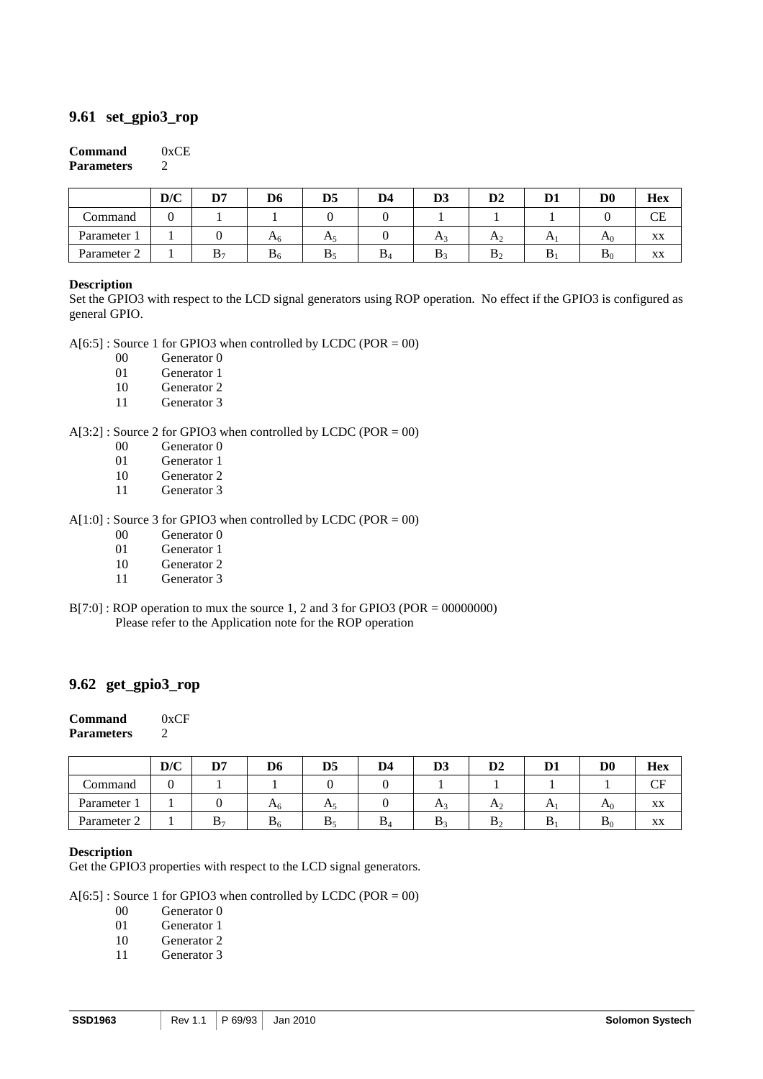# **9.61 set\_gpio3\_rop**

#### **Command** 0xCE **Parameters** 2

|             | D/C | D7 | D <sub>6</sub> | D5             | D4             | D3    | $\mathbf{D}2$  | $\mathbf{D}1$ | $\mathbf{D} \mathbf{0}$ | Hex |
|-------------|-----|----|----------------|----------------|----------------|-------|----------------|---------------|-------------------------|-----|
| Command     |     |    |                |                |                |       |                |               |                         | CЕ  |
| Parameter   |     |    | A <sub>6</sub> | A <sub>5</sub> |                | $A_3$ | A <sub>2</sub> | $\mathbf{A}$  | $A\rho$                 | XX  |
| Parameter 2 |     | D- | ്ദ             | D٠             | $\mathbf{D}_4$ | ּיש   | Dγ             | D             | $\mathbf{D}_0$          | XX  |

#### **Description**

Set the GPIO3 with respect to the LCD signal generators using ROP operation. No effect if the GPIO3 is configured as general GPIO.

A[6:5] : Source 1 for GPIO3 when controlled by LCDC (POR = 00)

- 00 Generator 0<br>01 Generator 1
- Generator 1
- 10 Generator 2
- 11 Generator 3

#### A[3:2] : Source 2 for GPIO3 when controlled by LCDC (POR = 00)

- 00 Generator 0
- 01 Generator 1
- 10 Generator 2
- 11 Generator 3

#### A[1:0] : Source 3 for GPIO3 when controlled by LCDC (POR = 00)

- 00 Generator 0
- 01 Generator 1
- 10 Generator 2
- 11 Generator 3
- B[7:0] : ROP operation to mux the source 1, 2 and 3 for GPIO3 (POR = 00000000) Please refer to the Application note for the ROP operation

# **9.62 get\_gpio3\_rop**

| Command           | 0xCF |
|-------------------|------|
| <b>Parameters</b> |      |

|             | D/C | פת             | D6             | D5    | D4 | D3           | D2             | D1 | $\mathbf{D} \mathbf{0}$ | <b>Hex</b> |
|-------------|-----|----------------|----------------|-------|----|--------------|----------------|----|-------------------------|------------|
| Command     |     |                |                |       |    |              |                |    |                         | CF         |
| Parameter   |     |                | n <sub>6</sub> | $\pi$ |    | $\mathbf{A}$ | $\mathbf{r}_2$ | A  | $\mathbf{A}_0$          | XX         |
| Parameter 2 |     | B <sub>7</sub> | $\mathbf{D}_6$ | D-    | ь, | D.           | D.             | ⊥  | Dr                      | XX         |

#### **Description**

Get the GPIO3 properties with respect to the LCD signal generators.

 $A[6:5]$ : Source 1 for GPIO3 when controlled by LCDC (POR = 00)

- 00 Generator 0<br>01 Generator 1
- Generator 1
- 10 Generator 2
- 11 Generator 3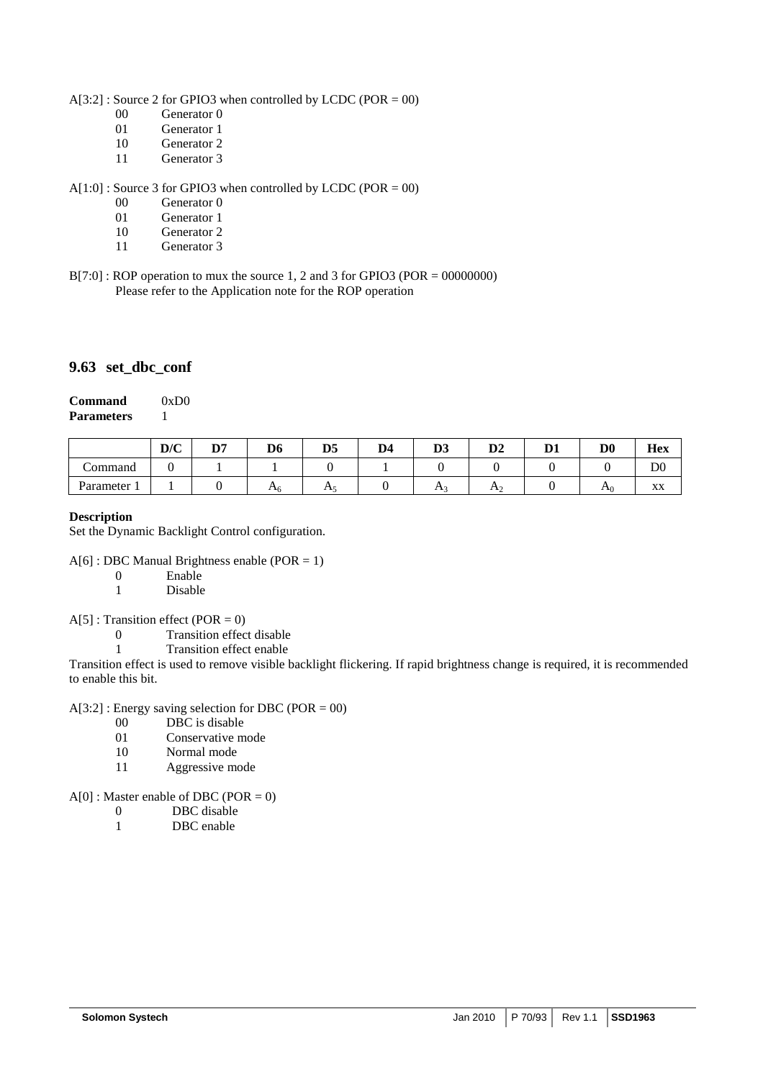A[3:2] : Source 2 for GPIO3 when controlled by LCDC (POR = 00)

- 00 Generator 0
- 01 Generator 1
- 10 Generator 2
- 11 Generator 3

A[1:0] : Source 3 for GPIO3 when controlled by LCDC (POR = 00)

- 00 Generator 0
- 01 Generator 1<br>10 Generator 2
- 10 Generator 2<br>11 Generator 3
- Generator 3
- $B[7:0]$ : ROP operation to mux the source 1, 2 and 3 for GPIO3 (POR = 00000000) Please refer to the Application note for the ROP operation

### **9.63 set\_dbc\_conf**

### **Command** 0xD0 **Parameters** 1

|           | D/C | פת<br>י ע | D6             | D <sub>5</sub> | D4 | $\mathbf{A}$<br>IJJ | D <sub>2</sub> | D. | D <sub>0</sub> | <b>Hex</b>  |
|-----------|-----|-----------|----------------|----------------|----|---------------------|----------------|----|----------------|-------------|
| Command   |     |           |                |                |    |                     |                |    |                | $_{\rm D0}$ |
| Parameter |     |           | Л6<br>$\cdots$ | ЛS             |    | $\mathbf{L}$        | H <sub>2</sub> |    | A <sub>0</sub> | XX          |

#### **Description**

Set the Dynamic Backlight Control configuration.

- A[6] : DBC Manual Brightness enable (POR = 1)
	- 0 Enable
	- 1 Disable

 $A[5]$ : Transition effect (POR = 0)

- 0 Transition effect disable
- 1 Transition effect enable

Transition effect is used to remove visible backlight flickering. If rapid brightness change is required, it is recommended to enable this bit.

# $A[3:2]$ : Energy saving selection for DBC (POR = 00)

- 00 DBC is disable
- 01 Conservative mode
- 10 Normal mode
- 11 Aggressive mode

 $A[0]$ : Master enable of DBC (POR = 0)

- 0 DBC disable
- 1 DBC enable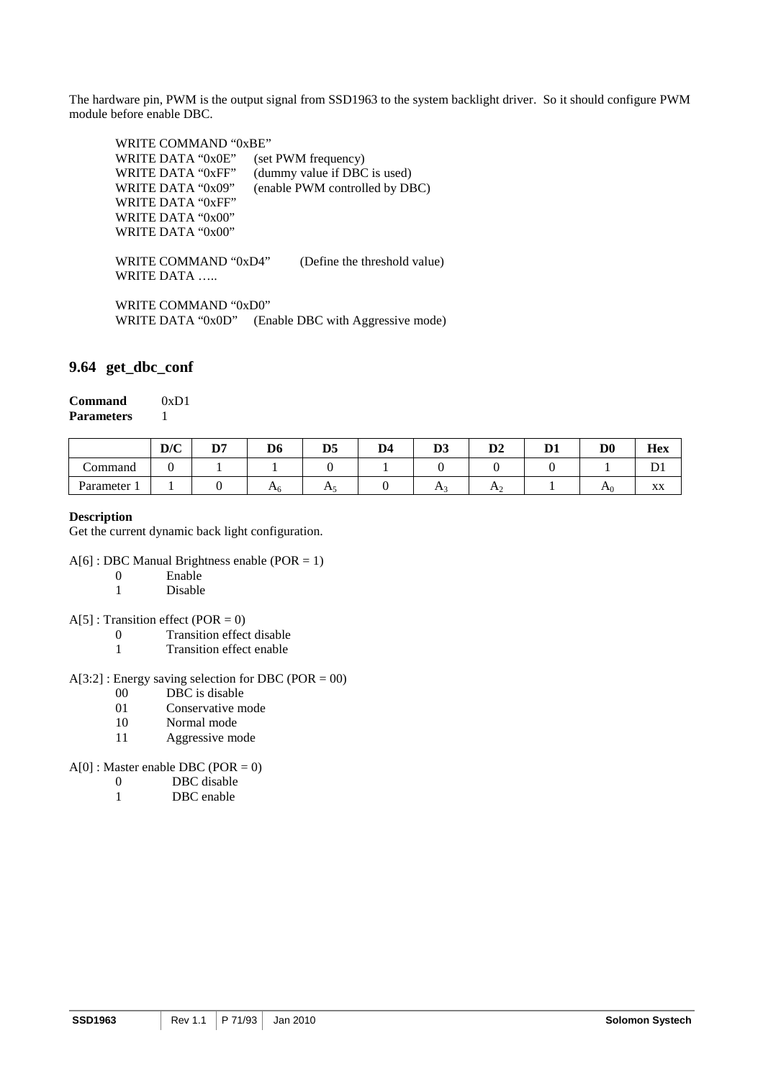The hardware pin, PWM is the output signal from SSD1963 to the system backlight driver. So it should configure PWM module before enable DBC.

WRITE COMMAND "0xBE" WRITE DATA "0x0E" (set PWM frequency) WRITE DATA "0xFF" (dummy value if DBC is used) WRITE DATA "0x09" (enable PWM controlled by DBC) WRITE DATA "0xFF" WRITE DATA "0x00" WRITE DATA "0x00" WRITE COMMAND "0xD4" (Define the threshold value)

WRITE DATA ….. WRITE COMMAND "0xD0"

WRITE DATA "0x0D" (Enable DBC with Aggressive mode)

# **9.64 get\_dbc\_conf**

| Command           | 0xD1 |
|-------------------|------|
| <b>Parameters</b> |      |

|           | D/C | פת<br>, , | D6       | D <sub>5</sub>             | D.A<br>IJ4 | D <sub>3</sub> | $\mathbf{D}2$ | n.<br>ப | D <sub>0</sub> | <b>Hex</b> |
|-----------|-----|-----------|----------|----------------------------|------------|----------------|---------------|---------|----------------|------------|
| Command   |     |           |          |                            |            |                |               |         |                |            |
| Parameter |     |           | $T_{16}$ | Л <sup>,</sup><br><u>.</u> |            | TY             | H<br><u>_</u> |         | H <sub>0</sub> | XX         |

### **Description**

Get the current dynamic back light configuration.

- A[6] : DBC Manual Brightness enable (POR = 1)
	- 0 Enable
	- 1 Disable
- $A[5]$ : Transition effect (POR = 0)
	- 0 Transition effect disable
	- 1 Transition effect enable

A[3:2] : Energy saving selection for DBC (POR = 00)

- 00 DBC is disable
- 01 Conservative mode
- 10 Normal mode
- 11 Aggressive mode

### $A[0]$ : Master enable DBC (POR = 0)

- 0 DBC disable<br>1 DBC enable
- DBC enable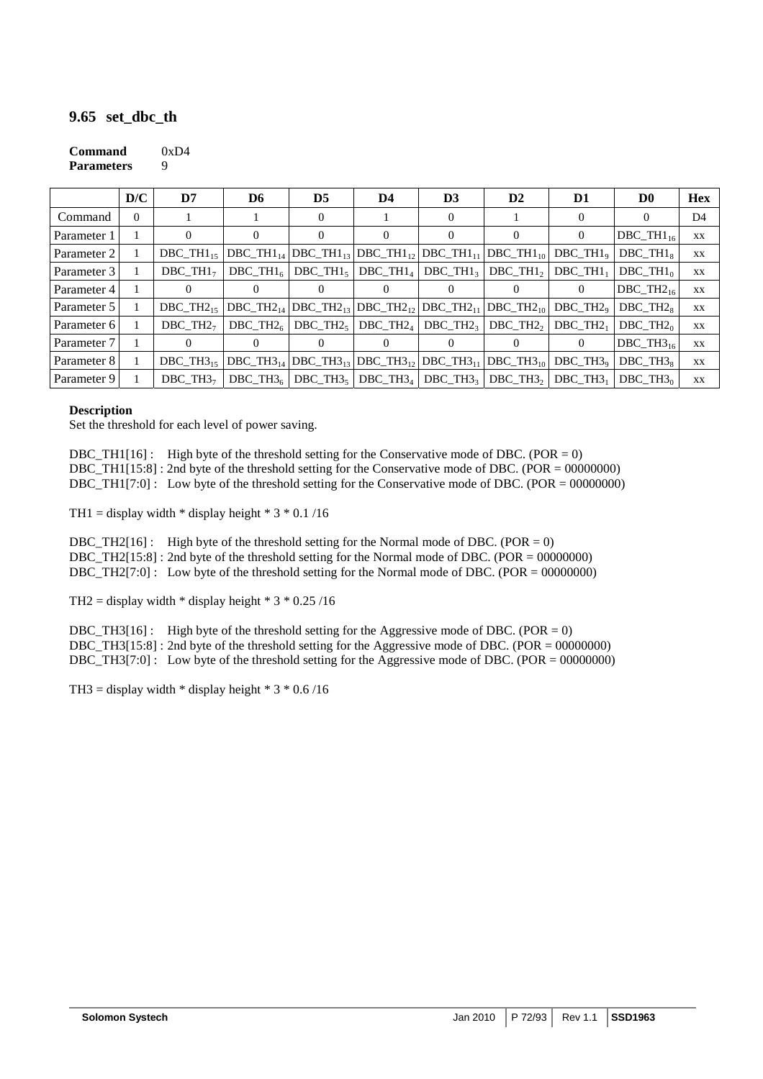# **9.65 set\_dbc\_th**

#### **Command** 0xD4 **Parameters** 9

|             | D/C      | D7           | D <sub>6</sub>                                                                                                                      | D5             | D4           | D <sub>3</sub> | $\mathbf{D2}$                     | D1                                           | D <sub>0</sub> | <b>Hex</b> |
|-------------|----------|--------------|-------------------------------------------------------------------------------------------------------------------------------------|----------------|--------------|----------------|-----------------------------------|----------------------------------------------|----------------|------------|
| Command     | $\Omega$ |              |                                                                                                                                     | $\theta$       |              | $\theta$       |                                   |                                              | $\theta$       | D4         |
| Parameter   |          |              | 0                                                                                                                                   | $\Omega$       | 0            | $\Omega$       |                                   | 0                                            | $DBC_TH1_{16}$ | XX         |
| Parameter 2 |          |              | $DBC_TH1_{15}$ DBC_TH1 <sub>14</sub> DBC_TH1 <sub>13</sub> DBC_TH1 <sub>12</sub> DBC_TH1 <sub>11</sub> DBC_TH1 <sub>10</sub>        |                |              |                |                                   | DBC TH $l_9$                                 | DBC $TH18$     | XX         |
| Parameter 3 |          | DBC TH $1_7$ | DBC TH $1_{6}$                                                                                                                      | DBC TH $1_{5}$ | $DBC\_TH1_4$ |                | $DBC\_TH1_3$ DBC_TH1 <sub>2</sub> | DBC $TH11$                                   | $DBC$ TH $1_0$ | XX         |
| Parameter 4 |          | $\Omega$     |                                                                                                                                     |                | $\theta$     | $\Omega$       |                                   | $^{(1)}$                                     | $DBC_TH2_{16}$ | XX         |
| Parameter 5 |          |              | DBC_TH2 <sub>15</sub> DBC_TH2 <sub>14</sub> DBC_TH2 <sub>13</sub> DBC_TH2 <sub>12</sub> DBC_TH2 <sub>11</sub> DBC_TH2 <sub>10</sub> |                |              |                |                                   | DBC TH <sub>2<sup><math>9</math></sup></sub> | DBC TH $2_{8}$ | XX         |
| Parameter 6 |          | DBC TH $27$  | DBC TH $26$                                                                                                                         | DBC TH $25$    | $DBC_TH2_4$  | DBC TH $23$    | DBC TH $2$                        | DBC TH $21$                                  | DBC TH $2_0$   | XX         |
| Parameter 7 |          | $\theta$     |                                                                                                                                     | 0              | 0            | $\Omega$       |                                   | 0                                            | $DBC_TH3_{16}$ | XX         |
| Parameter 8 |          |              | DBC_TH3 <sub>15</sub> DBC_TH3 <sub>14</sub> DBC_TH3 <sub>13</sub> DBC_TH3 <sub>12</sub> DBC_TH3 <sub>11</sub> DBC_TH3 <sub>10</sub> |                |              |                |                                   | DBC TH $3_9$                                 | DBC TH $3_8$   | XX         |
| Parameter 9 |          | DBC TH $37$  | DBC TH $36$                                                                                                                         | DBC TH $35$    | DBC TH $3_4$ |                | DBC TH $3_3$ DBC TH $3_2$         | DBC TH $31$                                  | DBC TH $3_0$   | XX         |

#### **Description**

Set the threshold for each level of power saving.

DBC\_TH1[16] : High byte of the threshold setting for the Conservative mode of DBC. (POR =  $0$ ) DBC\_TH1[15:8] : 2nd byte of the threshold setting for the Conservative mode of DBC. (POR = 00000000) DBC\_TH1[7:0] : Low byte of the threshold setting for the Conservative mode of DBC. (POR = 00000000)

TH1 = display width  $*$  display height  $*$  3  $*$  0.1/16

DBC TH2[16] : High byte of the threshold setting for the Normal mode of DBC. (POR = 0) DBC TH2 $[15:8]$  : 2nd byte of the threshold setting for the Normal mode of DBC. (POR = 00000000) DBC\_TH2[7:0] : Low byte of the threshold setting for the Normal mode of DBC. (POR = 00000000)

TH2 = display width  $*$  display height  $*$  3  $*$  0.25/16

DBC\_TH3[16] : High byte of the threshold setting for the Aggressive mode of DBC. (POR = 0) DBC\_TH3[15:8] : 2nd byte of the threshold setting for the Aggressive mode of DBC. (POR = 00000000) DBC\_TH3[7:0] : Low byte of the threshold setting for the Aggressive mode of DBC. (POR = 00000000)

TH3 = display width  $*$  display height  $*$  3  $*$  0.6/16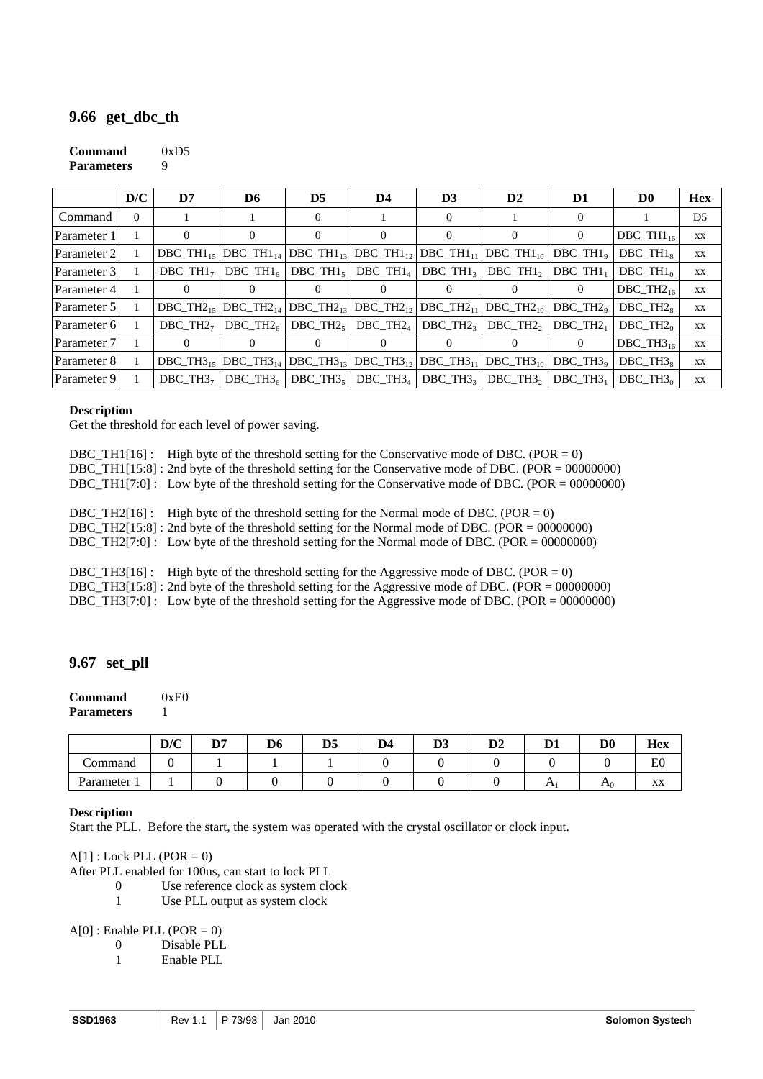# **9.66 get\_dbc\_th**

| Command           | 0xD5 |
|-------------------|------|
| <b>Parameters</b> | 9    |

|              | D/C      | D7           | D6                                   | D <sub>5</sub> | D4                      | D <sub>3</sub>                                                                             | $\mathbf{D}2$         | D1                    | D <sub>0</sub>  | <b>Hex</b>     |
|--------------|----------|--------------|--------------------------------------|----------------|-------------------------|--------------------------------------------------------------------------------------------|-----------------------|-----------------------|-----------------|----------------|
| Command      | $\Omega$ |              |                                      | $\theta$       |                         | $\theta$                                                                                   |                       |                       |                 | D <sub>5</sub> |
| Parameter 1  |          |              | $^{(1)}$                             | 0              |                         | $\theta$                                                                                   | 0                     |                       | $DBC\_TH1_{16}$ | XX             |
| Parameter 21 |          |              | DBC TH $1_{15}$ DBC TH $1_{14}$      |                |                         | $DBC_$ TH1 <sub>13</sub> DBC_TH1 <sub>12</sub> DBC_TH1 <sub>11</sub> DBC_TH1 <sub>10</sub> |                       | DBC TH $l_9$          | DBC $TH18$      | XX             |
| Parameter 3  |          | DBC TH $1_7$ | DBC TH $1_6$                         |                | DBC TH $15$ DBC TH $14$ | $DBC$ TH $1_3$                                                                             | DBC TH $1$ ,          | $DBC$ TH $11$         | DBC TH $1_0$    | XX             |
| Parameter 4  |          |              |                                      |                |                         |                                                                                            |                       |                       | $DBC_TH2_{16}$  | XX             |
| Parameter 5  |          |              | $DBC_TH2_{15}$ $DBC_TH2_{14}$        |                |                         | $DBC_$ TH2 <sub>13</sub> DBC_TH2 <sub>12</sub> DBC_TH2 <sub>11</sub> DBC_TH2 <sub>10</sub> |                       | $DBC_TH29$            | DBC TH $2_{8}$  | XX             |
| Parameter 6  |          | DBC TH $27$  | DBC TH $26$                          | DBC TH $25$    | DBC TH $2_4$            | DBC TH $2_3$                                                                               | DBC TH $2$            | $DBC$ TH <sub>2</sub> | DBC TH $2_0$    | XX             |
| Parameter 7  |          |              |                                      |                |                         |                                                                                            | $\theta$              |                       | $DBC_TH3_{16}$  | XX             |
| Parameter 8  |          |              | $DBC_TH3_{15}$ DBC TH3 <sub>14</sub> |                |                         | DBC_TH3 <sub>13</sub> DBC_TH3 <sub>12</sub> DBC_TH3 <sub>11</sub> DBC_TH3 <sub>10</sub>    |                       | DBC TH $39$           | DBC $TH38$      | XX             |
| Parameter 9  |          | DBC TH $37$  | DBC TH $36$                          | DBC TH $35$    |                         | DBC TH $3_4$ DBC TH $3_3$                                                                  | DBC TH <sub>3</sub> , | DBC TH $31$           | DBC TH $3_0$    | XX             |

#### **Description**

Get the threshold for each level of power saving.

| DBC_TH1[16]: High byte of the threshold setting for the Conservative mode of DBC. (POR = 0)          |
|------------------------------------------------------------------------------------------------------|
| DBC_TH1[15:8] : 2nd byte of the threshold setting for the Conservative mode of DBC. (POR = 00000000) |
| DBC_TH1[7:0] : Low byte of the threshold setting for the Conservative mode of DBC. (POR = 00000000)  |
|                                                                                                      |
| DBC_TH2[16]: High byte of the threshold setting for the Normal mode of DBC. (POR = 0)                |
| DBC_TH2[15:8] : 2nd byte of the threshold setting for the Normal mode of DBC. (POR = $00000000$ )    |
| DBC_TH2[7:0] : Low byte of the threshold setting for the Normal mode of DBC. (POR = 00000000)        |
|                                                                                                      |
| DBC_TH3[16]: High byte of the threshold setting for the Aggressive mode of DBC. (POR = 0)            |
| DBC_TH3[15:8] : 2nd byte of the threshold setting for the Aggressive mode of DBC. (POR = 00000000)   |
| DBC_TH3[7:0] : Low byte of the threshold setting for the Aggressive mode of DBC. (POR = $00000000$ ) |

## **9.67 set\_pll**

#### **Command** 0xE0 **Parameters** 1

|           | D/C | פת<br>υ, | D <sub>6</sub> | D5 | D <sub>4</sub> | D <sub>1</sub><br>IJJ | n٥<br><i>שט</i> |          | D <sub>0</sub> | $-1$<br>Hex    |
|-----------|-----|----------|----------------|----|----------------|-----------------------|-----------------|----------|----------------|----------------|
| Command   |     |          |                |    |                |                       |                 |          |                | E <sub>0</sub> |
| Parameter |     |          |                |    |                |                       |                 | $\Gamma$ | $\mathbf{u}_0$ | XX             |

#### **Description**

Start the PLL. Before the start, the system was operated with the crystal oscillator or clock input.

 $A[1]$ : Lock PLL (POR = 0)

After PLL enabled for 100us, can start to lock PLL

- 0 Use reference clock as system clock<br>1 Use PLL output as system clock
- Use PLL output as system clock

 $A[0]$ : Enable PLL (POR = 0)

- 0 Disable PLL<br>1 Enable PLL
- Enable PLL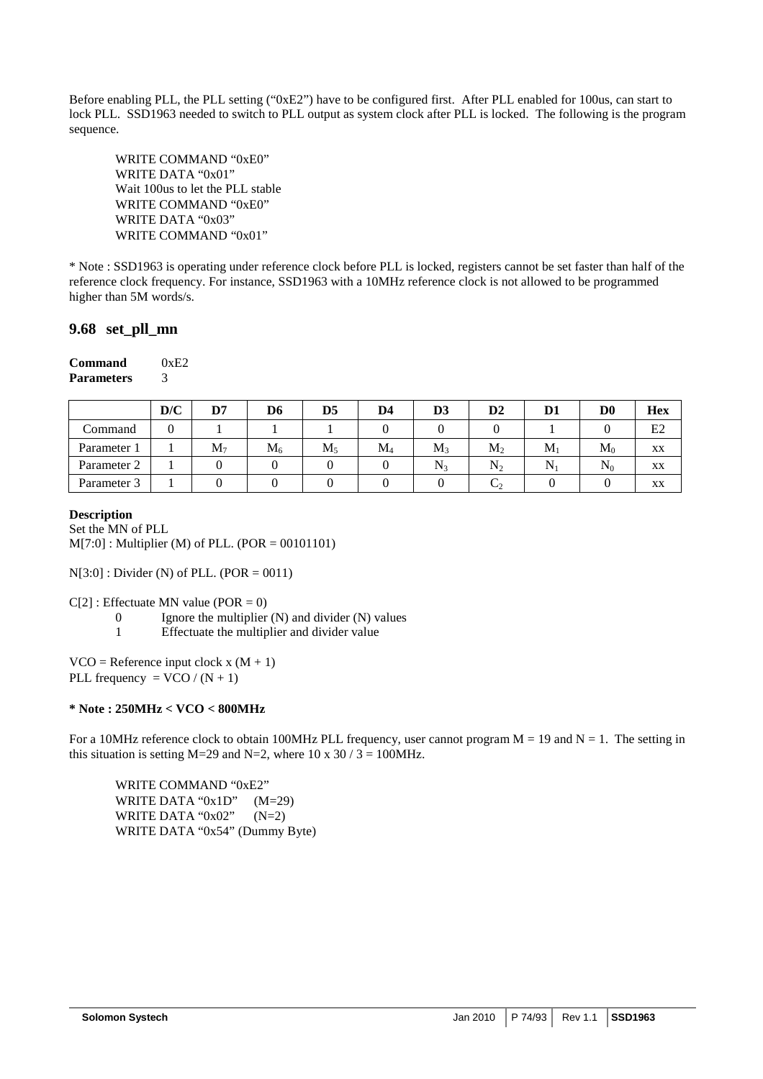Before enabling PLL, the PLL setting ("0xE2") have to be configured first. After PLL enabled for 100us, can start to lock PLL. SSD1963 needed to switch to PLL output as system clock after PLL is locked. The following is the program sequence.

WRITE COMMAND "0xE0" WRITE DATA "0x01" Wait 100us to let the PLL stable WRITE COMMAND "0xE0" WRITE DATA "0x03" WRITE COMMAND "0x01"

\* Note : SSD1963 is operating under reference clock before PLL is locked, registers cannot be set faster than half of the reference clock frequency. For instance, SSD1963 with a 10MHz reference clock is not allowed to be programmed higher than 5M words/s.

## **9.68 set\_pll\_mn**

| Command           | 0xE2 |
|-------------------|------|
| <b>Parameters</b> | 3    |

|             | D/C | D7             | D6        | D5        | D4          | D3             | $\mathbf{D2}$                  | D <sub>1</sub> | $\mathbf{D} \mathbf{0}$ | <b>Hex</b> |
|-------------|-----|----------------|-----------|-----------|-------------|----------------|--------------------------------|----------------|-------------------------|------------|
| Command     | 0   |                |           |           |             |                |                                |                |                         | E2         |
| Parameter   |     | M <sub>7</sub> | $\rm M_6$ | $\rm M_5$ | $\rm M_{4}$ | $M_{3}$        | $M_2$                          | М              | $\mathbf{M}_0$          | XX         |
| Parameter 2 |     |                |           |           |             | N <sub>3</sub> | $\mathbf{v}$<br>$\mathrm{N}_2$ |                | $\rm N_0$               | XX         |
| Parameter 3 |     |                |           |           |             |                | $\mathord{\mathsf{L}}_2$       |                |                         | XX         |

## **Description**

Set the MN of PLL  $M[7:0]$ : Multiplier (M) of PLL. (POR = 00101101)

 $N[3:0]$ : Divider (N) of PLL. (POR = 0011)

 $C[2]$ : Effectuate MN value (POR = 0)

- 0 Ignore the multiplier (N) and divider (N) values
- 1 Effectuate the multiplier and divider value

 $VCO =$  Reference input clock x  $(M + 1)$ PLL frequency =  $VCO / (N + 1)$ 

## **\* Note : 250MHz < VCO < 800MHz**

For a 10MHz reference clock to obtain 100MHz PLL frequency, user cannot program  $M = 19$  and  $N = 1$ . The setting in this situation is setting M=29 and N=2, where 10 x 30 / 3 = 100MHz.

WRITE COMMAND "0xE2" WRITE DATA "0x1D" (M=29) WRITE DATA " $0x02$ " (N=2) WRITE DATA "0x54" (Dummy Byte)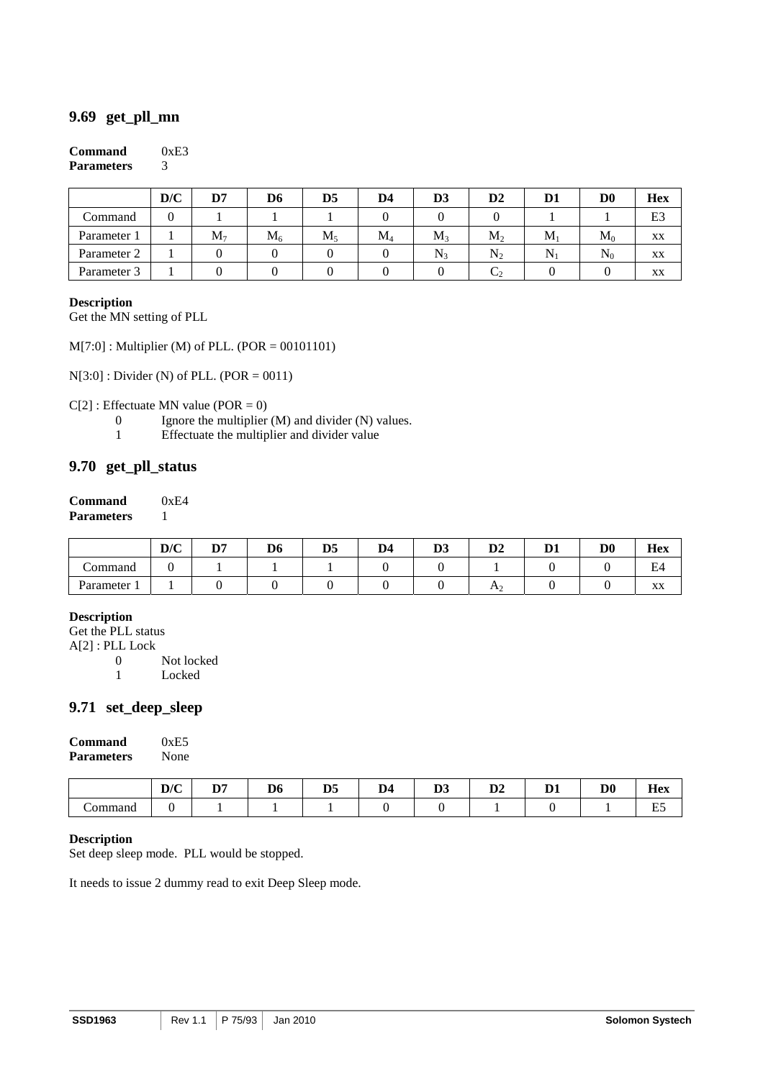## **9.69 get\_pll\_mn**

#### **Command** 0xE3 **Parameters** 3

|             | D/C | D7             | D6    | D <sub>5</sub> | D4          | D3    | $\mathbf{D2}$  | D1 | D <sub>0</sub> | <b>Hex</b> |
|-------------|-----|----------------|-------|----------------|-------------|-------|----------------|----|----------------|------------|
| Command     |     |                |       |                |             |       |                |    |                | E3         |
| Parameter 1 |     | M <sub>7</sub> | $M_6$ | $\rm M_5$      | $\rm M_{4}$ | $M_3$ | $\mathbf{M}_2$ | M  | $\mathbf{M}_0$ | XX         |
| Parameter 2 |     |                |       |                |             | $N_3$ | $N_2$          | N  | $\rm N_0$      | XX         |
| Parameter 3 |     |                |       |                |             |       | $\mathsf{L}_2$ |    |                | XX         |

### **Description**

Get the MN setting of PLL

M[7:0] : Multiplier (M) of PLL. (POR = 00101101)

N[3:0] : Divider (N) of PLL. (POR = 0011)

 $C[2]$ : Effectuate MN value (POR = 0)

- 0 Ignore the multiplier (M) and divider (N) values.
- 1 Effectuate the multiplier and divider value

## **9.70 get\_pll\_status**

| Command           | 0xE4 |
|-------------------|------|
| <b>Parameters</b> |      |

|           | D/C | n,<br><u>,</u> | D6 | D <sub>5</sub> | D4 | D3 | D <sub>2</sub> | $\sim$ | D0 | <b>Hex</b>                       |
|-----------|-----|----------------|----|----------------|----|----|----------------|--------|----|----------------------------------|
| Command   |     |                |    |                |    |    |                |        |    | Ŀ4                               |
| Parameter |     |                |    |                |    |    | HΩ<br><u>_</u> |        |    | $\mathbf{v}$<br>$\Lambda\Lambda$ |

### **Description**

Get the PLL status

A[2] : PLL Lock

0 Not locked

1 Locked

## **9.71 set\_deep\_sleep**

| Command           | 0xE5 |
|-------------------|------|
| <b>Parameters</b> | None |

|         | D/C | <b>DF</b><br>. . | D <sub>6</sub> | D <sub>5</sub> | D4<br>- - | $\mathbf{L}$<br>IJJ | D2 | D. | D <sub>0</sub> | $-$<br>ചകം<br>11VA |
|---------|-----|------------------|----------------|----------------|-----------|---------------------|----|----|----------------|--------------------|
| `ommand |     |                  |                |                |           |                     |    |    |                | $\sim$<br>--       |

#### **Description**

Set deep sleep mode. PLL would be stopped.

It needs to issue 2 dummy read to exit Deep Sleep mode.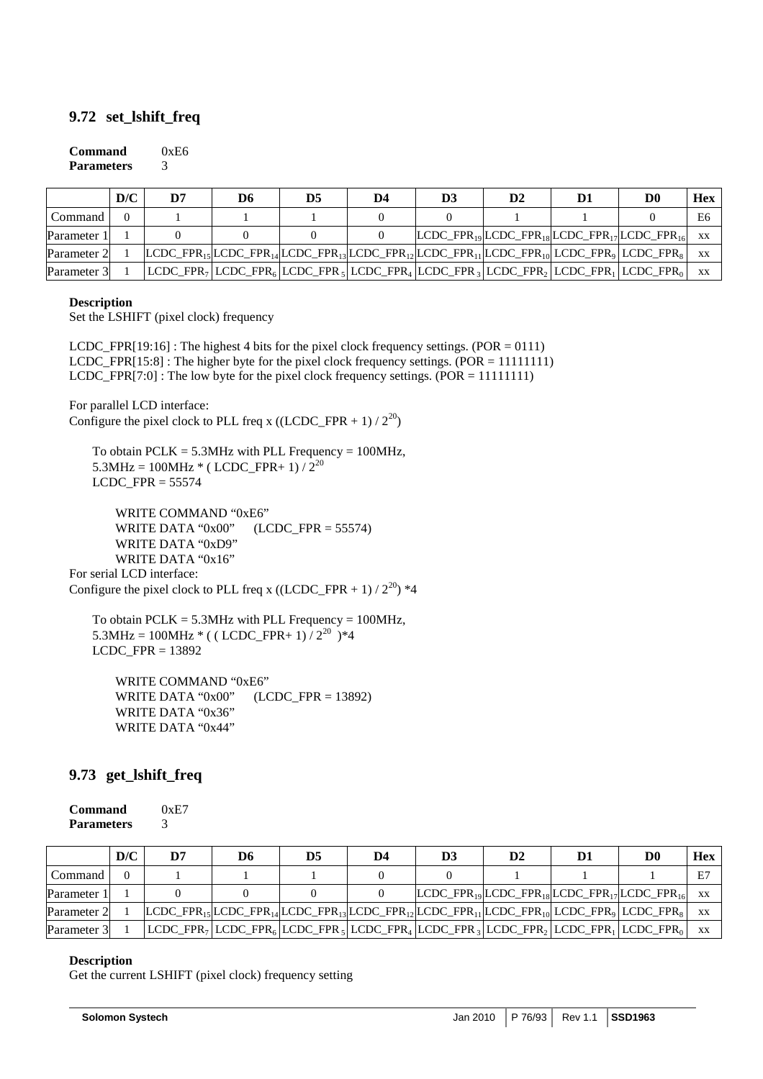## **9.72 set\_lshift\_freq**

| Command           | 0xE6 |
|-------------------|------|
| <b>Parameters</b> | 3    |

|             | D/C | D7                                                                                                            | D6                                                                                                                                                                                                                                        | D5 | D4 | D <sub>3</sub> | D2 | D1 | D0                                                          | <b>Hex</b> |
|-------------|-----|---------------------------------------------------------------------------------------------------------------|-------------------------------------------------------------------------------------------------------------------------------------------------------------------------------------------------------------------------------------------|----|----|----------------|----|----|-------------------------------------------------------------|------------|
| Command     |     |                                                                                                               |                                                                                                                                                                                                                                           |    |    |                |    |    |                                                             | E6         |
| Parameter 1 |     |                                                                                                               |                                                                                                                                                                                                                                           |    |    |                |    |    | $ LCDC_FPR_{19} LCDC_FPR_{18} LCDC_FPR_{17} LCDC_FPR_{16} $ |            |
| Parameter 2 |     | $[LCDC_FPR_{15}]LCDC_FPR_{14}]LCDC_FPR_{13} LCDC_FPR_{12} LCDC_FPR_{11} LCDC_FPR_{10} LCDC_FPR_9 LCDC_FPR_8 $ |                                                                                                                                                                                                                                           |    |    |                |    |    |                                                             |            |
| Parameter 3 |     |                                                                                                               | $\lfloor$ LCDC_FPR <sub>7</sub> $\lfloor$ LCDC_FPR <sub>6</sub> $\lfloor$ LCDC_FPR <sub>3</sub> $\lfloor$ LCDC_FPR <sub>4</sub> $\lfloor$ LCDC_FPR <sub>2</sub> $\lfloor$ LCDC_FPR <sub>1</sub> $\lfloor$ LCDC_FPR <sub>0</sub> $\lfloor$ |    |    |                |    |    |                                                             |            |

#### **Description**

Set the LSHIFT (pixel clock) frequency

LCDC\_FPR[19:16] : The highest 4 bits for the pixel clock frequency settings.  $(POR = 0111)$ LCDC FPR[15:8] : The higher byte for the pixel clock frequency settings. (POR = 11111111) LCDC\_FPR[7:0] : The low byte for the pixel clock frequency settings. (POR = 11111111)

For parallel LCD interface: Configure the pixel clock to PLL freq x ((LCDC\_FPR + 1) /  $2^{20}$ )

To obtain PCLK =  $5.3$ MHz with PLL Frequency =  $100$ MHz, 5.3MHz = 100MHz  $*($  LCDC\_FPR+ 1) / 2<sup>20</sup> LCDC\_FPR = 55574

WRITE COMMAND "0xE6" WRITE DATA " $0x00$ " (LCDC\_FPR = 55574) WRITE DATA "0xD9" WRITE DATA "0x16" For serial LCD interface: Configure the pixel clock to PLL freq x ((LCDC\_FPR + 1) /  $2^{20}$ ) \*4

To obtain PCLK =  $5.3$ MHz with PLL Frequency =  $100$ MHz, 5.3MHz = 100MHz  $*($  ( LCDC\_FPR+ 1)  $/2^{20}$  )\*4 LCDC\_FPR = 13892

WRITE COMMAND "0xE6" WRITE DATA " $0x00$ " (LCDC\_FPR = 13892) WRITE DATA "0x36" WRITE DATA "0x44"

## **9.73 get\_lshift\_freq**

| Command           | 0xE7 |
|-------------------|------|
| <b>Parameters</b> | 3    |

|             | D/C | D7 | D6                                                                                                                                                                                                                                                      | D5 | D4 | D3 | D2 | D1                                                                                          | D | Hex       |
|-------------|-----|----|---------------------------------------------------------------------------------------------------------------------------------------------------------------------------------------------------------------------------------------------------------|----|----|----|----|---------------------------------------------------------------------------------------------|---|-----------|
| Command     |     |    |                                                                                                                                                                                                                                                         |    |    |    |    |                                                                                             |   | E7        |
| Parameter 1 |     |    |                                                                                                                                                                                                                                                         |    |    |    |    | LCDC_FPR <sub>19</sub> LCDC_FPR <sub>18</sub> LCDC_FPR <sub>17</sub> LCDC_FPR <sub>16</sub> |   | XX        |
| Parameter 2 |     |    | LCDC FPR <sub>13</sub> LCDC FPR <sub>14</sub> LCDC FPR <sub>13</sub> LCDC FPR <sub>12</sub> LCDC FPR <sub>11</sub> LCDC FPR <sub>10</sub> LCDC FPR <sub>9</sub> LCDC FPR <sub>8</sub> L                                                                 |    |    |    |    |                                                                                             |   | <b>XX</b> |
| Parameter 3 |     |    | $\vert$ LCDC_FPR <sub>7</sub> $\vert$ LCDC_FPR <sub>6</sub> $\vert$ LCDC_FPR <sub>5</sub> $\vert$ LCDC_FPR <sub>4</sub> $\vert$ LCDC_FPR <sub>3</sub> $\vert$ LCDC_FPR <sub>2</sub> $\vert$ LCDC_FPR <sub>1</sub> $\vert$ LCDC_FPR <sub>0</sub> $\vert$ |    |    |    |    |                                                                                             |   | XX        |

#### **Description**

Get the current LSHIFT (pixel clock) frequency setting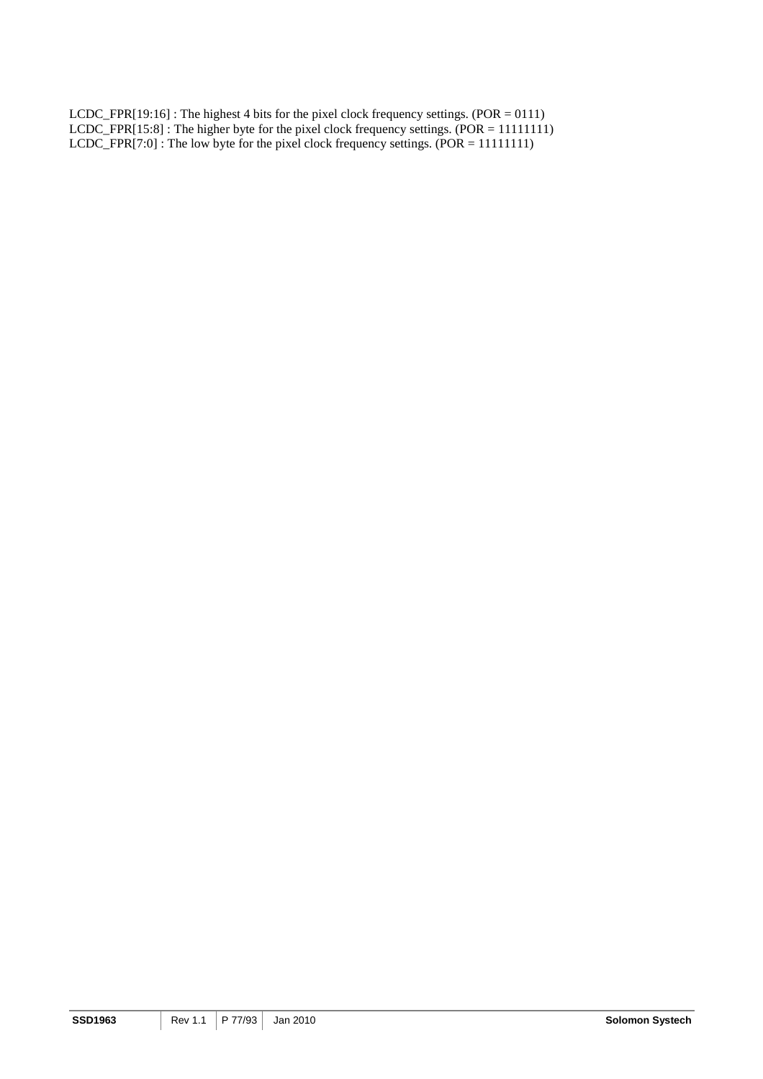LCDC\_FPR[19:16] : The highest 4 bits for the pixel clock frequency settings. (POR = 0111) LCDC\_FPR[15:8] : The higher byte for the pixel clock frequency settings. (POR = 11111111) LCDC\_FPR[7:0] : The low byte for the pixel clock frequency settings. (POR  $= 11111111$ )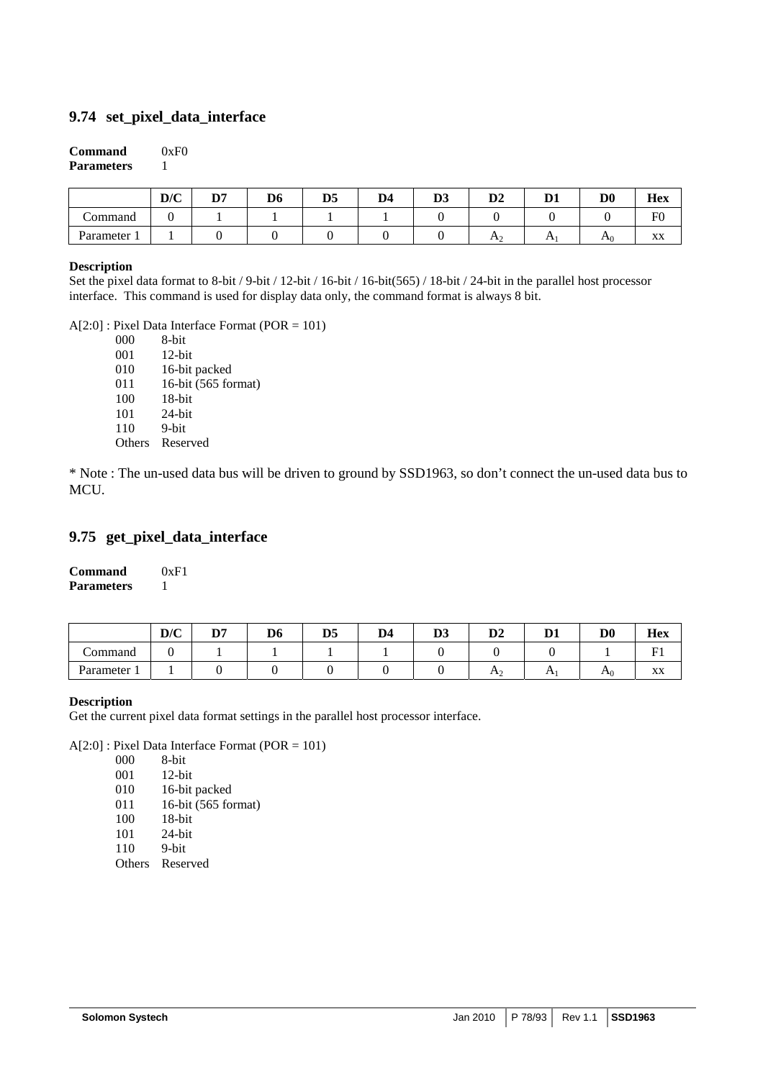## **9.74 set\_pixel\_data\_interface**

| Command           | 0xF0 |
|-------------------|------|
| <b>Parameters</b> |      |

|           | D/C | פת | D6 | D <sub>5</sub> | D4 | $\mathbf{r}$<br>ij. | D2        | D <sub>1</sub> | D <sub>0</sub>            | <b>Hex</b>     |
|-----------|-----|----|----|----------------|----|---------------------|-----------|----------------|---------------------------|----------------|
| Command   |     |    |    |                |    |                     |           |                |                           | F <sub>0</sub> |
| Parameter |     |    |    |                |    |                     | H.<br>- - | $\mathbf{r}$   | $\mathbf{A}$ <sup>0</sup> | XX             |

#### **Description**

Set the pixel data format to 8-bit / 9-bit / 12-bit / 16-bit / 16-bit(565) / 18-bit / 24-bit in the parallel host processor interface. This command is used for display data only, the command format is always 8 bit.

A[2:0] : Pixel Data Interface Format (POR = 101)

| 000    | 8-bit               |
|--------|---------------------|
| 001    | $12$ -bit           |
| 010    | 16-bit packed       |
| 011    | 16-bit (565 format) |
| 100    | 18-bit              |
| 101    | $24$ -bit           |
| 110    | 9-bit               |
| Others | Reserved            |
|        |                     |

\* Note : The un-used data bus will be driven to ground by SSD1963, so don't connect the un-used data bus to MCU.

### **9.75 get\_pixel\_data\_interface**

**Command** 0xF1 **Parameters** 1

|              | D/C | $\mathbf{D}7$ | D <sub>6</sub> | D <sub>5</sub> | D4 | D3 | $\mathbf{D}2$  | $\mathbf{L}$ | $\mathbf{D} \mathbf{0}$ | <b>Hex</b>         |
|--------------|-----|---------------|----------------|----------------|----|----|----------------|--------------|-------------------------|--------------------|
| ∼<br>Command |     |               |                |                |    |    |                |              |                         | $\mathbf{r}$       |
| Parameter    |     |               |                |                |    |    | $\mathbf{r}_2$ | A            | H <sub>0</sub>          | $\mathbf{v}$<br>AΛ |

#### **Description**

Get the current pixel data format settings in the parallel host processor interface.

A[2:0] : Pixel Data Interface Format (POR = 101)

000 8-bit

001 12-bit

010 16-bit packed

011 16-bit (565 format)

100 18-bit

101 24-bit

- 110 9-bit
- Others Reserved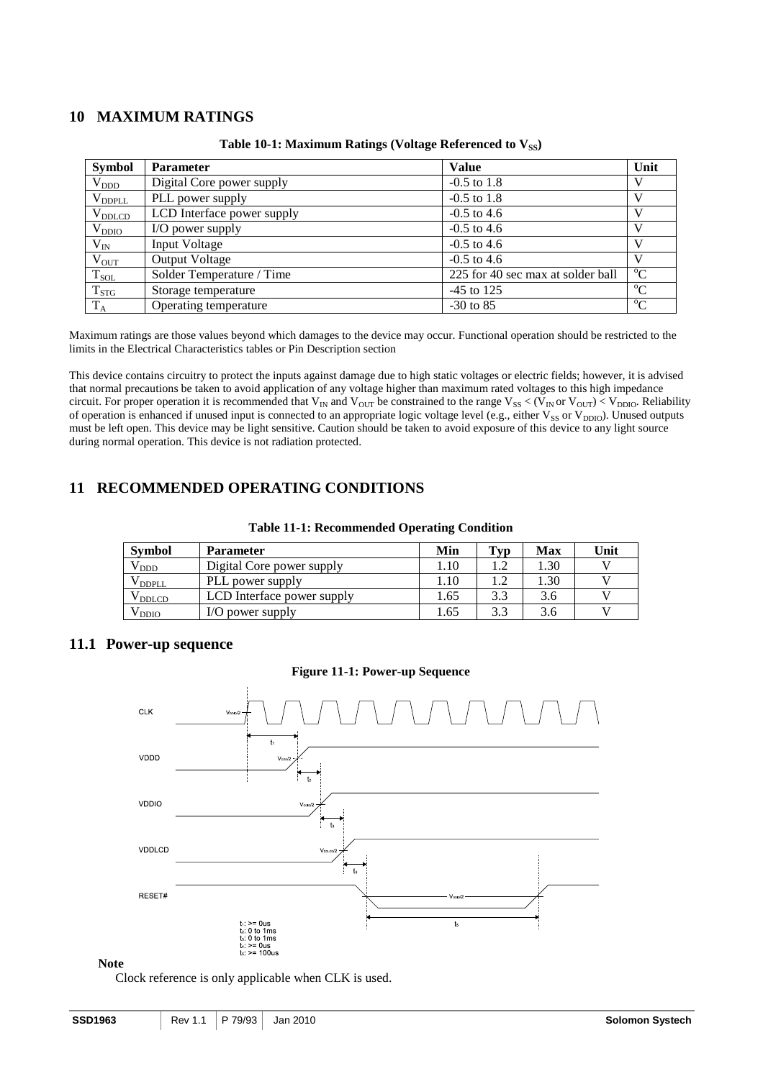## **10 MAXIMUM RATINGS**

| <b>Symbol</b> | <b>Parameter</b>           | <b>Value</b>                      | Unit        |
|---------------|----------------------------|-----------------------------------|-------------|
| $\rm V_{DDD}$ | Digital Core power supply  | $-0.5$ to 1.8                     |             |
| $V_{DDPLL}$   | PLL power supply           | $-0.5$ to 1.8                     |             |
| $V_{DDLCD}$   | LCD Interface power supply | $-0.5$ to 4.6                     |             |
| $V_{DDIO}$    | I/O power supply           | $-0.5$ to 4.6                     |             |
| $V_{IN}$      | <b>Input Voltage</b>       | $-0.5$ to 4.6                     |             |
| $V_{OUT}$     | <b>Output Voltage</b>      | $-0.5$ to 4.6                     |             |
| $T_{SOL}$     | Solder Temperature / Time  | 225 for 40 sec max at solder ball | $^{\circ}C$ |
| $T_{STG}$     | Storage temperature        | $-45$ to 125                      | $^{\circ}C$ |
| $\rm T_A$     | Operating temperature      | $-30$ to 85                       | $\rm ^{o}C$ |

Table 10-1: Maximum Ratings (Voltage Referenced to V<sub>SS</sub>)

Maximum ratings are those values beyond which damages to the device may occur. Functional operation should be restricted to the limits in the Electrical Characteristics tables or Pin Description section

This device contains circuitry to protect the inputs against damage due to high static voltages or electric fields; however, it is advised that normal precautions be taken to avoid application of any voltage higher than maximum rated voltages to this high impedance circuit. For proper operation it is recommended that  $V_{IN}$  and  $V_{OUT}$  be constrained to the range  $V_{SS} < (V_{IN}$  or  $V_{OUT}) < V_{DDIO}$ . Reliability of operation is enhanced if unused input is connected to an appropriate logic voltage level (e.g., either  $V_{SS}$  or  $V_{DDIO}$ ). Unused outputs must be left open. This device may be light sensitive. Caution should be taken to avoid exposure of this device to any light source during normal operation. This device is not radiation protected.

# **11 RECOMMENDED OPERATING CONDITIONS**

#### **Table 11-1: Recommended Operating Condition**

| <b>Symbol</b> | <b>Parameter</b>           | Min    | $\mathbf{T}_{\mathbf{V}\mathbf{D}}$ | Max  | Unit |
|---------------|----------------------------|--------|-------------------------------------|------|------|
| ' DDD         | Digital Core power supply  | 1.10   |                                     | 1.30 |      |
| / DDPLL       | PLL power supply           | 1.10   |                                     | 1.30 |      |
| / DDLCD       | LCD Interface power supply | . . 65 | 3.3                                 | 3.6  |      |
| DDIO          | I/O power supply           | 1.65   | 3.3                                 | 3.6  |      |

## **11.1 Power-up sequence**



## **Figure 11-1: Power-up Sequence**

## **Note**

Clock reference is only applicable when CLK is used.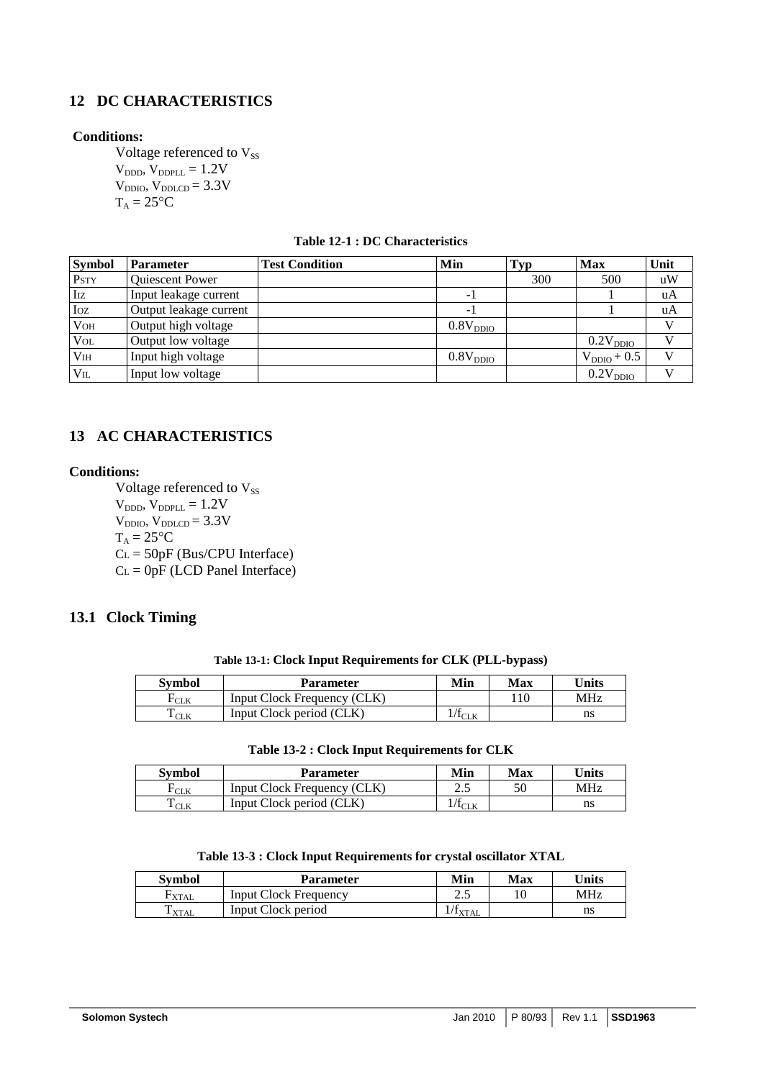# **12 DC CHARACTERISTICS**

## **Conditions:**

Voltage referenced to Vss  $V_{\text{DDD}}$ ,  $V_{\text{DDPLL}} = 1.2V$  $V_{DDIO}$ ,  $V_{DDLCD} = 3.3V$  $T_A = 25$ °C

|  |  |  |  | Table 12-1 : DC Characteristics |
|--|--|--|--|---------------------------------|
|--|--|--|--|---------------------------------|

| <b>Symbol</b>   | Parameter              | <b>Test Condition</b> | Min                  | Typ | <b>Max</b>           | Unit         |
|-----------------|------------------------|-----------------------|----------------------|-----|----------------------|--------------|
| PSTY            | Quiescent Power        |                       |                      | 300 | 500                  | uW           |
| Iiz             | Input leakage current  |                       | - 1                  |     |                      | uA           |
| Ioz             | Output leakage current |                       | $-1$                 |     |                      | uA           |
| VOH             | Output high voltage    |                       | 0.8V <sub>DDIO</sub> |     |                      | V            |
| $\rm V_{OL}$    | Output low voltage     |                       |                      |     | 0.2V <sub>DDIO</sub> | ٦Z           |
| V <sub>IH</sub> | Input high voltage     |                       | 0.8V <sub>DDIO</sub> |     | $V_{DDIO}$ + 0.5     | $\mathbf{V}$ |
| $V_{IL}$        | Input low voltage      |                       |                      |     | 0.2V <sub>DDIO</sub> |              |

# **13 AC CHARACTERISTICS**

# **Conditions:**

Voltage referenced to  $V_{SS}$  $V_{\text{DDD}}$ ,  $V_{\text{DDPLL}} = 1.2V$  $V_{DDIO}$ ,  $V_{DDLCD} = 3.3V$  $T_A = 25$ <sup>o</sup>C  $CL = 50pF$  (Bus/CPU Interface)  $CL = 0pF$  (LCD Panel Interface)

## **13.1 Clock Timing**

**Table 13-1: Clock Input Requirements for CLK (PLL-bypass)**

| Symbol           | <b>Parameter</b>            | Min      | Max | Units      |
|------------------|-----------------------------|----------|-----|------------|
| $r_{\text{CLK}}$ | Input Clock Frequency (CLK) |          |     | <b>MHz</b> |
| CLK              | Input Clock period (CLK)    | $/1$ CLK |     | ns         |

### **Table 13-2 : Clock Input Requirements for CLK**

| <b>Symbol</b>     | <b>Parameter</b>            | Min       | Max | <b>Units</b> |
|-------------------|-----------------------------|-----------|-----|--------------|
| <sup>г</sup> сі к | Input Clock Frequency (CLK) | ر         |     | <b>MHz</b>   |
| $-CLK$            | Input Clock period (CLK)    | $1/1$ CLK |     | ns           |

| Table 13-3 : Clock Input Requirements for crystal oscillator XTAL |  |
|-------------------------------------------------------------------|--|
|-------------------------------------------------------------------|--|

| Symbol              | <b>Parameter</b>             | Min                   | Max | <b>Units</b> |
|---------------------|------------------------------|-----------------------|-----|--------------|
| $T_{\textrm{XTAL}}$ | <b>Input Clock Frequency</b> | ن ک                   |     | MHz          |
| <b>XTAL</b>         | Input Clock period           | $'$ <sup>1</sup> XTAL |     | ns           |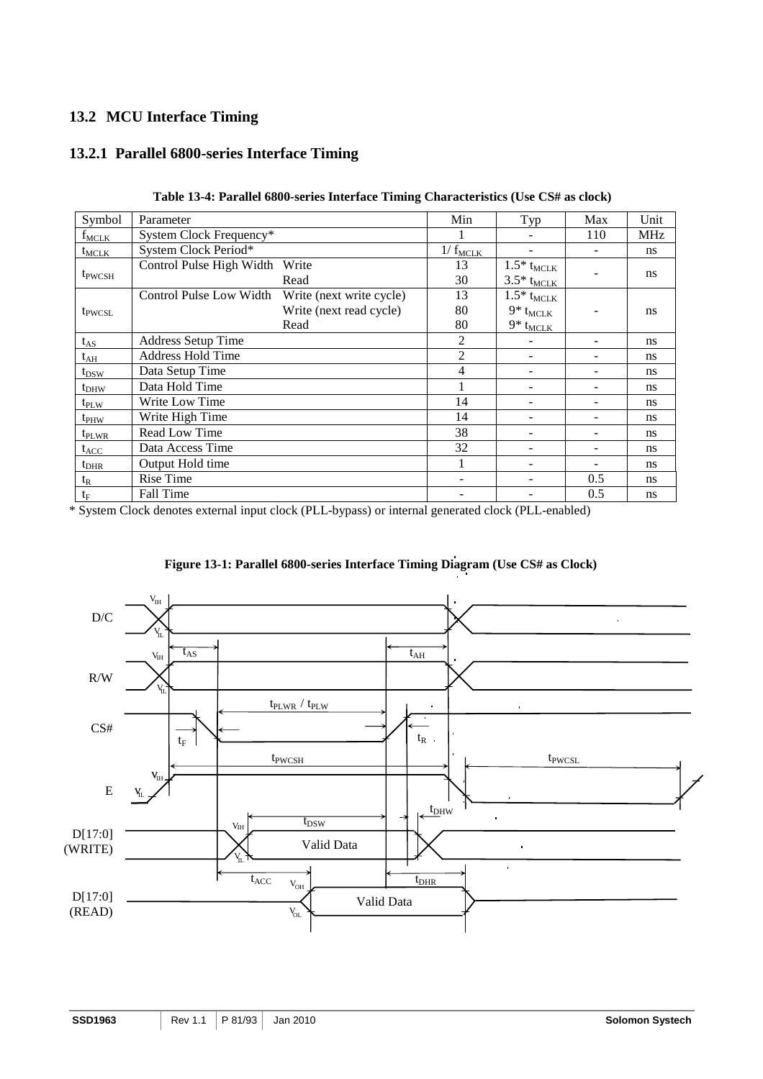# **13.2 MCU Interface Timing**

# **13.2.1 Parallel 6800-series Interface Timing**

| Symbol             | Parameter                 |                          | Min                 | Typ                      | Max | Unit          |
|--------------------|---------------------------|--------------------------|---------------------|--------------------------|-----|---------------|
| $f_{MCLK}$         | System Clock Frequency*   |                          |                     |                          | 110 | <b>MHz</b>    |
| $t_{MCLK}$         | System Clock Period*      |                          | $1/$ $f_{\rm MCLK}$ |                          |     | <sub>ns</sub> |
|                    | Control Pulse High Width  | Write                    | 13                  | $1.5*$ t <sub>MCLK</sub> |     |               |
| t <sub>pwCSH</sub> |                           | Read                     | 30                  | $3.5*$ t <sub>MCLK</sub> |     | ns            |
|                    | Control Pulse Low Width   | Write (next write cycle) | 13                  | $1.5*$ t <sub>MCLK</sub> |     |               |
| t <sub>pwcsl</sub> |                           | Write (next read cycle)  | 80                  | $9*$ t <sub>MCLK</sub>   |     | <sub>ns</sub> |
|                    |                           | Read                     | 80                  | $9*$ t <sub>MCLK</sub>   |     |               |
| $t_{AS}$           | <b>Address Setup Time</b> |                          | 2                   |                          |     | ns            |
| $t_{AH}$           | <b>Address Hold Time</b>  |                          | $\overline{2}$      |                          |     | ns            |
| $t_{DSW}$          | Data Setup Time           |                          | 4                   |                          |     | ns            |
| $t_{DHW}$          | Data Hold Time            |                          |                     |                          |     | ns            |
| $t_{PLW}$          | Write Low Time            |                          | 14                  |                          |     | ns            |
| $t_{PHW}$          | Write High Time           |                          | 14                  |                          |     | ns            |
| $t_{\rm PLWR}$     | Read Low Time             |                          | 38                  | $\blacksquare$           |     | ns            |
| $t_{ACC}$          | Data Access Time          |                          | 32                  | ۰                        |     | ns            |
| $t_{\rm DHR}$      | Output Hold time          |                          |                     |                          |     | ns.           |
| $t_R$              | <b>Rise Time</b>          |                          |                     |                          | 0.5 | ns            |
| $t_F$              | Fall Time                 |                          |                     |                          | 0.5 | ns            |

 **Table 13-4: Parallel 6800-series Interface Timing Characteristics (Use CS# as clock)** 

\* System Clock denotes external input clock (PLL-bypass) or internal generated clock (PLL-enabled)



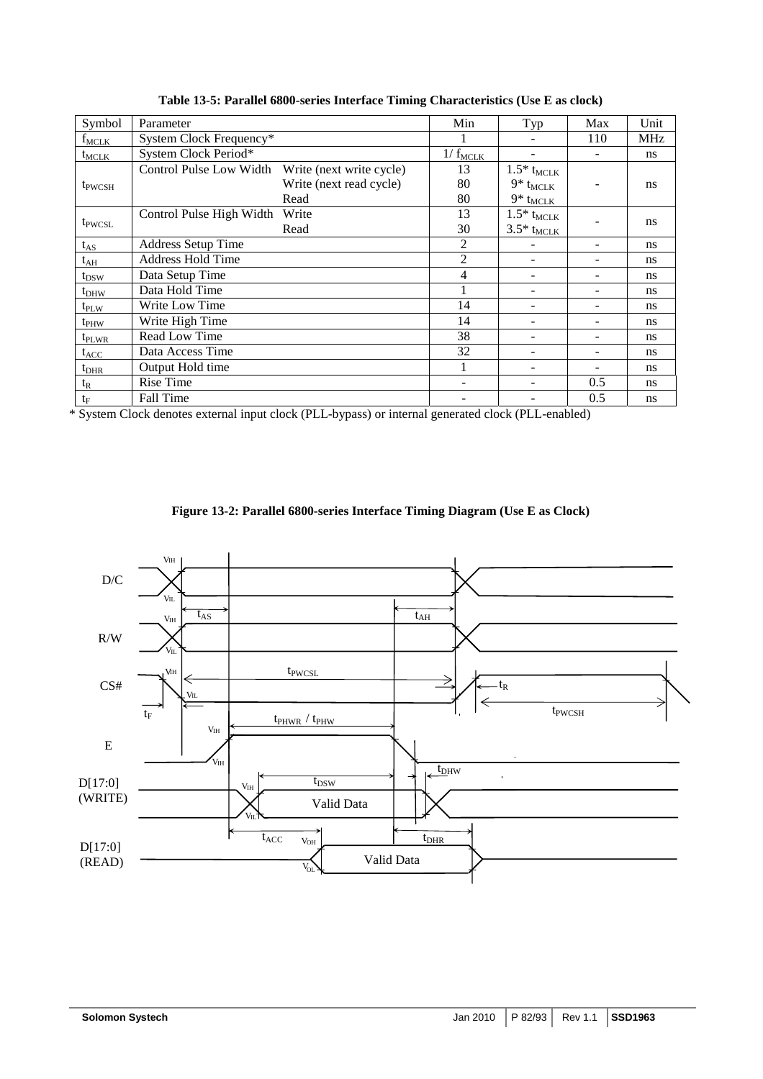| Symbol             | Parameter                 |                          | Min                                  | Typ                      | Max | Unit          |
|--------------------|---------------------------|--------------------------|--------------------------------------|--------------------------|-----|---------------|
| $f_{MCLK}$         | System Clock Frequency*   |                          | 1                                    |                          | 110 | MHz           |
| $t_{MCLK}$         | System Clock Period*      |                          | $\frac{1}{\sqrt{1}} f_{\text{MCLK}}$ |                          |     | ns            |
|                    | Control Pulse Low Width   | Write (next write cycle) | 13                                   | $1.5*$ t <sub>MCLK</sub> |     |               |
| $t_{\text{PWCSH}}$ |                           | Write (next read cycle)  | 80                                   | $9*$ t <sub>MCLK</sub>   |     | ns            |
|                    |                           | Read                     | 80                                   | $9*$ t <sub>MCLK</sub>   |     |               |
|                    | Control Pulse High Width  | Write                    | 13                                   | $1.5^*$ ${\rm t_{MCLK}}$ |     | ns            |
| t <sub>pwCSL</sub> | Read                      |                          | 30                                   | $3.5*$ t <sub>MCLK</sub> |     |               |
| $t_{AS}$           | <b>Address Setup Time</b> |                          | $\overline{c}$                       |                          |     | ns            |
| $t_{AH}$           | <b>Address Hold Time</b>  |                          | $\overline{2}$                       |                          |     | ns            |
| $t_{DSW}$          | Data Setup Time           |                          | 4                                    |                          |     | ns            |
| $t_{DHW}$          | Data Hold Time            |                          | 1                                    |                          |     | ns            |
| $t_{PLW}$          | Write Low Time            |                          | 14                                   |                          |     | ns            |
| $t_{PHW}$          | Write High Time           |                          | 14                                   | -                        |     | ns            |
| t <sub>pl WR</sub> | Read Low Time             |                          | 38                                   |                          |     | ns            |
| $t_{ACC}$          | Data Access Time          |                          | 32                                   |                          |     | ns            |
| $t_{\rm DHR}$      | Output Hold time          |                          |                                      |                          |     | <sub>ns</sub> |
| $t_{R}$            | <b>Rise Time</b>          |                          | ٠                                    |                          | 0.5 | ns            |
| $t_F$              | Fall Time                 |                          |                                      |                          | 0.5 | ns            |

**Table 13-5: Parallel 6800-series Interface Timing Characteristics (Use E as clock)** 

\* System Clock denotes external input clock (PLL-bypass) or internal generated clock (PLL-enabled)



**Figure 13-2: Parallel 6800-series Interface Timing Diagram (Use E as Clock)**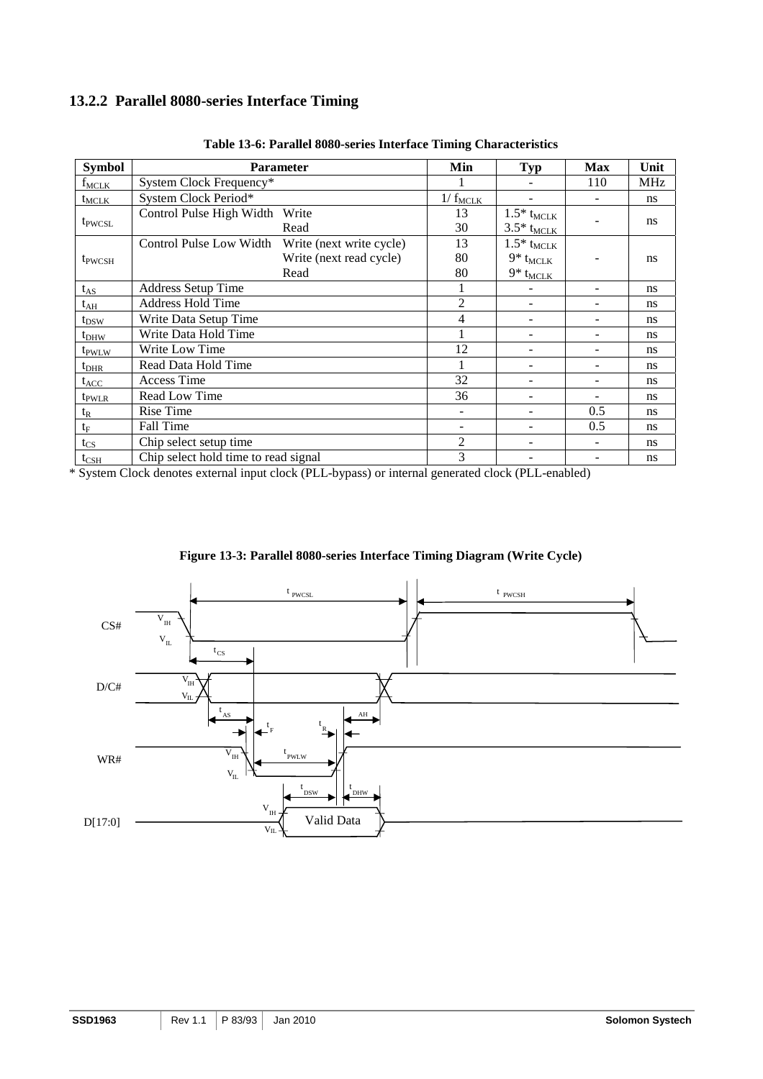# **13.2.2 Parallel 8080-series Interface Timing**

| <b>Symbol</b>      | <b>Parameter</b>                     |                          | Min          | <b>Typ</b>               | <b>Max</b>               | Unit       |
|--------------------|--------------------------------------|--------------------------|--------------|--------------------------|--------------------------|------------|
| $f_{MCLK}$         | System Clock Frequency*              |                          |              |                          | 110                      | <b>MHz</b> |
| $t_{MCLK}$         | System Clock Period*                 |                          | $1/f_{MCLK}$ |                          |                          | ns         |
|                    | Control Pulse High Width             | Write                    | 13           | $1.5^*$ ${\rm t_{MCLK}}$ |                          | ns         |
| t <sub>pwCSL</sub> |                                      | Read                     | 30           | $3.5*$ t <sub>MCLK</sub> |                          |            |
|                    | Control Pulse Low Width              | Write (next write cycle) | 13           | $1.5*$ t <sub>MCLK</sub> |                          |            |
| $t_{\text{PWCSH}}$ |                                      | Write (next read cycle)  | 80           | $9*$ t <sub>MCLK</sub>   |                          | ns         |
|                    |                                      | Read                     | 80           | $9*$ t <sub>MCLK</sub>   |                          |            |
| $t_{AS}$           | <b>Address Setup Time</b>            |                          | 1            |                          |                          | ns         |
| $t_{AH}$           | <b>Address Hold Time</b>             |                          | 2            |                          |                          | ns         |
| $t_{DSW}$          | Write Data Setup Time                |                          | 4            |                          |                          | ns         |
| $t_{DHW}$          | Write Data Hold Time                 |                          | 1            |                          |                          | ns         |
| t <sub>pwLw</sub>  | Write Low Time                       |                          | 12           |                          |                          | ns         |
| $t_{\rm DHR}$      | Read Data Hold Time                  |                          |              |                          |                          | ns         |
| $t_{ACC}$          | <b>Access Time</b>                   |                          | 32           |                          | $\overline{\phantom{a}}$ | ns         |
| t <sub>pwlr</sub>  | Read Low Time                        |                          | 36           | $\qquad \qquad -$        |                          | ns         |
| $t_{R}$            | Rise Time                            |                          |              |                          | 0.5                      | ns         |
| $t_{\rm F}$        | Fall Time                            |                          |              |                          | 0.5                      | ns         |
| $t_{CS}$           | Chip select setup time               |                          | 2            |                          |                          | ns         |
| $t_{\rm CSH}$      | Chip select hold time to read signal |                          | 3            |                          |                          | ns         |

**Table 13-6: Parallel 8080-series Interface Timing Characteristics** 

\* System Clock denotes external input clock (PLL-bypass) or internal generated clock (PLL-enabled)



## **Figure 13-3: Parallel 8080-series Interface Timing Diagram (Write Cycle)**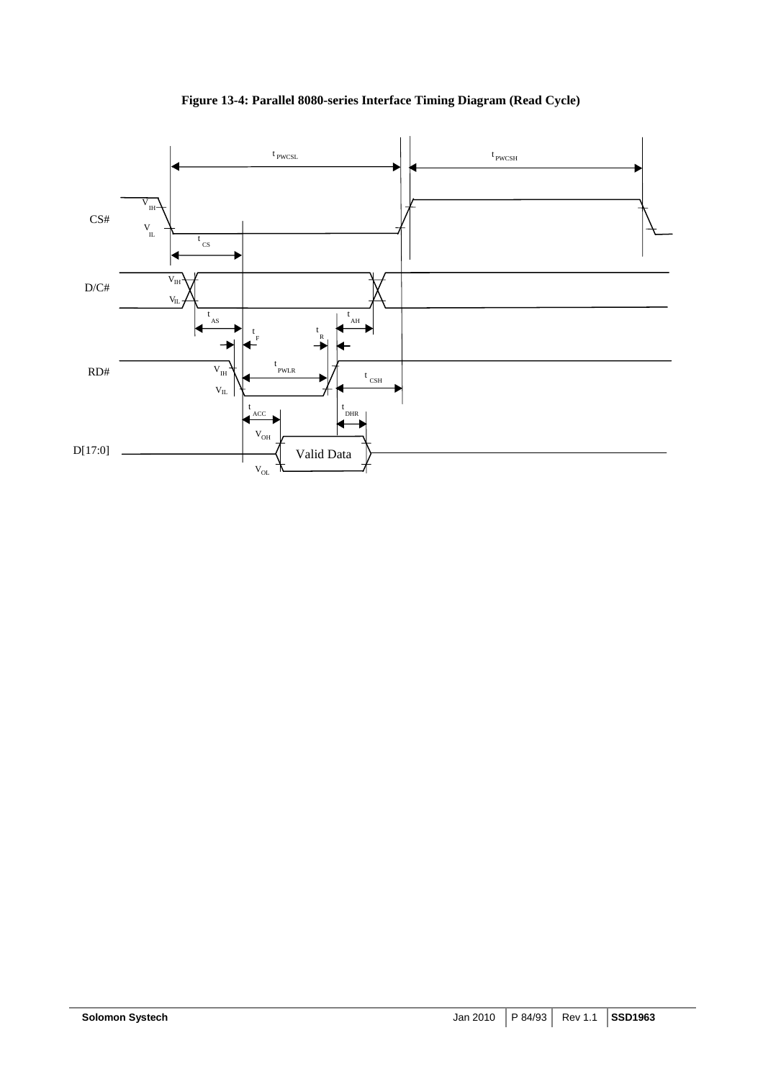

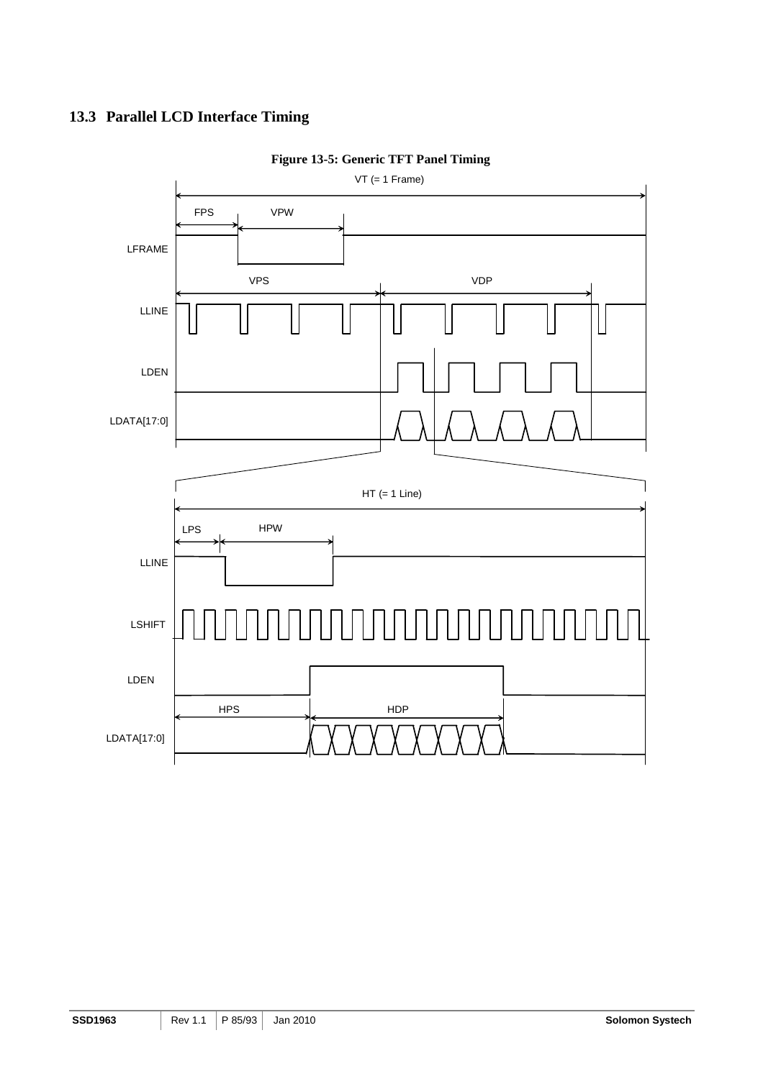# **13.3 Parallel LCD Interface Timing**



## **Figure 13-5: Generic TFT Panel Timing**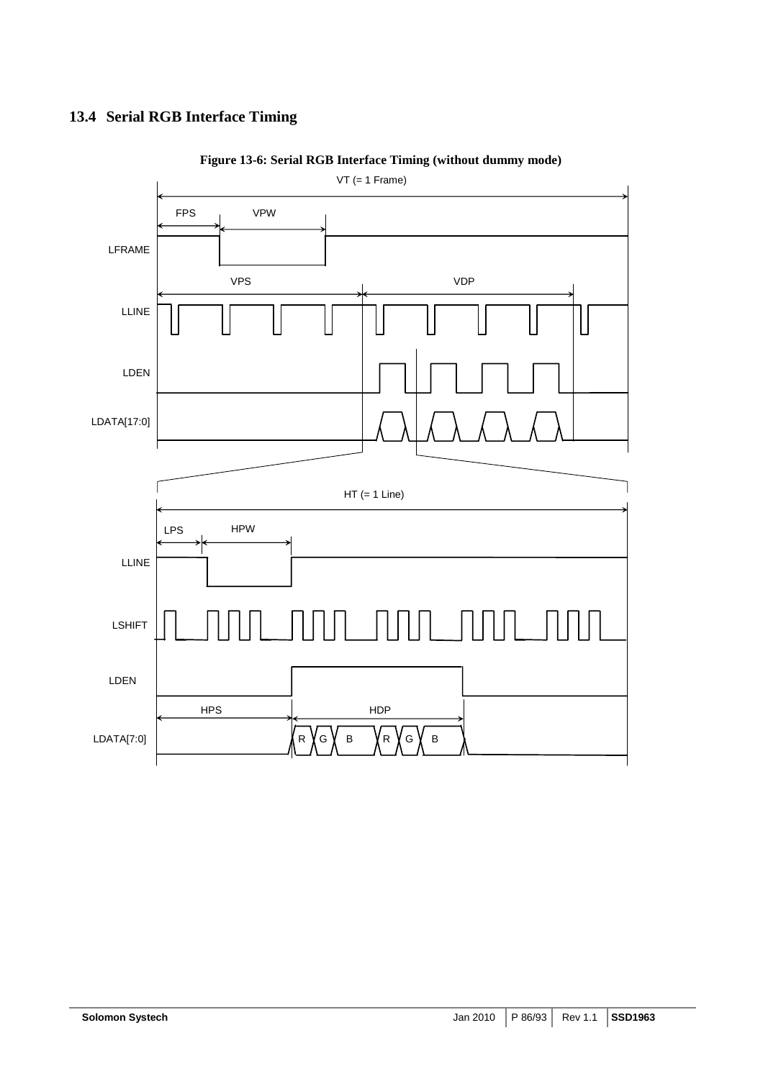# **13.4 Serial RGB Interface Timing**



**Figure 13-6: Serial RGB Interface Timing (without dummy mode)**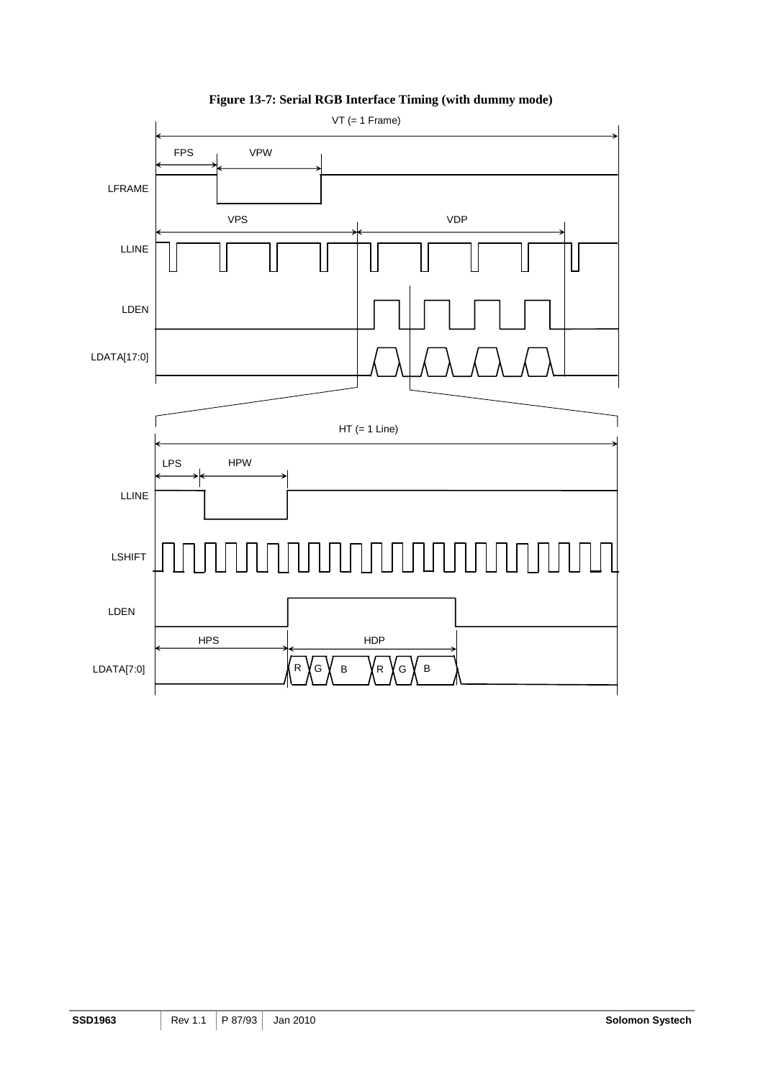

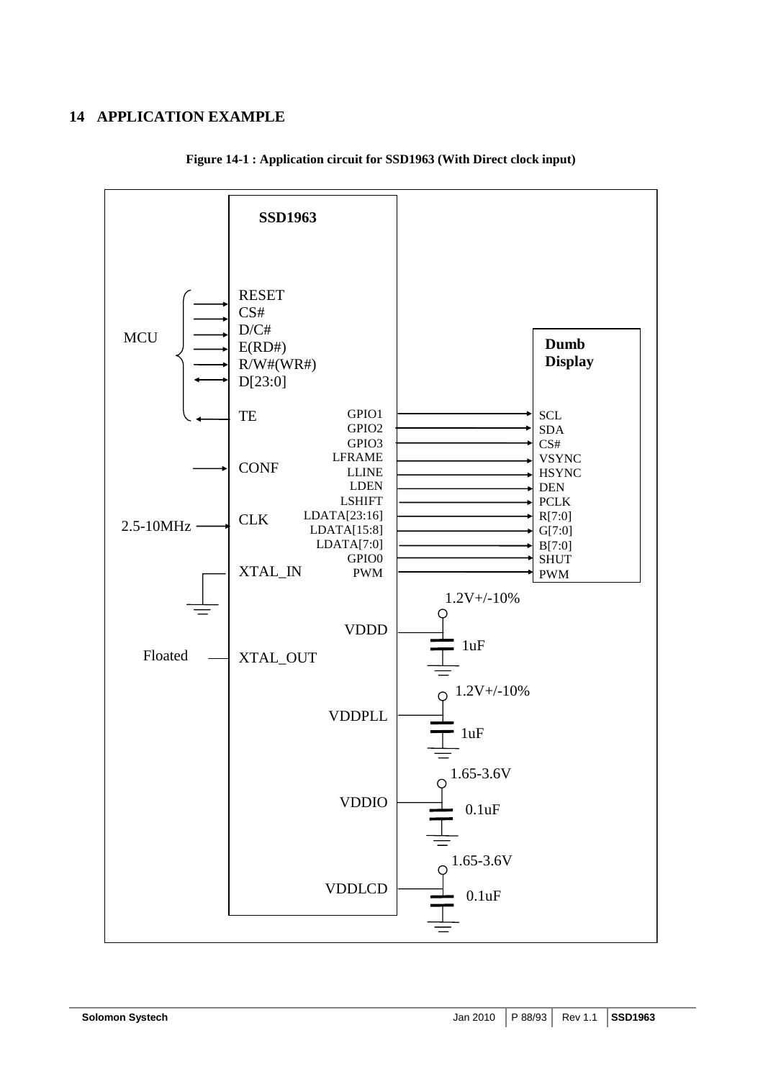# **14 APPLICATION EXAMPLE**



**Figure 14-1 : Application circuit for SSD1963 (With Direct clock input)**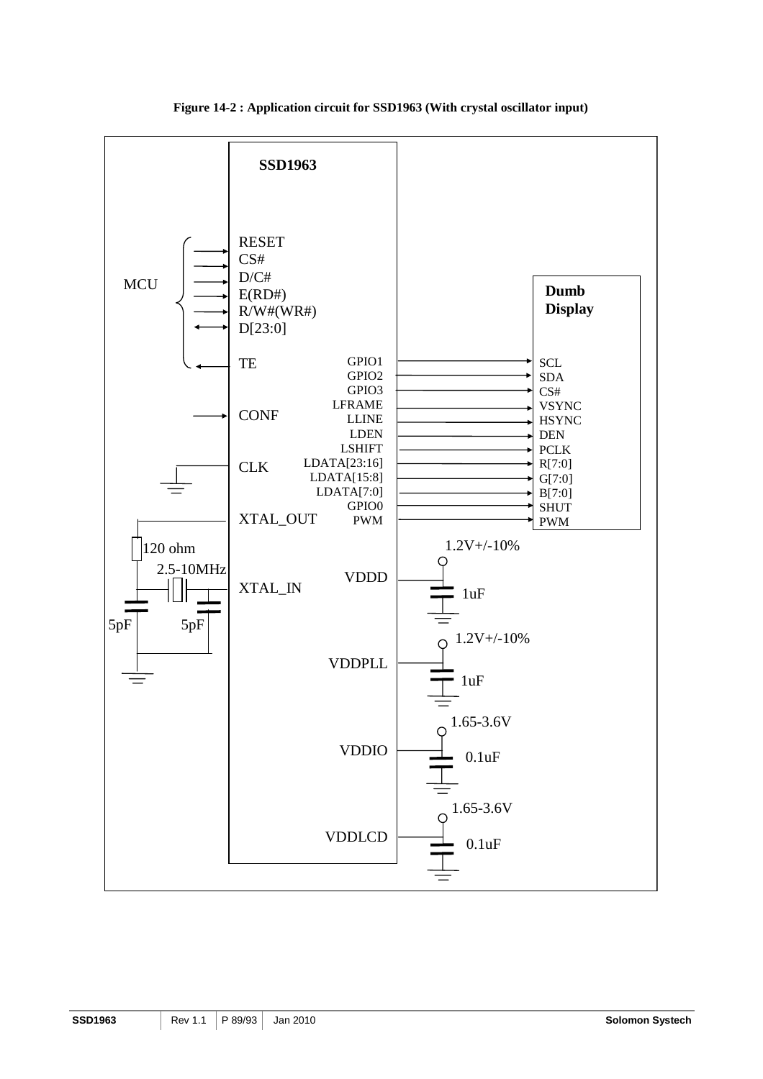

**Figure 14-2 : Application circuit for SSD1963 (With crystal oscillator input)**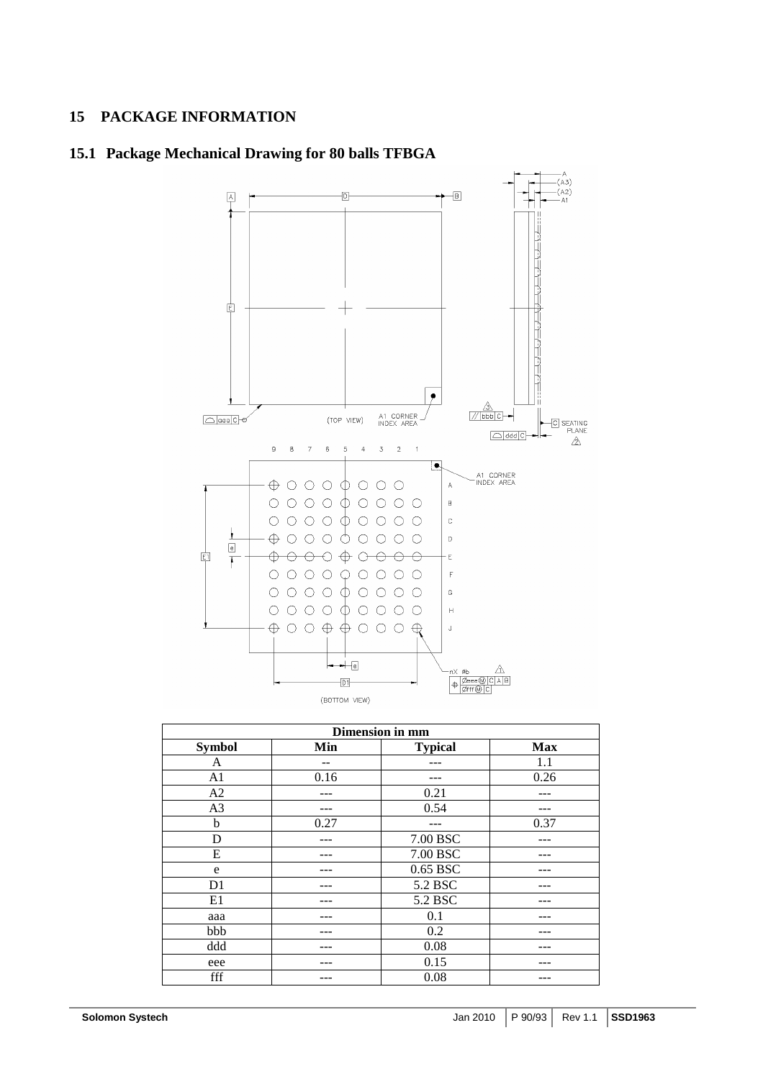## **15 PACKAGE INFORMATION**



## **15.1 Package Mechanical Drawing for 80 balls TFBGA**

| <b>Dimension in mm</b> |      |                |            |  |  |
|------------------------|------|----------------|------------|--|--|
| <b>Symbol</b>          | Min  | <b>Typical</b> | <b>Max</b> |  |  |
| A                      | --   |                | 1.1        |  |  |
| A1                     | 0.16 |                | 0.26       |  |  |
| A2                     |      | 0.21           |            |  |  |
| A <sub>3</sub>         |      | 0.54           |            |  |  |
| b                      | 0.27 |                | 0.37       |  |  |
| D                      |      | 7.00 BSC       |            |  |  |
| E                      |      | 7.00 BSC       |            |  |  |
| e                      |      | 0.65 BSC       |            |  |  |
| D <sub>1</sub>         |      | 5.2 BSC        |            |  |  |
| E1                     |      | 5.2 BSC        |            |  |  |
| aaa                    |      | 0.1            |            |  |  |
| bbb                    |      | 0.2            |            |  |  |
| ddd                    |      | 0.08           |            |  |  |
| eee                    |      | 0.15           |            |  |  |
| fff                    |      | 0.08           |            |  |  |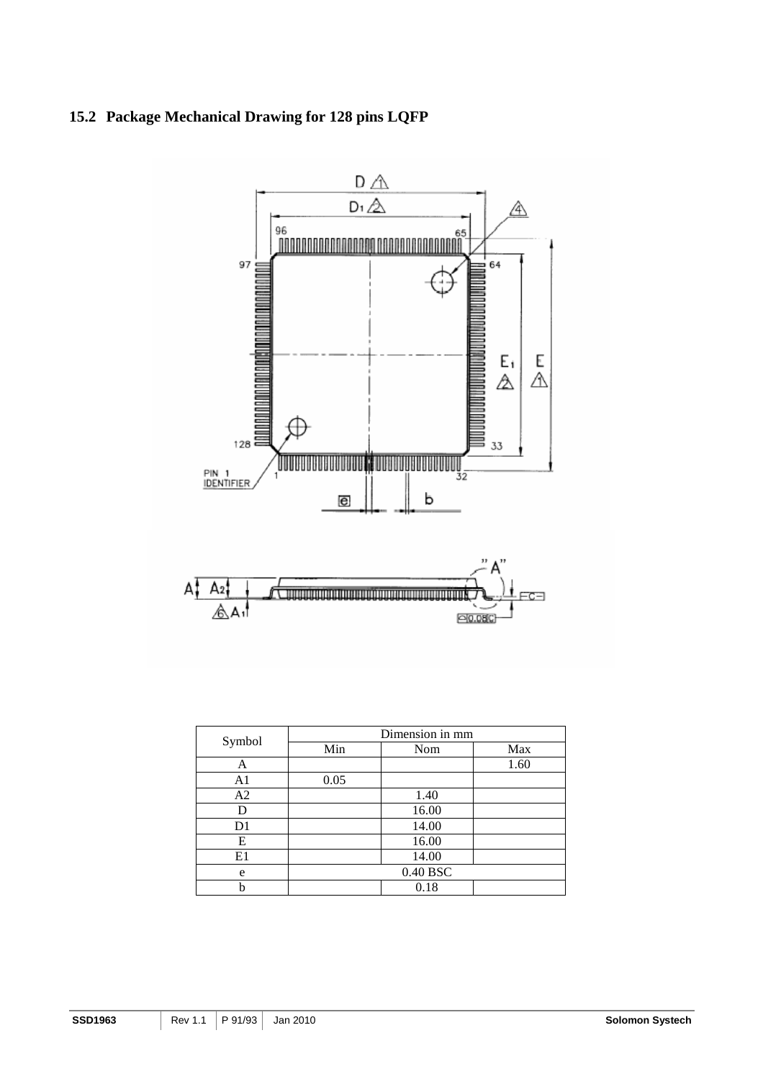# **15.2 Package Mechanical Drawing for 128 pins LQFP**



|        | Dimension in mm |          |      |  |
|--------|-----------------|----------|------|--|
| Symbol | Min             | Nom      | Max  |  |
| Α      |                 |          | 1.60 |  |
| A1     | 0.05            |          |      |  |
| A2     |                 | 1.40     |      |  |
| D      |                 | 16.00    |      |  |
| D1     |                 | 14.00    |      |  |
| Е      |                 | 16.00    |      |  |
| E1     |                 | 14.00    |      |  |
| e      |                 | 0.40 BSC |      |  |
|        |                 | 0.18     |      |  |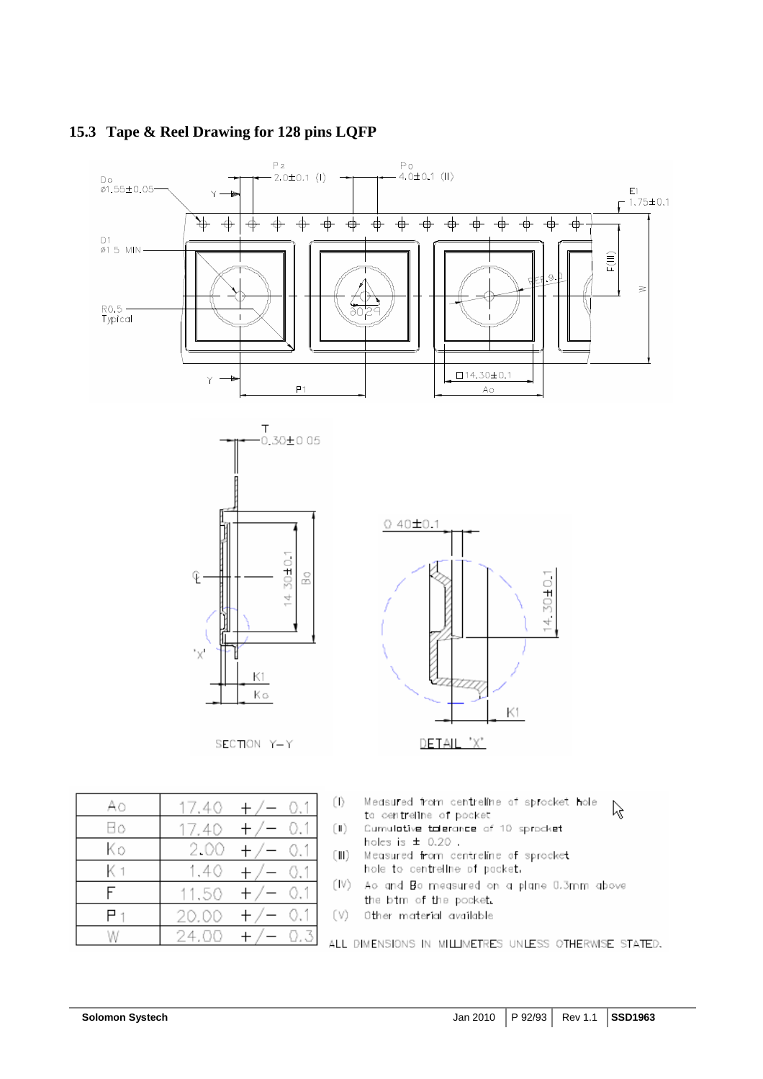

# **15.3 Tape & Reel Drawing for 128 pins LQFP**

24

OC.

 $\ddot{}$ 

Ō

W

ALL DIMENSIONS IN MILLIMETRES UNLESS OTHERWISE STATED.